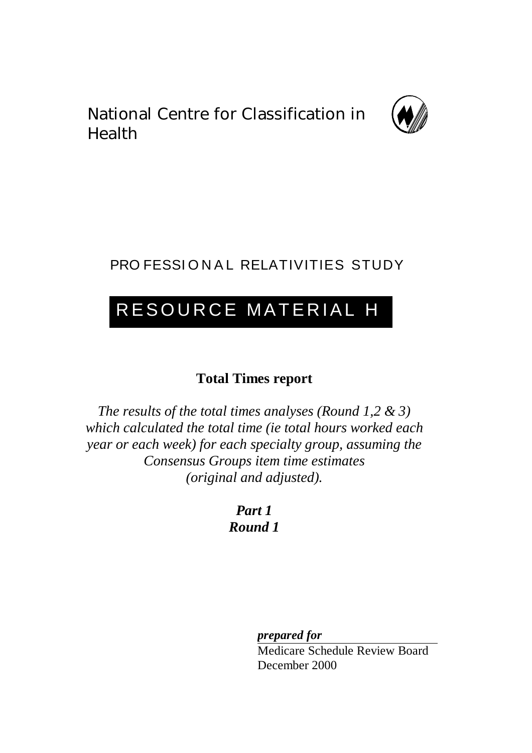National Centre for Classification in Health



## PRO FESSIONAL RELATIVITIES STUDY

# RESOURCE MATERIAL H

### **Total Times report**

*The results of the total times analyses (Round 1,2 & 3) which calculated the total time (ie total hours worked each year or each week) for each specialty group, assuming the Consensus Groups item time estimates (original and adjusted).*

> *Part 1 Round 1*

> > *prepared for*

Medicare Schedule Review Board December 2000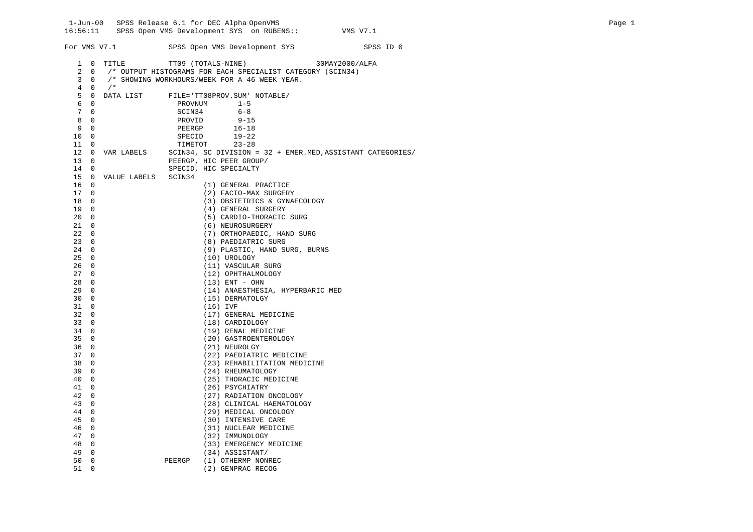1-Jun-00 SPSS Release 6.1 for DEC Alpha OpenVMS Page 1 16:56:11 SPSS Open VMS Development SYS on RUBENS:: VMS V7.1 For VMS V7.1 SPSS Open VMS Development SYS SPSS ID 0 1 0 TITLE TT09 (TOTALS-NINE) 30MAY2000/ALFA 2 0 /\* OUTPUT HISTOGRAMS FOR EACH SPECIALIST CATEGORY (SCIN34) 3 0 /\* SHOWING WORKHOURS/WEEK FOR A 46 WEEK YEAR.  $\begin{array}{ccccc}\n4 & 0 & \mathbin{/} * \\
5 & 0 & \text{DATA LIST}\n\end{array}$ FILE='TT08PROV.SUM' NOTABLE/ 6 0 PROVNUM 1-5<br>7 0 SCIN34 6-8 7 0 SCIN34 6-8<br>8 0 PROVID 9-1 PROVID 9-15 9 0 PEERGP 16-18 10 0 SPECID 19-22<br>11 0 TIMETOT 23-28 TIMETOT 23-28 12 0 VAR LABELS SCIN34, SC DIVISION = 32 + EMER.MED,ASSISTANT CATEGORIES/ 13 0 **PEERGP, HIC PEER GROUP/**<br>14 0 SPECID, HIC SPECIALTY SPECID, HIC SPECIALTY 15 0 VALUE LABELS SCIN34 (1) GENERAL PRACTICE 17 0  $(2)$  FACIO-MAX SURGERY<br>18 0  $(3)$  OBSTETRICS & GYNA 18 0 (3) OBSTETRICS & GYNAECOLOGY<br>19 0 (4) GENERAL SURGERY 19 0 (4) GENERAL SURGERY<br>20 0 (5) CARDIO-THORACIC 20 0 (5) CARDIO-THORACIC SURG 21 0 (6) NEUROSURGERY 22 0 (7) ORTHOPAEDIC, HAND SURG<br>23 0 (8) PAEDIATRIC SURG (8) PAEDIATRIC SURG 24 0 (9) PLASTIC, HAND SURG, BURNS<br>25 0 (10) UROLOGY (10) UROLOGY 26 0 (11) VASCULAR SURG<br>27 0 (12) OPHTHALMOLOGY  $27 \t0$  (12) OPHTHALMOLOGY<br> $28 \t0$  (13) ENT - OHN  $(13)$  ENT - OHN 29 0 (14) ANAESTHESIA, HYPERBARIC MED 30 0 (15) DERMATOLGY 31 0 (16) IVF 32 0 (17) GENERAL MEDICINE 33 0 (18) CARDIOLOGY<br>34 0 (19) RENAL MEDI 34 0 (19) RENAL MEDICINE<br>35 0 (20) GASTROENTEROLO 35 0 (20) GASTROENTEROLOGY (21) NEUROLGY 37 0 (22) PAEDIATRIC MEDICINE 38 0 (23) REHABILITATION MEDICINE<br>39 0 (24) RHEUMATOLOGY (24) RHEUMATOLOGY 40 0 (25) THORACIC MEDICINE<br>41 0 (26) PSYCHIATRY (26) PSYCHIATRY 42 0 (27) RADIATION ONCOLOGY 43 0 (28) CLINICAL HAEMATOLOGY<br>44 0 (29) MEDICAL ONCOLOGY 44 0 (29) MEDICAL ONCOLOGY<br>45 0 (30) INTENSIVE CARE 45 0 (30) INTENSIVE CARE<br>46 0 (31) NUCLEAR MEDICI (31) NUCLEAR MEDICINE 47 0 (32) IMMUNOLOGY<br>48 0 (33) EMERGENCY 48 0 (33) EMERGENCY MEDICINE<br>49 0 (34) ASSISTANT/ 49 0 (34) ASSISTANT/ 50 0 PEERGP (1) OTHERMP NONREC (2) GENPRAC RECOG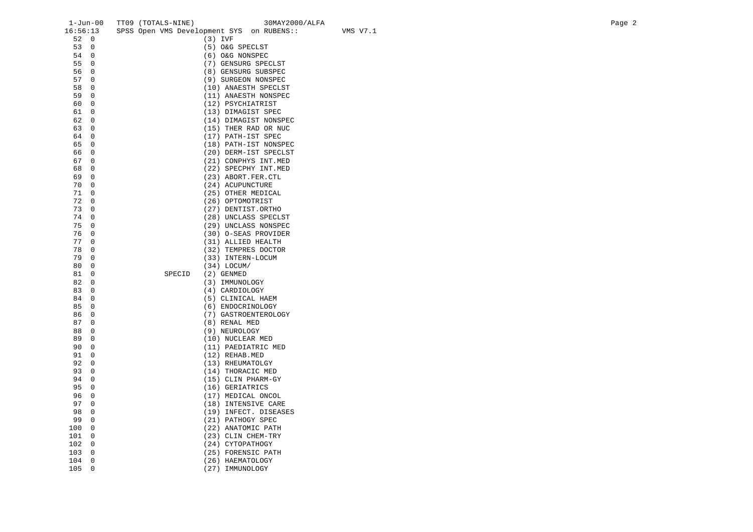| $1 - Jun-00$          | TT09 (TOTALS-NINE) | 30MAY2000/ALFA                                        | Page 2 |
|-----------------------|--------------------|-------------------------------------------------------|--------|
| 16:56:13              |                    | SPSS Open VMS Development SYS on RUBENS::<br>VMS V7.1 |        |
| 52 0                  |                    | $(3)$ IVF                                             |        |
| 53<br>$\overline{0}$  |                    | (5) O&G SPECLST                                       |        |
| 54<br>$\overline{0}$  |                    | (6) O&G NONSPEC                                       |        |
| 55<br>$\overline{0}$  |                    | (7) GENSURG SPECLST                                   |        |
| 56<br>$\overline{0}$  |                    | (8) GENSURG SUBSPEC                                   |        |
| 57<br>$\overline{0}$  |                    | (9) SURGEON NONSPEC                                   |        |
| $\overline{0}$<br>58  |                    | (10) ANAESTH SPECLST                                  |        |
| 59<br>$\overline{0}$  |                    | (11) ANAESTH NONSPEC                                  |        |
| $\overline{0}$<br>60  |                    | (12) PSYCHIATRIST                                     |        |
| 61<br>$\overline{0}$  |                    | (13) DIMAGIST SPEC                                    |        |
| $\mathbf 0$<br>62     |                    |                                                       |        |
| 63<br>$\overline{0}$  |                    | (14) DIMAGIST NONSPEC                                 |        |
|                       |                    | (15) THER RAD OR NUC                                  |        |
| $\overline{0}$<br>64  |                    | (17) PATH-IST SPEC                                    |        |
| $\mathbf 0$<br>65     |                    | (18) PATH-IST NONSPEC                                 |        |
| 66<br>$\overline{0}$  |                    | (20) DERM-IST SPECLST                                 |        |
| 67<br>$\overline{0}$  |                    | (21) CONPHYS INT.MED                                  |        |
| $\mathbf 0$<br>68     |                    | (22) SPECPHY INT.MED                                  |        |
| 69<br>$\overline{0}$  |                    | (23) ABORT.FER.CTL                                    |        |
| 70<br>$\overline{0}$  |                    | (24) ACUPUNCTURE                                      |        |
| 71<br>$\mathbf 0$     |                    | (25) OTHER MEDICAL                                    |        |
| 72<br>$\mathbf 0$     |                    | (26) OPTOMOTRIST                                      |        |
| 73<br>$\overline{0}$  |                    | (27) DENTIST.ORTHO                                    |        |
| 74<br>$\mathbf 0$     |                    | (28) UNCLASS SPECLST                                  |        |
| 75<br>$\overline{0}$  |                    | (29) UNCLASS NONSPEC                                  |        |
| 76<br>$\mathbf 0$     |                    | (30) O-SEAS PROVIDER                                  |        |
| 77<br>$\mathbf 0$     |                    | (31) ALLIED HEALTH                                    |        |
| 78<br>$\overline{0}$  |                    | (32) TEMPRES DOCTOR                                   |        |
| $\mathbf 0$<br>79     |                    | (33) INTERN-LOCUM                                     |        |
| 80<br>$\mathbf 0$     |                    | $(34)$ LOCUM/                                         |        |
| 81<br>$\overline{0}$  | SPECID             | $(2)$ GENMED                                          |        |
| $\mathbf 0$<br>82     |                    | (3) IMMUNOLOGY                                        |        |
| 83<br>$\overline{0}$  |                    | (4) CARDIOLOGY                                        |        |
| 84<br>$\overline{0}$  |                    | (5) CLINICAL HAEM                                     |        |
| $\mathbf 0$<br>85     |                    | (6) ENDOCRINOLOGY                                     |        |
| 86<br>$\overline{0}$  |                    | (7) GASTROENTEROLOGY                                  |        |
| 87<br>$\overline{0}$  |                    | (8) RENAL MED                                         |        |
| $\overline{0}$<br>88  |                    | (9) NEUROLOGY                                         |        |
| 89<br>$\overline{0}$  |                    | (10) NUCLEAR MED                                      |        |
| 90<br>$\overline{0}$  |                    | (11) PAEDIATRIC MED                                   |        |
| $\overline{0}$<br>91  |                    | (12) REHAB.MED                                        |        |
| $\mathbf 0$<br>92     |                    | (13) RHEUMATOLGY                                      |        |
| 93<br>$\overline{0}$  |                    | (14) THORACIC MED                                     |        |
| 94<br>$\overline{0}$  |                    | (15) CLIN PHARM-GY                                    |        |
| $\mathbf 0$<br>95     |                    | (16) GERIATRICS                                       |        |
| 96<br>$\overline{0}$  |                    |                                                       |        |
| 97<br>$\overline{0}$  |                    | (17) MEDICAL ONCOL                                    |        |
|                       |                    | (18) INTENSIVE CARE                                   |        |
| $\overline{0}$<br>98  |                    | (19) INFECT. DISEASES                                 |        |
| 99<br>$\overline{0}$  |                    | (21) PATHOGY SPEC                                     |        |
| 100<br>$\overline{0}$ |                    | (22) ANATOMIC PATH                                    |        |
| $\overline{0}$<br>101 |                    | (23) CLIN CHEM-TRY                                    |        |
| $\overline{0}$<br>102 |                    | (24) CYTOPATHOGY                                      |        |
| $\overline{0}$<br>103 |                    | (25) FORENSIC PATH                                    |        |
| 104<br>0              |                    | (26) HAEMATOLOGY                                      |        |
| $\Omega$<br>105       |                    | (27) IMMUNOLOGY                                       |        |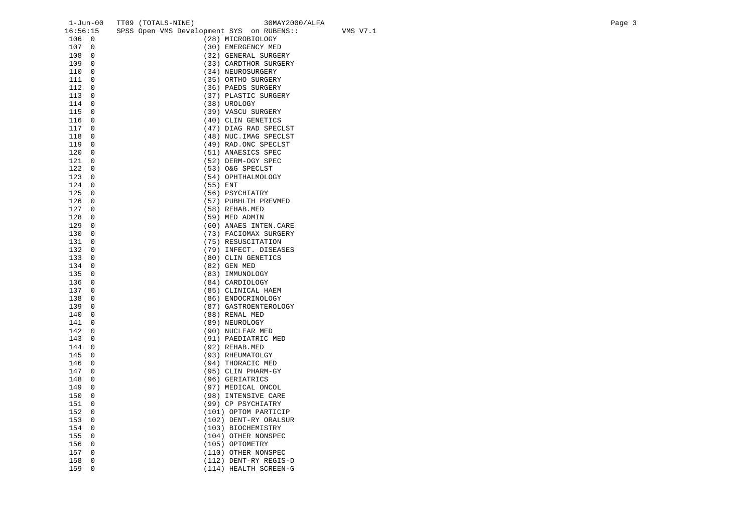| $1 - Jun-00$          | TT09 (TOTALS-NINE)                        | 30MAY2000/ALFA         |          | Page 3 |
|-----------------------|-------------------------------------------|------------------------|----------|--------|
| 16:56:15              | SPSS Open VMS Development SYS on RUBENS:: |                        | VMS V7.1 |        |
| 106 0                 |                                           | (28) MICROBIOLOGY      |          |        |
| 107<br>$\overline{0}$ |                                           | (30) EMERGENCY MED     |          |        |
| 108<br>$\overline{0}$ |                                           | (32) GENERAL SURGERY   |          |        |
| 109<br>$\overline{0}$ |                                           | (33) CARDTHOR SURGERY  |          |        |
| 110<br>0              |                                           | (34) NEUROSURGERY      |          |        |
| 111<br>0              |                                           | (35) ORTHO SURGERY     |          |        |
| 112<br>0              |                                           | (36) PAEDS SURGERY     |          |        |
| 113<br>0              |                                           | (37) PLASTIC SURGERY   |          |        |
|                       |                                           |                        |          |        |
| 114<br>0              |                                           | (38) UROLOGY           |          |        |
| 115<br>0              |                                           | (39) VASCU SURGERY     |          |        |
| 116<br>$\overline{0}$ |                                           | (40) CLIN GENETICS     |          |        |
| 117<br>0              |                                           | (47) DIAG RAD SPECLST  |          |        |
| 118<br>0              |                                           | (48) NUC. IMAG SPECLST |          |        |
| 119<br>$\overline{0}$ |                                           | (49) RAD.ONC SPECLST   |          |        |
| 120<br>0              |                                           | (51) ANAESICS SPEC     |          |        |
| 121<br>$\overline{0}$ |                                           | (52) DERM-OGY SPEC     |          |        |
| 122<br>0              |                                           | (53) O&G SPECLST       |          |        |
| 123<br>0              |                                           | (54) OPHTHALMOLOGY     |          |        |
| 124<br>0              |                                           | (55) ENT               |          |        |
| 125<br>$\overline{0}$ |                                           | (56) PSYCHIATRY        |          |        |
| 126<br>0              |                                           | (57) PUBHLTH PREVMED   |          |        |
| 127<br>0              |                                           | (58) REHAB.MED         |          |        |
| 128<br>0              |                                           | (59) MED ADMIN         |          |        |
| 129<br>0              |                                           | (60) ANAES INTEN. CARE |          |        |
| 130<br>0              |                                           | (73) FACIOMAX SURGERY  |          |        |
| 131<br>0              |                                           | (75) RESUSCITATION     |          |        |
| 132<br>0              |                                           | (79) INFECT. DISEASES  |          |        |
|                       |                                           |                        |          |        |
| 133<br>0              |                                           | (80) CLIN GENETICS     |          |        |
| 134<br>$\overline{0}$ |                                           | (82) GEN MED           |          |        |
| 135<br>0              |                                           | (83) IMMUNOLOGY        |          |        |
| 136<br>0              |                                           | (84) CARDIOLOGY        |          |        |
| 137<br>0              |                                           | (85) CLINICAL HAEM     |          |        |
| 0<br>138              |                                           | (86) ENDOCRINOLOGY     |          |        |
| 139<br>$\overline{0}$ |                                           | (87) GASTROENTEROLOGY  |          |        |
| 140<br>0              |                                           | (88) RENAL MED         |          |        |
| $\overline{0}$<br>141 |                                           | (89) NEUROLOGY         |          |        |
| 142<br>0              |                                           | (90) NUCLEAR MED       |          |        |
| 143<br>$\overline{0}$ |                                           | (91) PAEDIATRIC MED    |          |        |
| 144<br>0              |                                           | (92) REHAB.MED         |          |        |
| 145<br>0              |                                           | (93) RHEUMATOLGY       |          |        |
| 0<br>146              |                                           | (94) THORACIC MED      |          |        |
| 147<br>0              |                                           | (95) CLIN PHARM-GY     |          |        |
| 148<br>$\overline{0}$ |                                           | (96) GERIATRICS        |          |        |
| 149<br>0              |                                           | (97) MEDICAL ONCOL     |          |        |
| 150<br>$\overline{0}$ |                                           | (98) INTENSIVE CARE    |          |        |
| 151<br>0              |                                           | (99) CP PSYCHIATRY     |          |        |
| 152<br>$\overline{0}$ |                                           | (101) OPTOM PARTICIP   |          |        |
| 153<br>$\overline{0}$ |                                           | (102) DENT-RY ORALSUR  |          |        |
| 0                     |                                           |                        |          |        |
| 154                   |                                           | (103) BIOCHEMISTRY     |          |        |
| 155<br>0              |                                           | (104) OTHER NONSPEC    |          |        |
| 156<br>0              |                                           | (105) OPTOMETRY        |          |        |
| 157<br>0              |                                           | (110) OTHER NONSPEC    |          |        |
| $\mathbf 0$<br>158    |                                           | (112) DENT-RY REGIS-D  |          |        |
| 159<br>0              |                                           | (114) HEALTH SCREEN-G  |          |        |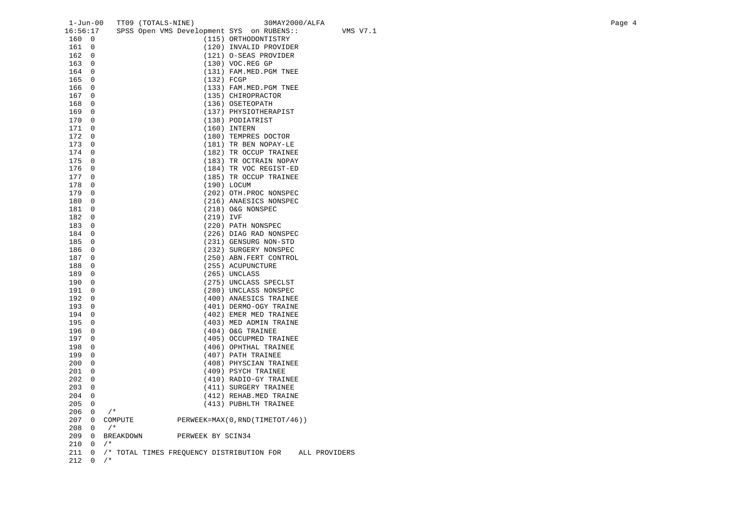| $1 - Jun-00$          |                | TT09 (TOTALS-NINE)                        | 30MAY2000/ALFA                                  |          | Page 4 |
|-----------------------|----------------|-------------------------------------------|-------------------------------------------------|----------|--------|
| 16:56:17              |                | SPSS Open VMS Development SYS on RUBENS:: |                                                 | VMS V7.1 |        |
| 160 0                 |                |                                           | (115) ORTHODONTISTRY                            |          |        |
| 161 0                 |                |                                           | (120) INVALID PROVIDER                          |          |        |
| 162 0                 |                |                                           | (121) O-SEAS PROVIDER                           |          |        |
| 1630                  |                |                                           | (130) VOC.REG GP                                |          |        |
| 164 0                 |                |                                           | (131) FAM.MED.PGM TNEE                          |          |        |
| 165 0                 |                | $(132)$ FCGP                              |                                                 |          |        |
| 166 0                 |                |                                           | (133) FAM. MED. PGM TNEE                        |          |        |
| 167 0                 |                |                                           | (135) CHIROPRACTOR                              |          |        |
| 168 0                 |                |                                           | (136) OSETEOPATH                                |          |        |
| 169 0                 |                |                                           | (137) PHYSIOTHERAPIST                           |          |        |
| 170 0                 |                |                                           | (138) PODIATRIST                                |          |        |
| 171 0                 |                |                                           | $(160)$ INTERN                                  |          |        |
| 172 0                 |                |                                           | (180) TEMPRES DOCTOR                            |          |        |
| 173 0                 |                |                                           | (181) TR BEN NOPAY-LE                           |          |        |
| 174 0                 |                |                                           | (182) TR OCCUP TRAINEE                          |          |        |
| 175 0                 |                |                                           | (183) TR OCTRAIN NOPAY                          |          |        |
| 176 0                 |                |                                           | (184) TR VOC REGIST-ED                          |          |        |
| 177 0                 |                |                                           | (185) TR OCCUP TRAINEE                          |          |        |
| 178 0                 |                |                                           | (190) LOCUM                                     |          |        |
| 179                   | $\overline{0}$ |                                           | (202) OTH. PROC NONSPEC                         |          |        |
| 180 0                 |                |                                           | (216) ANAESICS NONSPEC                          |          |        |
| 181 0                 |                |                                           | (218) O&G NONSPEC                               |          |        |
| 182 0                 |                | (219) IVF                                 |                                                 |          |        |
| 183 0                 |                |                                           | (220) PATH NONSPEC                              |          |        |
| 184 0                 |                |                                           | (226) DIAG RAD NONSPEC                          |          |        |
| 185 0                 |                |                                           | (231) GENSURG NON-STD                           |          |        |
| 186 0                 |                |                                           | (232) SURGERY NONSPEC                           |          |        |
| 187 0                 |                |                                           | (250) ABN. FERT CONTROL                         |          |        |
| 188 0                 |                |                                           | (255) ACUPUNCTURE                               |          |        |
| 189 0                 |                |                                           | (265) UNCLASS                                   |          |        |
| 190 0                 |                |                                           | (275) UNCLASS SPECLST                           |          |        |
| 191 0                 |                |                                           | (280) UNCLASS NONSPEC                           |          |        |
| 192 0                 |                |                                           | (400) ANAESICS TRAINEE                          |          |        |
| 193                   | $\overline{0}$ |                                           | (401) DERMO-OGY TRAINE                          |          |        |
| 194 0                 |                |                                           | (402) EMER MED TRAINEE                          |          |        |
| 195 0                 |                |                                           | (403) MED ADMIN TRAINE                          |          |        |
| 196 0                 |                |                                           | (404) O&G TRAINEE                               |          |        |
| 197 0                 |                |                                           | (405) OCCUPMED TRAINEE                          |          |        |
| 198 0                 |                |                                           | (406) OPHTHAL TRAINEE                           |          |        |
| 199 0                 |                |                                           | (407) PATH TRAINEE                              |          |        |
| 2000                  |                |                                           | (408) PHYSCIAN TRAINEE                          |          |        |
| 2010<br>$202 \t 0$    |                |                                           | (409) PSYCH TRAINEE                             |          |        |
| 2030                  |                |                                           | (410) RADIO-GY TRAINEE                          |          |        |
| 204                   | $\overline{0}$ |                                           | (411) SURGERY TRAINEE<br>(412) REHAB.MED TRAINE |          |        |
| 2050                  |                |                                           | (413) PUBHLTH TRAINEE                           |          |        |
| 206<br>$\overline{0}$ |                | $/$ *                                     |                                                 |          |        |
| 207                   | $\overline{0}$ | COMPUTE                                   | PERWEEK=MAX(0, RND(TIMETOT/46))                 |          |        |
| 208                   | $\overline{0}$ | $/$ *                                     |                                                 |          |        |
| 209                   | $\overline{0}$ | <b>BREAKDOWN</b><br>PERWEEK BY SCIN34     |                                                 |          |        |
| $210 \t 0 \t /*$      |                |                                           |                                                 |          |        |
| 211                   | $\overline{0}$ | /* TOTAL TIMES FREQUENCY DISTRIBUTION FOR | ALL PROVIDERS                                   |          |        |
| 212 0                 |                | $/$ *                                     |                                                 |          |        |
|                       |                |                                           |                                                 |          |        |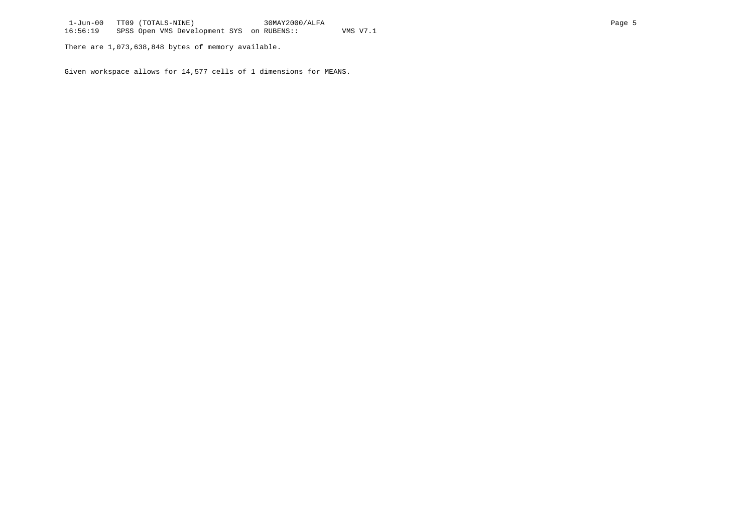There are 1,073,638,848 bytes of memory available.

Given workspace allows for 14,577 cells of 1 dimensions for MEANS.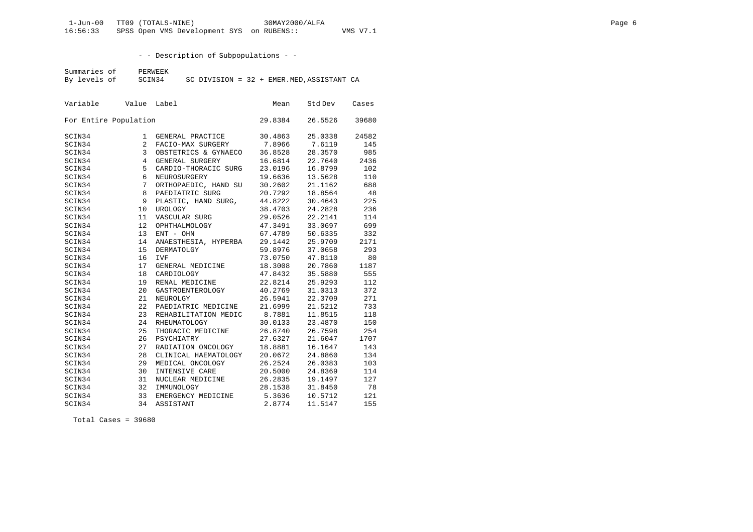- - Description of Subpopulations - -

Summaries of PERWEEK<br>By levels of SCIN34  $SC$  DIVISION = 32 + EMER.MED, ASSISTANT CA

| Variable |                       | Value Label          | Mean    | Std Dev | Cases |
|----------|-----------------------|----------------------|---------|---------|-------|
|          | For Entire Population |                      | 29.8384 | 26.5526 | 39680 |
| SCIN34   | 1                     | GENERAL PRACTICE     | 30.4863 | 25.0338 | 24582 |
| SCIN34   | $\overline{a}$        | FACIO-MAX SURGERY    | 7.8966  | 7.6119  | 145   |
| SCIN34   | $\mathbf{3}$          | OBSTETRICS & GYNAECO | 36.8528 | 28.3570 | 985   |
| SCIN34   | $\overline{4}$        | GENERAL SURGERY      | 16.6814 | 22.7640 | 2436  |
| SCIN34   | 5                     | CARDIO-THORACIC SURG | 23.0196 | 16.8799 | 102   |
| SCIN34   | 6                     | NEUROSURGERY         | 19.6636 | 13.5628 | 110   |
| SCIN34   | 7                     | ORTHOPAEDIC, HAND SU | 30.2602 | 21.1162 | 688   |
| SCIN34   | 8                     | PAEDIATRIC SURG      | 20.7292 | 18.8564 | 48    |
| SCIN34   | 9                     | PLASTIC, HAND SURG,  | 44.8222 | 30.4643 | 225   |
| SCIN34   | 10                    | UROLOGY              | 38.4703 | 24.2828 | 236   |
| SCIN34   | 11                    | VASCULAR SURG        | 29.0526 | 22.2141 | 114   |
| SCIN34   | 12                    | OPHTHALMOLOGY        | 47.3491 | 33.0697 | 699   |
| SCIN34   | 13                    | ENT - OHN            | 67.4789 | 50.6335 | 332   |
| SCIN34   | 14                    | ANAESTHESIA, HYPERBA | 29.1442 | 25.9709 | 2171  |
| SCIN34   | 15                    | DERMATOLGY           | 59.8976 | 37.0658 | 293   |
| SCIN34   | 16                    | <b>IVF</b>           | 73.0750 | 47.8110 | 80    |
| SCIN34   | 17                    | GENERAL MEDICINE     | 18.3008 | 20.7860 | 1187  |
| SCIN34   | 18                    | CARDIOLOGY           | 47.8432 | 35.5880 | 555   |
| SCIN34   | 19                    | RENAL MEDICINE       | 22.8214 | 25.9293 | 112   |
| SCIN34   | 20                    | GASTROENTEROLOGY     | 40.2769 | 31.0313 | 372   |
| SCIN34   | 21                    | NEUROLGY             | 26.5941 | 22.3709 | 271   |
| SCIN34   | 22                    | PAEDIATRIC MEDICINE  | 21.6999 | 21.5212 | 733   |
| SCIN34   | 23                    | REHABILITATION MEDIC | 8.7881  | 11.8515 | 118   |
| SCIN34   | 24                    | RHEUMATOLOGY         | 30.0133 | 23.4870 | 150   |
| SCIN34   | 25                    | THORACIC MEDICINE    | 26.8740 | 26.7598 | 254   |
| SCIN34   | 26                    | PSYCHIATRY           | 27.6327 | 21.6047 | 1707  |
| SCIN34   | 27                    | RADIATION ONCOLOGY   | 18.8881 | 16.1647 | 143   |
| SCIN34   | 28                    | CLINICAL HAEMATOLOGY | 20.0672 | 24.8860 | 134   |
| SCIN34   | 29                    | MEDICAL ONCOLOGY     | 26.2524 | 26.0383 | 103   |
| SCIN34   | 30                    | INTENSIVE CARE       | 20.5000 | 24.8369 | 114   |
| SCIN34   | 31                    | NUCLEAR MEDICINE     | 26.2835 | 19.1497 | 127   |
| SCIN34   | 32                    | IMMUNOLOGY           | 28.1538 | 31.8450 | 78    |
| SCIN34   | 33                    | EMERGENCY MEDICINE   | 5.3636  | 10.5712 | 121   |
| SCIN34   | 34                    | ASSISTANT            | 2.8774  | 11.5147 | 155   |

Total Cases = 39680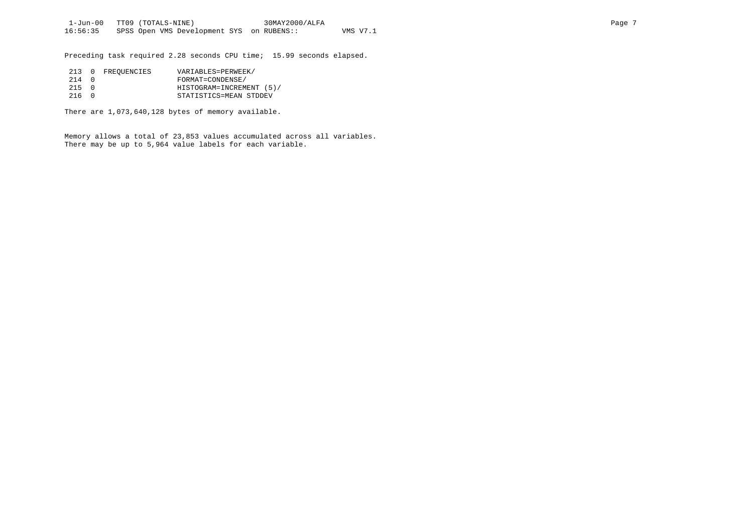Preceding task required 2.28 seconds CPU time; 15.99 seconds elapsed.

|            | 213 0 FREOUENCIES | VARIABLES=PERWEEK/       |
|------------|-------------------|--------------------------|
| 214 0      |                   | FORMAT=CONDENSE/         |
| $215 \t 0$ |                   | HISTOGRAM=INCREMENT (5)/ |
| 216 O      |                   | STATISTICS=MEAN STDDEV   |

There are 1,073,640,128 bytes of memory available.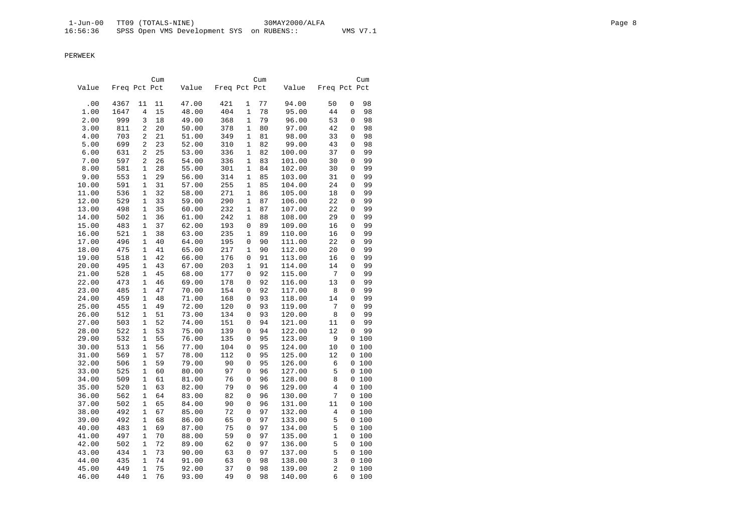|       |              |              | Cum |       |              |              | Cum |        |                |             | Cum   |
|-------|--------------|--------------|-----|-------|--------------|--------------|-----|--------|----------------|-------------|-------|
| Value | Freq Pct Pct |              |     | Value | Freq Pct Pct |              |     | Value  | Freq Pct Pct   |             |       |
|       |              |              |     |       |              |              |     |        |                |             |       |
| .00   | 4367         | 11           | 11  | 47.00 | 421          | 1            | 77  | 94.00  | 50             | 0           | 98    |
| 1.00  | 1647         | 4            | 15  | 48.00 | 404          | 1            | 78  | 95.00  | 44             | 0           | 98    |
| 2.00  | 999          | 3            | 18  | 49.00 | 368          | $\mathbf{1}$ | 79  | 96.00  | 53             | $\mathbf 0$ | 98    |
| 3.00  | 811          | 2            | 20  | 50.00 | 378          | $\mathbf{1}$ | 80  | 97.00  | 42             | $\mathbf 0$ | 98    |
| 4.00  | 703          | 2            | 21  | 51.00 | 349          | $\mathbf{1}$ | 81  | 98.00  | 33             | $\mathbf 0$ | 98    |
| 5.00  | 699          | 2            | 23  | 52.00 | 310          | $\mathbf{1}$ | 82  | 99.00  | 43             | $\mathbf 0$ | 98    |
| 6.00  | 631          | 2            | 25  | 53.00 | 336          | $\mathbf{1}$ | 82  | 100.00 | 37             | $\mathbf 0$ | 99    |
| 7.00  | 597          | 2            | 26  | 54.00 | 336          | 1            | 83  | 101.00 | 30             | 0           | 99    |
| 8.00  | 581          | 1            | 28  | 55.00 | 301          | 1            | 84  | 102.00 | 30             | 0           | 99    |
| 9.00  | 553          | 1            | 29  | 56.00 | 314          | $\mathbf{1}$ | 85  | 103.00 | 31             | 0           | 99    |
| 10.00 | 591          | 1            | 31  | 57.00 | 255          | 1            | 85  | 104.00 | 24             | 0           | 99    |
| 11.00 | 536          | 1            | 32  | 58.00 | 271          | 1            | 86  | 105.00 | 18             | $\mathbf 0$ | 99    |
| 12.00 | 529          | 1            | 33  | 59.00 | 290          | 1            | 87  | 106.00 | 22             | 0           | 99    |
| 13.00 | 498          | $\mathbf 1$  | 35  | 60.00 | 232          | $\mathbf{1}$ | 87  | 107.00 | 22             | $\mathbf 0$ | 99    |
| 14.00 | 502          | $\mathbf{1}$ | 36  | 61.00 | 242          | $\mathbf{1}$ | 88  | 108.00 | 29             | $\mathbf 0$ | 99    |
| 15.00 | 483          | $\mathbf{1}$ | 37  | 62.00 | 193          | $\mathbf 0$  | 89  | 109.00 | 16             | $\mathbf 0$ | 99    |
| 16.00 | 521          | $\mathbf{1}$ | 38  | 63.00 | 235          | $\mathbf{1}$ | 89  | 110.00 | 16             | $\mathbf 0$ | 99    |
| 17.00 | 496          | 1            | 40  | 64.00 | 195          | 0            | 90  | 111.00 | 22             | 0           | 99    |
| 18.00 | 475          | 1            | 41  | 65.00 | 217          | 1            | 90  | 112.00 | 20             | 0           | 99    |
| 19.00 | 518          | 1            | 42  | 66.00 | 176          | 0            | 91  | 113.00 | 16             | 0           | 99    |
| 20.00 | 495          | 1            | 43  | 67.00 | 203          | 1            | 91  | 114.00 | 14             | 0           | 99    |
| 21.00 | 528          | $\mathbf 1$  | 45  | 68.00 | 177          | 0            | 92  | 115.00 | 7              | $\mathbf 0$ | 99    |
| 22.00 | 473          | 1            | 46  | 69.00 | 178          | 0            | 92  | 116.00 | 13             | 0           | 99    |
| 23.00 | 485          | $\mathbf{1}$ | 47  | 70.00 | 154          | $\mathsf 0$  | 92  | 117.00 | 8              | $\mathbf 0$ | 99    |
| 24.00 | 459          | $\mathbf{1}$ | 48  | 71.00 | 168          | 0            | 93  | 118.00 | 14             | $\mathbf 0$ | 99    |
| 25.00 | 455          | $\mathbf{1}$ | 49  | 72.00 | 120          | $\mathbf 0$  | 93  | 119.00 | 7              | $\mathbf 0$ | 99    |
| 26.00 | 512          | $\mathbf{1}$ | 51  | 73.00 | 134          | $\mathbf 0$  | 93  | 120.00 | 8              | $\mathbf 0$ | 99    |
| 27.00 | 503          | 1            | 52  | 74.00 | 151          | 0            | 94  | 121.00 | 11             | 0           | 99    |
| 28.00 | 522          | 1            | 53  | 75.00 | 139          | 0            | 94  | 122.00 | 12             | 0           | 99    |
| 29.00 | 532          | $\mathbf{1}$ | 55  | 76.00 | 135          | 0            | 95  | 123.00 | 9              |             | 0 100 |
| 30.00 | 513          | 1            | 56  | 77.00 | 104          | 0            | 95  | 124.00 | 10             |             | 0 100 |
| 31.00 | 569          | 1            | 57  | 78.00 | 112          | $\mathbf 0$  | 95  | 125.00 | 12             |             | 0 100 |
| 32.00 | 506          | $\mathbf{1}$ | 59  | 79.00 | 90           | 0            | 95  | 126.00 | 6              |             | 0 100 |
| 33.00 | 525          | $\mathbf{1}$ | 60  | 80.00 | 97           | $\mathbf 0$  | 96  | 127.00 | 5              |             | 0 100 |
| 34.00 | 509          | $\mathbf{1}$ | 61  | 81.00 | 76           | 0            | 96  | 128.00 | 8              |             | 0 100 |
| 35.00 | 520          | $\mathbf{1}$ | 63  | 82.00 | 79           | $\mathbf 0$  | 96  | 129.00 | $\overline{4}$ |             | 0 100 |
| 36.00 | 562          | $\mathbf 1$  | 64  | 83.00 | 82           | $\mathbf 0$  | 96  | 130.00 | 7              |             | 0 100 |
| 37.00 | 502          | 1            | 65  | 84.00 | 90           | 0            | 96  | 131.00 | 11             |             | 0 100 |
| 38.00 | 492          | 1            | 67  | 85.00 | 72           | 0            | 97  | 132.00 | 4              |             | 0 100 |
| 39.00 | 492          | 1            | 68  | 86.00 | 65           | 0            | 97  | 133.00 | 5              |             | 0 100 |
| 40.00 | 483          | 1            | 69  | 87.00 | 75           | 0            | 97  | 134.00 | 5              |             | 0 100 |
| 41.00 | 497          | $\mathbf{1}$ | 70  | 88.00 | 59           | $\mathbf 0$  | 97  | 135.00 | $\mathbf{1}$   |             | 0 100 |
| 42.00 | 502          | 1            | 72  | 89.00 | 62           | 0            | 97  | 136.00 | 5              |             | 0 100 |
| 43.00 | 434          | 1            | 73  | 90.00 | 63           | $\mathsf 0$  | 97  | 137.00 | 5              |             | 0 100 |
| 44.00 | 435          | $\mathbf{1}$ | 74  | 91.00 | 63           | 0            | 98  | 138.00 | 3              |             | 0 100 |
| 45.00 | 449          | $\mathbf{1}$ | 75  | 92.00 | 37           | $\mathbf 0$  | 98  | 139.00 | $\overline{a}$ |             | 0 100 |
| 46.00 | 440          | $\mathbf{1}$ | 76  | 93.00 | 49           | $\Omega$     | 98  | 140.00 | 6              |             | 0100  |
|       |              |              |     |       |              |              |     |        |                |             |       |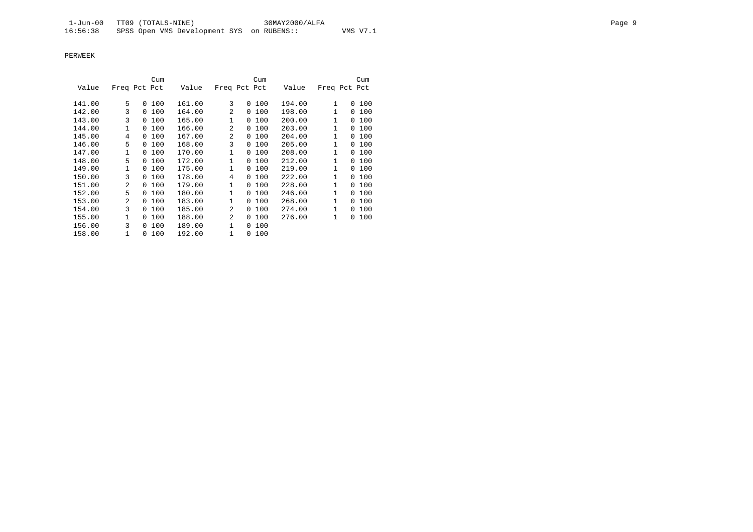|        |                |          | Cum |        |              |          | Cum    |        |              | Cum      |
|--------|----------------|----------|-----|--------|--------------|----------|--------|--------|--------------|----------|
| Value  | Freq Pct Pct   |          |     | Value  | Freq Pct Pct |          |        | Value  | Freq Pct Pct |          |
|        |                |          |     |        |              |          |        |        |              |          |
| 141.00 | 5              | $\Omega$ | 100 | 161.00 | 3            |          | 0, 100 | 194.00 | 1            | 100<br>0 |
| 142.00 | 3              | $\Omega$ | 100 | 164.00 | 2            | 0        | 100    | 198.00 | 1            | 100<br>0 |
| 143.00 | 3              | $\Omega$ | 100 | 165.00 | 1            | 0        | 100    | 200.00 | 1            | 100<br>0 |
| 144.00 | 1              | $\Omega$ | 100 | 166.00 | 2            | $\Omega$ | 100    | 203.00 | 1            | 100<br>0 |
| 145.00 | 4              | $\Omega$ | 100 | 167.00 | 2            | $\Omega$ | 100    | 204.00 | 1            | 100<br>0 |
| 146.00 | 5              | $\Omega$ | 100 | 168.00 | 3            | 0        | 100    | 205.00 | 1            | 100<br>0 |
| 147.00 | 1              | 0        | 100 | 170.00 | 1            | 0        | 100    | 208.00 | 1            | 100<br>0 |
| 148.00 | 5              | $\Omega$ | 100 | 172.00 | $\mathbf{1}$ | 0        | 100    | 212.00 | 1            | 100<br>0 |
| 149.00 | 1              | 0        | 100 | 175.00 | 1            | 0        | 100    | 219.00 | 1            | 100<br>0 |
| 150.00 | 3              | 0        | 100 | 178.00 | 4            | 0        | 100    | 222.00 | 1            | 100<br>0 |
| 151.00 | $\mathfrak{D}$ | 0        | 100 | 179.00 | 1            | 0        | 100    | 228.00 | 1            | 100<br>0 |
| 152.00 | 5              | $\Omega$ | 100 | 180.00 | 1            | $\Omega$ | 100    | 246.00 | 1            | 100<br>0 |
| 153.00 | $\overline{a}$ | $\Omega$ | 100 | 183.00 | 1            | 0        | 100    | 268.00 | 1            | 100<br>0 |
| 154.00 | 3              | 0        | 100 | 185.00 | 2            | 0        | 100    | 274.00 | 1            | 100<br>0 |
| 155.00 | 1              | $\Omega$ | 100 | 188.00 | 2            | 0        | 100    | 276.00 | 1            | 100<br>0 |
| 156.00 | 3              | $\Omega$ | 100 | 189.00 | $\mathbf{1}$ | 0        | 100    |        |              |          |
| 158.00 | $\mathbf{1}$   | 0        | 100 | 192.00 | 1            | 0        | 100    |        |              |          |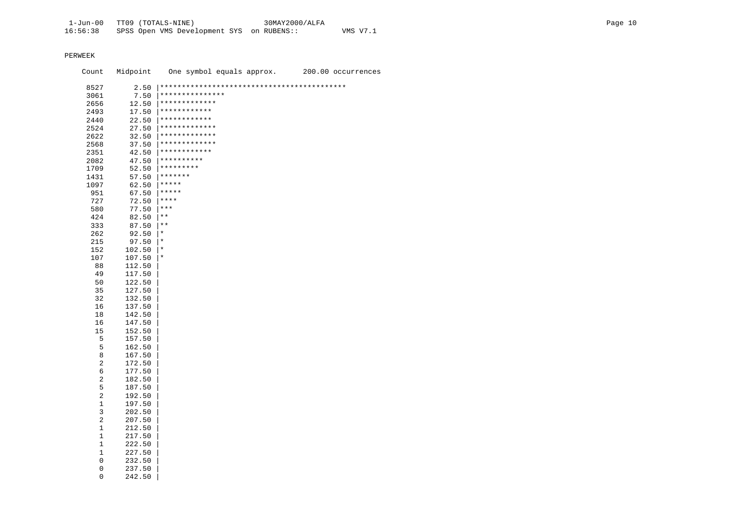| Count       | Midpoint | One symbol equals approx. | 200.00 occurrences |
|-------------|----------|---------------------------|--------------------|
| 8527        | 2.50     |                           |                    |
| 3061        | 7.50     | ***************           |                    |
| 2656        | 12.50    | *************             |                    |
| 2493        | 17.50    | ************              |                    |
| 2440        | 22.50    | ************              |                    |
| 2524        | 27.50    | *************             |                    |
| 2622        | 32.50    | *************             |                    |
| 2568        | 37.50    | *************             |                    |
| 2351        | 42.50    | ************              |                    |
| 2082        | 47.50    | **********                |                    |
| 1709        | 52.50    | *********                 |                    |
| 1431        | 57.50    | *******                   |                    |
| 1097        | 62.50    | *****                     |                    |
| 951         | 67.50    | $***$ * * * *             |                    |
| 727         | 72.50    | ****                      |                    |
| 580         | 77.50    | $***$                     |                    |
| 424         | 82.50    | $\star$ $\star$           |                    |
| 333         | 87.50    | $\star$ $\star$           |                    |
| 262         | 92.50    | $^\star$                  |                    |
| 215         | 97.50    | $\star$                   |                    |
| 152         | 102.50   | $\star$                   |                    |
| 107         | 107.50   | $^\star$                  |                    |
| 88          | 112.50   |                           |                    |
| 49          | 117.50   |                           |                    |
| 50          | 122.50   |                           |                    |
| 35          | 127.50   |                           |                    |
| 32          | 132.50   |                           |                    |
| 16          | 137.50   |                           |                    |
| 18          | 142.50   |                           |                    |
| 16          | 147.50   |                           |                    |
| 15          | 152.50   |                           |                    |
| 5           | 157.50   |                           |                    |
| 5           | 162.50   |                           |                    |
| 8           | 167.50   |                           |                    |
| 2           | 172.50   |                           |                    |
| 6           | 177.50   |                           |                    |
| 2           | 182.50   |                           |                    |
| 5           | 187.50   |                           |                    |
| 2           | 192.50   |                           |                    |
| 1           | 197.50   |                           |                    |
| 3           | 202.50   |                           |                    |
| 2           | 207.50   |                           |                    |
| 1           | 212.50   |                           |                    |
| $\mathbf 1$ | 217.50   |                           |                    |
| 1           | 222.50   |                           |                    |
| 1           | 227.50   |                           |                    |
| 0           | 232.50   |                           |                    |
| 0           | 237.50   |                           |                    |
| 0           | 242.50   |                           |                    |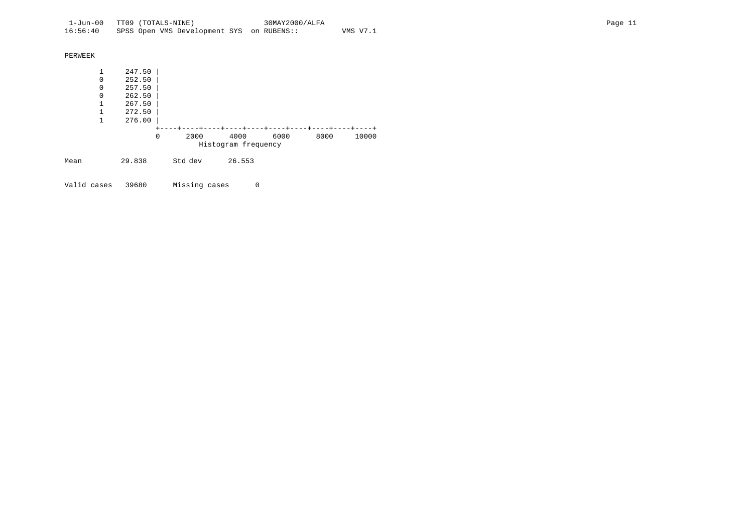| PERWEEK |   |        |   |         |                     |      |      |       |
|---------|---|--------|---|---------|---------------------|------|------|-------|
|         | 1 | 247.50 |   |         |                     |      |      |       |
|         | 0 | 252.50 |   |         |                     |      |      |       |
|         | 0 | 257.50 |   |         |                     |      |      |       |
|         | 0 | 262.50 |   |         |                     |      |      |       |
|         | 1 | 267.50 |   |         |                     |      |      |       |
|         | 1 | 272.50 |   |         |                     |      |      |       |
|         | 1 | 276.00 |   |         |                     |      |      |       |
|         |   |        |   |         |                     |      |      |       |
|         |   |        | 0 | 2000    | 4000                | 6000 | 8000 | 10000 |
|         |   |        |   |         | Histogram frequency |      |      |       |
| Mean    |   | 29.838 |   | Std dev | 26.553              |      |      |       |

Valid cases 39680 Missing cases 0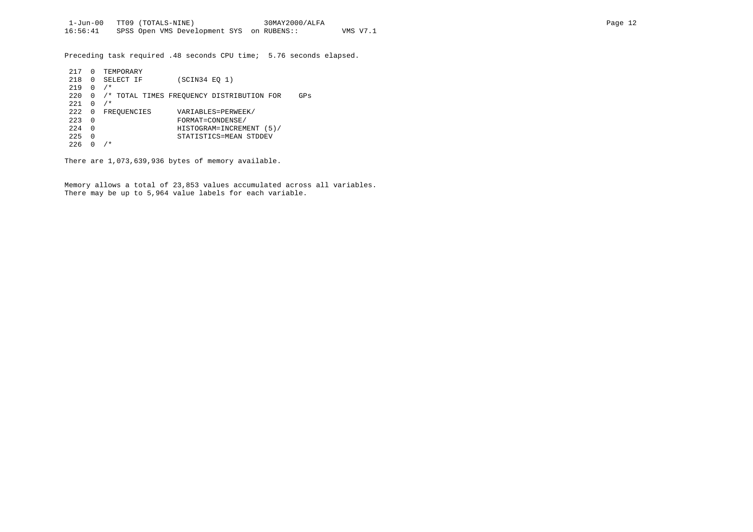Preceding task required .48 seconds CPU time; 5.76 seconds elapsed.

| 217 |   | TEMPORARY                                        |
|-----|---|--------------------------------------------------|
| 218 | 0 | SELECT IF<br>(SCIN34 E0 1)                       |
| 219 | 0 | $/$ *                                            |
| 220 |   | /* TOTAL TIMES FREQUENCY DISTRIBUTION FOR<br>GPs |
| 221 | 0 | $/$ *                                            |
| 222 | 0 | VARIABLES=PERWEEK/<br>FREQUENCIES                |
| 223 | 0 | FORMAT=CONDENSE/                                 |
| 224 | 0 | HISTOGRAM=INCREMENT (5)/                         |
| 225 | 0 | STATISTICS=MEAN STDDEV                           |
| 226 |   | $^\star$                                         |

There are 1,073,639,936 bytes of memory available.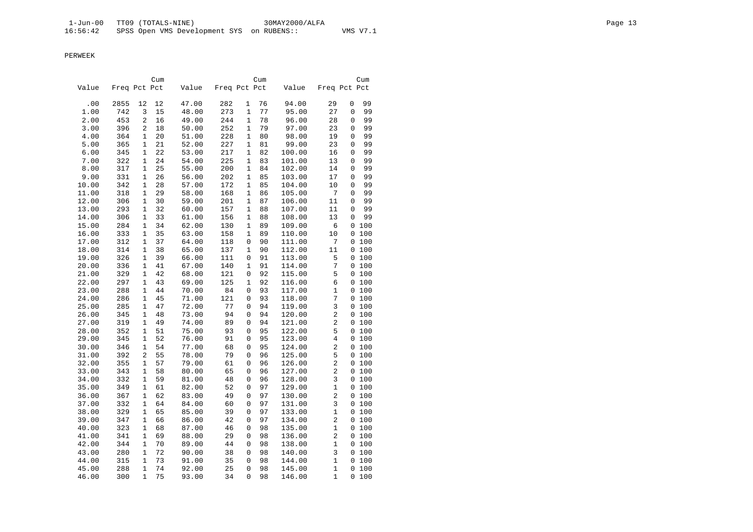|       |              |              | Cum |       |              |              | Cum |        |                         |   | Cum   |
|-------|--------------|--------------|-----|-------|--------------|--------------|-----|--------|-------------------------|---|-------|
| Value | Freq Pct Pct |              |     | Value | Freq Pct Pct |              |     | Value  | Freq Pct Pct            |   |       |
| .00   | 2855         | 12           | 12  | 47.00 | 282          | 1            | 76  | 94.00  | 29                      | 0 | 99    |
| 1.00  | 742          | 3            | 15  | 48.00 | 273          | $\mathbf 1$  | 77  | 95.00  | 27                      | 0 | 99    |
| 2.00  | 453          | 2            | 16  | 49.00 | 244          | $\mathbf 1$  | 78  | 96.00  | 28                      | 0 | 99    |
|       | 396          | 2            | 18  | 50.00 | 252          | $\mathbf{1}$ | 79  | 97.00  | 23                      | 0 | 99    |
| 3.00  |              |              |     |       |              |              |     |        |                         |   |       |
| 4.00  | 364          | 1            | 20  | 51.00 | 228          | 1            | 80  | 98.00  | 19                      | 0 | 99    |
| 5.00  | 365          | $\mathbf{1}$ | 21  | 52.00 | 227          | 1            | 81  | 99.00  | 23                      | 0 | 99    |
| 6.00  | 345          | $\mathbf 1$  | 22  | 53.00 | 217          | 1            | 82  | 100.00 | 16                      | 0 | 99    |
| 7.00  | 322          | 1            | 24  | 54.00 | 225          | 1            | 83  | 101.00 | 13                      | 0 | 99    |
| 8.00  | 317          | 1            | 25  | 55.00 | 200          | 1            | 84  | 102.00 | 14                      | 0 | 99    |
| 9.00  | 331          | 1            | 26  | 56.00 | 202          | $\mathbf 1$  | 85  | 103.00 | 17                      | 0 | 99    |
| 10.00 | 342          | 1            | 28  | 57.00 | 172          | 1            | 85  | 104.00 | 10                      | 0 | 99    |
| 11.00 | 318          | 1            | 29  | 58.00 | 168          | 1            | 86  | 105.00 | 7                       | 0 | 99    |
| 12.00 | 306          | 1            | 30  | 59.00 | 201          | 1            | 87  | 106.00 | 11                      | 0 | 99    |
| 13.00 | 293          | 1            | 32  | 60.00 | 157          | 1            | 88  | 107.00 | 11                      | 0 | 99    |
| 14.00 | 306          | 1            | 33  | 61.00 | 156          | 1            | 88  | 108.00 | 13                      | 0 | 99    |
| 15.00 | 284          | $\mathbf{1}$ | 34  | 62.00 | 130          | $\mathbf{1}$ | 89  | 109.00 | 6                       |   | 0100  |
| 16.00 | 333          | 1            | 35  | 63.00 | 158          | $\mathbf{1}$ | 89  | 110.00 | 10                      |   | 0 100 |
| 17.00 | 312          | 1            | 37  | 64.00 | 118          | 0            | 90  | 111.00 | 7                       |   | 0 100 |
| 18.00 | 314          | 1            | 38  | 65.00 | 137          | 1            | 90  | 112.00 | 11                      |   | 0 100 |
| 19.00 | 326          | 1            | 39  | 66.00 | 111          | 0            | 91  | 113.00 | 5                       |   | 0100  |
| 20.00 | 336          | 1            | 41  | 67.00 | 140          | 1            | 91  | 114.00 | 7                       |   | 0 100 |
| 21.00 | 329          | 1            | 42  | 68.00 | 121          | $\mathsf 0$  | 92  | 115.00 | 5                       |   | 0100  |
| 22.00 | 297          | 1            | 43  | 69.00 | 125          | 1            | 92  | 116.00 | 6                       |   | 0 100 |
| 23.00 | 288          | 1            | 44  | 70.00 | 84           | $\mathbf 0$  | 93  | 117.00 | 1                       |   | 0100  |
| 24.00 | 286          | $\mathbf{1}$ | 45  | 71.00 | 121          | 0            | 93  | 118.00 | 7                       |   | 0 100 |
| 25.00 | 285          | 1            | 47  | 72.00 | 77           | $\mathbf 0$  | 94  | 119.00 | 3                       |   | 0100  |
| 26.00 | 345          | $\mathbf{1}$ | 48  | 73.00 | 94           | $\mathbf 0$  | 94  | 120.00 | 2                       |   | 0 100 |
| 27.00 | 319          | 1            | 49  | 74.00 | 89           | 0            | 94  | 121.00 | 2                       |   | 0 100 |
| 28.00 | 352          | 1            | 51  | 75.00 | 93           | 0            | 95  | 122.00 | 5                       |   | 0 100 |
| 29.00 | 345          | 1            | 52  | 76.00 | 91           | 0            | 95  | 123.00 | 4                       |   | 0 100 |
| 30.00 | 346          | 1            | 54  | 77.00 | 68           | 0            | 95  | 124.00 | $\overline{c}$          |   | 0 100 |
| 31.00 | 392          | 2            | 55  | 78.00 | 79           | $\mathbf 0$  | 96  | 125.00 | 5                       |   | 0100  |
| 32.00 | 355          | 1            | 57  | 79.00 | 61           | $\mathbf 0$  | 96  | 126.00 | 2                       |   | 0100  |
| 33.00 | 343          | 1            | 58  | 80.00 | 65           | $\mathbf 0$  | 96  | 127.00 | 2                       |   | 0100  |
| 34.00 | 332          | 1            | 59  | 81.00 | 48           | $\mathbf 0$  | 96  | 128.00 | 3                       |   | 0 100 |
| 35.00 | 349          | 1            | 61  | 82.00 | 52           | $\mathbf 0$  | 97  | 129.00 | $\mathbf{1}$            |   | 0100  |
| 36.00 | 367          | 1            | 62  | 83.00 | 49           | $\mathbf 0$  | 97  | 130.00 | 2                       |   | 0 100 |
| 37.00 | 332          | 1            | 64  | 84.00 | 60           | 0            | 97  | 131.00 | 3                       |   | 0 100 |
| 38.00 | 329          | 1            | 65  | 85.00 | 39           | 0            | 97  | 133.00 | $\mathbf 1$             |   | 0 100 |
| 39.00 | 347          | 1            | 66  | 86.00 | 42           | 0            | 97  | 134.00 | $\overline{\mathbf{c}}$ |   | 0100  |
| 40.00 | 323          | 1            | 68  | 87.00 | 46           | 0            | 98  | 135.00 | 1                       |   | 0 100 |
| 41.00 | 341          | 1            | 69  | 88.00 | 29           | $\mathsf 0$  | 98  | 136.00 | 2                       |   | 0 100 |
| 42.00 | 344          | 1            | 70  | 89.00 | 44           | 0            | 98  | 138.00 | 1                       |   | 0100  |
| 43.00 | 280          | 1            | 72  | 90.00 | 38           | $\mathbf 0$  | 98  | 140.00 | 3                       |   | 0 100 |
| 44.00 | 315          | $\mathbf{1}$ | 73  | 91.00 | 35           | 0            | 98  | 144.00 | 1                       |   | 0 100 |
| 45.00 | 288          | $\mathbf 1$  | 74  | 92.00 | 25           | $\mathbf 0$  | 98  | 145.00 | $\mathbf{1}$            |   | 0 100 |
| 46.00 | 300          | $\mathbf{1}$ | 75  | 93.00 | 34           | $\Omega$     | 98  | 146.00 | $\mathbf{1}$            |   | 0 100 |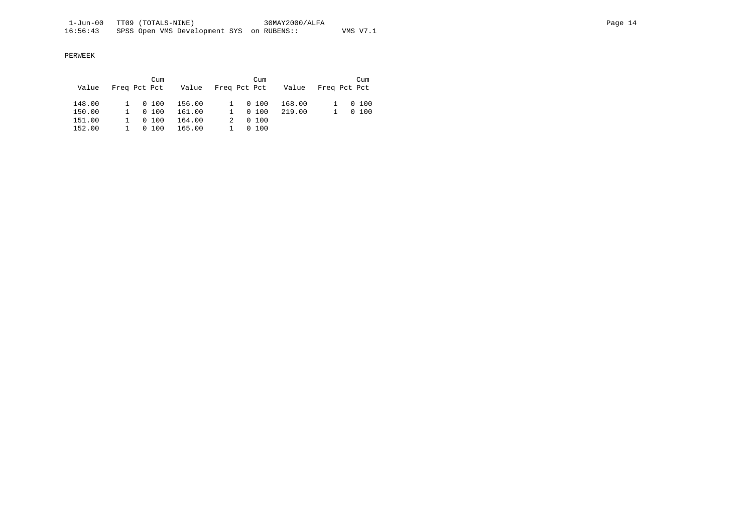|        |                | Cum     |                            | Cum    |        |              | Cum     |
|--------|----------------|---------|----------------------------|--------|--------|--------------|---------|
| Value  | Freq Pct Pct   |         | Value Freq Pct Pct - Value |        |        | Freq Pct Pct |         |
|        |                |         |                            |        |        |              |         |
| 148.00 |                | 1 0 100 | 156.00                     | 0 100  | 168.00 |              | 1 0 100 |
| 150.00 | $1 \quad \Box$ | 0, 100  | 161.00                     | 0, 100 | 219.00 |              | 0, 100  |
| 151.00 | $1 \quad \Box$ | 0, 100  | 164.00                     | 0, 100 |        |              |         |
| 152.00 |                | 0, 100  | 165.00                     | 0, 100 |        |              |         |
|        |                |         |                            |        |        |              |         |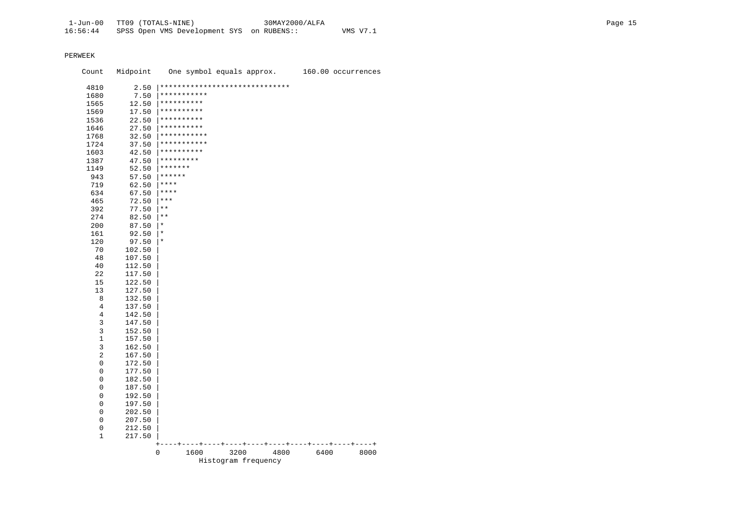| Count          | Midpoint         |                                | One symbol equals approx. |      |      | 160.00 occurrences |
|----------------|------------------|--------------------------------|---------------------------|------|------|--------------------|
| 4810           | 2.50             | ****************************** |                           |      |      |                    |
| 1680           | 7.50             | ***********                    |                           |      |      |                    |
| 1565           | 12.50            | **********                     |                           |      |      |                    |
| 1569           | 17.50            | **********                     |                           |      |      |                    |
| 1536           | 22.50            | **********                     |                           |      |      |                    |
| 1646           | 27.50            | **********                     |                           |      |      |                    |
| 1768           | 32.50            | ***********                    |                           |      |      |                    |
| 1724           | 37.50            | ***********                    |                           |      |      |                    |
| 1603           | 42.50            | **********                     |                           |      |      |                    |
| 1387           | 47.50            | *********                      |                           |      |      |                    |
| 1149           | 52.50            | *******                        |                           |      |      |                    |
| 943            | 57.50            | ******                         |                           |      |      |                    |
| 719            | 62.50            | ****                           |                           |      |      |                    |
| 634            | 67.50            | ****                           |                           |      |      |                    |
| 465            | 72.50            | $***$                          |                           |      |      |                    |
| 392            | 77.50            | $\star\star$                   |                           |      |      |                    |
| 274            | 82.50            | $\star$ $\star$                |                           |      |      |                    |
| 200            | 87.50            | $^\star$                       |                           |      |      |                    |
| 161            | 92.50            | $^\star$                       |                           |      |      |                    |
| 120            | 97.50            | $^\star$                       |                           |      |      |                    |
| 70             | 102.50           |                                |                           |      |      |                    |
| 48             | 107.50           |                                |                           |      |      |                    |
| 40             | 112.50           |                                |                           |      |      |                    |
| 22             | 117.50           |                                |                           |      |      |                    |
| 15             | 122.50           |                                |                           |      |      |                    |
| 13             | 127.50           |                                |                           |      |      |                    |
| 8              | 132.50           |                                |                           |      |      |                    |
| $\overline{4}$ | 137.50           |                                |                           |      |      |                    |
| 4              | 142.50           |                                |                           |      |      |                    |
| 3              | 147.50           |                                |                           |      |      |                    |
| 3              | 152.50           |                                |                           |      |      |                    |
| $\mathbf 1$    | 157.50           |                                |                           |      |      |                    |
| 3              |                  |                                |                           |      |      |                    |
| $\sqrt{2}$     | 162.50           |                                |                           |      |      |                    |
| 0              | 167.50<br>172.50 |                                |                           |      |      |                    |
| 0              |                  |                                |                           |      |      |                    |
| 0              | 177.50           |                                |                           |      |      |                    |
| 0              | 182.50           |                                |                           |      |      |                    |
|                | 187.50           |                                |                           |      |      |                    |
| 0              | 192.50           |                                |                           |      |      |                    |
| 0              | 197.50           |                                |                           |      |      |                    |
| 0              | 202.50           |                                |                           |      |      |                    |
| 0              | 207.50           |                                |                           |      |      |                    |
| 0              | 212.50           |                                |                           |      |      |                    |
| 1              | 217.50           |                                |                           |      |      |                    |
|                |                  | $\,^+$<br>0<br>1600            | 3200                      | 4800 | 6400 | 8000               |
|                |                  |                                | Histogram frequency       |      |      |                    |
|                |                  |                                |                           |      |      |                    |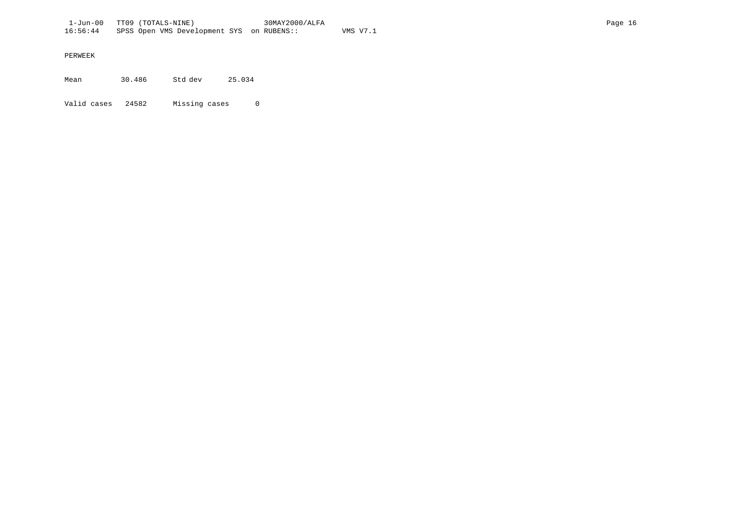Mean 30.486 Std dev 25.034

Valid cases 24582 Missing cases 0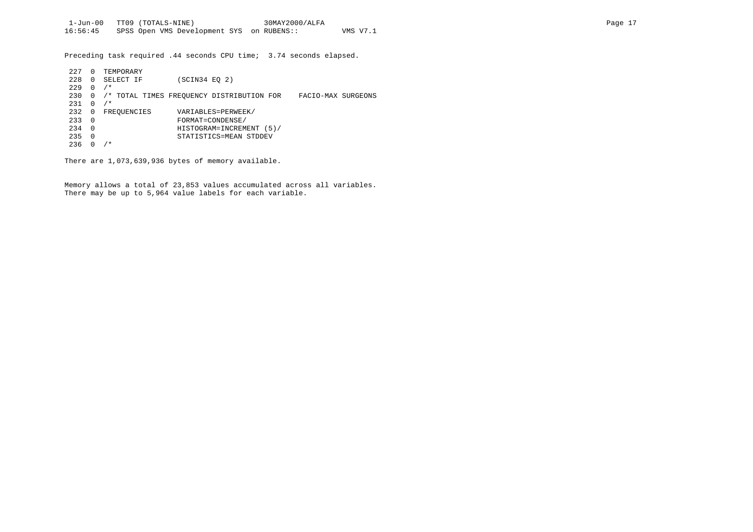Preceding task required .44 seconds CPU time; 3.74 seconds elapsed.

| 227 | 0        | TEMPORARY                                 |               |                          |                    |  |
|-----|----------|-------------------------------------------|---------------|--------------------------|--------------------|--|
| 228 | $\Omega$ | SELECT IF                                 | (SCIN34 EO 2) |                          |                    |  |
| 229 | $\Omega$ | $/$ *                                     |               |                          |                    |  |
| 230 | 0        | /* TOTAL TIMES FREOUENCY DISTRIBUTION FOR |               |                          | FACIO-MAX SURGEONS |  |
| 231 | 0        | $/$ *                                     |               |                          |                    |  |
| 232 | 0        | FREOUENCIES                               |               | VARIABLES=PERWEEK/       |                    |  |
| 233 | $\Omega$ |                                           |               | FORMAT=CONDENSE/         |                    |  |
| 234 | $\Omega$ |                                           |               | HISTOGRAM=INCREMENT (5)/ |                    |  |
| 235 | $\Omega$ |                                           |               | STATISTICS=MEAN STDDEV   |                    |  |
| 236 |          | ′ *                                       |               |                          |                    |  |

There are 1,073,639,936 bytes of memory available.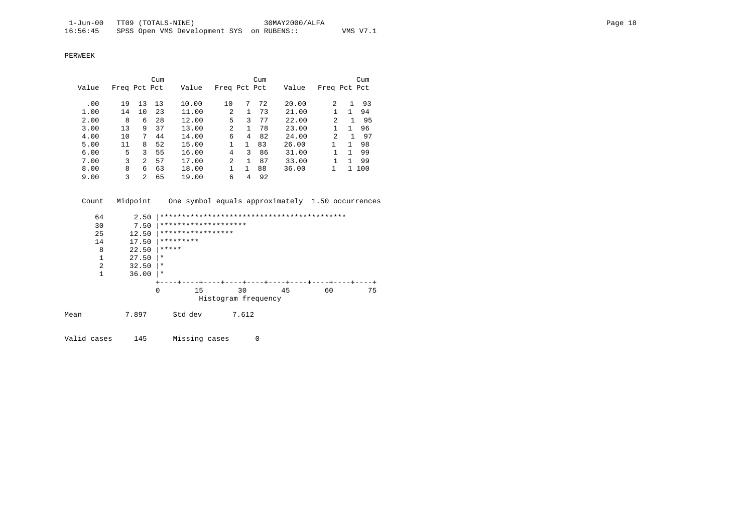|       |              |                | Cum |       |                |              | Cum |       |                |              | Cum |
|-------|--------------|----------------|-----|-------|----------------|--------------|-----|-------|----------------|--------------|-----|
| Value | Freq Pct Pct |                |     | Value | Freq Pct Pct   |              |     | Value | Freq Pct Pct   |              |     |
|       |              |                |     |       |                |              |     |       |                |              |     |
| .00   | 19           | 13             | 13  | 10.00 | 10             | 7            | 72  | 20.00 | $\overline{c}$ |              | 93  |
| 1.00  | 14           | 10             | 23  | 11.00 | $\mathfrak{D}$ | 1            | 73  | 21.00 |                |              | 94  |
| 2.00  | 8            | 6              | 28  | 12.00 | 5              | 3            | 77  | 22.00 | 2              | $\mathbf{1}$ | 95  |
| 3.00  | 13           | 9              | 37  | 13.00 | 2              | $\mathbf{1}$ | 78  | 23.00 |                |              | 96  |
| 4.00  | 10           | 7              | 44  | 14.00 | 6              | 4            | 82  | 24.00 | 2              | 1            | 97  |
| 5.00  | 11           | 8              | 52  | 15.00 |                | 1.           | 83  | 26.00 |                | 1.           | 98  |
| 6.00  | 5            | 3              | 55  | 16.00 | 4              | 3            | 86  | 31.00 |                |              | 99  |
| 7.00  | 3            | $\overline{a}$ | 57  | 17.00 | $\overline{2}$ | 1            | 87  | 33.00 |                |              | 99  |
| 8.00  | 8            | 6              | 63  | 18.00 |                |              | 88  | 36.00 |                | 1.           | 100 |
| 9.00  | ζ            | $\mathfrak{D}$ | 65  | 19.00 | 6              | 4            | 92  |       |                |              |     |

Count Midpoint One symbol equals approximately 1.50 occurrences

|      | 64 | 2.50  |           |                      |                     |    |    |    |
|------|----|-------|-----------|----------------------|---------------------|----|----|----|
|      | 30 | 7.50  |           | ******************** |                     |    |    |    |
|      | 25 | 12.50 |           | *****************    |                     |    |    |    |
|      | 14 | 17.50 | ********* |                      |                     |    |    |    |
|      | 8  | 22.50 | *****     |                      |                     |    |    |    |
|      | 1  | 27.50 | $\star$   |                      |                     |    |    |    |
|      | 2  | 32.50 | $^\star$  |                      |                     |    |    |    |
|      | 1  | 36.00 | $\star$   |                      |                     |    |    |    |
|      |    |       |           |                      |                     |    |    |    |
|      |    |       | $\Omega$  | 15                   | 30                  | 45 | 60 | 75 |
|      |    |       |           |                      | Histogram frequency |    |    |    |
| Mean |    | 7.897 | Std dev   |                      | 7.612               |    |    |    |
|      |    |       |           |                      |                     |    |    |    |

Valid cases 145 Missing cases 0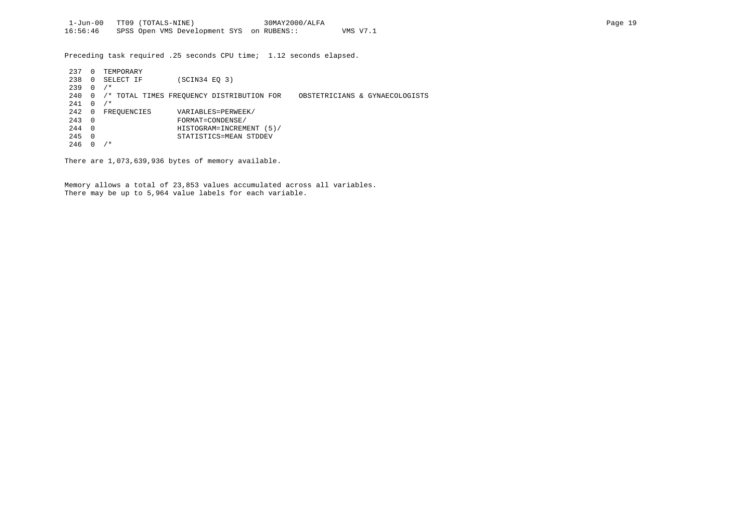Preceding task required .25 seconds CPU time; 1.12 seconds elapsed.

| 237 |          | TEMPORARY   |                                           |                                |
|-----|----------|-------------|-------------------------------------------|--------------------------------|
| 238 | 0        | SELECT IF   | $SCIN34$ EQ 3)                            |                                |
| 239 | $\Omega$ | $/$ *       |                                           |                                |
| 240 | 0        |             | /* TOTAL TIMES FREQUENCY DISTRIBUTION FOR | OBSTETRICIANS & GYNAECOLOGISTS |
| 241 | $\Omega$ | $/$ *       |                                           |                                |
| 242 | 0        | FREOUENCIES | VARIABLES=PERWEEK/                        |                                |
| 243 | $\Omega$ |             | FORMAT=CONDENSE/                          |                                |
| 244 | 0        |             | HISTOGRAM=INCREMENT<br>(5) /              |                                |
| 245 | 0        |             | STATISTICS=MEAN STDDEV                    |                                |
| 246 |          | / *         |                                           |                                |

There are 1,073,639,936 bytes of memory available.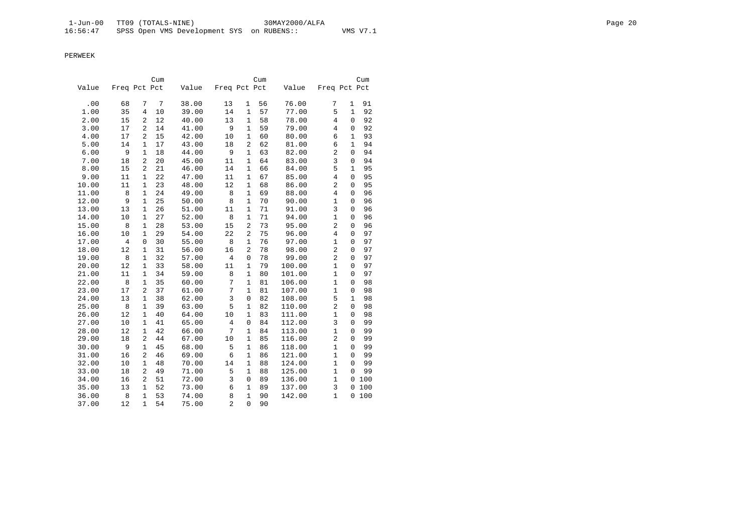|       |              |                | Cum |       |                |                | Cum |        |                |              | Cum |
|-------|--------------|----------------|-----|-------|----------------|----------------|-----|--------|----------------|--------------|-----|
| Value | Freq Pct Pct |                |     | Value | Freq Pct Pct   |                |     | Value  | Freq Pct Pct   |              |     |
| .00   | 68           | 7              | 7   | 38.00 | 13             | 1              | 56  | 76.00  | 7              | 1            | 91  |
| 1.00  | 35           | 4              | 10  | 39.00 | 14             | $\mathbf{1}$   | 57  | 77.00  | 5              | $\mathbf{1}$ | 92  |
| 2.00  | 15           | 2              | 12  | 40.00 | 13             | $\mathbf{1}$   | 58  | 78.00  | $\overline{4}$ | 0            | 92  |
| 3.00  | 17           | $\overline{a}$ | 14  | 41.00 | 9              | 1              | 59  | 79.00  | $\overline{4}$ | 0            | 92  |
| 4.00  | 17           | 2              | 15  | 42.00 | 10             | $\mathbf{1}$   | 60  | 80.00  | 6              | $\mathbf{1}$ | 93  |
| 5.00  | 14           | 1              | 17  | 43.00 | 18             | 2              | 62  | 81.00  | 6              | $\mathbf{1}$ | 94  |
| 6.00  | 9            | $\mathbf{1}$   | 18  | 44.00 | 9              | 1              | 63  | 82.00  | $\overline{2}$ | $\Omega$     | 94  |
| 7.00  | 18           | $\overline{a}$ | 20  | 45.00 | 11             | $\mathbf{1}$   | 64  | 83.00  | $\overline{3}$ | $\mathbf 0$  | 94  |
| 8.00  | 15           | $\overline{a}$ | 21  | 46.00 | 14             | $\mathbf{1}$   | 66  | 84.00  | 5              | $\mathbf{1}$ | 95  |
| 9.00  | 11           | $\mathbf{1}$   | 22  | 47.00 | 11             | $\mathbf{1}$   | 67  | 85.00  | $\overline{4}$ | $\Omega$     | 95  |
| 10.00 | 11           | 1              | 23  | 48.00 | 12             | $\mathbf 1$    | 68  | 86.00  | $\overline{c}$ | 0            | 95  |
| 11.00 | 8            | 1              | 24  | 49.00 | 8              | $\mathbf{1}$   | 69  | 88.00  | 4              | 0            | 96  |
| 12.00 | 9            | $\mathbf{1}$   | 25  | 50.00 | 8              | $\mathbf{1}$   | 70  | 90.00  | $\mathbf{1}$   | $\Omega$     | 96  |
| 13.00 | 13           | $\mathbf{1}$   | 26  | 51.00 | 11             | $\mathbf{1}$   | 71  | 91.00  | 3              | $\mathbf 0$  | 96  |
| 14.00 | 10           | $\mathbf{1}$   | 27  | 52.00 | 8              | $\mathbf{1}$   | 71  | 94.00  | $\mathbf{1}$   | $\mathbf 0$  | 96  |
| 15.00 | 8            | $\mathbf{1}$   | 28  | 53.00 | 15             | $\overline{2}$ | 73  | 95.00  | $\overline{2}$ | 0            | 96  |
| 16.00 | 10           | $\mathbf{1}$   | 29  | 54.00 | 22             | $\overline{2}$ | 75  | 96.00  | 4              | $\mathbf 0$  | 97  |
| 17.00 | 4            | 0              | 30  | 55.00 | 8              | $\mathbf{1}$   | 76  | 97.00  | $\mathbf{1}$   | 0            | 97  |
| 18.00 | 12           | 1              | 31  | 56.00 | 16             | $\overline{2}$ | 78  | 98.00  | $\overline{a}$ | $\Omega$     | 97  |
| 19.00 | 8            | $\mathbf{1}$   | 32  | 57.00 | $\overline{4}$ | $\mathbf 0$    | 78  | 99.00  | $\overline{2}$ | 0            | 97  |
| 20.00 | 12           | $\mathbf{1}$   | 33  | 58.00 | 11             | $\mathbf{1}$   | 79  | 100.00 | $\mathbf{1}$   | $\Omega$     | 97  |
| 21.00 | 11           | $\mathbf{1}$   | 34  | 59.00 | 8              | $\mathbf{1}$   | 80  | 101.00 | $\mathbf{1}$   | $\mathbf 0$  | 97  |
| 22.00 | 8            | $\mathbf{1}$   | 35  | 60.00 | 7              | $\mathbf{1}$   | 81  | 106.00 | $\mathbf{1}$   | 0            | 98  |
| 23.00 | 17           | 2              | 37  | 61.00 | 7              | $\mathbf{1}$   | 81  | 107.00 | $\mathbf{1}$   | 0            | 98  |
| 24.00 | 13           | $\mathbf{1}$   | 38  | 62.00 | 3              | $\mathbf 0$    | 82  | 108.00 | 5              | $\mathbf{1}$ | 98  |
| 25.00 | 8            | $\mathbf{1}$   | 39  | 63.00 | 5              | $\mathbf{1}$   | 82  | 110.00 | $\overline{2}$ | $\Omega$     | 98  |
| 26.00 | 12           | $\mathbf{1}$   | 40  | 64.00 | 10             | $\mathbf{1}$   | 83  | 111.00 | $\mathbf{1}$   | $\mathbf 0$  | 98  |
| 27.00 | 10           | 1              | 41  | 65.00 | 4              | $\mathbf 0$    | 84  | 112.00 | $\overline{3}$ | 0            | 99  |
| 28.00 | 12           | $\mathbf{1}$   | 42  | 66.00 | 7              | $\mathbf{1}$   | 84  | 113.00 | $\mathbf{1}$   | $\mathbf 0$  | 99  |
| 29.00 | 18           | 2              | 44  | 67.00 | 10             | $\mathbf{1}$   | 85  | 116.00 | $\overline{c}$ | $\Omega$     | 99  |
| 30.00 | 9            | 1              | 45  | 68.00 | 5              | $\mathbf{1}$   | 86  | 118.00 | $\mathbf{1}$   | 0            | 99  |
| 31.00 | 16           | $\overline{a}$ | 46  | 69.00 | 6              | $\mathbf{1}$   | 86  | 121.00 | $\mathbf{1}$   | 0            | 99  |
| 32.00 | 10           | $\mathbf{1}$   | 48  | 70.00 | 14             | $\mathbf{1}$   | 88  | 124.00 | $\mathbf{1}$   | $\Omega$     | 99  |
| 33.00 | 18           | $\overline{c}$ | 49  | 71.00 | 5              | $\mathbf{1}$   | 88  | 125.00 | $\mathbf{1}$   | $\Omega$     | 99  |
| 34.00 | 16           | $\overline{c}$ | 51  | 72.00 | 3              | $\mathsf 0$    | 89  | 136.00 | $\mathbf{1}$   | 0            | 100 |
| 35.00 | 13           | 1              | 52  | 73.00 | 6              | 1              | 89  | 137.00 | 3              | 0            | 100 |
| 36.00 | 8            | $\mathbf{1}$   | 53  | 74.00 | 8              | $\mathbf{1}$   | 90  | 142.00 | $\mathbf{1}$   | $\Omega$     | 100 |
| 37.00 | 12           | $\mathbf{1}$   | 54  | 75.00 | $\overline{a}$ | $\Omega$       | 90  |        |                |              |     |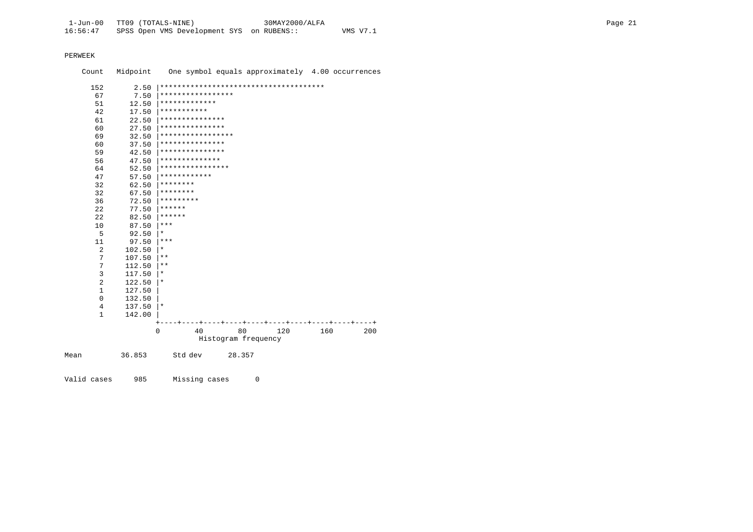Count Midpoint One symbol equals approximately 4.00 occurrences 152 2.50 |\*\*\*\*\*\*\*\*\*\*\*\*\*\*\*\*\*\*\*\*\*\*\*\*\*\*\*\*\*\*\*\*\*\*\*\*\*\* 67 7.50 |\*\*\*\*\*\*\*\*\*\*\*\*\*\*\*\*\* 51 12.50 |\*\*\*\*\*\*\*\*\*\*\*\*\* 42 17.50  $***********$ <br>61 22.50 \*\*\*\*\*\*\*\*\*\*\*\* 61 22.50 |\*\*\*\*\*\*\*\*\*\*\*\*\*\*\* 60 27.50  $************************$  69 32.50 |\*\*\*\*\*\*\*\*\*\*\*\*\*\*\*\*\* 60 37.50  $*********************$  59 42.50 |\*\*\*\*\*\*\*\*\*\*\*\*\*\*\* 56 47.50 |\*\*\*\*\*\*\*\*\*\*\*\*\*\* 64 52.50  $***********************$ <br>47 57.50 \*\*\*\*\*\*\*\*\*\*\*\*\* 47 57.50  $*************$ <br>32 62.50 \*\*\*\*\*\*\*\*\* 32 62.50  $********$ <br>32 67.50  $********$ 32 67.50  $********$ <br>36 72.50 \*\*\*\*\*\*\*\*\* 36 72.50  $*********$ <br>22 77.50  $*******$ 22 77.50  $*****$ <br>22 82.50  $******$  22 82.50 |\*\*\*\*\*\*  $\begin{array}{ccc} 10 & 87.50 & \ast \ast \ast \\ 5 & 92.50 & \ast \end{array}$  $\begin{array}{ccc} 5 & 92.50 & \ast \\ 11 & 97.50 & \ast \end{array}$  $\begin{array}{ccc} 11 & 97.50 & \ast \ast \ast \\ 2 & 102.50 & \ast \end{array}$ 2 102.50  $*$ <br>7 107.50  $*$  $\begin{array}{ccc} 7 & 107.50 & \end{array}$  | \*\*  $\begin{array}{ccc} 7 & 112.50 & \ast \ast \\ 3 & 117.50 & \ast \end{array}$  $\begin{array}{ccc} 3 & 117.50 \ 2 & 122.50 \ \end{array}$  \*  $\begin{array}{ccc} 2 & 122.50 \ 1 & 127.50 \end{array}$  | \*  $\begin{array}{cc} 1 & 127.50 \\ 0 & 132.50 \end{array}$  $0$  132.50<br>4 137.50  $137.50$  |\* 1 142.00 | +----+----+----+----+----+----+----+----+----+----+ 0 40 80 120 160 200 Histogram frequency Mean 36.853 Std dev 28.357

Valid cases 985 Missing cases 0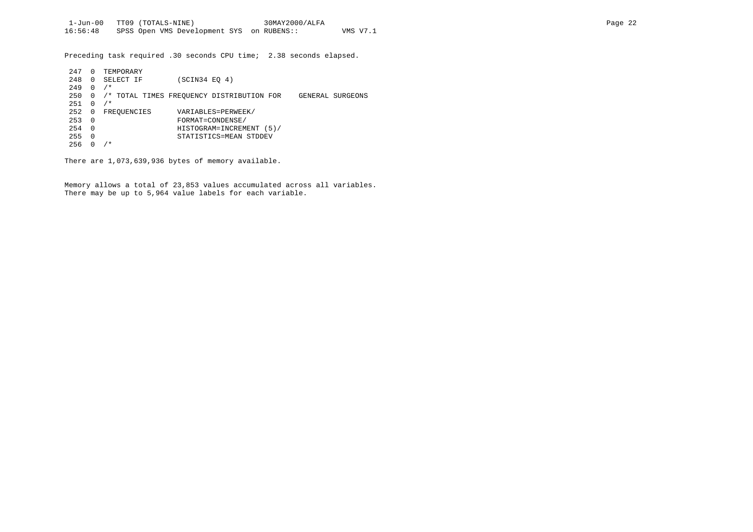Preceding task required .30 seconds CPU time; 2.38 seconds elapsed.

| 247 | 0        | TEMPORARY   |                                                               |
|-----|----------|-------------|---------------------------------------------------------------|
| 248 | 0        | SELECT IF   | (SCIN34 EO 4)                                                 |
| 249 | $\Omega$ | $/$ *       |                                                               |
| 250 | 0        |             | /* TOTAL TIMES FREOUENCY DISTRIBUTION FOR<br>GENERAL SURGEONS |
| 251 | $\Omega$ | $/$ *       |                                                               |
| 252 | 0        | FREOUENCIES | VARIABLES=PERWEEK/                                            |
| 253 | $\Omega$ |             | FORMAT=CONDENSE/                                              |
| 254 | $\Omega$ |             | HISTOGRAM=INCREMENT (5)/                                      |
| 255 | $\Omega$ |             | STATISTICS=MEAN STDDEV                                        |
| 256 | 0        | $^\star$    |                                                               |

There are 1,073,639,936 bytes of memory available.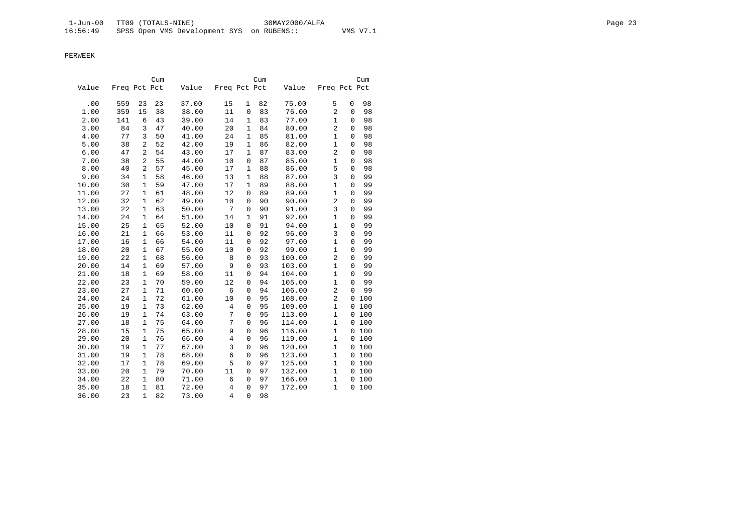|       |              |                | Cum |       |                |                | Cum |        |                |             | Cum   |
|-------|--------------|----------------|-----|-------|----------------|----------------|-----|--------|----------------|-------------|-------|
| Value | Freq Pct Pct |                |     | Value | Freq Pct Pct   |                |     | Value  | Freq Pct Pct   |             |       |
| .00   | 559          | 23             | 23  | 37.00 | 15             | 1              | 82  | 75.00  | 5              | 0           | 98    |
| 1.00  | 359          | 15             | 38  | 38.00 | 11             | $\overline{0}$ | 83  | 76.00  | $\overline{2}$ | $\mathbf 0$ | 98    |
| 2.00  | 141          | 6              | 43  | 39.00 | 14             | $\mathbf{1}$   | 83  | 77.00  | $\mathbf{1}$   | 0           | 98    |
| 3.00  | 84           | 3              | 47  | 40.00 | 20             | $\mathbf{1}$   | 84  | 80.00  | $\overline{2}$ | 0           | 98    |
| 4.00  | 77           | 3              | 50  | 41.00 | 24             | $\mathbf{1}$   | 85  | 81.00  | $\mathbf 1$    | 0           | 98    |
| 5.00  | 38           | $\overline{a}$ | 52  | 42.00 | 19             | $\mathbf{1}$   | 86  | 82.00  | $\mathbf{1}$   | 0           | 98    |
| 6.00  | 47           | $\overline{a}$ | 54  | 43.00 | 17             | $\mathbf{1}$   | 87  | 83.00  | $\overline{2}$ | 0           | 98    |
| 7.00  | 38           | $\overline{a}$ | 55  | 44.00 | 10             | 0              | 87  | 85.00  | $\mathbf{1}$   | 0           | 98    |
| 8.00  | 40           | $\overline{a}$ | 57  | 45.00 | 17             | 1              | 88  | 86.00  | 5              | 0           | 98    |
| 9.00  | 34           | $\mathbf{1}$   | 58  | 46.00 | 13             | $\mathbf{1}$   | 88  | 87.00  | 3              | $\mathbf 0$ | 99    |
| 10.00 | 30           | $\mathbf{1}$   | 59  | 47.00 | 17             | $\mathbf{1}$   | 89  | 88.00  | $\mathbf{1}$   | $\mathbf 0$ | 99    |
| 11.00 | 27           | $\mathbf{1}$   | 61  | 48.00 | 12             | $\mathbf 0$    | 89  | 89.00  | $\mathbf{1}$   | $\mathbf 0$ | 99    |
| 12.00 | 32           | $\mathbf{1}$   | 62  | 49.00 | 10             | $\mathbf 0$    | 90  | 90.00  | $\overline{2}$ | $\mathbf 0$ | 99    |
| 13.00 | 22           | $\mathbf{1}$   | 63  | 50.00 | 7              | 0              | 90  | 91.00  | 3              | 0           | 99    |
| 14.00 | 24           | $\mathbf{1}$   | 64  | 51.00 | 14             | $\mathbf 1$    | 91  | 92.00  | $\mathbf{1}$   | 0           | 99    |
| 15.00 | 25           | $\mathbf{1}$   | 65  | 52.00 | 10             | $\mathbf 0$    | 91  | 94.00  | $\mathbf{1}$   | 0           | 99    |
| 16.00 | 21           | 1              | 66  | 53.00 | 11             | $\mathbf 0$    | 92  | 96.00  | $\overline{3}$ | 0           | 99    |
| 17.00 | 16           | $\mathbf{1}$   | 66  | 54.00 | 11             | $\mathsf 0$    | 92  | 97.00  | $\mathbf{1}$   | $\mathbf 0$ | 99    |
| 18.00 | 20           | $\mathbf{1}$   | 67  | 55.00 | 10             | 0              | 92  | 99.00  | $\mathbf{1}$   | $\mathbf 0$ | 99    |
| 19.00 | 22           | $\mathbf{1}$   | 68  | 56.00 | 8              | 0              | 93  | 100.00 | $\overline{2}$ | $\mathbf 0$ | 99    |
| 20.00 | 14           | $\mathbf{1}$   | 69  | 57.00 | 9              | $\Omega$       | 93  | 103.00 | $\mathbf{1}$   | 0           | 99    |
| 21.00 | 18           | $\mathbf{1}$   | 69  | 58.00 | 11             | $\mathbf 0$    | 94  | 104.00 | $\mathbf{1}$   | 0           | 99    |
| 22.00 | 23           | 1              | 70  | 59.00 | 12             | 0              | 94  | 105.00 | 1              | 0           | 99    |
| 23.00 | 27           | 1              | 71  | 60.00 | 6              | 0              | 94  | 106.00 | $\overline{c}$ | 0           | 99    |
| 24.00 | 24           | $\mathbf{1}$   | 72  | 61.00 | 10             | $\mathbf 0$    | 95  | 108.00 | $\overline{c}$ | 0           | 100   |
| 25.00 | 19           | $\mathbf{1}$   | 73  | 62.00 | 4              | $\mathbf 0$    | 95  | 109.00 | $\mathbf{1}$   |             | 0 100 |
| 26.00 | 19           | $\mathbf{1}$   | 74  | 63.00 | 7              | $\mathbf 0$    | 95  | 113.00 | $\mathbf{1}$   |             | 0 100 |
| 27.00 | 18           | $\mathbf{1}$   | 75  | 64.00 | 7              | $\mathbf 0$    | 96  | 114.00 | $\mathbf{1}$   | 0           | 100   |
| 28.00 | 15           | $\mathbf{1}$   | 75  | 65.00 | 9              | $\mathbf 0$    | 96  | 116.00 | $\mathbf{1}$   | 0           | 100   |
| 29.00 | 20           | $\mathbf{1}$   | 76  | 66.00 | $\overline{4}$ | $\mathbf 0$    | 96  | 119.00 | $\mathbf{1}$   |             | 0 100 |
| 30.00 | 19           | 1              | 77  | 67.00 | 3              | $\mathbf 0$    | 96  | 120.00 | $\mathbf{1}$   |             | 0 100 |
| 31.00 | 19           | 1              | 78  | 68.00 | 6              | $\mathbf 0$    | 96  | 123.00 | $\mathbf{1}$   |             | 0 100 |
| 32.00 | 17           | $\mathbf{1}$   | 78  | 69.00 | 5              | 0              | 97  | 125.00 | $\mathbf{1}$   | 0           | 100   |
| 33.00 | 20           | $\mathbf{1}$   | 79  | 70.00 | 11             | 0              | 97  | 132.00 | $\mathbf{1}$   |             | 0 100 |
| 34.00 | 22           | $\mathbf{1}$   | 80  | 71.00 | 6              | 0              | 97  | 166.00 | $\mathbf{1}$   |             | 0 100 |
| 35.00 | 18           | 1              | 81  | 72.00 | $\overline{4}$ | $\mathbf 0$    | 97  | 172.00 | $\mathbf{1}$   | 0           | 100   |
| 36.00 | 23           | $\mathbf{1}$   | 82  | 73.00 | $\overline{4}$ | 0              | 98  |        |                |             |       |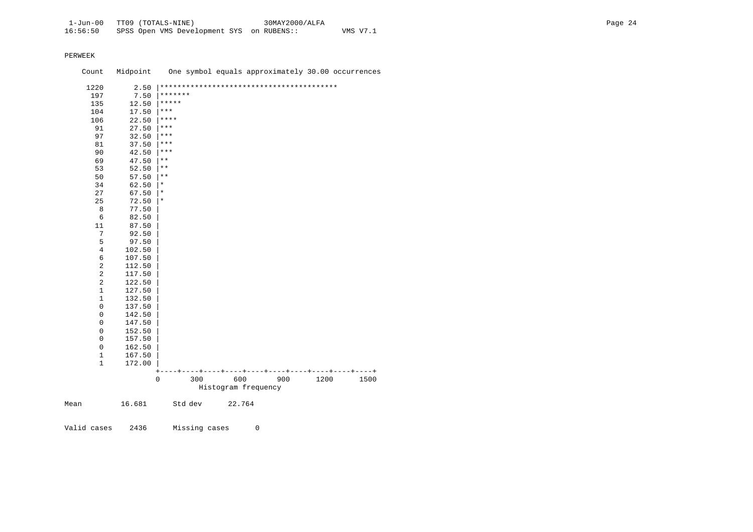Count Midpoint One symbol equals approximately 30.00 occurrences 1220 2.50 |\*\*\*\*\*\*\*\*\*\*\*\*\*\*\*\*\*\*\*\*\*\*\*\*\*\*\*\*\*\*\*\*\*\*\*\*\*\*\*\*\*  $\begin{array}{ccc} 197 & 7.50 & \ast\ast\ast\ast\ast\ast\\ 135 & 12.50 & \ast\ast\ast\ast\ast\end{array}$  $135$   $12.50$   $****$ <br> $104$   $17.50$   $***$  $\begin{array}{ccc} 104 & 17.50 & \text{***} \\ 106 & 22.50 & \text{***} \end{array}$  $\begin{array}{ccc} 106 & 22.50 & \text{***} \\ 91 & 27.50 & \text{***} \end{array}$ 91 27.50  $***$ <br>97 32.50  $***$ 97 32.50  $***$ <br>81 37.50  $***$  $81$   $37.50$  \*\*\*<br>90  $42.50$  \*\*\* 90  $42.50$  \*\*\*<br>69  $47.50$  \*\*  $\begin{array}{ccc} 69 & 47.50 & \ast \ 53 & 52.50 & \ast \end{array}$  $53$   $52.50$   $**$ <br>50  $57.50$   $**$  $\begin{array}{ccc} 50 & 57.50 & \ast \ast \\ 34 & 62.50 & \ast \end{array}$  $\begin{array}{ccc} 34 & 62.50 & | & * \\ 27 & 67.50 & | & * \end{array}$  $27$  67.50  $*$ <br>25 72.50  $*$  25 72.50 |\* 8 77.50<br>6 82.50 6 82.50<br>11 87.50 11 87.50<br>7 92.50 7 92.50<br>5 97.50  $\begin{array}{cc} 5 & 97.50 \\ 4 & 102.50 \end{array}$ 4 102.50<br>6 107.50 6 107.50<br>2 112.50 2 112.50<br>2 117.50 2 117.50<br>2 122.50 2 122.50<br>1 127.50  $\begin{array}{cc} 1 & 127.50 \\ 1 & 132.50 \end{array}$  $\begin{array}{cc} 1 & 132.50 \\ 0 & 137.50 \end{array}$  $0$  137.50<br>0 142.50  $0$  142.50<br>0 147.50  $0$  147.50<br>0 152.50  $0$  152.50<br>0 157.50  $0$  157.50<br>0 162.50  $0$  162.50<br>1 167.50  $\begin{array}{cc} 1 & 167.50 \\ 1 & 172.00 \end{array}$  1 172.00 | +----+----+----+----+----+----+----+----+----+----+ 1200 1500 Histogram frequency Mean 16.681 Std dev 22.764

Valid cases 2436 Missing cases 0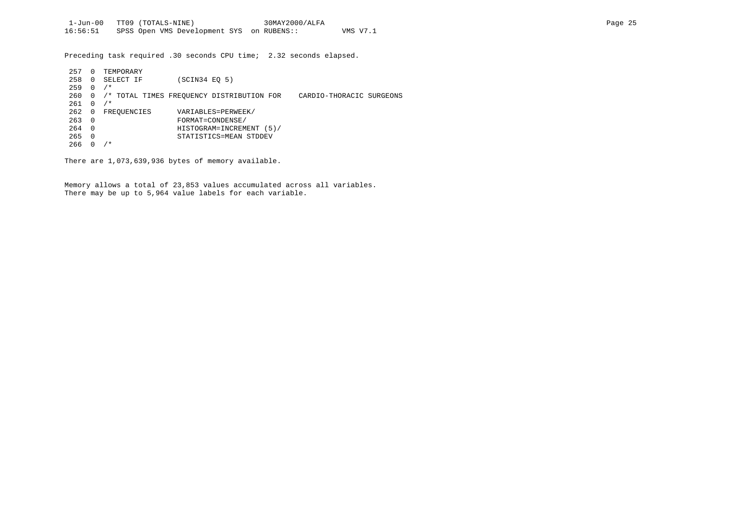Preceding task required .30 seconds CPU time; 2.32 seconds elapsed.

| 257 | 0        | TEMPORARY   |                                           |                          |
|-----|----------|-------------|-------------------------------------------|--------------------------|
| 258 | 0        | SELECT IF   | (SCIN34 EO 5)                             |                          |
| 259 | 0        | $/$ *       |                                           |                          |
| 260 | 0        |             | /* TOTAL TIMES FREQUENCY DISTRIBUTION FOR | CARDIO-THORACIC SURGEONS |
| 261 | U        | $/$ *       |                                           |                          |
| 262 | 0        | FREOUENCIES | VARIABLES=PERWEEK/                        |                          |
| 263 | $\Omega$ |             | FORMAT=CONDENSE/                          |                          |
| 264 | $\Omega$ |             | HISTOGRAM=INCREMENT<br>(5)                |                          |
| 265 | 0        |             | STATISTICS=MEAN STDDEV                    |                          |
| 266 |          | ∗           |                                           |                          |

There are 1,073,639,936 bytes of memory available.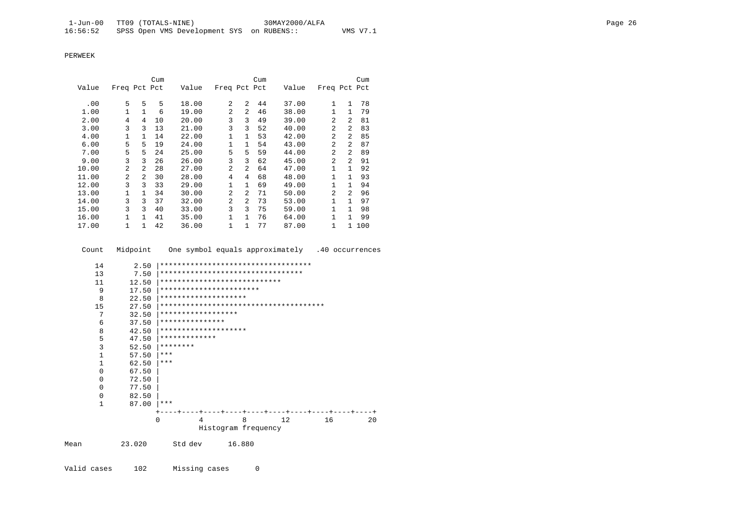|       |                |                | Cum |       |                |                | Cum |       |                |                | Cum |
|-------|----------------|----------------|-----|-------|----------------|----------------|-----|-------|----------------|----------------|-----|
| Value | Freq Pct Pct   |                |     | Value | Freq Pct Pct   |                |     | Value | Freq Pct Pct   |                |     |
|       |                |                |     |       |                |                |     |       |                |                |     |
| .00   | 5.             | 5              | 5.  | 18.00 | 2              | $\mathfrak{D}$ | 44  | 37.00 | $\mathbf{1}$   | $\mathbf{1}$   | 78  |
| 1.00  | $\mathbf{1}$   | $\mathbf{1}$   | 6   | 19.00 | $\overline{a}$ | $\mathfrak{D}$ | 46  | 38.00 | 1              | $\mathbf{1}$   | 79  |
| 2.00  | 4              | 4              | 10  | 20.00 | 3              | 3              | 49  | 39.00 | 2              | $\overline{a}$ | 81  |
| 3.00  | 3              | 3              | 13  | 21.00 | 3              | 3              | 52  | 40.00 | 2              | $\overline{a}$ | 83  |
| 4.00  | $\mathbf{1}$   | $\mathbf{1}$   | 14  | 22.00 | $\mathbf{1}$   | $\mathbf{1}$   | 53  | 42.00 | 2              | $\overline{a}$ | 85  |
| 6.00  | 5              | 5              | 19  | 24.00 | 1              | $\mathbf{1}$   | 54  | 43.00 | 2              | 2              | 87  |
| 7.00  | 5              | 5              | 24  | 25.00 | 5              | 5              | 59  | 44.00 | 2              | $\overline{a}$ | 89  |
| 9.00  | 3              | 3              | 26  | 26.00 | 3              | 3              | 62  | 45.00 | 2              | 2              | 91  |
| 10.00 | $\overline{a}$ | $\mathfrak{D}$ | 28  | 27.00 | 2              | 2              | 64  | 47.00 |                | $\mathbf{1}$   | 92  |
| 11.00 | $\overline{a}$ | $\mathfrak{D}$ | 30  | 28.00 | 4              | 4              | 68  | 48.00 | 1              | $\mathbf{1}$   | 93  |
| 12.00 | 3              | ζ              | 33  | 29.00 | $\mathbf{1}$   | $\mathbf{1}$   | 69  | 49.00 | 1              | $\mathbf{1}$   | 94  |
| 13.00 | 1              | 1.             | 34  | 30.00 | $\mathfrak{D}$ | 2              | 71  | 50.00 | $\mathfrak{D}$ | $\mathfrak{D}$ | 96  |
| 14.00 | 3              | ζ              | 37  | 32.00 | $\overline{a}$ | 2              | 73  | 53.00 | 1.             | 1              | 97  |
| 15.00 | 3              | ζ              | 40  | 33.00 | 3              | 3              | 75  | 59.00 |                | 1              | 98  |
| 16.00 |                | 1              | 41  | 35.00 | $\mathbf{1}$   | $\mathbf{1}$   | 76  | 64.00 | 1              | 1              | 99  |
| 17.00 |                |                | 42  | 36.00 | 1              | 1              | 77  | 87.00 | 1              | 1              | 100 |

Count Midpoint One symbol equals approximately .40 occurrences

|      | 14           | 2.50     |                         |         |  |        |                              | ***********************************     |    |    |
|------|--------------|----------|-------------------------|---------|--|--------|------------------------------|-----------------------------------------|----|----|
|      | 13           | 7.50     |                         |         |  |        |                              | *********************************       |    |    |
|      | 11           | 12.50    |                         |         |  |        | **************************** |                                         |    |    |
|      | 9            | 17.50    | *********************** |         |  |        |                              |                                         |    |    |
|      | 8            | 22.50    | ********************    |         |  |        |                              |                                         |    |    |
|      | 15           | 27.50    |                         |         |  |        |                              |                                         |    |    |
|      | 7            | 32.50    | ******************      |         |  |        |                              |                                         |    |    |
|      | 6            | 37.50    | ***************         |         |  |        |                              |                                         |    |    |
|      | 8            | 42.50    | ********************    |         |  |        |                              |                                         |    |    |
|      | 5            | 47.50    | *************           |         |  |        |                              |                                         |    |    |
|      | 3            | 52.50    | ********                |         |  |        |                              |                                         |    |    |
|      | $\mathbf{1}$ | 57.50    | ***                     |         |  |        |                              |                                         |    |    |
|      | $\mathbf{1}$ | 62.50    | $***$                   |         |  |        |                              |                                         |    |    |
|      | 0            | 67.50    |                         |         |  |        |                              |                                         |    |    |
|      | $\Omega$     | 72.50    |                         |         |  |        |                              |                                         |    |    |
|      | $\Omega$     | 77.50    |                         |         |  |        |                              |                                         |    |    |
|      | 0            | 82.50    |                         |         |  |        |                              |                                         |    |    |
|      | $\mathbf{1}$ | 87.00    | $***$                   |         |  |        |                              |                                         |    |    |
|      |              |          |                         |         |  |        |                              | ----+----+----+----+----+----+----+---- |    |    |
|      |              | $\Omega$ |                         | 4       |  | 8      |                              | 12                                      | 16 | 20 |
|      |              |          |                         |         |  |        | Histogram frequency          |                                         |    |    |
| Mean | 23.020       |          |                         | Std dev |  | 16.880 |                              |                                         |    |    |
|      |              |          |                         |         |  |        |                              |                                         |    |    |

Valid cases 102 Missing cases 0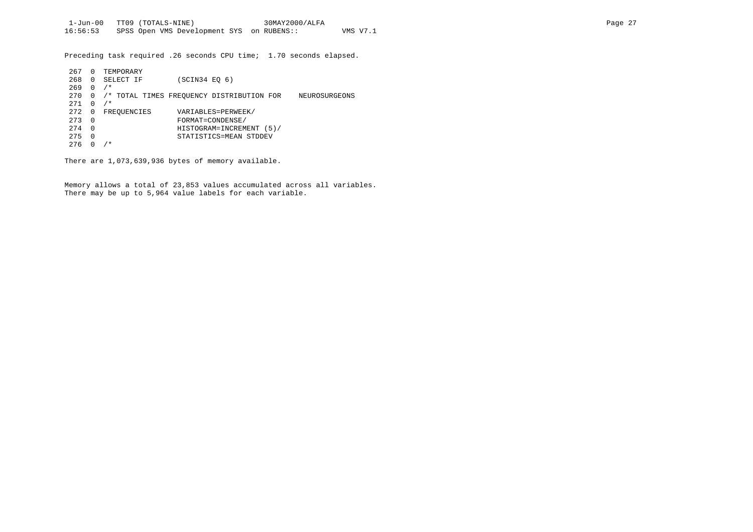Preceding task required .26 seconds CPU time; 1.70 seconds elapsed.

| 267 | 0            | TEMPORARY   |               |                                           |               |
|-----|--------------|-------------|---------------|-------------------------------------------|---------------|
| 268 | $\Omega$     | SELECT IF   | (SCIN34 EO 6) |                                           |               |
| 269 | <sup>0</sup> | $/$ *       |               |                                           |               |
| 270 | $\Omega$     |             |               | /* TOTAL TIMES FREOUENCY DISTRIBUTION FOR | NEUROSURGEONS |
| 271 | $\Omega$     | $/$ *       |               |                                           |               |
| 272 | 0            | FREOUENCIES |               | VARIABLES=PERWEEK/                        |               |
| 273 | $\Omega$     |             |               | FORMAT=CONDENSE/                          |               |
| 274 | $\Omega$     |             |               | HISTOGRAM=INCREMENT<br>(5)                |               |
| 275 | $\Omega$     |             |               | STATISTICS=MEAN STDDEV                    |               |
| 276 |              | *           |               |                                           |               |

There are 1,073,639,936 bytes of memory available.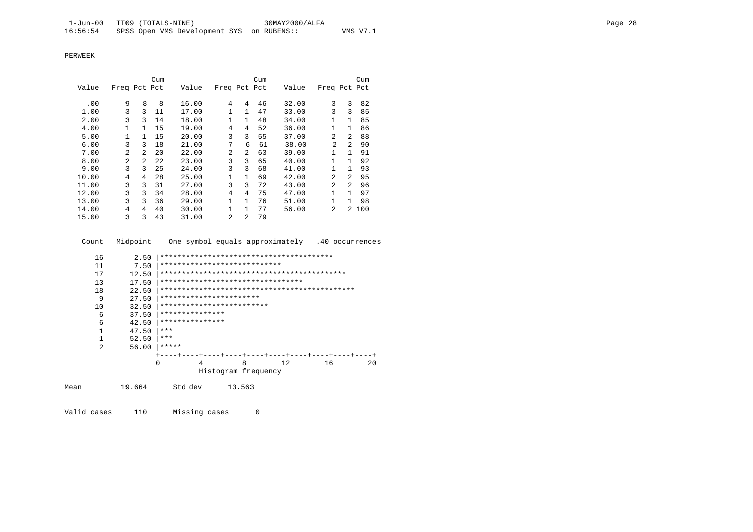|       |                |                | Cum |       |                |                | Cum |       |                |                | Cum   |
|-------|----------------|----------------|-----|-------|----------------|----------------|-----|-------|----------------|----------------|-------|
| Value | Freq Pct Pct   |                |     | Value | Freq Pct Pct   |                |     | Value | Freq Pct Pct   |                |       |
| .00   | 9              | 8              | 8   | 16.00 | 4              | 4              | 46  | 32.00 | 3              | 3              | 82    |
| 1.00  | 3              | 3              | 11  | 17.00 | 1              | $\mathbf{1}$   | 47  | 33.00 | 3              | ζ              | 85    |
| 2.00  | 3              | ζ              | 14  | 18.00 | 1              | $\mathbf{1}$   | 48  | 34.00 |                | 1              | 85    |
| 4.00  |                | 1.             | 15  | 19.00 | 4              | 4              | 52  | 36.00 |                | 1              | 86    |
| 5.00  | 1              | 1.             | 15  | 20.00 | 3              | 3              | 55  | 37.00 | $\mathfrak{D}$ | $\mathfrak{D}$ | 88    |
| 6.00  | 3              | 3              | 18  | 21.00 | 7              | 6              | 61  | 38.00 | $\overline{2}$ | $\mathfrak{D}$ | 90    |
| 7.00  | $\overline{a}$ | $\mathcal{L}$  | 20  | 22.00 | $\overline{a}$ | $\overline{a}$ | 63  | 39.00 |                | $\mathbf{1}$   | 91    |
| 8.00  | 2              | $\overline{2}$ | 22  | 23.00 | 3              | 3              | 65  | 40.00 |                | 1              | 92    |
| 9.00  | 3              | 3              | 25  | 24.00 | 3              | 3              | 68  | 41.00 |                | 1              | 93    |
| 10.00 | 4              | 4              | 28  | 25.00 | 1              | $\mathbf{1}$   | 69  | 42.00 | $\mathfrak{D}$ | 2              | 95    |
| 11.00 | 3              | 3              | 31  | 27.00 | 3              | 3              | 72  | 43.00 | $\overline{2}$ | $\mathfrak{D}$ | 96    |
| 12.00 | 3              | 3              | 34  | 28.00 | 4              | 4              | 75  | 47.00 |                | $\mathbf{1}$   | 97    |
| 13.00 | 3              | 3              | 36  | 29.00 | 1              | $\mathbf{1}$   | 76  | 51.00 |                | 1.             | 98    |
| 14.00 | 4              | 4              | 40  | 30.00 | 1              | 1              | 77  | 56.00 | $\mathfrak{D}$ |                | 2 100 |
| 15.00 | 3              | 3              | 43  | 31.00 | 2              | $\overline{a}$ | 79  |       |                |                |       |

| Count          | Midpoint | One symbol equals approximately .40 occurrences |
|----------------|----------|-------------------------------------------------|
| 16             | 2.50     |                                                 |
| 11             | 7.50     | ****************************                    |
| 17             | 12.50    |                                                 |
| 13             | 17.50    | *********************************               |
| 18             | 22.50    |                                                 |
| 9              | 27.50    | ***********************                         |
| 10             | 32.50    | *************************                       |
| 6              | 37.50    | ***************                                 |
| 6              | 42.50    | ***************                                 |
| 1              | 47.50    | ***                                             |
| $\mathbf{1}$   | 52.50    | ***                                             |
| $\mathfrak{D}$ | 56.00    | *****                                           |
|                |          |                                                 |
|                |          | 8<br>16<br>$\Omega$<br>12.<br>4<br>$20 \Omega$  |
|                |          | Histogram frequency                             |
| Mean           | 19.664   | Std dev<br>13.563                               |

Valid cases 110 Missing cases 0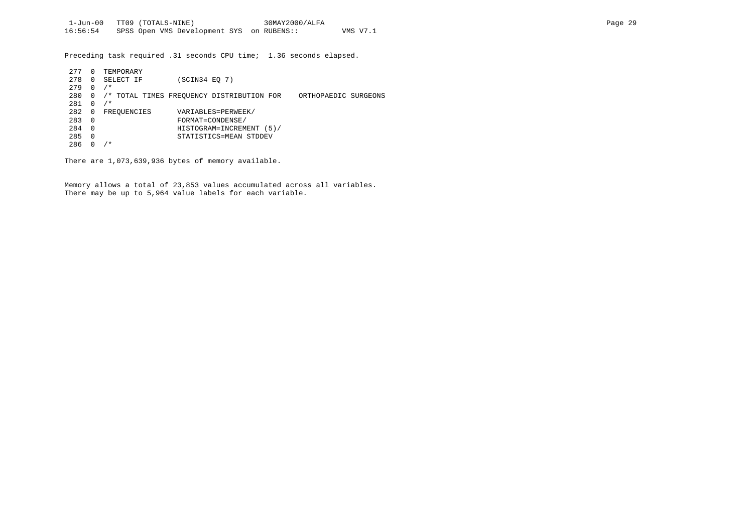Preceding task required .31 seconds CPU time; 1.36 seconds elapsed.

| 277 | 0              | TEMPORARY   |                                           |                      |
|-----|----------------|-------------|-------------------------------------------|----------------------|
| 278 | $\Omega$       | SELECT IF   | (SCIN34 EQ 7)                             |                      |
| 279 | $\Omega$       | $/$ *       |                                           |                      |
| 280 | 0              |             | /* TOTAL TIMES FREOUENCY DISTRIBUTION FOR | ORTHOPAEDIC SURGEONS |
| 281 | $\Omega$       | $/$ *       |                                           |                      |
| 282 | 0              | FREOUENCIES | VARIABLES=PERWEEK/                        |                      |
| 283 | - 0            |             | FORMAT=CONDENSE/                          |                      |
| 284 | $\overline{0}$ |             | HISTOGRAM=INCREMENT (5)/                  |                      |
| 285 | $\Omega$       |             | STATISTICS=MEAN STDDEV                    |                      |
| 286 |                | / *         |                                           |                      |

There are 1,073,639,936 bytes of memory available.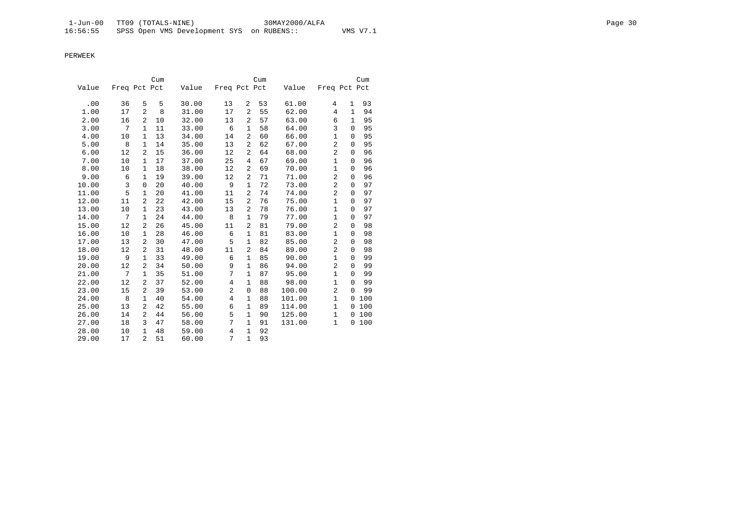|       |              |                | Cum |       |                |              | Cum |        |                |             | Cum |
|-------|--------------|----------------|-----|-------|----------------|--------------|-----|--------|----------------|-------------|-----|
| Value | Freq Pct Pct |                |     | Value | Freq Pct Pct   |              |     | Value  | Freq Pct Pct   |             |     |
| .00   | 36           | 5              | 5   | 30.00 | 13             | 2            | 53  | 61.00  | 4              | 1           | 93  |
| 1.00  | 17           | $\overline{a}$ | 8   | 31.00 | 17             | 2            | 55  | 62.00  | 4              | 1           | 94  |
| 2.00  |              | 2              | 10  | 32.00 |                | 2            | 57  | 63.00  | 6              | 1           | 95  |
|       | 16<br>7      | $\mathbf 1$    |     |       | 13             | $\mathbf{1}$ |     |        | 3              | $\Omega$    | 95  |
| 3.00  |              |                | 11  | 33.00 | 6              |              | 58  | 64.00  |                |             |     |
| 4.00  | 10           | $\mathbf{1}$   | 13  | 34.00 | 14             | 2            | 60  | 66.00  | $\mathbf{1}$   | $\mathbf 0$ | 95  |
| 5.00  | 8            | 1              | 14  | 35.00 | 13             | 2            | 62  | 67.00  | 2              | $\mathbf 0$ | 95  |
| 6.00  | 12           | $\overline{a}$ | 15  | 36.00 | 12             | 2            | 64  | 68.00  | 2              | $\Omega$    | 96  |
| 7.00  | 10           | 1              | 17  | 37.00 | 25             | 4            | 67  | 69.00  | $\mathbf{1}$   | 0           | 96  |
| 8.00  | 10           | $\mathbf{1}$   | 18  | 38.00 | 12             | 2            | 69  | 70.00  | $\mathbf{1}$   | $\mathbf 0$ | 96  |
| 9.00  | 6            | 1              | 19  | 39.00 | 12             | 2            | 71  | 71.00  | 2              | 0           | 96  |
| 10.00 | 3            | $\mathbf{0}$   | 20  | 40.00 | 9              | 1            | 72  | 73.00  | $\overline{a}$ | $\mathbf 0$ | 97  |
| 11.00 | 5            | $\mathbf{1}$   | 20  | 41.00 | 11             | 2            | 74  | 74.00  | $\overline{2}$ | $\mathbf 0$ | 97  |
| 12.00 | 11           | 2              | 22  | 42.00 | 15             | 2            | 76  | 75.00  | $\mathbf{1}$   | $\mathbf 0$ | 97  |
| 13.00 | 10           | 1              | 23  | 43.00 | 13             | 2            | 78  | 76.00  | $\mathbf{1}$   | 0           | 97  |
| 14.00 | 7            | $\mathbf 1$    | 24  | 44.00 | 8              | $\mathbf{1}$ | 79  | 77.00  | $\mathbf{1}$   | $\Omega$    | 97  |
| 15.00 | 12           | $\overline{a}$ | 26  | 45.00 | 11             | 2            | 81  | 79.00  | $\overline{a}$ | $\mathbf 0$ | 98  |
| 16.00 | 10           | 1              | 28  | 46.00 | 6              | 1            | 81  | 83.00  | 1              | 0           | 98  |
| 17.00 | 13           | 2              | 30  | 47.00 | 5              | $\mathbf{1}$ | 82  | 85.00  | 2              | 0           | 98  |
| 18.00 | 12           | 2              | 31  | 48.00 | 11             | 2            | 84  | 89.00  | $\overline{2}$ | $\mathbf 0$ | 98  |
| 19.00 | 9            | 1              | 33  | 49.00 | 6              | $\mathbf 1$  | 85  | 90.00  | $\mathbf{1}$   | $\mathbf 0$ | 99  |
| 20.00 | 12           | $\overline{a}$ | 34  | 50.00 | 9              | $\mathbf{1}$ | 86  | 94.00  | 2              | $\Omega$    | 99  |
| 21.00 | 7            | 1              | 35  | 51.00 | 7              | $\mathbf{1}$ | 87  | 95.00  | $\mathbf{1}$   | 0           | 99  |
| 22.00 | 12           | 2              | 37  | 52.00 | 4              | $\mathbf{1}$ | 88  | 98.00  | $\mathbf{1}$   | $\mathbf 0$ | 99  |
| 23.00 | 15           | 2              | 39  | 53.00 | $\overline{c}$ | $\mathbf 0$  | 88  | 100.00 | $\overline{c}$ | $\Omega$    | 99  |
| 24.00 | 8            | $\mathbf{1}$   | 40  | 54.00 | 4              | 1            | 88  | 101.00 | $\mathbf{1}$   | $\Omega$    | 100 |
| 25.00 | 13           | 2              | 42  | 55.00 | 6              | $\mathbf{1}$ | 89  | 114.00 | $\mathbf{1}$   | 0           | 100 |
| 26.00 | 14           | $\overline{a}$ | 44  | 56.00 | 5              | $\mathbf{1}$ | 90  | 125.00 | $\mathbf{1}$   | $\mathbf 0$ | 100 |
| 27.00 | 18           | 3              | 47  | 58.00 | 7              | $\mathbf{1}$ | 91  | 131.00 | $\mathbf{1}$   | 0           | 100 |
| 28.00 | 10           | $\mathbf{1}$   | 48  | 59.00 | 4              | $\mathbf{1}$ | 92  |        |                |             |     |
| 29.00 | 17           | $\overline{a}$ | 51  | 60.00 | 7              | $\mathbf{1}$ | 93  |        |                |             |     |
|       |              |                |     |       |                |              |     |        |                |             |     |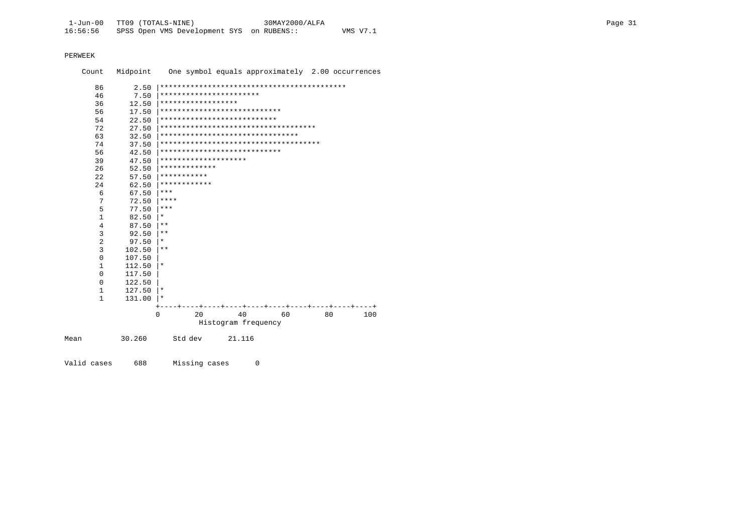| Count          | Midpoint | One symbol equals approximately 2.00 occurrences |
|----------------|----------|--------------------------------------------------|
| 86             | 2.50     |                                                  |
| 46             | 7.50     | ***********************                          |
| 36             | 12.50    | ******************                               |
| 56             | 17.50    | ****************************                     |
| 54             | 22.50    | ***************************                      |
| 72             | 27.50    | ************************************             |
| 63             | 32.50    | ********************************                 |
| 74             | 37.50    | **************************************           |
| 56             | 42.50    | ****************************                     |
| 39             | 47.50    | ********************                             |
| 26             | 52.50    | *************                                    |
| 2.2.           | 57.50    | ***********                                      |
| 2.4            | 62.50    | ************                                     |
| 6              | 67.50    | ***                                              |
| 7              | 72.50    | ****                                             |
| 5              | 77.50    | $***$                                            |
| $\mathbf{1}$   | 82.50    | $\star$                                          |
| 4              | 87.50    | $***$                                            |
| 3              | 92.50    | $\star\star$                                     |
| $\overline{2}$ | 97.50    | $\star$                                          |
| $\overline{3}$ | 102.50   | $***$                                            |
| $\mathbf 0$    | 107.50   |                                                  |
| $\mathbf{1}$   | 112.50   | $^\star$                                         |
| $\mathbf 0$    | 117.50   |                                                  |
| 0              | 122.50   |                                                  |
| 1              | 127.50   | $^\star$                                         |
| $\mathbf{1}$   | 131.00   | $^\star$                                         |
|                |          |                                                  |
|                |          | 40<br>$\Omega$<br>20<br>60<br>80<br>100          |
|                |          | Histogram frequency                              |
| Mean           | 30.260   | Std dev<br>21.116                                |

Valid cases 688 Missing cases 0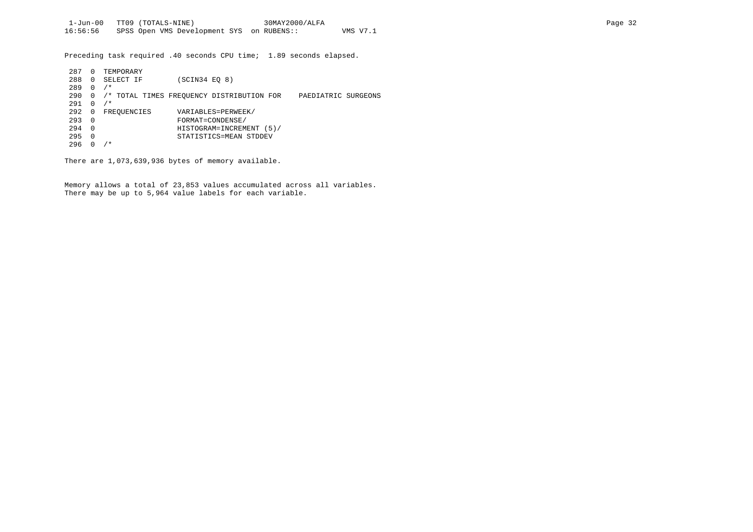Preceding task required .40 seconds CPU time; 1.89 seconds elapsed.

| 287 | 0        | TEMPORARY   |                                                                  |
|-----|----------|-------------|------------------------------------------------------------------|
| 288 | $\Omega$ | SELECT IF   | (SCIN34 EQ 8)                                                    |
| 289 | $\Omega$ | $/$ *       |                                                                  |
| 290 | 0        |             | /* TOTAL TIMES FREOUENCY DISTRIBUTION FOR<br>PAEDIATRIC SURGEONS |
| 291 | $\Omega$ | $/$ *       |                                                                  |
| 292 | 0        | FREOUENCIES | VARIABLES=PERWEEK/                                               |
| 293 | - 0      |             | FORMAT=CONDENSE/                                                 |
| 294 | $\Omega$ |             | HISTOGRAM=INCREMENT (5)/                                         |
| 295 | 0        |             | STATISTICS=MEAN STDDEV                                           |
| 296 |          | ⁄*          |                                                                  |

There are 1,073,639,936 bytes of memory available.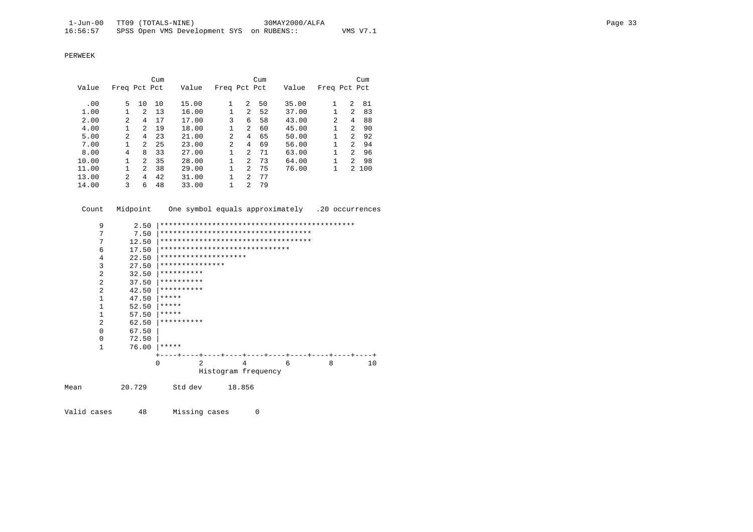|       |                |                | Cum |       |                |   | Cum |       |                |                | Cum   |
|-------|----------------|----------------|-----|-------|----------------|---|-----|-------|----------------|----------------|-------|
| Value | Freq Pct Pct   |                |     | Value | Freq Pct Pct   |   |     | Value | Freq Pct Pct   |                |       |
|       |                |                |     |       |                |   |     |       |                |                |       |
| .00   | 5.             | 10             | 10  | 15.00 | 1              | 2 | 50  | 35.00 |                | 2              | 81    |
| 1.00  |                | $\mathcal{L}$  | 13  | 16.00 |                | 2 | 52  | 37.00 | 1              | 2              | 83    |
| 2.00  | $\overline{a}$ | 4              | 17  | 17.00 | 3              | 6 | 58  | 43.00 | $\mathfrak{D}$ | 4              | 88    |
| 4.00  |                | $\overline{2}$ | 19  | 18.00 | $\mathbf{1}$   | 2 | 60  | 45.00 | 1              | 2              | 90    |
| 5.00  | $\overline{a}$ | 4              | 23  | 21.00 | 2              | 4 | 65  | 50.00 | 1              | $\mathfrak{D}$ | 92    |
| 7.00  |                | $\mathcal{L}$  | 25  | 23.00 | $\mathfrak{D}$ | 4 | 69  | 56.00 | 1              | 2              | 94    |
| 8.00  | 4              | 8              | 33  | 27.00 | $\mathbf{1}$   | 2 | 71  | 63.00 | $\mathbf{1}$   | 2              | 96    |
| 10.00 |                | $\overline{a}$ | 35  | 28.00 |                | 2 | 73  | 64.00 | 1              | $\mathfrak{D}$ | 98    |
| 11.00 |                | $\overline{a}$ | 38  | 29.00 |                | 2 | 75  | 76.00 | 1              |                | 2 100 |
| 13.00 | $\overline{a}$ | 4              | 42  | 31.00 |                | 2 | 77  |       |                |                |       |
| 14.00 | 3              | 6              | 48  | 33.00 |                | 2 | 79  |       |                |                |       |

Count Midpoint One symbol equals approximately .20 occurrences

|      | 9              | 2.50   |          |                                     |  |         |                     |  |        |   |  |  |        |  |  |   |  |    |  |
|------|----------------|--------|----------|-------------------------------------|--|---------|---------------------|--|--------|---|--|--|--------|--|--|---|--|----|--|
|      | 7              | 7.50   |          | *********************************** |  |         |                     |  |        |   |  |  |        |  |  |   |  |    |  |
|      | 7              | 12.50  |          | *********************************** |  |         |                     |  |        |   |  |  |        |  |  |   |  |    |  |
|      | 6              | 17.50  |          | ******************************      |  |         |                     |  |        |   |  |  |        |  |  |   |  |    |  |
|      | 4              | 22.50  |          | ********************                |  |         |                     |  |        |   |  |  |        |  |  |   |  |    |  |
|      | 3              | 27.50  |          | ***************                     |  |         |                     |  |        |   |  |  |        |  |  |   |  |    |  |
|      | $\overline{2}$ | 32.50  |          | **********                          |  |         |                     |  |        |   |  |  |        |  |  |   |  |    |  |
|      | $\overline{2}$ | 37.50  |          | **********                          |  |         |                     |  |        |   |  |  |        |  |  |   |  |    |  |
|      | $\overline{2}$ | 42.50  |          | **********                          |  |         |                     |  |        |   |  |  |        |  |  |   |  |    |  |
|      | 1              | 47.50  |          | *****                               |  |         |                     |  |        |   |  |  |        |  |  |   |  |    |  |
|      | 1              | 52.50  |          | *****                               |  |         |                     |  |        |   |  |  |        |  |  |   |  |    |  |
|      | 1              | 57.50  |          | *****                               |  |         |                     |  |        |   |  |  |        |  |  |   |  |    |  |
|      | $\overline{2}$ | 62.50  |          | **********                          |  |         |                     |  |        |   |  |  |        |  |  |   |  |    |  |
|      | $\Omega$       | 67.50  |          |                                     |  |         |                     |  |        |   |  |  |        |  |  |   |  |    |  |
|      | $\Omega$       | 72.50  |          |                                     |  |         |                     |  |        |   |  |  |        |  |  |   |  |    |  |
|      | 1              | 76.00  |          | *****                               |  |         |                     |  |        |   |  |  |        |  |  |   |  |    |  |
|      |                |        |          |                                     |  |         |                     |  |        |   |  |  | ----+- |  |  |   |  |    |  |
|      |                |        | $\Omega$ |                                     |  |         | $\mathfrak{D}$      |  |        | 4 |  |  | 6      |  |  | 8 |  | 10 |  |
|      |                |        |          |                                     |  |         | Histogram frequency |  |        |   |  |  |        |  |  |   |  |    |  |
| Mean |                | 20.729 |          |                                     |  | Std dev |                     |  | 18.856 |   |  |  |        |  |  |   |  |    |  |
|      |                |        |          |                                     |  |         |                     |  |        |   |  |  |        |  |  |   |  |    |  |

Valid cases 48 Missing cases 0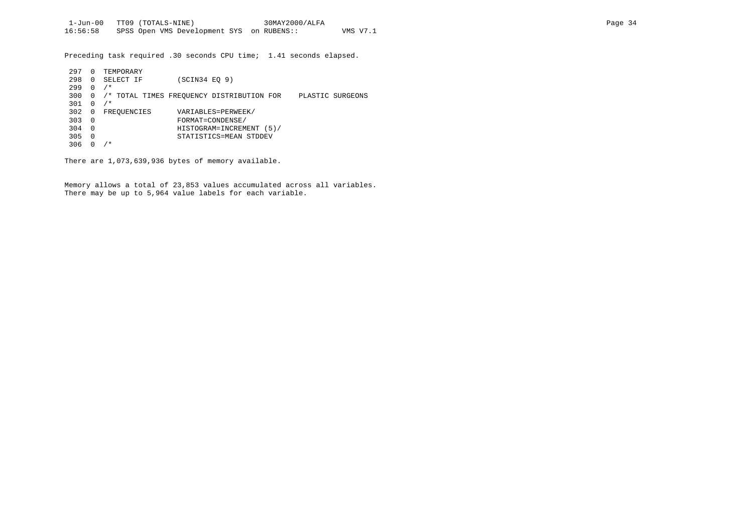Preceding task required .30 seconds CPU time; 1.41 seconds elapsed.

| 297 | 0              | TEMPORARY   |                                                               |  |
|-----|----------------|-------------|---------------------------------------------------------------|--|
| 298 | $\Omega$       | SELECT IF   | (SCIN34 EO 9)                                                 |  |
| 299 | $\Omega$       | $/$ *       |                                                               |  |
| 300 | 0              |             | /* TOTAL TIMES FREQUENCY DISTRIBUTION FOR<br>PLASTIC SURGEONS |  |
| 301 | $\Omega$       | $/$ *       |                                                               |  |
| 302 | $\overline{0}$ | FREQUENCIES | VARIABLES=PERWEEK/                                            |  |
| 303 | $\Omega$       |             | FORMAT=CONDENSE/                                              |  |
| 304 | $\Omega$       |             | HISTOGRAM=INCREMENT (5)/                                      |  |
| 305 | - 0            |             | STATISTICS=MEAN STDDEV                                        |  |
| 306 |                | ' *         |                                                               |  |

There are 1,073,639,936 bytes of memory available.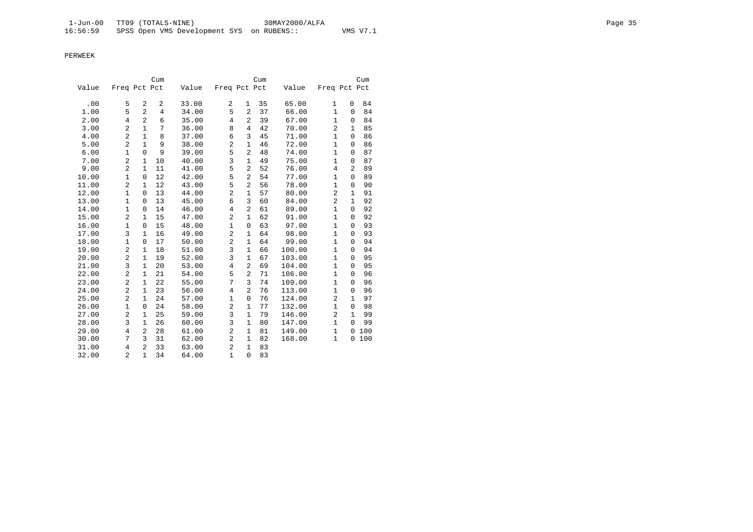|       |                |                | Cum            |       |                |                | Cum |        |                |              | Cum |
|-------|----------------|----------------|----------------|-------|----------------|----------------|-----|--------|----------------|--------------|-----|
| Value | Freq Pct Pct   |                |                | Value | Freq Pct Pct   |                |     | Value  | Freq Pct Pct   |              |     |
| .00   | 5              | 2              | 2              | 33.00 | 2              |                | 35  | 65.00  |                | 0            | 84  |
|       | 5              | $\overline{a}$ |                |       |                | 1              |     |        | 1              |              |     |
| 1.00  |                |                | $\overline{4}$ | 34.00 | 5              | $\overline{2}$ | 37  | 66.00  | $\mathbf{1}$   | 0            | 84  |
| 2.00  | 4              | 2              | 6              | 35.00 | $\overline{4}$ | $\overline{2}$ | 39  | 67.00  | $\mathbf{1}$   | 0            | 84  |
| 3.00  | $\overline{2}$ | $\mathbf{1}$   | 7              | 36.00 | 8              | $\overline{4}$ | 42  | 70.00  | $\overline{2}$ | $\mathbf{1}$ | 85  |
| 4.00  | $\overline{a}$ | $\mathbf{1}$   | 8              | 37.00 | 6              | 3              | 45  | 71.00  | $\mathbf{1}$   | $\mathbf 0$  | 86  |
| 5.00  | $\overline{a}$ | $\mathbf{1}$   | 9              | 38.00 | $\overline{c}$ | $\mathbf{1}$   | 46  | 72.00  | $\mathbf{1}$   | 0            | 86  |
| 6.00  | 1              | $\Omega$       | 9              | 39.00 | 5              | 2              | 48  | 74.00  | $\mathbf{1}$   | $\mathbf 0$  | 87  |
| 7.00  | $\overline{a}$ | 1              | 10             | 40.00 | 3              | $\mathbf{1}$   | 49  | 75.00  | $\mathbf{1}$   | 0            | 87  |
| 9.00  | 2              | $\mathbf{1}$   | 11             | 41.00 | 5              | $\overline{2}$ | 52  | 76.00  | 4              | 2            | 89  |
| 10.00 | 1              | 0              | 12             | 42.00 | 5              | 2              | 54  | 77.00  | $\mathbf{1}$   | $\Omega$     | 89  |
| 11.00 | $\overline{2}$ | $\mathbf{1}$   | 12             | 43.00 | 5              | $\overline{2}$ | 56  | 78.00  | $\mathbf{1}$   | $\mathbf 0$  | 90  |
| 12.00 | $\mathbf{1}$   | 0              | 13             | 44.00 | $\overline{c}$ | $\mathbf{1}$   | 57  | 80.00  | $\overline{c}$ | $\mathbf{1}$ | 91  |
| 13.00 | $\mathbf{1}$   | $\mathbf 0$    | 13             | 45.00 | 6              | 3              | 60  | 84.00  | $\overline{2}$ | $\mathbf{1}$ | 92  |
| 14.00 | 1              | 0              | 14             | 46.00 | $\overline{4}$ | $\overline{a}$ | 61  | 89.00  | $\mathbf{1}$   | 0            | 92  |
| 15.00 | $\overline{2}$ | $\mathbf{1}$   | 15             | 47.00 | $\overline{c}$ | $\mathbf{1}$   | 62  | 91.00  | $\mathbf{1}$   | 0            | 92  |
| 16.00 | $\mathbf{1}$   | 0              | 15             | 48.00 | $\mathbf{1}$   | $\mathbf 0$    | 63  | 97.00  | $\mathbf{1}$   | 0            | 93  |
| 17.00 | 3              | $\mathbf{1}$   | 16             | 49.00 | $\overline{c}$ | $\mathbf{1}$   | 64  | 98.00  | $\mathbf{1}$   | $\mathbf 0$  | 93  |
| 18.00 | $\mathbf{1}$   | 0              | 17             | 50.00 | $\overline{c}$ | $\mathbf{1}$   | 64  | 99.00  | $\mathbf{1}$   | $\mathbf 0$  | 94  |
| 19.00 | $\overline{2}$ | 1              | 18             | 51.00 | 3              | 1              | 66  | 100.00 | $\mathbf{1}$   | $\mathbf 0$  | 94  |
| 20.00 | $\overline{2}$ | $\mathbf{1}$   | 19             | 52.00 | 3              | $\mathbf{1}$   | 67  | 103.00 | $\mathbf{1}$   | $\mathbf 0$  | 95  |
| 21.00 | 3              | $\mathbf 1$    | 20             | 53.00 | $\overline{4}$ | $\overline{2}$ | 69  | 104.00 | $\mathbf{1}$   | 0            | 95  |
| 22.00 | 2              | $\mathbf{1}$   | 21             | 54.00 | 5              | $\overline{2}$ | 71  | 106.00 | $\mathbf{1}$   | $\mathbf 0$  | 96  |
| 23.00 | $\overline{a}$ | 1              | 22             | 55.00 | 7              | 3              | 74  | 109.00 | $\mathbf{1}$   | 0            | 96  |
| 24.00 | $\overline{a}$ | $\mathbf 1$    | 23             | 56.00 | 4              | $\overline{2}$ | 76  | 113.00 | $\mathbf{1}$   | 0            | 96  |
| 25.00 | $\overline{2}$ | $\mathbf{1}$   | 24             | 57.00 | $\mathbf{1}$   | $\mathsf 0$    | 76  | 124.00 | $\overline{c}$ | $\mathbf{1}$ | 97  |
| 26.00 | 1              | 0              | 24             | 58.00 | $\overline{c}$ | $\mathbf{1}$   | 77  | 132.00 | $\mathbf{1}$   | $\mathbf 0$  | 98  |
| 27.00 | 2              | 1              | 25             | 59.00 | 3              | $\mathbf{1}$   | 79  | 146.00 | $\overline{a}$ | 1            | 99  |
| 28.00 | 3              | $\mathbf{1}$   | 26             | 60.00 | 3              | $\mathbf{1}$   | 80  | 147.00 | $\mathbf{1}$   | $\Omega$     | 99  |
| 29.00 | 4              | 2              | 28             | 61.00 | $\overline{c}$ | $\mathbf{1}$   | 81  | 149.00 | $\mathbf{1}$   | 0            | 100 |
| 30.00 | 7              | 3              | 31             | 62.00 | $\overline{2}$ | 1              | 82  | 168.00 | $\mathbf{1}$   | 0            | 100 |
| 31.00 | $\overline{4}$ | $\overline{2}$ | 33             | 63.00 | $\overline{2}$ | $\mathbf{1}$   | 83  |        |                |              |     |
| 32.00 | 2              | $\mathbf{1}$   | 34             | 64.00 | $\mathbf{1}$   | $\Omega$       | 83  |        |                |              |     |
|       |                |                |                |       |                |                |     |        |                |              |     |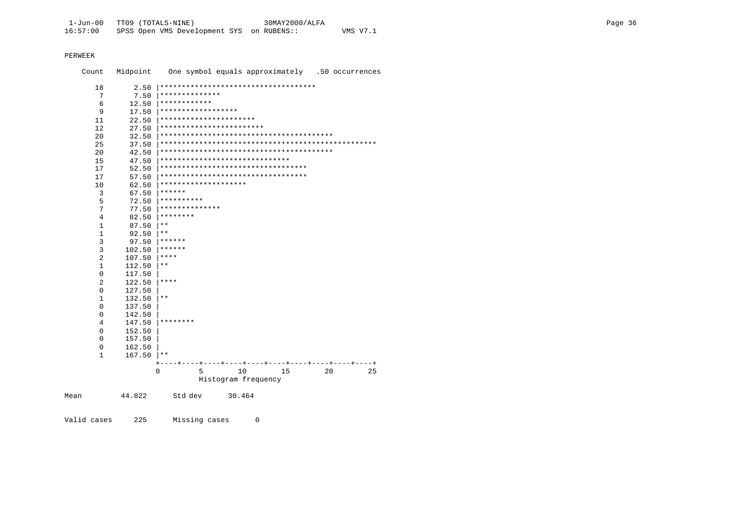| Count         | Midpoint         | One symbol equals approximately .50 occurrences |
|---------------|------------------|-------------------------------------------------|
| 18            | 2.50             | ***********************************             |
| 7             | 7.50             | **************                                  |
| 6             | 12.50            | ************                                    |
| 9             | 17.50            | ******************                              |
| 11            | 22.50            | **********************                          |
| 12            | 27.50            | ************************                        |
| 20            | 32.50            |                                                 |
| 25            | 37.50            |                                                 |
| 20            | 42.50            |                                                 |
| 15            | 47.50            | ******************************                  |
| 17            | 52.50            | **********************************              |
| 17            | 57.50            | **********************************              |
| 10            | 62.50            | ********************                            |
| 3             | 67.50            | ******                                          |
| 5             | 72.50            | **********                                      |
| 7             | 77.50            | **************                                  |
| 4             | 82.50            | ********                                        |
| $\mathbf{1}$  | 87.50            | $* *$                                           |
| 1             | 92.50            | $* *$                                           |
| 3             | 97.50            | ******                                          |
| 3             | 102.50           | ******                                          |
| 2             | 107.50           | ****                                            |
| $\mathbf{1}$  | 112.50           | $* *$                                           |
| 0             | 117.50           |                                                 |
| 2             | 122.50           | ****                                            |
| 0             | 127.50           | $***$                                           |
| 1<br>$\Omega$ | 132.50           |                                                 |
| 0             | 137.50           |                                                 |
| 4             | 142.50<br>147.50 | ********                                        |
| 0             | 152.50           |                                                 |
| 0             | 157.50           |                                                 |
| 0             | 162.50           |                                                 |
| $\mathbf{1}$  | 167.50           | $\star\star$                                    |
|               |                  |                                                 |
|               |                  | 10<br>0<br>5<br>15<br>20<br>25                  |
|               |                  | Histogram frequency                             |
| Mean          | 44.822           | Std dev<br>30.464                               |

Valid cases 225 Missing cases  $\overline{0}$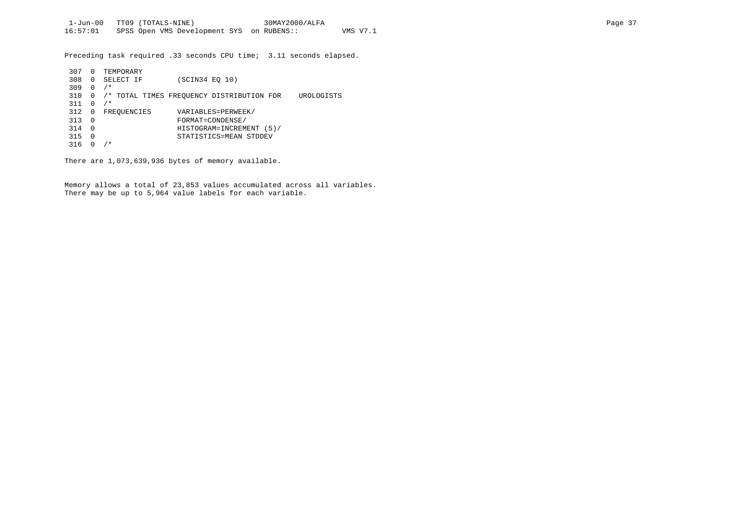Preceding task required .33 seconds CPU time; 3.11 seconds elapsed.

| 307 | $\Omega$     | TEMPORARY   |                                                         |
|-----|--------------|-------------|---------------------------------------------------------|
| 308 | $\Omega$     | SELECT IF   | (SCIN34 EO 10)                                          |
| 309 | <sup>0</sup> | $/$ *       |                                                         |
| 310 |              |             | /* TOTAL TIMES FREOUENCY DISTRIBUTION FOR<br>UROLOGISTS |
| 311 | n            | $/$ *       |                                                         |
| 312 | 0            | FREOUENCIES | VARIABLES=PERWEEK/                                      |
| 313 | $\Omega$     |             | FORMAT=CONDENSE/                                        |
| 314 | $\Omega$     |             | HISTOGRAM=INCREMENT (5)/                                |
| 315 | 0            |             | STATISTICS=MEAN STDDEV                                  |
| 316 |              | $^\star$    |                                                         |

There are 1,073,639,936 bytes of memory available.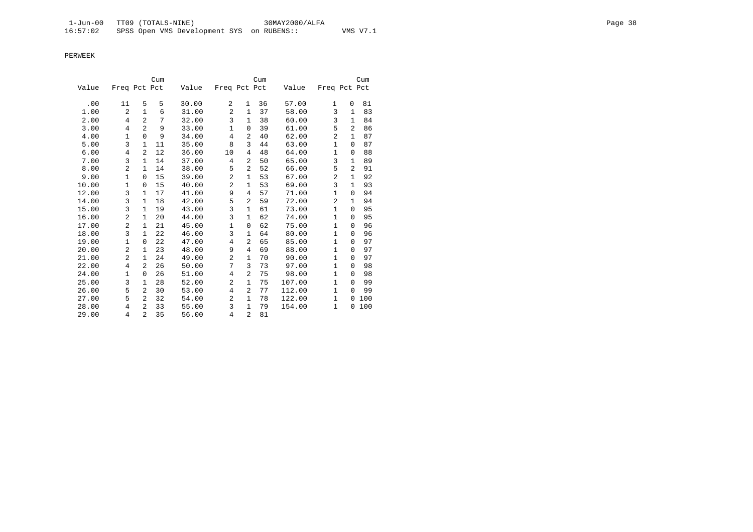|       |                |                | Cum |       |                |                | Cum |        |              |                | Cum |
|-------|----------------|----------------|-----|-------|----------------|----------------|-----|--------|--------------|----------------|-----|
| Value | Freq Pct Pct   |                |     | Value | Freq Pct Pct   |                |     | Value  | Freq Pct Pct |                |     |
|       |                |                |     |       |                |                |     |        |              |                |     |
| .00   | 11             | 5              | 5   | 30.00 | 2              | $\mathbf{1}$   | 36  | 57.00  | 1            | 0              | 81  |
| 1.00  | $\overline{2}$ | $\mathbf{1}$   | 6   | 31.00 | $\overline{c}$ | $\mathbf{1}$   | 37  | 58.00  | 3            | 1              | 83  |
| 2.00  | 4              | $\overline{a}$ | 7   | 32.00 | 3              | 1              | 38  | 60.00  | 3            | 1              | 84  |
| 3.00  | $\overline{4}$ | $\overline{2}$ | 9   | 33.00 | 1              | $\mathbf 0$    | 39  | 61.00  | 5            | 2              | 86  |
| 4.00  | $\mathbf{1}$   | $\Omega$       | 9   | 34.00 | 4              | 2              | 40  | 62.00  | 2            | 1              | 87  |
| 5.00  | 3              | $\mathbf{1}$   | 11  | 35.00 | 8              | 3              | 44  | 63.00  | $\mathbf{1}$ | 0              | 87  |
| 6.00  | 4              | $\overline{a}$ | 12  | 36.00 | 10             | 4              | 48  | 64.00  | $\mathbf{1}$ | 0              | 88  |
| 7.00  | 3              | 1              | 14  | 37.00 | 4              | 2              | 50  | 65.00  | 3            | 1              | 89  |
| 8.00  | 2              | 1              | 14  | 38.00 | 5              | 2              | 52  | 66.00  | 5            | $\overline{2}$ | 91  |
| 9.00  | $\mathbf{1}$   | $\Omega$       | 15  | 39.00 | $\overline{c}$ | 1              | 53  | 67.00  | 2            | 1              | 92  |
| 10.00 | $\mathbf{1}$   | 0              | 15  | 40.00 | $\overline{a}$ | 1              | 53  | 69.00  | 3            | 1              | 93  |
| 12.00 | 3              | 1              | 17  | 41.00 | 9              | 4              | 57  | 71.00  | $\mathbf{1}$ | 0              | 94  |
| 14.00 | 3              | $\mathbf{1}$   | 18  | 42.00 | 5              | 2              | 59  | 72.00  | 2            | 1              | 94  |
| 15.00 | 3              | $\mathbf{1}$   | 19  | 43.00 | 3              | $\mathbf{1}$   | 61  | 73.00  | $\mathbf{1}$ | $\Omega$       | 95  |
| 16.00 | 2              | 1              | 20  | 44.00 | 3              | $\mathbf{1}$   | 62  | 74.00  | $\mathbf{1}$ | $\Omega$       | 95  |
| 17.00 | 2              | 1              | 21  | 45.00 | 1              | $\mathbf 0$    | 62  | 75.00  | $\mathbf{1}$ | $\Omega$       | 96  |
| 18.00 | 3              | $\mathbf{1}$   | 22  | 46.00 | 3              | 1              | 64  | 80.00  | 1            | 0              | 96  |
| 19.00 | $\mathbf{1}$   | 0              | 22  | 47.00 | 4              | 2              | 65  | 85.00  | $\mathbf{1}$ | 0              | 97  |
| 20.00 | 2              | 1              | 23  | 48.00 | 9              | $\overline{4}$ | 69  | 88.00  | $\mathbf{1}$ | 0              | 97  |
| 21.00 | $\overline{a}$ | 1              | 24  | 49.00 | $\overline{a}$ | 1              | 70  | 90.00  | $\mathbf{1}$ | $\Omega$       | 97  |
| 22.00 | 4              | 2              | 26  | 50.00 | 7              | 3              | 73  | 97.00  | $\mathbf{1}$ | $\Omega$       | 98  |
| 24.00 | $\mathbf 1$    | $\Omega$       | 26  | 51.00 | 4              | 2              | 75  | 98.00  | $\mathbf{1}$ | $\Omega$       | 98  |
| 25.00 | 3              | 1              | 28  | 52.00 | 2              | 1              | 75  | 107.00 | 1            | $\Omega$       | 99  |
| 26.00 | 5              | 2              | 30  | 53.00 | $\overline{4}$ | 2              | 77  | 112.00 | $\mathbf{1}$ | $\Omega$       | 99  |
| 27.00 | 5              | 2              | 32  | 54.00 | 2              | 1              | 78  | 122.00 | 1            | 0              | 100 |
| 28.00 | 4              | 2              | 33  | 55.00 | 3              | $\mathbf 1$    | 79  | 154.00 | $\mathbf{1}$ | 0              | 100 |
| 29.00 | 4              | $\overline{a}$ | 35  | 56.00 | 4              | 2              | 81  |        |              |                |     |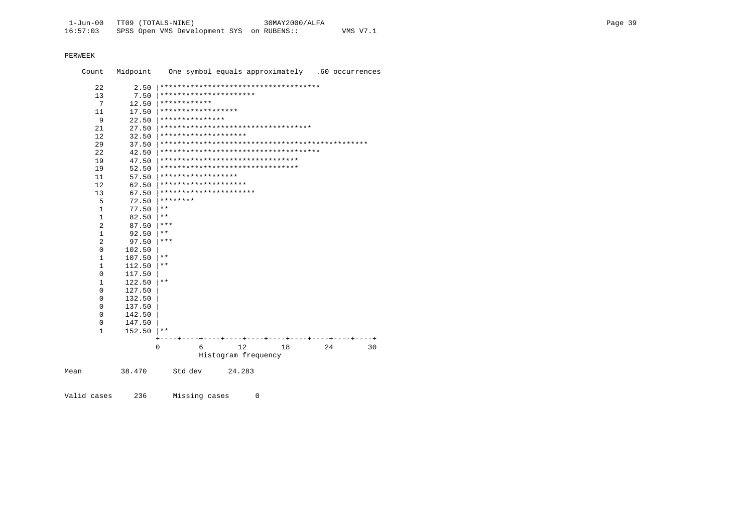Mean

| Count          | Midpoint | One symbol equals approximately .60 occurrences |
|----------------|----------|-------------------------------------------------|
| 22             | 2.50     | **************************************          |
| 13             | 7.50     | **********************                          |
| 7              | 12.50    | ************                                    |
| 11             | 17.50    | ******************                              |
| 9              | 22.50    | ***************                                 |
| 21             | 27.50    | ***********************************             |
| 12             | 32.50    | ********************                            |
| 29             | 37.50    |                                                 |
| 22             | 42.50    | *************************************           |
| 19             | 47.50    | ********************************                |
| 19             | 52.50    | ********************************                |
| 11             | 57.50    | * * * * * * * * * * * * * * * * * *             |
| 12             | 62.50    | ********************                            |
| 13             | 67.50    | **********************                          |
| 5              | 72.50    | ********                                        |
| $\mathbf{1}$   | 77.50    | $* *$                                           |
| $\mathbf{1}$   | 82.50    | $* *$                                           |
| 2              | 87.50    | ***                                             |
| $\mathbf{1}$   | 92.50    | $***$                                           |
| $\overline{2}$ | 97.50    | ***                                             |
| $\mathbf 0$    | 102.50   |                                                 |
| $\mathbf{1}$   | 107.50   | $***$                                           |
| $\mathbf{1}$   | 112.50   | $***$                                           |
| 0              | 117.50   |                                                 |
| 1              | 122.50   | $* *$                                           |
| 0              | 127.50   |                                                 |
| 0              | 132.50   |                                                 |
| 0              | 137.50   |                                                 |
| 0              | 142.50   |                                                 |
| 0              | 147.50   |                                                 |
| $\mathbf{1}$   | 152.50   | $***$                                           |
|                |          | 12<br>18<br>0<br>6<br>24<br>30                  |
|                |          | Histogram frequency                             |
| n              | 38.470   | Std dev<br>24.283                               |

Valid cases 236 Missing cases  $\overline{0}$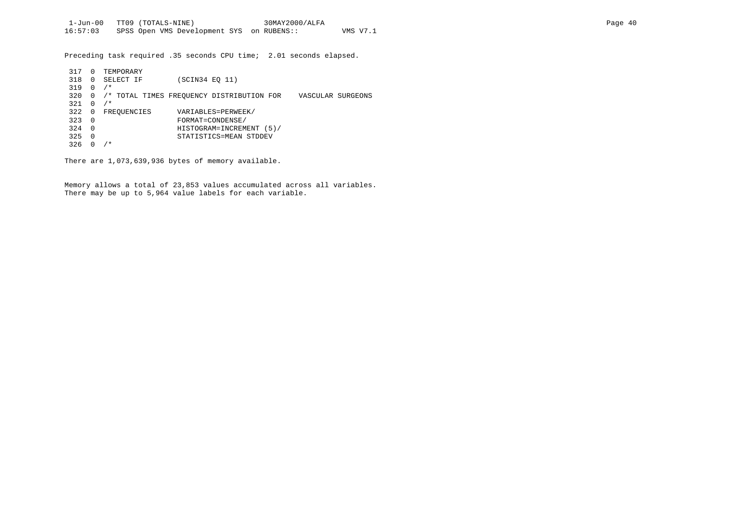Preceding task required .35 seconds CPU time; 2.01 seconds elapsed.

| 317 | $\Omega$       | TEMPORARY   |                                                                |  |
|-----|----------------|-------------|----------------------------------------------------------------|--|
| 318 | $\Omega$       | SELECT IF   | (SCIN34 EO 11)                                                 |  |
| 319 | $\Omega$       | $/$ *       |                                                                |  |
| 320 | 0              |             | /* TOTAL TIMES FREOUENCY DISTRIBUTION FOR<br>VASCULAR SURGEONS |  |
| 321 | $\Omega$       | $/$ *       |                                                                |  |
| 322 | 0              | FREOUENCIES | VARIABLES=PERWEEK/                                             |  |
| 323 | $\overline{0}$ |             | FORMAT=CONDENSE/                                               |  |
| 324 | $\Omega$       |             | HISTOGRAM=INCREMENT (5)/                                       |  |
| 325 | $\Omega$       |             | STATISTICS=MEAN STDDEV                                         |  |
| 326 |                | $\star$     |                                                                |  |

There are 1,073,639,936 bytes of memory available.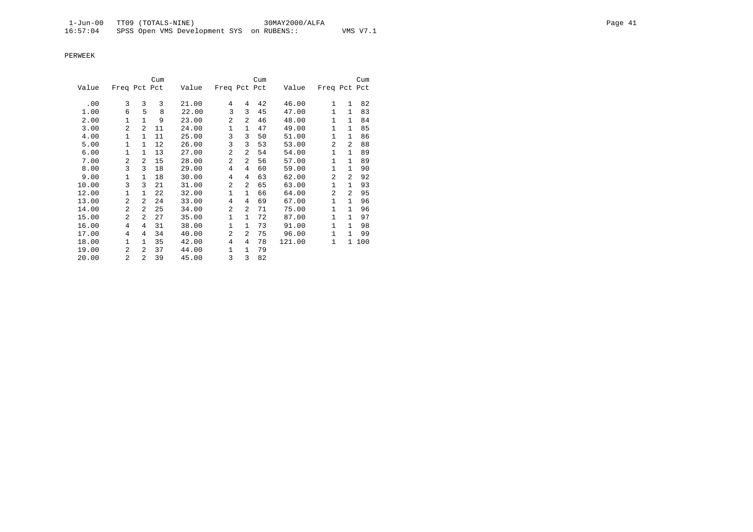|       |                |                | Cum |       |                |                | Cum |        |                |                | Cum |
|-------|----------------|----------------|-----|-------|----------------|----------------|-----|--------|----------------|----------------|-----|
| Value | Freq Pct Pct   |                |     | Value | Freq Pct Pct   |                |     | Value  | Freq Pct Pct   |                |     |
|       |                |                |     |       |                |                |     |        |                |                |     |
| .00   | 3              | 3              | 3   | 21.00 | 4              | 4              | 42  | 46.00  | 1              | 1              | 82  |
| 1.00  | 6              | 5              | 8   | 22.00 | 3              | 3              | 45  | 47.00  | 1              | $\mathbf{1}$   | 83  |
| 2.00  | $\mathbf{1}$   | $\mathbf{1}$   | 9   | 23.00 | $\overline{a}$ | 2              | 46  | 48.00  | $\mathbf{1}$   | $\mathbf{1}$   | 84  |
| 3.00  | $\overline{a}$ | $\overline{a}$ | 11  | 24.00 | $\mathbf{1}$   | 1              | 47  | 49.00  | 1              | $\mathbf{1}$   | 85  |
| 4.00  | $\mathbf{1}$   | $\mathbf{1}$   | 11  | 25.00 | 3              | 3              | 50  | 51.00  | $\mathbf{1}$   | $\mathbf{1}$   | 86  |
| 5.00  | 1              | $\mathbf{1}$   | 12  | 26.00 | 3              | 3              | 53  | 53.00  | $\overline{a}$ | $\overline{a}$ | 88  |
| 6.00  | $\mathbf{1}$   | $\mathbf{1}$   | 13  | 27.00 | $\overline{a}$ | 2              | 54  | 54.00  | 1              | $\mathbf{1}$   | 89  |
| 7.00  | 2              | $\overline{a}$ | 15  | 28.00 | $\overline{a}$ | $\overline{a}$ | 56  | 57.00  | $\mathbf{1}$   | $\mathbf{1}$   | 89  |
| 8.00  | 3              | 3              | 18  | 29.00 | 4              | 4              | 60  | 59.00  | $\mathbf{1}$   | $\mathbf{1}$   | 90  |
| 9.00  | 1              | $\mathbf{1}$   | 18  | 30.00 | 4              | 4              | 63  | 62.00  | $\overline{a}$ | 2              | 92  |
| 10.00 | 3              | 3              | 21  | 31.00 | $\overline{a}$ | 2              | 65  | 63.00  | 1              | $\mathbf{1}$   | 93  |
| 12.00 | $\mathbf{1}$   | $\mathbf{1}$   | 22  | 32.00 | $\mathbf{1}$   | 1              | 66  | 64.00  | $\overline{2}$ | 2              | 95  |
| 13.00 | 2              | $\mathfrak{D}$ | 24  | 33.00 | 4              | 4              | 69  | 67.00  | 1              | $\mathbf{1}$   | 96  |
| 14.00 | $\mathfrak{D}$ | $\mathfrak{D}$ | 25  | 34.00 | 2              | 2              | 71  | 75.00  | 1              | $\mathbf{1}$   | 96  |
| 15.00 | $\overline{a}$ | $\mathfrak{D}$ | 27  | 35.00 | 1              | 1              | 72  | 87.00  | $\mathbf{1}$   | $\mathbf{1}$   | 97  |
| 16.00 | 4              | 4              | 31  | 38.00 | 1              | $\mathbf{1}$   | 73  | 91.00  | $\mathbf{1}$   | $\mathbf{1}$   | 98  |
| 17.00 | 4              | 4              | 34  | 40.00 | $\overline{a}$ | 2              | 75  | 96.00  | 1              | $\mathbf{1}$   | 99  |
| 18.00 | 1              | $\mathbf{1}$   | 35  | 42.00 | 4              | 4              | 78  | 121.00 | 1              | $\mathbf{1}$   | 100 |
| 19.00 | 2              | $\mathfrak{D}$ | 37  | 44.00 | $\mathbf{1}$   | 1              | 79  |        |                |                |     |
| 20.00 | 2              | $\mathfrak{D}$ | 39  | 45.00 | 3              | 3              | 82  |        |                |                |     |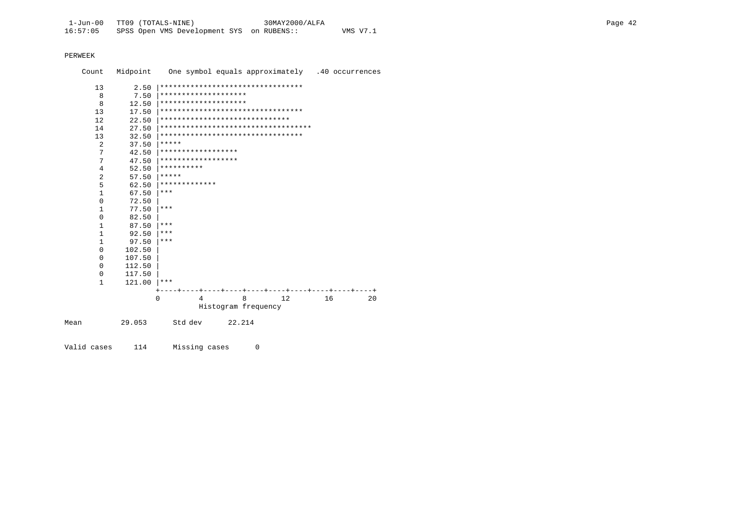| Count        | Midpoint |                                     | One symbol equals approximately .40 occurrences |    |    |    |  |  |  |  |  |  |  |
|--------------|----------|-------------------------------------|-------------------------------------------------|----|----|----|--|--|--|--|--|--|--|
| 13           | 2.50     | *********************************   |                                                 |    |    |    |  |  |  |  |  |  |  |
| 8            | 7.50     | ********************                |                                                 |    |    |    |  |  |  |  |  |  |  |
| 8            | 12.50    |                                     | ********************                            |    |    |    |  |  |  |  |  |  |  |
| 13           | 17.50    | *********************************   |                                                 |    |    |    |  |  |  |  |  |  |  |
| 12           | 22.50    | ******************************      |                                                 |    |    |    |  |  |  |  |  |  |  |
| 14           | 27.50    | *********************************** |                                                 |    |    |    |  |  |  |  |  |  |  |
| 13           | 32.50    | *********************************   |                                                 |    |    |    |  |  |  |  |  |  |  |
| 2            | 37.50    | *****                               |                                                 |    |    |    |  |  |  |  |  |  |  |
| 7            | 42.50    | ******************                  |                                                 |    |    |    |  |  |  |  |  |  |  |
| 7            | 47.50    | ******************                  |                                                 |    |    |    |  |  |  |  |  |  |  |
| 4            | 52.50    | **********                          |                                                 |    |    |    |  |  |  |  |  |  |  |
| 2            | 57.50    | *****                               |                                                 |    |    |    |  |  |  |  |  |  |  |
| 5            | 62.50    | *************                       |                                                 |    |    |    |  |  |  |  |  |  |  |
| 1            | 67.50    | ***                                 |                                                 |    |    |    |  |  |  |  |  |  |  |
| $\Omega$     | 72.50    |                                     |                                                 |    |    |    |  |  |  |  |  |  |  |
| 1            | 77.50    | ***                                 |                                                 |    |    |    |  |  |  |  |  |  |  |
| 0            | 82.50    |                                     |                                                 |    |    |    |  |  |  |  |  |  |  |
| 1            | 87.50    | ***                                 |                                                 |    |    |    |  |  |  |  |  |  |  |
| $\mathbf{1}$ | 92.50    | $***$                               |                                                 |    |    |    |  |  |  |  |  |  |  |
| 1            | 97.50    | ***                                 |                                                 |    |    |    |  |  |  |  |  |  |  |
| 0            | 102.50   |                                     |                                                 |    |    |    |  |  |  |  |  |  |  |
| $\Omega$     | 107.50   |                                     |                                                 |    |    |    |  |  |  |  |  |  |  |
| $\Omega$     | 112.50   |                                     |                                                 |    |    |    |  |  |  |  |  |  |  |
| 0            | 117.50   |                                     |                                                 |    |    |    |  |  |  |  |  |  |  |
| 1            | 121.00   | $***$                               |                                                 |    |    |    |  |  |  |  |  |  |  |
|              |          |                                     |                                                 |    |    |    |  |  |  |  |  |  |  |
|              |          | $\Omega$<br>4                       | 8                                               | 12 | 16 | 20 |  |  |  |  |  |  |  |
|              |          |                                     | Histogram frequency                             |    |    |    |  |  |  |  |  |  |  |
| Mean         | 29.053   | Std dev                             | 22.214                                          |    |    |    |  |  |  |  |  |  |  |
|              |          |                                     |                                                 |    |    |    |  |  |  |  |  |  |  |

Valid cases 114 Missing cases  $\overline{0}$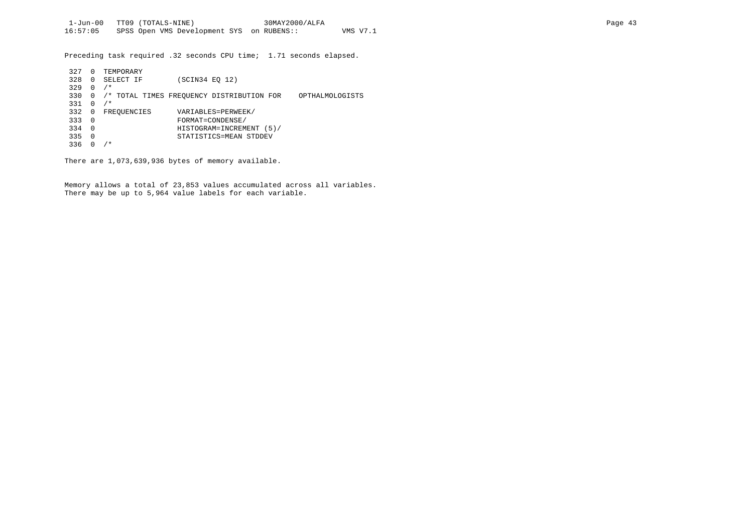Preceding task required .32 seconds CPU time; 1.71 seconds elapsed.

| 327 | $\Omega$ | TEMPORARY   |                |                                           |                 |
|-----|----------|-------------|----------------|-------------------------------------------|-----------------|
| 328 | 0        | SELECT IF   | (SCIN34 EO 12) |                                           |                 |
| 329 | 0        | $/$ *       |                |                                           |                 |
| 330 | $\Omega$ |             |                | /* TOTAL TIMES FREOUENCY DISTRIBUTION FOR | OPTHALMOLOGISTS |
| 331 | $\Omega$ | $/$ *       |                |                                           |                 |
| 332 | 0        | FREOUENCIES |                | VARIABLES=PERWEEK/                        |                 |
| 333 | - 0      |             |                | FORMAT=CONDENSE/                          |                 |
| 334 | $\Omega$ |             |                | HISTOGRAM=INCREMENT (5)/                  |                 |
| 335 | 0        |             |                | STATISTICS=MEAN STDDEV                    |                 |
| 336 |          | / *         |                |                                           |                 |

There are 1,073,639,936 bytes of memory available.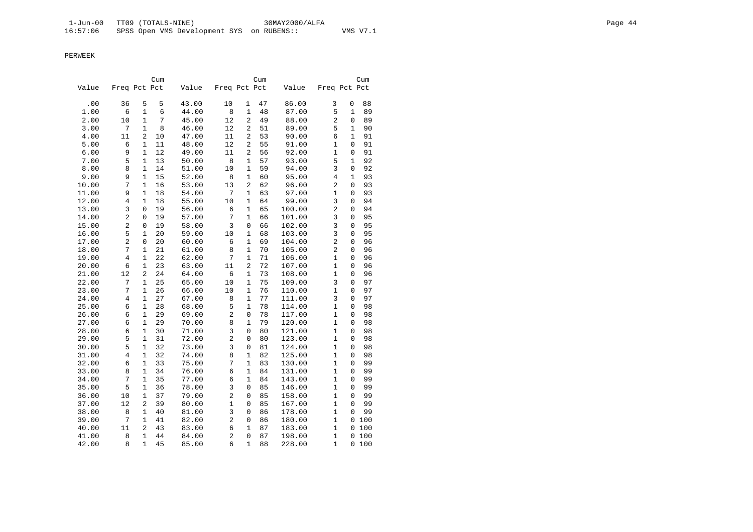|       |                |                | Cum |       |                |                | Cum |        |                |              | Cum   |
|-------|----------------|----------------|-----|-------|----------------|----------------|-----|--------|----------------|--------------|-------|
| Value | Freq Pct Pct   |                |     | Value | Freq Pct Pct   |                |     | Value  | Freq Pct Pct   |              |       |
| .00   | 36             | 5              | 5   | 43.00 | 10             | $\mathbf{1}$   | 47  | 86.00  | 3              | 0            | 88    |
| 1.00  | 6              | 1              | 6   | 44.00 | 8              | $\mathbf{1}$   | 48  | 87.00  | 5              | $\mathbf{1}$ | 89    |
| 2.00  | 10             | $\mathbf 1$    | 7   | 45.00 | 12             | 2              | 49  | 88.00  | $\overline{2}$ | 0            | 89    |
| 3.00  | 7              | $\mathbf{1}$   | 8   | 46.00 | 12             | 2              | 51  | 89.00  | 5              | 1            | 90    |
| 4.00  | 11             | 2              | 10  | 47.00 | 11             | $\overline{a}$ | 53  | 90.00  | 6              | 1            | 91    |
| 5.00  | 6              | 1              | 11  | 48.00 | 12             | $\overline{a}$ | 55  | 91.00  | 1              | 0            | 91    |
| 6.00  | 9              | $\mathbf{1}$   | 12  | 49.00 | 11             | 2              | 56  | 92.00  | 1              | 0            | 91    |
| 7.00  | 5              | $\mathbf{1}$   | 13  | 50.00 | 8              | $\mathbf{1}$   | 57  | 93.00  | 5              | 1            | 92    |
| 8.00  | 8              | 1              | 14  | 51.00 | 10             | $\mathbf{1}$   | 59  | 94.00  | 3              | 0            | 92    |
| 9.00  | 9              | $\mathbf{1}$   | 15  | 52.00 | 8              | $\mathbf{1}$   | 60  | 95.00  | 4              | 1            | 93    |
| 10.00 | 7              | $\mathbf{1}$   | 16  | 53.00 | 13             | 2              | 62  | 96.00  | 2              | 0            | 93    |
| 11.00 | 9              | $\mathbf{1}$   | 18  | 54.00 | 7              | $\mathbf{1}$   | 63  | 97.00  | 1              | 0            | 93    |
| 12.00 | 4              | $\mathbf{1}$   | 18  | 55.00 | 10             | $\mathbf{1}$   | 64  | 99.00  | 3              | 0            | 94    |
| 13.00 | 3              | 0              | 19  | 56.00 | 6              | $\mathbf 1$    | 65  | 100.00 | $\overline{2}$ | 0            | 94    |
| 14.00 | $\overline{c}$ | 0              | 19  | 57.00 | 7              | $\mathbf{1}$   | 66  | 101.00 | 3              | 0            | 95    |
| 15.00 | $\overline{c}$ | 0              | 19  | 58.00 | 3              | $\mathsf 0$    | 66  | 102.00 | 3              | 0            | 95    |
| 16.00 | 5              | $\mathbf{1}$   | 20  | 59.00 | 10             | $\mathbf{1}$   | 68  | 103.00 | 3              | 0            | 95    |
| 17.00 | $\overline{c}$ | 0              | 20  | 60.00 | 6              | $\mathbf{1}$   | 69  | 104.00 | $\overline{2}$ | 0            | 96    |
| 18.00 | 7              | $\mathbf 1$    | 21  | 61.00 | 8              | $\mathbf{1}$   | 70  | 105.00 | $\overline{2}$ | 0            | 96    |
| 19.00 | 4              | $\mathbf 1$    | 22  | 62.00 | 7              | $\mathbf{1}$   | 71  | 106.00 | 1              | 0            | 96    |
| 20.00 | 6              | $\mathbf{1}$   | 23  | 63.00 | 11             | $\overline{2}$ | 72  | 107.00 | 1              | 0            | 96    |
| 21.00 | 12             | 2              | 24  | 64.00 | 6              | $\mathbf{1}$   | 73  | 108.00 | $\mathbf{1}$   | 0            | 96    |
| 22.00 | 7              | $\mathbf{1}$   | 25  | 65.00 | 10             | $\mathbf{1}$   | 75  | 109.00 | 3              | 0            | 97    |
| 23.00 | 7              | $\mathbf{1}$   | 26  | 66.00 | 10             | $\mathbf{1}$   | 76  | 110.00 | 1              | 0            | 97    |
| 24.00 | 4              | $\mathbf{1}$   | 27  | 67.00 | 8              | $\mathbf{1}$   | 77  | 111.00 | 3              | 0            | 97    |
| 25.00 | 6              | 1              | 28  | 68.00 | 5              | $\mathbf{1}$   | 78  | 114.00 | 1              | 0            | 98    |
| 26.00 | 6              | $\mathbf{1}$   | 29  | 69.00 | $\overline{c}$ | $\mathbf 0$    | 78  | 117.00 | 1              | 0            | 98    |
| 27.00 | 6              | 1              | 29  | 70.00 | 8              | $\mathbf{1}$   | 79  | 120.00 | 1              | 0            | 98    |
| 28.00 | 6              | 1              | 30  | 71.00 | 3              | 0              | 80  | 121.00 | 1              | $\Omega$     | 98    |
| 29.00 | 5              | 1              | 31  | 72.00 | 2              | $\mathbf 0$    | 80  | 123.00 | 1              | 0            | 98    |
| 30.00 | 5              | $\mathbf{1}$   | 32  | 73.00 | 3              | 0              | 81  | 124.00 | 1              | 0            | 98    |
| 31.00 | 4              | 1              | 32  | 74.00 | 8              | $\mathbf{1}$   | 82  | 125.00 | $\mathbf 1$    | 0            | 98    |
| 32.00 | 6              | 1              | 33  | 75.00 | 7              | 1              | 83  | 130.00 | 1              | 0            | 99    |
| 33.00 | 8              | 1              | 34  | 76.00 | 6              | $\mathbf{1}$   | 84  | 131.00 | 1              | 0            | 99    |
| 34.00 | 7              | $\mathbf{1}$   | 35  | 77.00 | 6              | $\mathbf{1}$   | 84  | 143.00 | 1              | 0            | 99    |
| 35.00 | 5              | $\mathbf 1$    | 36  | 78.00 | 3              | $\mathsf 0$    | 85  | 146.00 | 1              | 0            | 99    |
| 36.00 | 10             | 1              | 37  | 79.00 | $\overline{c}$ | $\mathbf 0$    | 85  | 158.00 | 1              | 0            | 99    |
| 37.00 | 12             | $\overline{a}$ | 39  | 80.00 | 1              | $\mathbf 0$    | 85  | 167.00 | 1              | 0            | 99    |
| 38.00 | 8              | $\mathbf{1}$   | 40  | 81.00 | 3              | $\mathbf 0$    | 86  | 178.00 | 1              | 0            | 99    |
| 39.00 | 7              | 1              | 41  | 82.00 | $\overline{c}$ | $\mathsf 0$    | 86  | 180.00 | 1              |              | 0 100 |
| 40.00 | 11             | 2              | 43  | 83.00 | 6              | 1              | 87  | 183.00 | 1              | 0            | 100   |
| 41.00 | 8              | $\mathbf{1}$   | 44  | 84.00 | $\overline{c}$ | $\mathbf 0$    | 87  | 198.00 | $\mathbf{1}$   | 0            | 100   |
| 42.00 | 8              | $\mathbf{1}$   | 45  | 85.00 | 6              | 1              | 88  | 228.00 | 1              | 0            | 100   |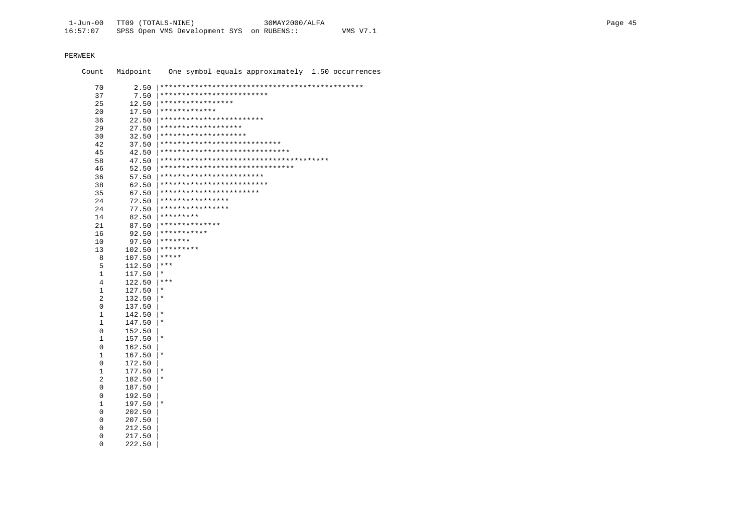Midpoint One symbol equals approximately 1.50 occurrences Count 70 |<br>|\*\*\*\*\*\*\*\*\*\*\*\*\*\*\*\*\*\*\*\*\*\*\*\*\*\*  $37$ 7.50  $12.50$  |\*\*\*\*\*\*\*\*\*\*\*\*\*\*\*\*\*\* 25  $17.50$  |\*\*\*\*\*\*\*\*\*\*\*\*\*\*  $20$  $22.50$  \*\*\*\*\*\*\*\*\*\*\*\*\*\*\*\*\*\*\*\*\*\*\*\*\* 36  $27.50$  \*\*\*\*\*\*\*\*\*\*\*\*\*\*\*\*\*\*\*\* 2.9  $32.50$  \*\*\*\*\*\*\*\*\*\*\*\*\*\*\*\*\*\*\*\*\*  $30$  $37.50$  \*\*\*\*\*\*\*\*\*\*\*\*\*\*\*\*\*\*\*\*\*\*\*\*\*\*\*\*\*\*  $42.$  $42.50$  \*\*\*\*\*\*\*\*\*\*\*\*\*\*\*\*\*\*\*\*\*\*\*\*\*\*\*\*\*\*\* 45 58 46  $57.50$  \*\*\*\*\*\*\*\*\*\*\*\*\*\*\*\*\*\*\*\*\*\*\*\*\*\*  $36$ 62.50 \*\*\*\*\*\*\*\*\*\*\*\*\*\*\*\*\*\*\*\*\*\*\*\*\*\* 38  $67.50$   $***********************************$ 35  $72.50$  |\*\*\*\*\*\*\*\*\*\*\*\*\*\*\*\*\* 24  $77.50$  \*\*\*\*\*\*\*\*\*\*\*\*\*\*\*\*\* 24 82.50 |\*\*\*\*\*\*\*\*\* 14  $87.50$  \*\*\*\*\*\*\*\*\*\*\*\*\*\*\* 21  $92.50$  \*\*\*\*\*\*\*\*\*\*\*\*  $16$  $97.50$  \*\*\*\*\*\*\*  $10$  $102.50$  \*\*\*\*\*\*\*\*\* 13  $107.50$  |\*\*\*\*\* 8  $112.50$   $***$  $5^{\circ}$  $\mathbf{1}$  $117.50$  |\*  $\overline{4}$  $122.50$  |\*\*\*  $\mathbf{1}$ 127.50  $\star$  $\overline{2}$ 132.50 i∗  $\mathbf 0$ 137.50  $\mathbf{1}$  $142.50$  |  $\star$  $\mathbf{1}$  $\mathbf{r}$ 147.50  $\Omega$ 152.50  $\mathbf{1}$ 157.50  $\vert \star$  $\Omega$ 162.50  $\overline{1}$  $167.50$  |\*  $\mathbf{0}$ 172.50  $\mathbf{1}$  $177.50$  $\star$  $\overline{2}$  $182.50 \pm$  $\mathbf{0}$ 187.50  $\Omega$ 192.50  $197.50$  $\mathbf{1}$  $\star$  $\cap$ 202.50  $\Omega$ 207.50

 $\overline{0}$ 212.50  $\mathbf 0$ 217.50

 $\mathsf{O}$ 222.50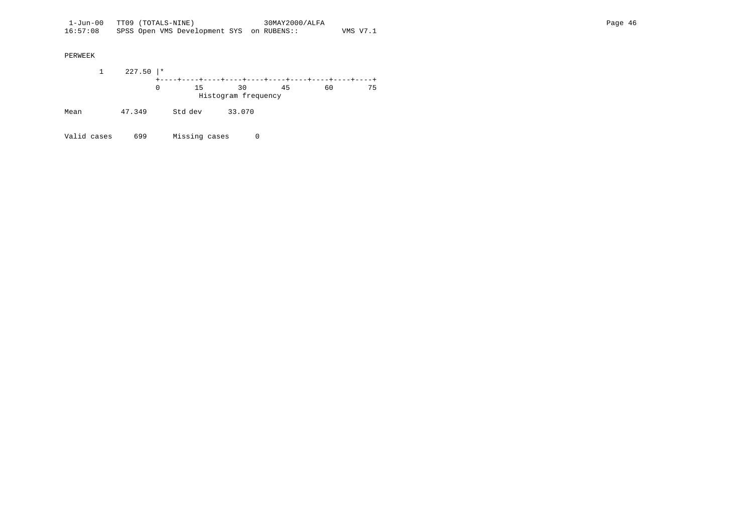1 227.50 |\* +----+----+----+----+----+----+----+----+----+----+ 0 15 30 45 60 75 Histogram frequency Mean 47.349 Std dev 33.070

Valid cases 699 Missing cases 0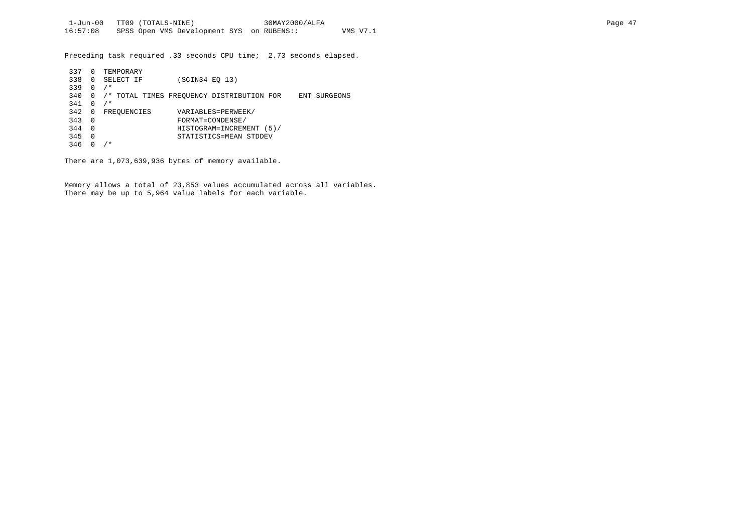Preceding task required .33 seconds CPU time; 2.73 seconds elapsed.

| 337 | 0        | TEMPORARY   |                                                           |
|-----|----------|-------------|-----------------------------------------------------------|
| 338 | 0        | SELECT IF   | (SCIN34 EO 13)                                            |
| 339 | 0        | $/$ *       |                                                           |
| 340 | 0        |             | /* TOTAL TIMES FREOUENCY DISTRIBUTION FOR<br>ENT SURGEONS |
| 341 | 0        | $/$ *       |                                                           |
| 342 | 0        | FREQUENCIES | VARIABLES=PERWEEK/                                        |
| 343 | $\Omega$ |             | FORMAT=CONDENSE/                                          |
| 344 | $\Omega$ |             | HISTOGRAM=INCREMENT<br>(5)                                |
| 345 | 0        |             | STATISTICS=MEAN STDDEV                                    |
| 346 |          | $/$ *       |                                                           |

There are 1,073,639,936 bytes of memory available.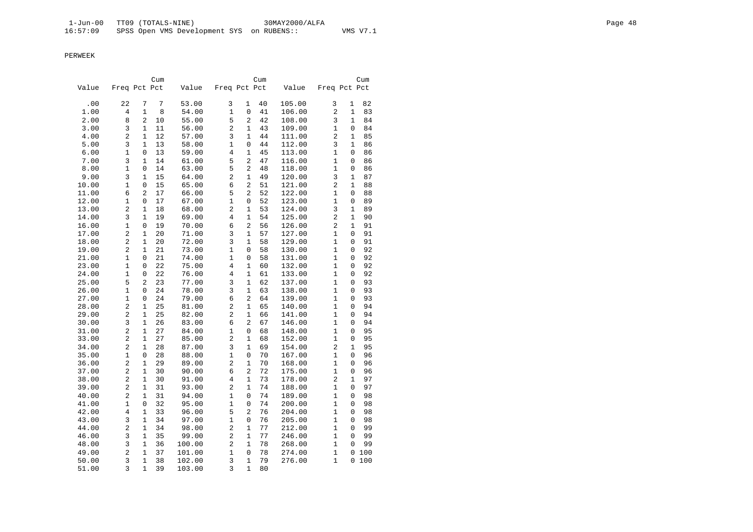|                                                                                             |                | Cum                |
|---------------------------------------------------------------------------------------------|----------------|--------------------|
| Freq Pct Pct<br>Freq Pct Pct<br>Value<br>Value<br>Value                                     | Freq Pct Pct   |                    |
| 22<br>7<br>3<br>105.00<br>.00<br>7<br>53.00<br>$\mathbf{1}$<br>40                           | 3              | 1<br>82            |
| 1.00<br>4<br>$\mathbf{1}$<br>8<br>54.00<br>1<br>$\mathsf 0$<br>41<br>106.00                 | $\overline{2}$ | 1<br>83            |
| 2.00<br>5<br>$\overline{2}$<br>8<br>2<br>55.00<br>42<br>108.00<br>10                        | 3              | 1<br>84            |
| 3<br>56.00<br>2<br>$\mathbf{1}$<br>109.00<br>3.00<br>1<br>11<br>43                          | 1              | 0<br>84            |
| 2<br>3<br>4.00<br>$\mathbf 1$<br>12<br>57.00<br>$\mathbf{1}$<br>44<br>111.00                | 2              | 1<br>85            |
| 5.00<br>3<br>1<br>58.00<br>1<br>$\mathsf 0$<br>112.00<br>13<br>44                           | 3              | 1<br>86            |
| 1<br>4<br>$\mathbf{1}$<br>6.00<br>0<br>13<br>59.00<br>45<br>113.00                          | 1              | 0<br>86            |
| 3<br>5<br>$\overline{2}$<br>7.00<br>$\mathbf 1$<br>14<br>61.00<br>47<br>116.00              | 1              | 0<br>86            |
| 1<br>63.00<br>5<br>2<br>8.00<br>0<br>14<br>48<br>118.00                                     | 1              | 0<br>86            |
| 9.00<br>3<br>$\mathbf{1}$<br>2<br>$\mathbf{1}$<br>49<br>120.00<br>15<br>64.00               | 3              | $\mathbf{1}$<br>87 |
| 10.00<br>$\overline{2}$<br>1<br>0<br>15<br>65.00<br>6<br>51<br>121.00                       | 2              | 1<br>88            |
| 5<br>$\overline{2}$<br>11.00<br>6<br>2<br>17<br>66.00<br>52<br>122.00                       | 1              | 0<br>88            |
| 12.00<br>$\mathbf{1}$<br>17<br>1<br>123.00<br>0<br>67.00<br>0<br>52                         | 1              | 0<br>89            |
| 2<br>2<br>13.00<br>$\mathbf 1$<br>18<br>68.00<br>$\mathbf{1}$<br>53<br>124.00               | 3              | 1<br>89            |
| 125.00<br>14.00<br>3<br>1<br>19<br>69.00<br>4<br>$\mathbf{1}$<br>54                         | 2              | 1<br>90            |
| 70.00<br>6<br>$\overline{a}$<br>56<br>16.00<br>1<br>0<br>19<br>126.00                       | 2              | 1<br>91            |
| 2<br>3<br>17.00<br>$\mathbf{1}$<br>20<br>71.00<br>$\mathbf{1}$<br>57<br>127.00              | 1              | 0<br>91            |
| 2<br>3<br>18.00<br>20<br>72.00<br>$\mathbf{1}$<br>58<br>129.00<br>1                         | 1              | 91<br>0            |
| 2<br>1<br>$\mathbf 0$<br>130.00<br>19.00<br>1<br>21<br>73.00<br>58                          | 1              | 0<br>92            |
| $\mathbf 1$<br>21.00<br>1<br>21<br>74.00<br>$\mathbf 0$<br>58<br>131.00<br>0                | 1              | 0<br>92            |
| 23.00<br>1<br>0<br>22<br>75.00<br>4<br>1<br>132.00<br>60                                    | 1              | 92<br>0            |
| 1<br>$\overline{4}$<br>$\mathbf{1}$<br>24.00<br>0<br>22<br>76.00<br>61<br>133.00            | 1              | $\Omega$<br>92     |
| 5<br>3<br>25.00<br>2<br>23<br>77.00<br>$\mathbf{1}$<br>62<br>137.00                         | 1              | 0<br>93            |
| 1<br>24<br>78.00<br>3<br>$\mathbf{1}$<br>138.00<br>26.00<br>0<br>63                         | 1              | 93<br>0            |
| $\mathbf{1}$<br>24<br>79.00<br>6<br>$\overline{2}$<br>139.00<br>27.00<br>$\Omega$<br>64     | 1              | 93<br>$\Omega$     |
| 28.00<br>2<br>$\mathbf 1$<br>25<br>81.00<br>2<br>$\mathbf{1}$<br>65<br>140.00               | 1              | 0<br>94            |
| 2<br>$\overline{c}$<br>29.00<br>$\mathbf 1$<br>25<br>82.00<br>$\mathbf{1}$<br>66<br>141.00  | 1              | 94<br>0            |
| 30.00<br>3<br>$\mathbf{1}$<br>26<br>83.00<br>6<br>$\overline{2}$<br>146.00<br>67            | 1              | 0<br>94            |
| 2<br>$\mathbf{1}$<br>31.00<br>$\mathbf{1}$<br>27<br>84.00<br>0<br>68<br>148.00              | $\mathbf{1}$   | 95<br>0            |
| 2<br>2<br>$\mathbf{1}$<br>33.00<br>$\mathbf{1}$<br>27<br>85.00<br>152.00<br>68              | 1              | 95<br>0            |
| 3<br>2<br>154.00<br>34.00<br>1<br>28<br>87.00<br>1<br>69                                    | 2              | 1<br>95            |
| $\mathbf{1}$<br>167.00<br>35.00<br>1<br>0<br>28<br>88.00<br>$\mathbf 0$<br>70               | 1              | 0<br>96            |
| 2<br>$\overline{c}$<br>36.00<br>$\mathbf 1$<br>29<br>89.00<br>$\mathbf{1}$<br>70<br>168.00  | 1              | 96<br>0            |
| 37.00<br>2<br>90.00<br>6<br>2<br>72<br>175.00<br>1<br>30                                    | 1              | 0<br>96            |
| 2<br>$\overline{4}$<br>38.00<br>$\mathbf{1}$<br>30<br>91.00<br>$\mathbf{1}$<br>73<br>178.00 | $\overline{2}$ | 1<br>97            |
| 2<br>$\overline{c}$<br>39.00<br>1<br>31<br>93.00<br>1<br>74<br>188.00                       | 1              | 0<br>97            |
| 2<br>31<br>94.00<br>1<br>74<br>189.00<br>40.00<br>1<br>0                                    | 1              | 0<br>98            |
| $\mathbf{1}$<br>$\mathbf{1}$<br>41.00<br>0<br>32<br>95.00<br>$\mathbf 0$<br>74<br>200.00    | $\mathbf{1}$   | 0<br>98            |
| 42.00<br>4<br>$\mathbf{1}$<br>33<br>96.00<br>5<br>2<br>76<br>204.00                         | 1              | 98<br>0            |
| 3<br>97.00<br>1<br>$\mathsf 0$<br>76<br>205.00<br>43.00<br>1<br>34                          | 1              | 0<br>98            |
| 2<br>$\overline{c}$<br>44.00<br>$\mathbf{1}$<br>34<br>98.00<br>$\mathbf{1}$<br>77<br>212.00 | 1              | 0<br>99            |
| 3<br>2<br>77<br>46.00<br>$\mathbf 1$<br>35<br>99.00<br>$\mathbf{1}$<br>246.00               | 1              | 99<br>0            |
| 3<br>$\mathbf{1}$<br>100.00<br>2<br>$\mathbf{1}$<br>78<br>48.00<br>36<br>268.00             | 1              | 99<br>0            |
| 2<br>101.00<br>$\mathbf{1}$<br>274.00<br>49.00<br>$\mathbf{1}$<br>37<br>$\mathbf 0$<br>78   | $\mathbf{1}$   | 0<br>100           |
| 3<br>3<br>$\mathbf{1}$<br>50.00<br>$\mathbf 1$<br>38<br>102.00<br>79<br>276.00              | 1              | 0<br>100           |
| 3<br>3<br>$\mathbf 1$<br>39<br>1<br>80<br>51.00<br>103.00                                   |                |                    |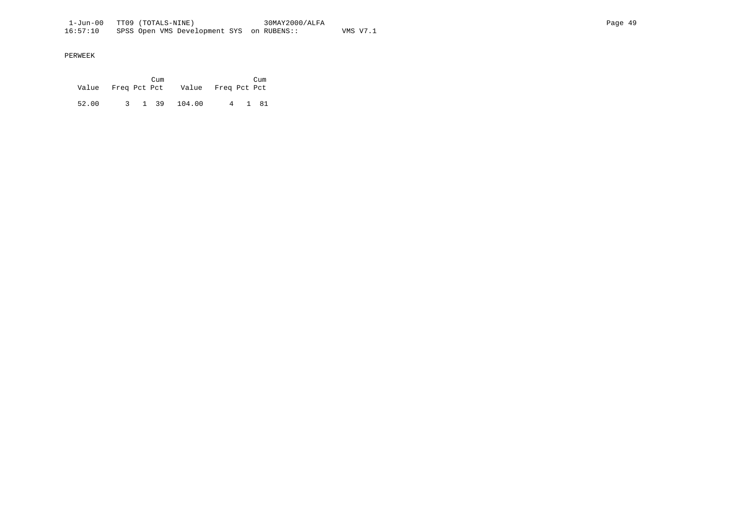|       |  | Cum |                                       |  | Cum    |
|-------|--|-----|---------------------------------------|--|--------|
|       |  |     | Value Freq Pct Pct Value Freq Pct Pct |  |        |
|       |  |     |                                       |  |        |
| 52.00 |  |     | 3 1 39 104.00                         |  | 4 1 81 |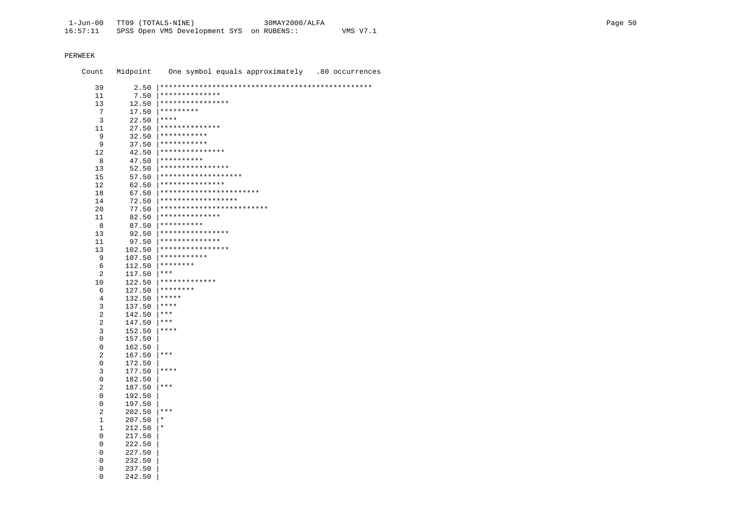$\overline{0}$ 

242.50

Midpoint One symbol equals approximately .80 occurrences Count 39  $7.50$  \*\*\*\*\*\*\*\*\*\*\*\*\*\*\*  $11$  $12.50$  |\*\*\*\*\*\*\*\*\*\*\*\*\*\*\*\*\* 13  $17.50$  \*\*\*\*\*\*\*\*\*  $7^{\circ}$  $22.50$  | \*\*\*\*  $\overline{3}$  $27.50$  \*\*\*\*\*\*\*\*\*\*\*\*\*\*\* 11  $32.50$  \*\*\*\*\*\*\*\*\*\*\* 9  $37.50$  \*\*\*\*\*\*\*\*\*\*\*  $\overline{9}$  $42.50$  \*\*\*\*\*\*\*\*\*\*\*\*\*\*\*\*  $12$  $47.50$  \*\*\*\*\*\*\*\*\*\*  $\mathsf{R}$  $52.50$  \*\*\*\*\*\*\*\*\*\*\*\*\*\*\*\*\*  $13$  $57.50$  \*\*\*\*\*\*\*\*\*\*\*\*\*\*\*\*\*\*\*\*  $15$  $62.50$  |\*\*\*\*\*\*\*\*\*\*\*\*\*\*\*\*  $12$  $67.50$  |\*\*\*\*\*\*\*\*\*\*\*\*\*\*\*\*\*\*\*\*\*\*\*\* 18  $72.50$  |\*\*\*\*\*\*\*\*\*\*\*\*\*\*\*\*\*\*\* 14 77.50  $***********************************$  $20$ 82.50 | \*\*\*\*\*\*\*\*\*\*\*\*\*\*\*  $11$  $87.50$  \*\*\*\*\*\*\*\*\*\* 8  $92.50$  \*\*\*\*\*\*\*\*\*\*\*\*\*\*\*\*\* 13  $97.50$  \*\*\*\*\*\*\*\*\*\*\*\*\*\*\*  $11$  $102.50$  \*\*\*\*\*\*\*\*\*\*\*\*\*\*\*\*\*  $13$  $107.50$  |\*\*\*\*\*\*\*\*\*\*\*  $9$  $112.50$  \*\*\*\*\*\*\*\*  $6^{\circ}$  $117.50$  |\*\*\* 2  $122.50$  |\*\*\*\*\*\*\*\*\*\*\*\*\* 10  $127.50$  \*\*\*\*\*\*\*\* 6  $132.50$  |\*\*\*\*\*  $\overline{4}$  $137.50$  |\*\*\*\*  $\overline{3}$  $\overline{2}$  $142.50$  |\*\*\*  $147.50$  |\*\*\*  $\overline{2}$  $\mathbf{R}$  $152.50$   $***$  $\Omega$ 157.50  $\overline{0}$ 162.50  $\overline{2}$  $167.50$  \*\*\*  $\overline{0}$ 172.50  $\overline{3}$  $177.50$  \*\*\*\*  $\overline{0}$ 182.50  $187.50$  |\*\*\*  $\overline{2}$  $\Omega$ 192.50 197.50  $\Omega$  $+***$  $\mathcal{L}$  $202.50$  $\mathbf{1}$  $207.50 \pm$  $\mathbf{1}$  $212.50$  |\*  $\overline{0}$ 217.50  $\overline{0}$ 222.50  $\mathbf{0}$ 227.50  $\mathbf{0}$ 232.50  $\mathbf{0}$ 237.50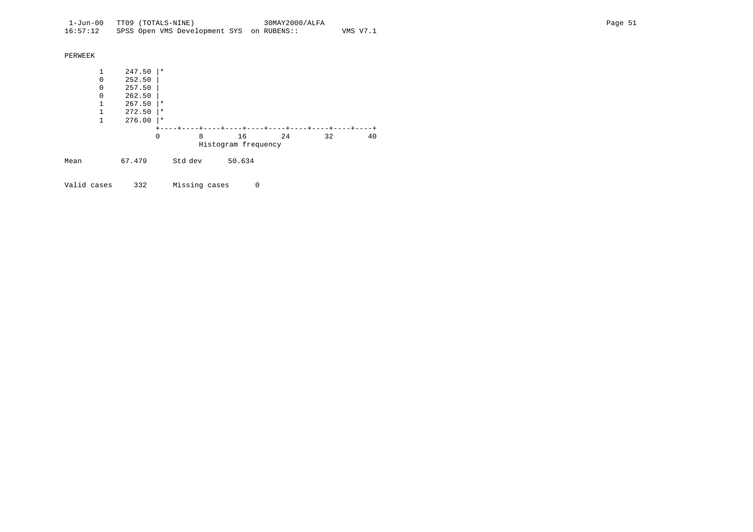| PERWEEK |              |        |          |         |                     |    |    |    |
|---------|--------------|--------|----------|---------|---------------------|----|----|----|
|         | 1            | 247.50 | $\star$  |         |                     |    |    |    |
|         | 0            | 252.50 |          |         |                     |    |    |    |
|         | 0            | 257.50 |          |         |                     |    |    |    |
|         | $\Omega$     | 262.50 |          |         |                     |    |    |    |
|         | 1            | 267.50 | $\star$  |         |                     |    |    |    |
|         | 1            | 272.50 | $\star$  |         |                     |    |    |    |
|         | $\mathbf{1}$ | 276.00 | $^\star$ |         |                     |    |    |    |
|         |              |        |          |         |                     |    |    |    |
|         |              |        | 0        | 8       | 16                  | 24 | 32 | 40 |
|         |              |        |          |         | Histogram frequency |    |    |    |
| Mean    |              | 67.479 |          | Std dev | 50.634              |    |    |    |

Valid cases 332 Missing cases 0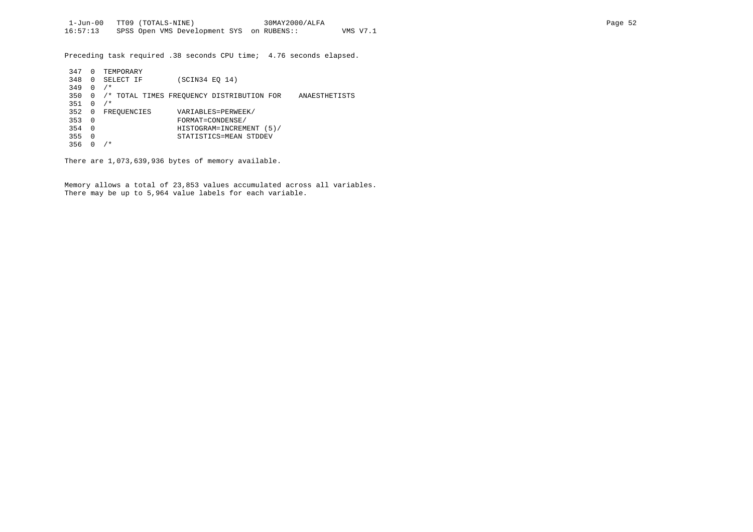Preceding task required .38 seconds CPU time; 4.76 seconds elapsed.

| 347 | 0        | TEMPORARY   |                                                            |  |
|-----|----------|-------------|------------------------------------------------------------|--|
| 348 | 0        | SELECT IF   | (SCIN34 EO 14)                                             |  |
| 349 | 0        | $/$ *       |                                                            |  |
| 350 | 0        |             | /* TOTAL TIMES FREOUENCY DISTRIBUTION FOR<br>ANAESTHETISTS |  |
| 351 | 0        | $/$ *       |                                                            |  |
| 352 | 0        | FREOUENCIES | VARIABLES=PERWEEK/                                         |  |
| 353 | 0        |             | FORMAT=CONDENSE/                                           |  |
| 354 | $\Omega$ |             | HISTOGRAM=INCREMENT (5)/                                   |  |
| 355 | 0        |             | STATISTICS=MEAN STDDEV                                     |  |
| 356 |          | $/$ *       |                                                            |  |

There are 1,073,639,936 bytes of memory available.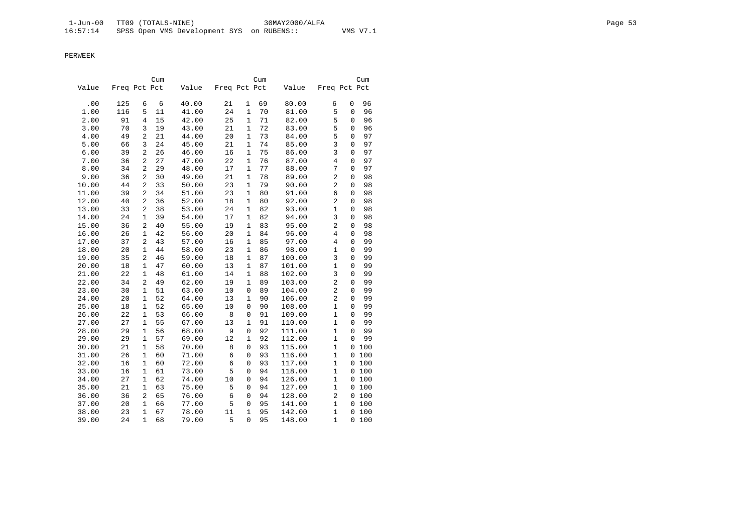|       |              |                | Cum |       |              |              | Cum |        |                |             | Cum   |
|-------|--------------|----------------|-----|-------|--------------|--------------|-----|--------|----------------|-------------|-------|
| Value | Freq Pct Pct |                |     | Value | Freq Pct Pct |              |     | Value  | Freq Pct Pct   |             |       |
| .00   | 125          | 6              | 6   | 40.00 | 21           | $\mathbf{1}$ | 69  | 80.00  | 6              | 0           | 96    |
| 1.00  | 116          | 5              | 11  | 41.00 | 24           | $\mathbf{1}$ | 70  | 81.00  | 5              | 0           | 96    |
| 2.00  | 91           | 4              | 15  | 42.00 | 25           | $\mathbf{1}$ | 71  | 82.00  | 5              | 0           | 96    |
| 3.00  | 70           | 3              | 19  | 43.00 | 21           | $\mathbf{1}$ | 72  | 83.00  | 5              | 0           | 96    |
| 4.00  | 49           | $\overline{c}$ | 21  | 44.00 | 20           | $\mathbf{1}$ | 73  | 84.00  | 5              | 0           | 97    |
| 5.00  | 66           | 3              | 24  | 45.00 | 21           | $1\,$        | 74  | 85.00  | 3              | $\mathbf 0$ | 97    |
| 6.00  | 39           | 2              | 26  | 46.00 | 16           | $\mathbf{1}$ | 75  | 86.00  | 3              | 0           | 97    |
| 7.00  | 36           | $\overline{a}$ | 27  | 47.00 | 22           | $\mathbf{1}$ | 76  | 87.00  | $\overline{4}$ | $\mathbf 0$ | 97    |
| 8.00  | 34           | 2              | 29  | 48.00 | 17           | 1            | 77  | 88.00  | 7              | $\Omega$    | 97    |
| 9.00  | 36           | $\mathbf{2}$   | 30  | 49.00 | 21           | $\mathbf{1}$ | 78  | 89.00  | $\overline{2}$ | 0           | 98    |
| 10.00 | 44           | $\mathbf{2}$   | 33  | 50.00 | 23           | $\mathbf{1}$ | 79  | 90.00  | $\overline{2}$ | 0           | 98    |
| 11.00 | 39           | $\mathbf{2}$   | 34  | 51.00 | 23           | $\mathbf{1}$ | 80  | 91.00  | 6              | 0           | 98    |
| 12.00 | 40           | 2              | 36  | 52.00 | 18           | $\mathbf{1}$ | 80  | 92.00  | $\overline{c}$ | 0           | 98    |
| 13.00 | 33           | $\mathbf{2}$   | 38  | 53.00 | 24           | $\mathbf{1}$ | 82  | 93.00  | $\mathbf{1}$   | 0           | 98    |
| 14.00 | 24           | $\mathbf{1}$   | 39  | 54.00 | 17           | $\mathbf{1}$ | 82  | 94.00  | 3              | 0           | 98    |
| 15.00 | 36           | 2              | 40  | 55.00 | 19           | 1            | 83  | 95.00  | $\overline{c}$ | 0           | 98    |
| 16.00 | 26           | $\mathbf{1}$   | 42  | 56.00 | 20           | $\mathbf{1}$ | 84  | 96.00  | $\overline{4}$ | 0           | 98    |
| 17.00 | 37           | 2              | 43  | 57.00 | 16           | $\mathbf{1}$ | 85  | 97.00  | 4              | 0           | 99    |
| 18.00 | 20           | 1              | 44  | 58.00 | 23           | $\mathbf{1}$ | 86  | 98.00  | $\mathbf{1}$   | 0           | 99    |
| 19.00 | 35           | 2              | 46  | 59.00 | 18           | $\mathbf{1}$ | 87  | 100.00 | $\overline{3}$ | 0           | 99    |
| 20.00 | 18           | $\mathbf{1}$   | 47  | 60.00 | 13           | $\mathbf{1}$ | 87  | 101.00 | $\mathbf{1}$   | 0           | 99    |
| 21.00 | 22           | $\mathbf{1}$   | 48  | 61.00 | 14           | $\mathbf{1}$ | 88  | 102.00 | 3              | $\mathbf 0$ | 99    |
| 22.00 | 34           | $\overline{a}$ | 49  | 62.00 | 19           | $\mathbf{1}$ | 89  | 103.00 | 2              | 0           | 99    |
| 23.00 | 30           | $\mathbf{1}$   | 51  | 63.00 | 10           | 0            | 89  | 104.00 | $\overline{c}$ | 0           | 99    |
| 24.00 | 20           | $\mathbf{1}$   | 52  | 64.00 | 13           | $\mathbf{1}$ | 90  | 106.00 | $\overline{c}$ | 0           | 99    |
| 25.00 | 18           | $\mathbf{1}$   | 52  | 65.00 | 10           | $\mathbf 0$  | 90  | 108.00 | $\mathbf{1}$   | 0           | 99    |
| 26.00 | 22           | 1              | 53  | 66.00 | 8            | $\mathbf 0$  | 91  | 109.00 | $\mathbf{1}$   | 0           | 99    |
| 27.00 | 27           | 1              | 55  | 67.00 | 13           | $\mathbf{1}$ | 91  | 110.00 | $\mathbf{1}$   | 0           | 99    |
| 28.00 | 29           | $\mathbf{1}$   | 56  | 68.00 | 9            | 0            | 92  | 111.00 | $1\,$          | $\mathbf 0$ | 99    |
| 29.00 | 29           | $\mathbf{1}$   | 57  | 69.00 | 12           | $\mathbf{1}$ | 92  | 112.00 | $\mathbf{1}$   | $\mathbf 0$ | 99    |
| 30.00 | 21           | $\mathbf{1}$   | 58  | 70.00 | 8            | 0            | 93  | 115.00 | $\mathbf{1}$   | 0           | 100   |
| 31.00 | 26           | $\mathbf{1}$   | 60  | 71.00 | 6            | $\mathbf 0$  | 93  | 116.00 | $\mathbf{1}$   | 0           | 100   |
| 32.00 | 16           | $\mathbf{1}$   | 60  | 72.00 | 6            | 0            | 93  | 117.00 | $\mathbf{1}$   |             | 0 100 |
| 33.00 | 16           | $\mathbf{1}$   | 61  | 73.00 | 5            | $\mathbf 0$  | 94  | 118.00 | $\mathbf{1}$   |             | 0 100 |
| 34.00 | 27           | 1              | 62  | 74.00 | 10           | $\mathbf 0$  | 94  | 126.00 | $\mathbf{1}$   |             | 0 100 |
| 35.00 | 21           | 1              | 63  | 75.00 | 5            | $\mathbf 0$  | 94  | 127.00 | $\mathbf{1}$   |             | 0 100 |
| 36.00 | 36           | 2              | 65  | 76.00 | 6            | 0            | 94  | 128.00 | 2              |             | 0 100 |
| 37.00 | 20           | $\mathbf{1}$   | 66  | 77.00 | 5            | $\mathbf 0$  | 95  | 141.00 | $\mathbf{1}$   | 0           | 100   |
| 38.00 | 23           | $\mathbf{1}$   | 67  | 78.00 | 11           | $1\,$        | 95  | 142.00 | $1\,$          | 0           | 100   |
| 39.00 | 24           | $\mathbf{1}$   | 68  | 79.00 | 5            | 0            | 95  | 148.00 | 1              | 0           | 100   |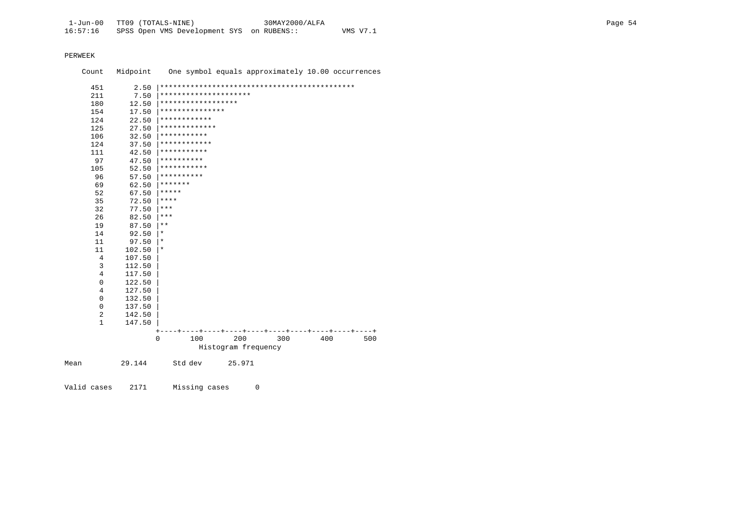Count Midpoint One symbol equals approximately 10.00 occurrences

| 451            | 2.50   |                       |                     |     |     |     |
|----------------|--------|-----------------------|---------------------|-----|-----|-----|
| 211            | 7.50   | ********************* |                     |     |     |     |
| 180            | 12.50  | ******************    |                     |     |     |     |
| 154            | 17.50  | ***************       |                     |     |     |     |
| 124            | 22.50  | ************          |                     |     |     |     |
| 125            | 27.50  | *************         |                     |     |     |     |
| 106            | 32.50  | * * * * * * * * * * * |                     |     |     |     |
| 124            | 37.50  | ************          |                     |     |     |     |
| 111            | 42.50  | ***********           |                     |     |     |     |
| 97             | 47.50  | **********            |                     |     |     |     |
| 105            | 52.50  | ***********           |                     |     |     |     |
| 96             | 57.50  | **********            |                     |     |     |     |
| 69             | 62.50  | *******               |                     |     |     |     |
| 52             | 67.50  | *****                 |                     |     |     |     |
| 35             | 72.50  | ****                  |                     |     |     |     |
| 32             | 77.50  | ***                   |                     |     |     |     |
| 26             | 82.50  | ***                   |                     |     |     |     |
| 19             | 87.50  | $***$                 |                     |     |     |     |
| 14             | 92.50  | $^\star$              |                     |     |     |     |
| 11             | 97.50  | $^\star$              |                     |     |     |     |
| 11             | 102.50 | $^\star$              |                     |     |     |     |
| 4              | 107.50 |                       |                     |     |     |     |
| 3              | 112.50 |                       |                     |     |     |     |
| $\overline{4}$ | 117.50 |                       |                     |     |     |     |
| $\mathbf 0$    | 122.50 |                       |                     |     |     |     |
| $\overline{4}$ | 127.50 |                       |                     |     |     |     |
| $\mathbf 0$    | 132.50 |                       |                     |     |     |     |
| 0              | 137.50 |                       |                     |     |     |     |
| 2              | 142.50 |                       |                     |     |     |     |
| $\mathbf{1}$   | 147.50 |                       |                     |     |     |     |
|                |        |                       |                     |     |     |     |
|                |        | 100<br>0              | 200                 | 300 | 400 | 500 |
|                |        |                       | Histogram frequency |     |     |     |
| Mean           | 29.144 | Std dev               | 25.971              |     |     |     |

Missing cases 0 Valid cases 2171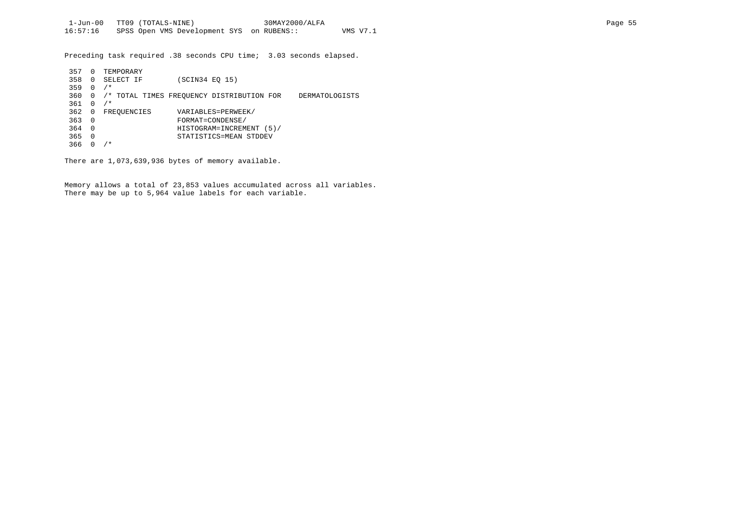Preceding task required .38 seconds CPU time; 3.03 seconds elapsed.

| 357 | 0            | TEMPORARY   |                                                             |  |
|-----|--------------|-------------|-------------------------------------------------------------|--|
| 358 | 0            | SELECT IF   | (SCIN34 EO 15)                                              |  |
| 359 | 0            | $/$ *       |                                                             |  |
| 360 | $\Omega$     |             | /* TOTAL TIMES FREOUENCY DISTRIBUTION FOR<br>DERMATOLOGISTS |  |
| 361 | <sup>0</sup> | $/$ *       |                                                             |  |
| 362 | 0            | FREQUENCIES | VARIABLES=PERWEEK/                                          |  |
| 363 | $\Omega$     |             | FORMAT=CONDENSE/                                            |  |
| 364 | $\Omega$     |             | HISTOGRAM=INCREMENT (5)/                                    |  |
| 365 | 0            |             | STATISTICS=MEAN STDDEV                                      |  |
| 366 |              | $/$ *       |                                                             |  |

There are 1,073,639,936 bytes of memory available.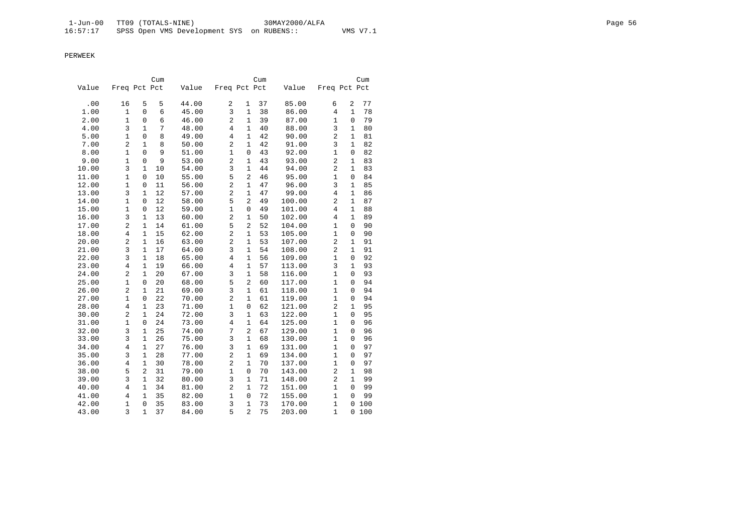|       |                |              | Cum |       |                     |                | Cum |        |                |              | Cum |
|-------|----------------|--------------|-----|-------|---------------------|----------------|-----|--------|----------------|--------------|-----|
| Value | Freq Pct Pct   |              |     | Value | Freq Pct Pct        |                |     | Value  | Freq Pct Pct   |              |     |
| .00   | 16             | 5            | 5   | 44.00 | $\overline{2}$      | 1              | 37  | 85.00  | 6              | 2            | 77  |
| 1.00  | $\mathbf{1}$   | 0            | 6   | 45.00 | 3                   | 1              | 38  | 86.00  | 4              | 1            | 78  |
| 2.00  | $\mathbf{1}$   | 0            | 6   | 46.00 | $\overline{a}$      | $\mathbf{1}$   | 39  | 87.00  | $\mathbf{1}$   | $\Omega$     | 79  |
| 4.00  | 3              | 1            | 7   | 48.00 | 4                   | $\mathbf{1}$   | 40  | 88.00  | 3              | 1            | 80  |
| 5.00  | $\mathbf{1}$   | $\mathbf 0$  | 8   | 49.00 | $\overline{4}$      | $\mathbf{1}$   | 42  | 90.00  | $\overline{a}$ | $\mathbf{1}$ | 81  |
| 7.00  | 2              | $\mathbf{1}$ | 8   | 50.00 | $\overline{c}$      | $\mathbf{1}$   | 42  | 91.00  | 3              | $\mathbf{1}$ | 82  |
| 8.00  | 1              | $\mathbf 0$  | 9   | 51.00 | 1                   | $\mathbf 0$    | 43  | 92.00  | $\mathbf{1}$   | $\mathbf 0$  | 82  |
| 9.00  | $\mathbf{1}$   | 0            | 9   | 53.00 | $\overline{c}$      | $\mathbf{1}$   | 43  | 93.00  | 2              | $\mathbf{1}$ | 83  |
| 10.00 | 3              | 1            | 10  | 54.00 | 3                   | $\mathbf{1}$   | 44  | 94.00  | $\overline{c}$ | 1            | 83  |
| 11.00 | $\mathbf{1}$   | $\mathbf 0$  | 10  | 55.00 | 5                   | $\overline{2}$ | 46  | 95.00  | $\mathbf{1}$   | $\mathbf 0$  | 84  |
| 12.00 | $\mathbf{1}$   | 0            | 11  | 56.00 | $\overline{c}$      | 1              | 47  | 96.00  | 3              | $\mathbf{1}$ | 85  |
| 13.00 | 3              | $\mathbf{1}$ | 12  | 57.00 | $\overline{a}$      | $\mathbf{1}$   | 47  | 99.00  | 4              | $\mathbf{1}$ | 86  |
| 14.00 | $\mathbf{1}$   | 0            | 12  | 58.00 | 5                   | $\overline{2}$ | 49  | 100.00 | 2              | 1            | 87  |
| 15.00 | $\mathbf 1$    | 0            | 12  | 59.00 | $\mathbf 1$         | $\mathbf 0$    | 49  | 101.00 | 4              | $\mathbf{1}$ | 88  |
| 16.00 | 3              | $\mathbf{1}$ | 13  | 60.00 | $\overline{c}$      | $\mathbf{1}$   | 50  | 102.00 | $\overline{4}$ | $\mathbf{1}$ | 89  |
| 17.00 | 2              | $\mathbf{1}$ | 14  | 61.00 | 5                   | $\overline{2}$ | 52  | 104.00 | 1              | 0            | 90  |
| 18.00 | $\overline{4}$ | $\mathbf{1}$ | 15  | 62.00 | $\overline{c}$      | $\mathbf{1}$   | 53  | 105.00 | $\mathbf{1}$   | 0            | 90  |
| 20.00 | 2              | 1            | 16  | 63.00 | $\overline{c}$      | $\mathbf{1}$   | 53  | 107.00 | 2              | 1            | 91  |
| 21.00 | 3              | $\mathbf{1}$ | 17  | 64.00 | 3                   | $\mathbf{1}$   | 54  | 108.00 | $\overline{2}$ | $\mathbf{1}$ | 91  |
| 22.00 | 3              | $\mathbf{1}$ | 18  | 65.00 | $\overline{4}$      | $\mathbf{1}$   | 56  | 109.00 | $\mathbf{1}$   | 0            | 92  |
| 23.00 | $\overline{4}$ | $\mathbf{1}$ | 19  | 66.00 | $\overline{4}$      | $\mathbf{1}$   | 57  | 113.00 | 3              | $\mathbf{1}$ | 93  |
| 24.00 | $\overline{a}$ | 1            | 20  | 67.00 | 3                   | $\mathbf{1}$   | 58  | 116.00 | $\mathbf{1}$   | 0            | 93  |
| 25.00 | $\mathbf{1}$   | 0            | 20  | 68.00 | 5                   | 2              | 60  | 117.00 | 1              | 0            | 94  |
| 26.00 | $\overline{a}$ | $\mathbf{1}$ | 21  | 69.00 | 3                   | $\mathbf{1}$   | 61  | 118.00 | $\mathbf{1}$   | 0            | 94  |
| 27.00 | $\mathbf{1}$   | 0            | 22  | 70.00 | $\overline{c}$      | $\mathbf{1}$   | 61  | 119.00 | $\mathbf{1}$   | 0            | 94  |
| 28.00 | $\overline{4}$ | $\mathbf{1}$ | 23  | 71.00 | $\mathbf{1}$        | $\mathbf{0}$   | 62  | 121.00 | $\overline{2}$ | $\mathbf{1}$ | 95  |
| 30.00 | $\overline{2}$ | $\mathbf{1}$ | 24  | 72.00 | 3                   | $\mathbf{1}$   | 63  | 122.00 | $\mathbf{1}$   | 0            | 95  |
| 31.00 | $\mathbf{1}$   | 0            | 24  | 73.00 | $\overline{4}$      | $\mathbf{1}$   | 64  | 125.00 | $\mathbf{1}$   | 0            | 96  |
| 32.00 | 3              | 1            | 25  | 74.00 | 7                   | $\overline{2}$ | 67  | 129.00 | $\mathbf{1}$   | 0            | 96  |
| 33.00 | 3              | $\mathbf{1}$ | 26  | 75.00 | 3                   | $\mathbf{1}$   | 68  | 130.00 | $\mathbf{1}$   | 0            | 96  |
| 34.00 | $\overline{4}$ | $\mathbf{1}$ | 27  | 76.00 | 3                   | $\mathbf{1}$   | 69  | 131.00 | $\mathbf{1}$   | 0            | 97  |
| 35.00 | 3              | $\mathbf{1}$ | 28  | 77.00 | $\overline{c}$      | $\mathbf{1}$   | 69  | 134.00 | $\mathbf{1}$   | 0            | 97  |
| 36.00 | $\overline{4}$ | $\mathbf{1}$ | 30  | 78.00 | $\overline{c}$      | $\mathbf{1}$   | 70  | 137.00 | $\mathbf{1}$   | $\Omega$     | 97  |
| 38.00 | 5              | 2            | 31  | 79.00 | $\mathbf 1$         | $\mathbf 0$    | 70  | 143.00 | 2              | $\mathbf{1}$ | 98  |
| 39.00 | 3              | $\mathbf{1}$ | 32  | 80.00 | 3<br>$\overline{c}$ | $\mathbf{1}$   | 71  | 148.00 | $\overline{2}$ | $\mathbf{1}$ | 99  |
| 40.00 | 4              | 1            | 34  | 81.00 |                     | $\mathbf{1}$   | 72  | 151.00 | $\mathbf{1}$   | 0            | 99  |
| 41.00 | 4              | $\mathbf{1}$ | 35  | 82.00 | $\mathbf{1}$        | $\mathbf{0}$   | 72  | 155.00 | $\mathbf{1}$   | 0            | 99  |
| 42.00 | $\mathbf 1$    | $\mathbf 0$  | 35  | 83.00 | 3                   | 1              | 73  | 170.00 | $\mathbf{1}$   | 0            | 100 |
| 43.00 | 3              | $\mathbf{1}$ | 37  | 84.00 | 5                   | $\overline{2}$ | 75  | 203.00 | $\mathbf{1}$   | 0            | 100 |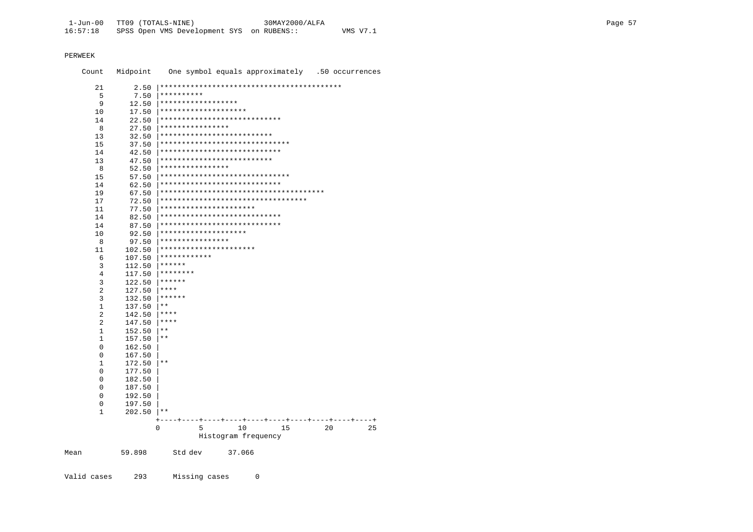| Count          | Midpoint |              |                    |                            |                                    |    |    | One symbol equals approximately .50 occurrences |
|----------------|----------|--------------|--------------------|----------------------------|------------------------------------|----|----|-------------------------------------------------|
| 21             | 2.50     |              |                    |                            |                                    |    |    |                                                 |
| 5              | 7.50     | **********   |                    |                            |                                    |    |    |                                                 |
| 9              | 12.50    |              | ****************** |                            |                                    |    |    |                                                 |
| 10             | 17.50    |              |                    | ********************       |                                    |    |    |                                                 |
| 14             | 22.50    |              |                    |                            | ****************************       |    |    |                                                 |
| 8              | 27.50    |              | ****************   |                            |                                    |    |    |                                                 |
| 13             | 32.50    |              |                    | ************************** |                                    |    |    |                                                 |
| 15             | 37.50    |              |                    |                            | ******************************     |    |    |                                                 |
| 14             | 42.50    |              |                    |                            | ****************************       |    |    |                                                 |
|                |          |              |                    | ************************** |                                    |    |    |                                                 |
| 13<br>8        | 47.50    |              | ****************   |                            |                                    |    |    |                                                 |
|                | 52.50    |              |                    |                            | ******************************     |    |    |                                                 |
| 15             | 57.50    |              |                    |                            | ****************************       |    |    |                                                 |
| 14             | 62.50    |              |                    |                            |                                    |    |    |                                                 |
| 19             | 67.50    |              |                    |                            | ********************************** |    |    |                                                 |
| 17             | 72.50    |              |                    | **********************     |                                    |    |    |                                                 |
| 11             | 77.50    |              |                    |                            | ****************************       |    |    |                                                 |
| 14             | 82.50    |              |                    |                            | ****************************       |    |    |                                                 |
| 14             | 87.50    |              |                    | ********************       |                                    |    |    |                                                 |
| 10             | 92.50    |              | ****************   |                            |                                    |    |    |                                                 |
| 8              | 97.50    |              |                    | **********************     |                                    |    |    |                                                 |
| 11             | 102.50   |              |                    |                            |                                    |    |    |                                                 |
| 6              | 107.50   |              | ************       |                            |                                    |    |    |                                                 |
| 3              | 112.50   | ******       |                    |                            |                                    |    |    |                                                 |
| 4              | 117.50   | ********     |                    |                            |                                    |    |    |                                                 |
| 3              | 122.50   | ******       |                    |                            |                                    |    |    |                                                 |
| 2              | 127.50   | ****         |                    |                            |                                    |    |    |                                                 |
| 3              | 132.50   | ******       |                    |                            |                                    |    |    |                                                 |
| 1              | 137.50   | $\star\star$ |                    |                            |                                    |    |    |                                                 |
| $\overline{2}$ | 142.50   | $***$        |                    |                            |                                    |    |    |                                                 |
| 2              | 147.50   | ****         |                    |                            |                                    |    |    |                                                 |
| 1              | 152.50   | $\star\star$ |                    |                            |                                    |    |    |                                                 |
| 1              | 157.50   | $\star\star$ |                    |                            |                                    |    |    |                                                 |
| 0              | 162.50   |              |                    |                            |                                    |    |    |                                                 |
| 0              | 167.50   |              |                    |                            |                                    |    |    |                                                 |
| 1              | 172.50   | $\star\star$ |                    |                            |                                    |    |    |                                                 |
| 0              | 177.50   |              |                    |                            |                                    |    |    |                                                 |
| 0              | 182.50   |              |                    |                            |                                    |    |    |                                                 |
| 0              | 187.50   |              |                    |                            |                                    |    |    |                                                 |
| 0              | 192.50   |              |                    |                            |                                    |    |    |                                                 |
| 0              | 197.50   |              |                    |                            |                                    |    |    |                                                 |
| 1              | 202.50   | * *          |                    |                            |                                    |    |    |                                                 |
|                |          |              |                    |                            |                                    |    |    |                                                 |
|                |          | 0            | 5                  | 10                         |                                    | 15 | 20 | 25                                              |
|                |          |              |                    |                            | Histogram frequency                |    |    |                                                 |
| Mean           | 59.898   |              | Std dev            | 37.066                     |                                    |    |    |                                                 |

Valid cases 293 Missing cases  $\overline{0}$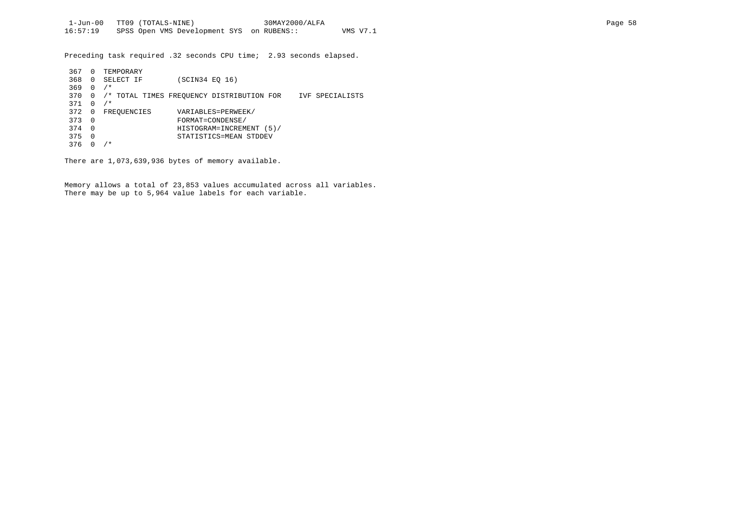Preceding task required .32 seconds CPU time; 2.93 seconds elapsed.

| 367 | 0            | TEMPORARY                                 |                          |                 |
|-----|--------------|-------------------------------------------|--------------------------|-----------------|
| 368 | $\Omega$     | SELECT IF                                 | (SCIN34 EO 16)           |                 |
| 369 | <sup>0</sup> | $/$ *                                     |                          |                 |
| 370 | $\Omega$     | /* TOTAL TIMES FREQUENCY DISTRIBUTION FOR |                          | IVF SPECIALISTS |
| 371 |              | $/$ *                                     |                          |                 |
| 372 | 0            | FREOUENCIES                               | VARIABLES=PERWEEK/       |                 |
| 373 | - 0          |                                           | FORMAT=CONDENSE/         |                 |
| 374 | $\Omega$     |                                           | HISTOGRAM=INCREMENT (5)/ |                 |
| 375 | 0            |                                           | STATISTICS=MEAN STDDEV   |                 |
| 376 |              | ⁄*                                        |                          |                 |

There are 1,073,639,936 bytes of memory available.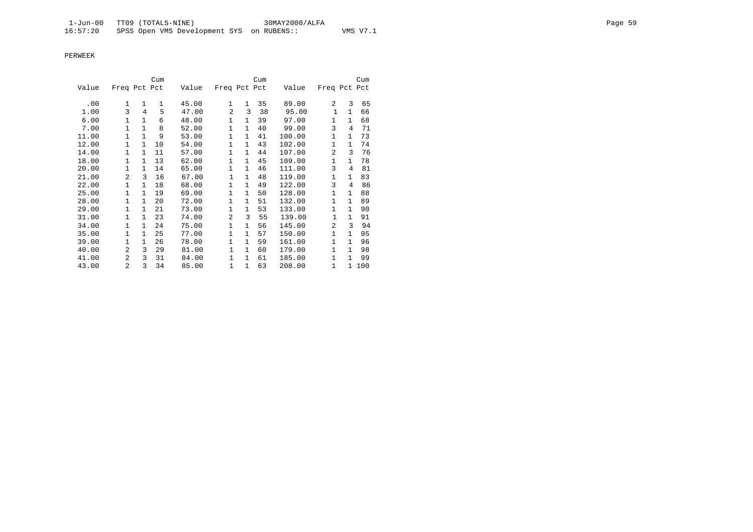|       |                |              | Cum |       |              |              | Cum |        |                |                | Cum |
|-------|----------------|--------------|-----|-------|--------------|--------------|-----|--------|----------------|----------------|-----|
| Value | Freq Pct Pct   |              |     | Value | Freq Pct Pct |              |     | Value  | Freq Pct Pct   |                |     |
| .00   | 1              | 1            | 1   | 45.00 | 1            | 1            | 35  | 89.00  | 2              | 3              | 65  |
| 1.00  | 3              | 4            | 5   | 47.00 | 2            | 3            | 38  | 95.00  | 1              | $\mathbf{1}$   | 66  |
| 6.00  | $\mathbf{1}$   | $\mathbf{1}$ | 6   | 48.00 | $\mathbf{1}$ | $\mathbf{1}$ | 39  | 97.00  | $\mathbf{1}$   | $\mathbf{1}$   | 68  |
| 7.00  | $\mathbf{1}$   | 1            | 8   | 52.00 | $\mathbf{1}$ | $\mathbf{1}$ | 40  | 99.00  | 3              | $\overline{4}$ | 71  |
| 11.00 | $\mathbf{1}$   | $\mathbf{1}$ | 9   | 53.00 | 1            | $\mathbf{1}$ | 41  | 100.00 | $\mathbf{1}$   | $\mathbf{1}$   | 73  |
| 12.00 | 1              | $\mathbf{1}$ | 10  | 54.00 | $\mathbf{1}$ | 1            | 43  | 102.00 | 1              | $\mathbf{1}$   | 74  |
| 14.00 | 1              | $\mathbf{1}$ | 11  | 57.00 | $\mathbf{1}$ | 1            | 44  | 107.00 | 2              | 3              | 76  |
| 18.00 | $\mathbf{1}$   | $\mathbf{1}$ | 13  | 62.00 | $\mathbf{1}$ | $\mathbf{1}$ | 45  | 109.00 | $\mathbf{1}$   | $\mathbf{1}$   | 78  |
| 20.00 | 1              | $\mathbf{1}$ | 14  | 65.00 | $\mathbf{1}$ | 1            | 46  | 111.00 | 3              | 4              | 81  |
| 21.00 | $\overline{a}$ | 3            | 16  | 67.00 | $\mathbf{1}$ | $\mathbf{1}$ | 48  | 119.00 | $\mathbf{1}$   | $\mathbf{1}$   | 83  |
| 22.00 | $\mathbf{1}$   | $\mathbf{1}$ | 18  | 68.00 | 1            | $\mathbf{1}$ | 49  | 122.00 | 3              | $\overline{4}$ | 86  |
| 25.00 | $\mathbf{1}$   | $\mathbf{1}$ | 19  | 69.00 | $\mathbf{1}$ | $\mathbf{1}$ | 50  | 128.00 | $\mathbf{1}$   | $\mathbf{1}$   | 88  |
| 28.00 | 1              | $\mathbf{1}$ | 20  | 72.00 | $\mathbf{1}$ | 1            | 51  | 132.00 | 1              | $\mathbf{1}$   | 89  |
| 29.00 | 1              | 1            | 21  | 73.00 | $\mathbf{1}$ | 1            | 53  | 133.00 | 1              | $\mathbf{1}$   | 90  |
| 31.00 | $\mathbf{1}$   | $\mathbf{1}$ | 23  | 74.00 | 2            | 3            | 55  | 139.00 | $\mathbf{1}$   | $\mathbf{1}$   | 91  |
| 34.00 | $\mathbf{1}$   | $\mathbf{1}$ | 24  | 75.00 | $\mathbf{1}$ | $\mathbf{1}$ | 56  | 145.00 | $\overline{2}$ | 3              | 94  |
| 35.00 | $\mathbf{1}$   | $\mathbf{1}$ | 25  | 77.00 | $\mathbf{1}$ | $\mathbf{1}$ | 57  | 150.00 | $\mathbf{1}$   | $\mathbf{1}$   | 95  |
| 39.00 | $\mathbf{1}$   | $\mathbf{1}$ | 26  | 78.00 | $\mathbf{1}$ | $\mathbf{1}$ | 59  | 161.00 | $\mathbf{1}$   | $\mathbf{1}$   | 96  |
| 40.00 | 2              | 3            | 29  | 81.00 | $\mathbf 1$  | 1            | 60  | 179.00 | $\mathbf{1}$   | $\mathbf{1}$   | 98  |
| 41.00 | 2              | 3            | 31  | 84.00 | $\mathbf 1$  | 1            | 61  | 185.00 | 1              | $\mathbf{1}$   | 99  |
| 43.00 | 2              | 3            | 34  | 85.00 | $\mathbf 1$  | $\mathbf{1}$ | 63  | 208.00 | $\mathbf{1}$   | $\mathbf{1}$   | 100 |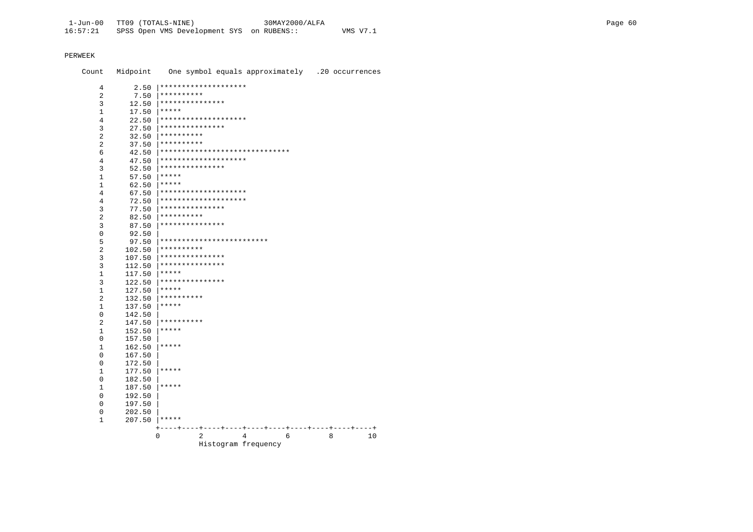Count Midpoint One symbol equals approximately .20 occurrences  $2.50$  |\*\*\*\*\*\*\*\*\*\*\*\*\*\*\*\*\*\*\*\*\*\*  $\overline{4}$  $7.50$  | \*\*\*\*\*\*\*\*\*\*  $\overline{2}$  $12.50$  |\*\*\*\*\*\*\*\*\*\*\*\*\*\*\*\*  $\mathcal{L}$  $17.50$  |\*\*\*\*\*  $\mathbf{1}$  $22.50$  \*\*\*\*\*\*\*\*\*\*\*\*\*\*\*\*\*\*\*\*\*  $\overline{4}$  $27.50$  \*\*\*\*\*\*\*\*\*\*\*\*\*\*\*\*  $\overline{3}$  $32.50$  \*\*\*\*\*\*\*\*\*\*  $\overline{2}$  $37.50$  \*\*\*\*\*\*\*\*\*\*  $\overline{2}$  $42.50$  \*\*\*\*\*\*\*\*\*\*\*\*\*\*\*\*\*\*\*\*\*\*\*\*\*\*\*\*\*\*\*\*\*  $6<sup>1</sup>$  $47.50$  \*\*\*\*\*\*\*\*\*\*\*\*\*\*\*\*\*\*\*\*\*  $\overline{4}$  $52.50$  \*\*\*\*\*\*\*\*\*\*\*\*\*\*\*\*  $\overline{3}$  $57.50$  \*\*\*\*\*  $1$  $62.50$  |\*\*\*\*\*  $\mathbf{1}$  $67.50$  |\*\*\*\*\*\*\*\*\*\*\*\*\*\*\*\*\*\*\*\*\*  $\overline{4}$ 72.50 | \*\*\*\*\*\*\*\*\*\*\*\*\*\*\*\*\*\*\*\*\*  $\overline{4}$  $77.50$  |\*\*\*\*\*\*\*\*\*\*\*\*\*\*\*\*  $\mathbf{3}$  $82.50$  |\*\*\*\*\*\*\*\*\*\*\*  $\overline{2}$  $87.50$  \*\*\*\*\*\*\*\*\*\*\*\*\*\*\*\*  $\overline{3}$  $\Omega$ 92.50  $\overline{5}$  $102.50$  |\*\*\*\*\*\*\*\*\*\*  $2^{\circ}$  $107.50$  |\*\*\*\*\*\*\*\*\*\*\*\*\*\*\*\*  $\overline{3}$  $112.50$  |\*\*\*\*\*\*\*\*\*\*\*\*\*\*\*\*  $\mathcal{S}$  $117.50$  \*\*\*\*\*  $1$  $122.50$  |\*\*\*\*\*\*\*\*\*\*\*\*\*\*\*\*  $\mathcal{R}$  $127.50$  \*\*\*\*\*  $1$  $132.50$  \*\*\*\*\*\*\*\*\*\*  $\overline{2}$  $137.50$  \*\*\*\*\*  $1$  $\Omega$ 142.50  $147.50$  \*\*\*\*\*\*\*\*\*\*  $2^{\circ}$  $152.50$  \*\*\*\*\*  $\mathbf{1}$  $\Omega$ 157.50  $162.50$  |\*\*\*\*\*  $1$  $\Omega$ 167.50  $\overline{0}$ 172.50  $1$  $177.50$  |\*\*\*\*\*  $\overline{0}$ 182.50  $187.50$  |\*\*\*\*\*  $1$  $\Omega$ 192.50 197.50  $\Omega$  $\cap$ 202.50  $207.50$  \*\*\*\*\*  $\mathbf{1}$  $\begin{array}{ccccccccccccc}\n2 & & & 4 & & & 6 & & 8 & & 10\n\end{array}$  $\overline{0}$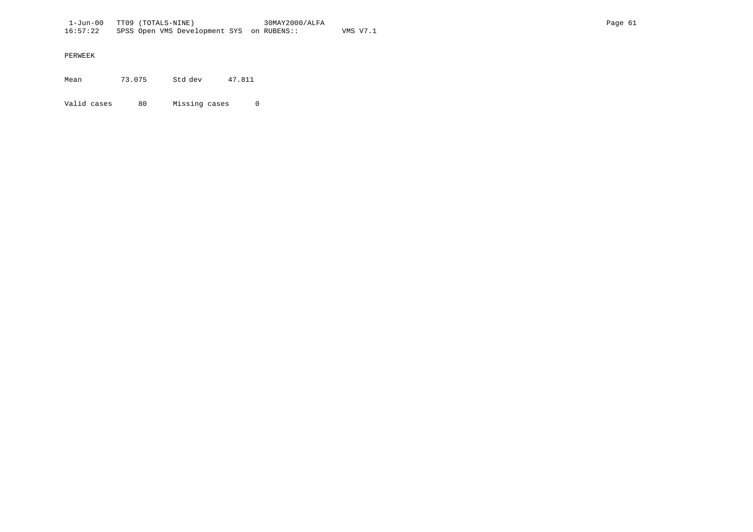Mean 73.075 Std dev 47.811

Valid cases 80 Missing cases 0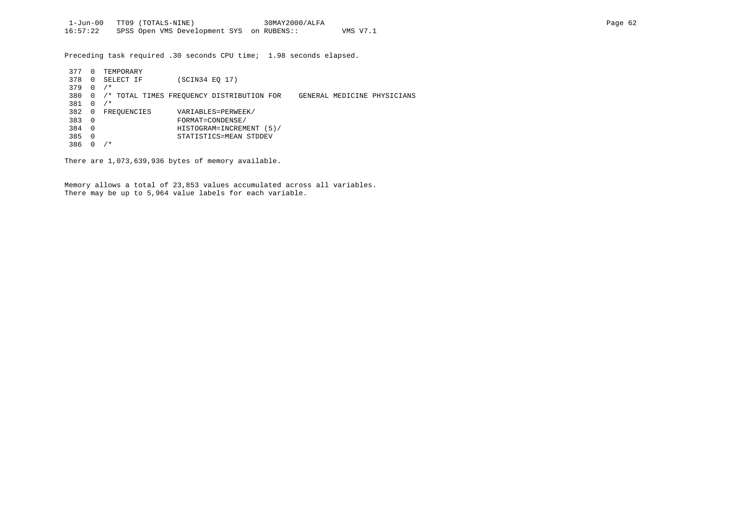Preceding task required .30 seconds CPU time; 1.98 seconds elapsed.

| 377 | $\Omega$ | TEMPORARY   |                                           |  |                             |
|-----|----------|-------------|-------------------------------------------|--|-----------------------------|
| 378 | $\Omega$ | SELECT IF   | (SCIN34 EO 17)                            |  |                             |
| 379 | $\Omega$ | $/$ *       |                                           |  |                             |
| 380 | 0        |             | /* TOTAL TIMES FREOUENCY DISTRIBUTION FOR |  | GENERAL MEDICINE PHYSICIANS |
| 381 | $\Omega$ | ⁄*          |                                           |  |                             |
| 382 | 0        | FREOUENCIES | VARIABLES=PERWEEK/                        |  |                             |
| 383 | - 0      |             | FORMAT=CONDENSE/                          |  |                             |
| 384 | - 0      |             | HISTOGRAM=INCREMENT (5)/                  |  |                             |
| 385 | $\Omega$ |             | STATISTICS=MEAN STDDEV                    |  |                             |
| 386 |          | ' *         |                                           |  |                             |

There are 1,073,639,936 bytes of memory available.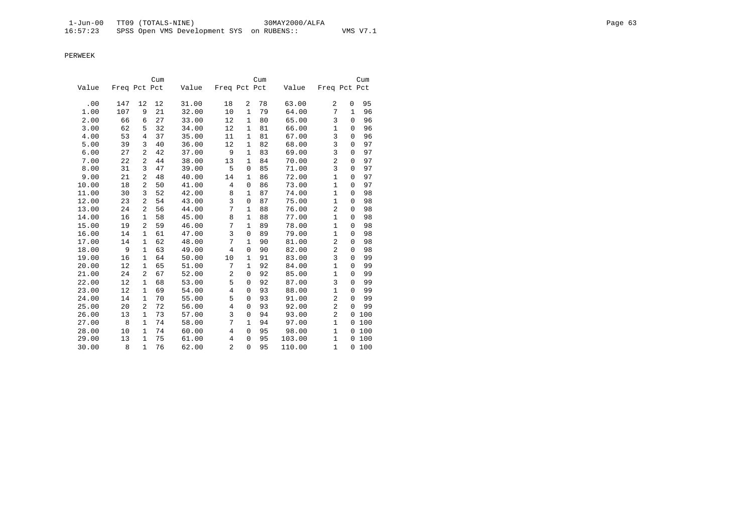|       |              |                | Cum |       |                |              | Cum |        |                |              | Cum    |
|-------|--------------|----------------|-----|-------|----------------|--------------|-----|--------|----------------|--------------|--------|
| Value | Freq Pct Pct |                |     | Value | Freq Pct Pct   |              |     | Value  | Freq Pct Pct   |              |        |
| .00   | 147          | 12             | 12  | 31.00 | 18             | 2            | 78  | 63.00  | 2              | 0            | 95     |
| 1.00  | 107          | 9              | 21  | 32.00 | 10             | $\mathbf{1}$ | 79  | 64.00  | 7              | $\mathbf{1}$ | 96     |
| 2.00  | 66           | 6              | 27  | 33.00 | 12             | $\mathbf{1}$ | 80  | 65.00  | 3              | 0            | 96     |
| 3.00  | 62           | 5              | 32  | 34.00 | 12             | $\mathbf{1}$ | 81  | 66.00  | $\mathbf{1}$   | $\mathbf 0$  | 96     |
| 4.00  | 53           | 4              | 37  | 35.00 | 11             | $\mathbf{1}$ | 81  | 67.00  | 3              | $\Omega$     | 96     |
| 5.00  | 39           | 3              | 40  | 36.00 | 12             | $\mathbf{1}$ | 82  | 68.00  | 3              | 0            | 97     |
| 6.00  | 27           | $\overline{a}$ | 42  | 37.00 | 9              | $\mathbf{1}$ | 83  | 69.00  | $\overline{3}$ | $\mathbf 0$  | 97     |
| 7.00  | 22           | 2              | 44  | 38.00 | 13             | $\mathbf{1}$ | 84  | 70.00  | $\overline{a}$ | 0            | 97     |
| 8.00  | 31           | 3              | 47  | 39.00 | 5              | $\mathbf 0$  | 85  | 71.00  | 3              | $\Omega$     | 97     |
| 9.00  | 21           | 2              | 48  | 40.00 | 14             | $\mathbf{1}$ | 86  | 72.00  | $\mathbf{1}$   | 0            | 97     |
| 10.00 | 18           | $\overline{a}$ | 50  | 41.00 | 4              | $\mathbf 0$  | 86  | 73.00  | 1              | $\Omega$     | 97     |
| 11.00 | 30           | 3              | 52  | 42.00 | 8              | 1            | 87  | 74.00  | $\mathbf{1}$   | 0            | 98     |
| 12.00 | 23           | 2              | 54  | 43.00 | 3              | $\mathbf 0$  | 87  | 75.00  | 1              | $\mathbf 0$  | 98     |
| 13.00 | 24           | $\overline{a}$ | 56  | 44.00 | 7              | $\mathbf{1}$ | 88  | 76.00  | $\overline{2}$ | 0            | 98     |
| 14.00 | 16           | $\mathbf{1}$   | 58  | 45.00 | 8              | $\mathbf{1}$ | 88  | 77.00  | $\mathbf 1$    | 0            | 98     |
| 15.00 | 19           | $\overline{2}$ | 59  | 46.00 | 7              | $\mathbf{1}$ | 89  | 78.00  | $\mathbf{1}$   | 0            | 98     |
| 16.00 | 14           | 1              | 61  | 47.00 | 3              | $\mathsf 0$  | 89  | 79.00  | $\mathbf{1}$   | 0            | 98     |
| 17.00 | 14           | 1              | 62  | 48.00 | 7              | $\mathbf{1}$ | 90  | 81.00  | $\overline{2}$ | 0            | 98     |
| 18.00 | 9            | $\mathbf{1}$   | 63  | 49.00 | 4              | $\mathbf 0$  | 90  | 82.00  | $\overline{c}$ | $\Omega$     | 98     |
| 19.00 | 16           | 1              | 64  | 50.00 | 10             | $\mathbf{1}$ | 91  | 83.00  | 3              | 0            | 99     |
| 20.00 | 12           | $\mathbf{1}$   | 65  | 51.00 | 7              | $\mathbf{1}$ | 92  | 84.00  | $\mathbf{1}$   | $\mathbf 0$  | 99     |
| 21.00 | 24           | 2              | 67  | 52.00 | $\overline{c}$ | 0            | 92  | 85.00  | $\mathbf{1}$   | 0            | 99     |
| 22.00 | 12           | $\mathbf{1}$   | 68  | 53.00 | 5              | $\mathbf 0$  | 92  | 87.00  | 3              | 0            | 99     |
| 23.00 | 12           | $\mathbf{1}$   | 69  | 54.00 | 4              | $\mathbf 0$  | 93  | 88.00  | $\mathbf{1}$   | $\Omega$     | 99     |
| 24.00 | 14           | $\mathbf{1}$   | 70  | 55.00 | 5              | $\mathbf 0$  | 93  | 91.00  | $\overline{2}$ | $\mathbf 0$  | 99     |
| 25.00 | 20           | 2              | 72  | 56.00 | $\overline{4}$ | $\mathbf 0$  | 93  | 92.00  | $\overline{2}$ | $\mathbf 0$  | 99     |
| 26.00 | 13           | 1              | 73  | 57.00 | 3              | $\mathbf 0$  | 94  | 93.00  | $\overline{c}$ | 0            | 100    |
| 27.00 | 8            | $\mathbf{1}$   | 74  | 58.00 | 7              | $\mathbf{1}$ | 94  | 97.00  | $\mathbf{1}$   |              | 0100   |
| 28.00 | 10           | 1              | 74  | 60.00 | 4              | $\mathbf 0$  | 95  | 98.00  | $\mathbf{1}$   | 0            | 100    |
| 29.00 | 13           | $\mathbf{1}$   | 75  | 61.00 | 4              | $\mathsf 0$  | 95  | 103.00 | $\mathbf{1}$   | 0            | 100    |
| 30.00 | 8            | $\mathbf{1}$   | 76  | 62.00 | $\overline{2}$ | $\Omega$     | 95  | 110.00 | $\mathbf{1}$   |              | 0, 100 |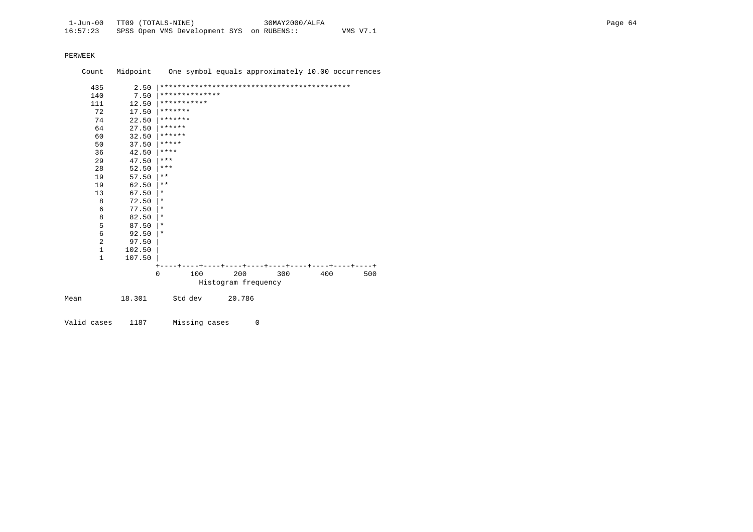|      | Count        | Midpoint |              |                |                     | One symbol equals approximately 10.00 occurrences |     |     |
|------|--------------|----------|--------------|----------------|---------------------|---------------------------------------------------|-----|-----|
|      | 435          | 2.50     |              |                |                     |                                                   |     |     |
|      | 140          | 7.50     |              | ************** |                     |                                                   |     |     |
|      | 111          | 12.50    |              | ***********    |                     |                                                   |     |     |
|      | 72           | 17.50    | *******      |                |                     |                                                   |     |     |
|      | 74           | 22.50    | *******      |                |                     |                                                   |     |     |
|      | 64           | 27.50    | ******       |                |                     |                                                   |     |     |
|      | 60           | 32.50    | ******       |                |                     |                                                   |     |     |
|      | 50           | 37.50    | *****        |                |                     |                                                   |     |     |
|      | 36           | 42.50    | $***$ * * *  |                |                     |                                                   |     |     |
|      | 29           | 47.50    | $***$        |                |                     |                                                   |     |     |
|      | 28           | 52.50    | $***$        |                |                     |                                                   |     |     |
|      | 19           | 57.50    | $***$        |                |                     |                                                   |     |     |
|      | 19           | 62.50    | $\star\star$ |                |                     |                                                   |     |     |
|      | 13           | 67.50    | $\ast$       |                |                     |                                                   |     |     |
|      | 8            | 72.50    | $\ast$       |                |                     |                                                   |     |     |
|      | 6            | 77.50    | $\star$      |                |                     |                                                   |     |     |
|      | 8            | 82.50    | $\star$      |                |                     |                                                   |     |     |
|      | 5            | 87.50    | $\star$      |                |                     |                                                   |     |     |
|      | 6            | 92.50    | $\star$      |                |                     |                                                   |     |     |
|      | 2            | 97.50    |              |                |                     |                                                   |     |     |
|      | $\mathbf{1}$ | 102.50   |              |                |                     |                                                   |     |     |
|      | $\mathbf{1}$ | 107.50   |              |                |                     |                                                   |     |     |
|      |              |          |              |                |                     |                                                   |     |     |
|      |              |          | $\Omega$     | 100            | 200                 | 300                                               | 400 | 500 |
|      |              |          |              |                | Histogram frequency |                                                   |     |     |
| Mean |              | 18.301   |              | Std dev        | 20.786              |                                                   |     |     |
|      |              |          |              |                |                     |                                                   |     |     |

Valid cases 1187 Missing cases 0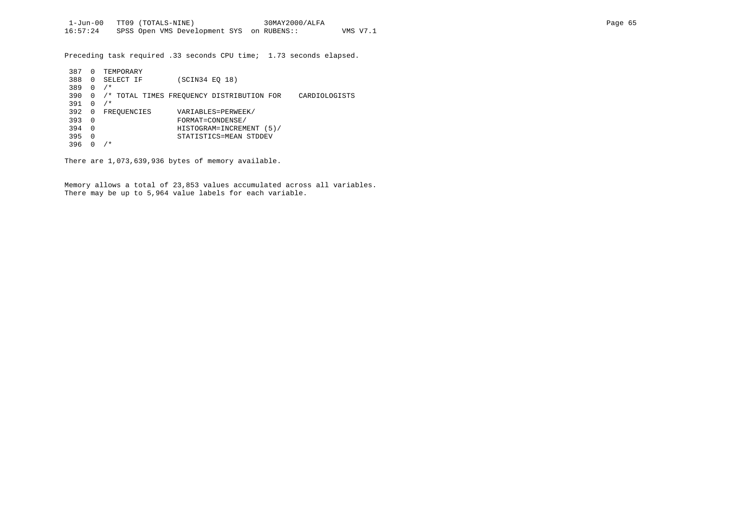Preceding task required .33 seconds CPU time; 1.73 seconds elapsed.

| 387 | 0        | TEMPORARY   |                |                                           |               |
|-----|----------|-------------|----------------|-------------------------------------------|---------------|
| 388 | $\Omega$ | SELECT IF   | (SCIN34 EO 18) |                                           |               |
| 389 | 0        | $/$ *       |                |                                           |               |
| 390 | 0        |             |                | /* TOTAL TIMES FREOUENCY DISTRIBUTION FOR | CARDIOLOGISTS |
| 391 | 0        | $/$ *       |                |                                           |               |
| 392 | 0        | FREQUENCIES |                | VARIABLES=PERWEEK/                        |               |
| 393 | 0        |             |                | FORMAT=CONDENSE/                          |               |
| 394 | $\Omega$ |             |                | HISTOGRAM=INCREMENT (5)/                  |               |
| 395 | 0        |             |                | STATISTICS=MEAN STDDEV                    |               |
| 396 |          | $/$ *       |                |                                           |               |

There are 1,073,639,936 bytes of memory available.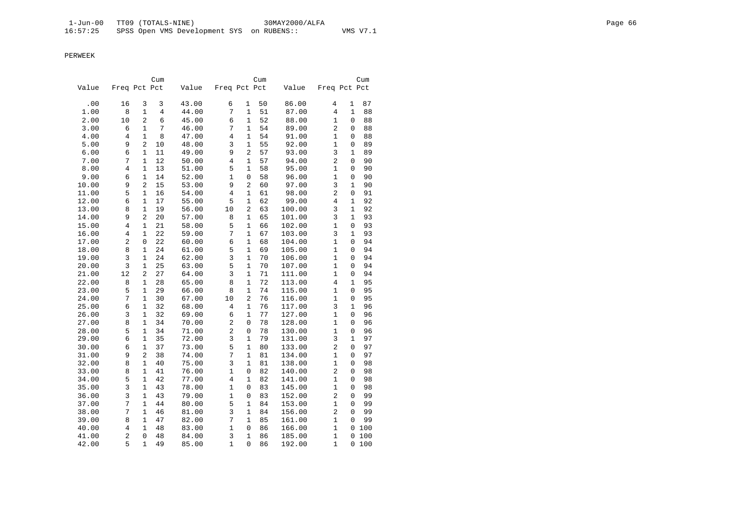|       |                |                              | Cum            |       |                |                | Cum    |        |                     |              | Cum |
|-------|----------------|------------------------------|----------------|-------|----------------|----------------|--------|--------|---------------------|--------------|-----|
| Value | Freq Pct Pct   |                              |                | Value | Freq Pct Pct   |                |        | Value  | Freq Pct Pct        |              |     |
| .00   | 16             | 3                            | 3              | 43.00 | б              | 1              | 50     | 86.00  | 4                   | 1            | 87  |
| 1.00  | 8              | $\mathbf{1}$                 | $\overline{4}$ | 44.00 | 7              | $\mathbf{1}$   | $5\,1$ | 87.00  | 4                   | $\mathbf{1}$ | 88  |
| 2.00  | 10             | $\overline{2}$               | 6              | 45.00 | 6              | $\mathbf{1}$   | 52     | 88.00  | 1                   | 0            | 88  |
| 3.00  | 6              | $\mathbf{1}$                 | 7              | 46.00 | 7              | 1              | 54     | 89.00  | 2                   | 0            | 88  |
| 4.00  | 4              | $\mathbf{1}$                 | 8              | 47.00 | $\overline{4}$ | $\mathbf{1}$   | 54     | 91.00  | 1                   | 0            | 88  |
| 5.00  | 9              | $\overline{2}$               | 10             | 48.00 | 3              | $\mathbf{1}$   | 55     | 92.00  | 1                   | 0            | 89  |
| 6.00  | 6              | $\mathbf{1}$                 | 11             | 49.00 | 9              | 2              | 57     | 93.00  | 3                   | $\mathbf{1}$ | 89  |
| 7.00  | 7              | $\mathbf{1}$                 | 12             | 50.00 | $\overline{4}$ | $\mathbf{1}$   | 57     | 94.00  | $\overline{c}$      | 0            | 90  |
| 8.00  | 4              | $\mathbf{1}$                 | 13             | 51.00 | 5              | 1              | 58     | 95.00  | 1                   | 0            | 90  |
| 9.00  | 6              | $\mathbf{1}$                 | 14             | 52.00 | 1              | $\mathsf 0$    | 58     | 96.00  | 1                   | 0            | 90  |
| 10.00 | 9              | $\overline{2}$               | 15             | 53.00 | 9              | 2              | 60     | 97.00  | 3                   | $\mathbf{1}$ | 90  |
| 11.00 | 5              | $\mathbf{1}$                 | 16             | 54.00 | 4              | 1              | 61     | 98.00  | $\overline{c}$      | 0            | 91  |
| 12.00 | 6              | $\mathbf{1}$                 | 17             | 55.00 | 5              | $\mathbf{1}$   | 62     | 99.00  | 4                   | $\mathbf{1}$ | 92  |
| 13.00 | 8              | 1                            | 19             | 56.00 | 10             | $\overline{2}$ | 63     | 100.00 | 3                   | $\mathbf{1}$ | 92  |
| 14.00 | 9              | $\overline{2}$               | 20             | 57.00 | 8              | 1              | 65     | 101.00 | 3                   | $\mathbf{1}$ | 93  |
| 15.00 | $\overline{4}$ | $\mathbf{1}$                 | 21             | 58.00 | 5              | $\mathbf 1$    | 66     | 102.00 | $\mathbf{1}$        | 0            | 93  |
| 16.00 | 4              | $\mathbf{1}$                 | 22             | 59.00 | 7              | $\mathbf{1}$   | 67     | 103.00 | 3                   | $\mathbf{1}$ | 93  |
| 17.00 | 2              | 0                            | 22             | 60.00 | 6              | $\mathbf{1}$   | 68     | 104.00 | 1                   | $\Omega$     | 94  |
| 18.00 | 8              | $\mathbf{1}$                 | 24             | 61.00 | 5              | $\mathbf{1}$   | 69     | 105.00 | 1                   | 0            | 94  |
| 19.00 | 3              | $\mathbf{1}$                 | 24             | 62.00 | 3              | $\mathbf 1$    | 70     | 106.00 | 1                   | 0            | 94  |
| 20.00 | 3              | $\mathbf{1}$                 | 25             | 63.00 | 5              | 1              | 70     | 107.00 | 1                   | 0            | 94  |
| 21.00 | 12             | $\overline{a}$               | 27             | 64.00 | 3              | $\mathbf{1}$   | 71     | 111.00 | $\mathbf{1}$        | 0            | 94  |
| 22.00 | 8              | $\mathbf{1}$                 | 28             | 65.00 | 8              | $\mathbf{1}$   | 72     | 113.00 | 4                   | $\mathbf{1}$ | 95  |
| 23.00 | 5              | $\mathbf{1}$                 | 29             | 66.00 | 8              | $\mathbf{1}$   | 74     | 115.00 | 1                   | 0            | 95  |
| 24.00 | 7              | $\mathbf{1}$                 | 30             | 67.00 | 10             | $\overline{2}$ | 76     | 116.00 | $\mathbf{1}$        | 0            | 95  |
| 25.00 | 6              | $\mathbf{1}$                 | 32             | 68.00 | 4              | 1              | 76     | 117.00 | 3                   | $\mathbf{1}$ | 96  |
| 26.00 | 3              | $\mathbf{1}$                 | 32             | 69.00 | 6              | $\mathbf{1}$   | 77     | 127.00 | $\mathbf{1}$        | 0            | 96  |
| 27.00 | 8              | $\mathbf{1}$                 | 34             | 70.00 | $\overline{a}$ | $\mathsf 0$    | 78     | 128.00 | 1                   | 0            | 96  |
| 28.00 | 5              | $\mathbf{1}$                 | 34             | 71.00 | $\overline{c}$ | $\mathsf 0$    | 78     | 130.00 | 1                   | 0            | 96  |
| 29.00 | 6              | $\mathbf{1}$                 | 35             | 72.00 | 3              | $\mathbf{1}$   | 79     | 131.00 | 3                   | $\mathbf{1}$ | 97  |
| 30.00 | 6              | 1                            | 37             | 73.00 | 5              | 1              | 80     | 133.00 | 2                   | 0            | 97  |
| 31.00 | 9              | 2                            | 38             | 74.00 | 7              | 1              | 81     | 134.00 | 1                   | 0            | 97  |
| 32.00 | 8              | $\mathbf{1}$                 | 40             | 75.00 | 3              | $\mathbf{1}$   | 81     | 138.00 | 1                   | 0            | 98  |
| 33.00 | 8              | $\mathbf{1}$                 | 41             | 76.00 | 1              | $\mathbf 0$    | 82     | 140.00 | $\overline{a}$      | 0            | 98  |
| 34.00 | 5              | $\mathbf{1}$                 | 42             | 77.00 | 4              | $\mathbf{1}$   | 82     | 141.00 | 1                   | 0            | 98  |
| 35.00 | 3              | $\mathbf{1}$                 | 43             | 78.00 | $\mathbf{1}$   | $\mathsf 0$    | 83     | 145.00 | 1                   | 0            | 98  |
| 36.00 | 3              | $\mathbf{1}$                 | 43             | 79.00 | $\mathbf{1}$   | $\mathbf 0$    | 83     | 152.00 | $\overline{c}$      | 0            | 99  |
|       | 7              |                              |                |       | 5              |                |        |        |                     |              |     |
| 37.00 | 7              | $\mathbf{1}$<br>$\mathbf{1}$ | 44             | 80.00 | 3              | $\mathbf 1$    | 84     | 153.00 | 1<br>$\overline{a}$ | 0<br>0       | 99  |
| 38.00 |                | $\mathbf{1}$                 | 46             | 81.00 | 7              | 1              | 84     | 156.00 |                     | $\Omega$     | 99  |
| 39.00 | 8              |                              | 47             | 82.00 | $\mathbf{1}$   | $\mathbf 1$    | 85     | 161.00 | 1                   |              | 99  |
| 40.00 | 4              | $\mathbf{1}$                 | 48             | 83.00 |                | $\mathsf 0$    | 86     | 166.00 | $\mathbf{1}$        | 0            | 100 |
| 41.00 | $\overline{2}$ | 0                            | 48             | 84.00 | 3              | $1\,$          | 86     | 185.00 | $\mathbf{1}$        | 0            | 100 |
| 42.00 | 5              | $\mathbf{1}$                 | 49             | 85.00 | $\mathbf{1}$   | 0              | 86     | 192.00 | 1                   | 0            | 100 |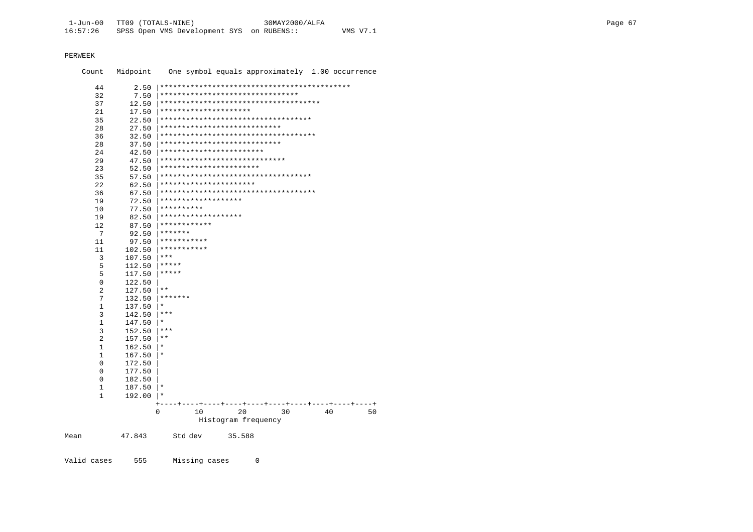| Count             | Midpoint         | One symbol equals approximately 1.00 occurrence |    |
|-------------------|------------------|-------------------------------------------------|----|
| 44                | 2.50             |                                                 |    |
| 32                | 7.50             | ********************************                |    |
| 37                | 12.50            | **************************************          |    |
| 21                | 17.50            | *********************                           |    |
| 35                | 22.50            | ***********************************             |    |
| 28                | 27.50            | ****************************                    |    |
| 36                | 32.50            | ************************************            |    |
| 28                | 37.50            | ****************************                    |    |
| 24                | 42.50            | ************************                        |    |
| 29                | 47.50            | *****************************                   |    |
| 23                | 52.50            | ***********************                         |    |
| 35                | 57.50            | ***********************************             |    |
| 2.2.              | 62.50            | **********************                          |    |
| 36                | 67.50            | ************************************            |    |
| 19                | 72.50            | *******************                             |    |
| 10                | 77.50            | **********                                      |    |
| 19                | 82.50            | *******************                             |    |
| 12                | 87.50            | ************                                    |    |
| 7                 | 92.50            | *******                                         |    |
| 11                | 97.50            | ***********                                     |    |
| 11                | 102.50           | ***********                                     |    |
| 3                 | 107.50           | $***$                                           |    |
| 5                 | 112.50           | *****                                           |    |
| 5                 | 117.50           | $***$ * * * *                                   |    |
| $\mathbf 0$       | 122.50           | $* *$                                           |    |
| 2                 | 127.50           | *******                                         |    |
| 7<br>$\mathbf{1}$ | 132.50<br>137.50 | $\star$                                         |    |
| 3                 | 142.50           | ***                                             |    |
| 1                 | 147.50           | $^\star$                                        |    |
| 3                 | 152.50           | $***$                                           |    |
| 2                 | 157.50           | $***$                                           |    |
| $\mathbf{1}$      | 162.50           | $\star$                                         |    |
| 1                 | 167.50           | $\star$                                         |    |
| 0                 | 172.50           |                                                 |    |
| $\Omega$          | 177.50           |                                                 |    |
| $\Omega$          | 182.50           |                                                 |    |
| 1                 | 187.50           | $^\star$                                        |    |
| 1                 | 192.00           | $\ast$                                          |    |
|                   |                  | $\overline{+}$                                  |    |
|                   |                  | 20<br>0<br>10<br>30<br>40                       | 50 |
|                   |                  | Histogram frequency                             |    |
|                   |                  |                                                 |    |
| Mean              | 47.843           | Std dev<br>35.588                               |    |
|                   |                  |                                                 |    |

Missing cases Valid cases 555  $\overline{0}$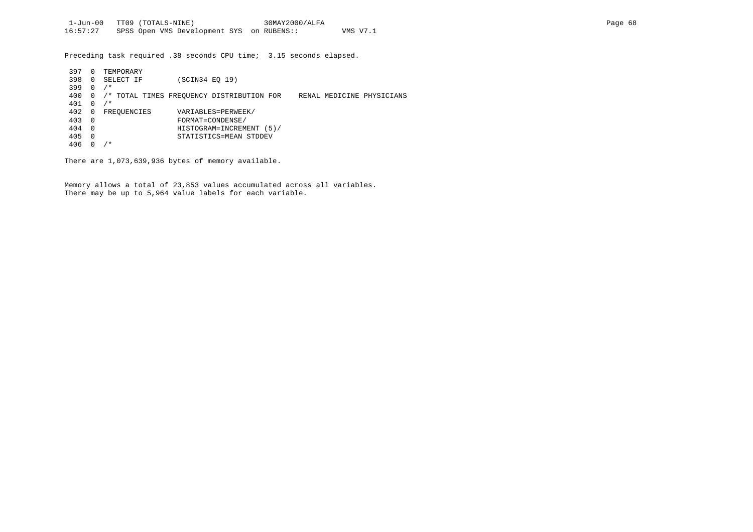Preceding task required .38 seconds CPU time; 3.15 seconds elapsed.

| 397 | $\Omega$ | TEMPORARY   |                                           |  |                           |
|-----|----------|-------------|-------------------------------------------|--|---------------------------|
| 398 | $\Omega$ | SELECT IF   | (SCIN34 EO 19)                            |  |                           |
| 399 | $\Omega$ | $/$ *       |                                           |  |                           |
| 400 | 0        |             | /* TOTAL TIMES FREOUENCY DISTRIBUTION FOR |  | RENAL MEDICINE PHYSICIANS |
| 401 | 0        | $/$ *       |                                           |  |                           |
| 402 | 0        | FREOUENCIES | VARIABLES=PERWEEK/                        |  |                           |
| 403 | - 0      |             | FORMAT=CONDENSE/                          |  |                           |
| 404 | - 0      |             | HISTOGRAM=INCREMENT (5)/                  |  |                           |
| 405 | $\Omega$ |             | STATISTICS=MEAN STDDEV                    |  |                           |
| 406 |          | / *         |                                           |  |                           |

There are 1,073,639,936 bytes of memory available.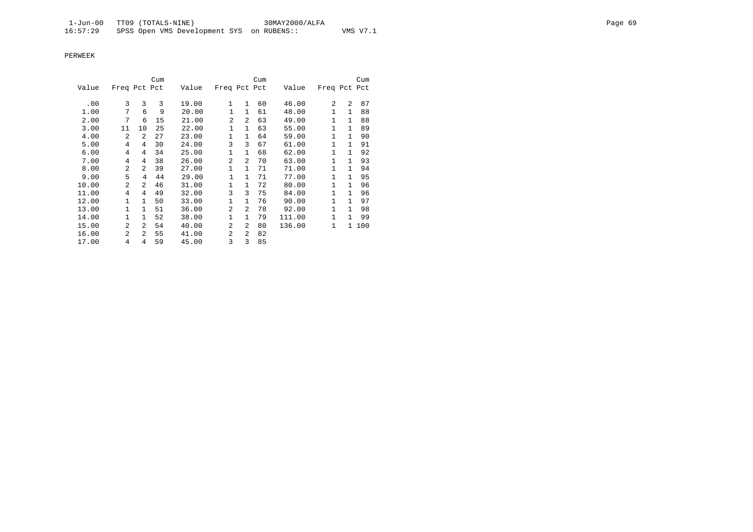|       |                |                | Cum |       |                |              | Cum |        |              |              | Cum   |
|-------|----------------|----------------|-----|-------|----------------|--------------|-----|--------|--------------|--------------|-------|
| Value | Freq Pct Pct   |                |     | Value | Freq Pct Pct   |              |     | Value  | Freq Pct Pct |              |       |
|       | 3              | 3              | 3   |       | 1              | $\mathbf{1}$ | 60  |        | 2            | 2            | 87    |
| .00   |                |                |     | 19.00 |                |              |     | 46.00  |              |              |       |
| 1.00  | 7              | 6              | 9   | 20.00 | 1              | $\mathbf{1}$ | 61  | 48.00  | $\mathbf{1}$ | $\mathbf{1}$ | 88    |
| 2.00  | 7              | 6              | 15  | 21.00 | $\overline{2}$ | 2            | 63  | 49.00  | $\mathbf{1}$ | $\mathbf{1}$ | 88    |
| 3.00  | 11             | 10             | 25  | 22.00 | $\mathbf{1}$   | $\mathbf{1}$ | 63  | 55.00  | $\mathbf{1}$ | $\mathbf{1}$ | 89    |
| 4.00  | 2              | 2              | 27  | 23.00 | 1              | $\mathbf{1}$ | 64  | 59.00  | $\mathbf{1}$ | $\mathbf{1}$ | 90    |
| 5.00  | 4              | 4              | 30  | 24.00 | 3              | 3            | 67  | 61.00  | $\mathbf{1}$ | $\mathbf{1}$ | 91    |
| 6.00  | 4              | 4              | 34  | 25.00 | 1              | 1            | 68  | 62.00  | 1            | $\mathbf{1}$ | 92    |
| 7.00  | 4              | 4              | 38  | 26.00 | $\overline{a}$ | 2            | 70  | 63.00  | $\mathbf{1}$ | $\mathbf{1}$ | 93    |
| 8.00  | $\overline{a}$ | $\mathfrak{D}$ | 39  | 27.00 | 1              | 1            | 71  | 71.00  | 1            | $\mathbf{1}$ | 94    |
| 9.00  | 5              | 4              | 44  | 29.00 | 1              | $\mathbf{1}$ | 71  | 77.00  | $\mathbf{1}$ | 1            | 95    |
| 10.00 | $\overline{a}$ | $\overline{a}$ | 46  | 31.00 | 1              | $\mathbf{1}$ | 72  | 80.00  | 1            | $\mathbf{1}$ | 96    |
| 11.00 | 4              | 4              | 49  | 32.00 | 3              | 3            | 75  | 84.00  | 1            | $\mathbf{1}$ | 96    |
| 12.00 | 1              | $\mathbf{1}$   | 50  | 33.00 | $\mathbf{1}$   | $\mathbf{1}$ | 76  | 90.00  | 1            | $\mathbf{1}$ | 97    |
| 13.00 | $\mathbf{1}$   | $\mathbf{1}$   | 51  | 36.00 | $\overline{a}$ | 2            | 78  | 92.00  | 1            | $\mathbf{1}$ | 98    |
| 14.00 | $\mathbf{1}$   | $\mathbf{1}$   | 52  | 38.00 | $\mathbf{1}$   | $\mathbf{1}$ | 79  | 111.00 | $\mathbf{1}$ | $\mathbf{1}$ | 99    |
| 15.00 | $\overline{a}$ | $\overline{a}$ | 54  | 40.00 | $\overline{a}$ | 2            | 80  | 136.00 | $\mathbf{1}$ |              | 1 100 |
| 16.00 | $\overline{a}$ | $\overline{a}$ | 55  | 41.00 | 2              | 2            | 82  |        |              |              |       |
| 17.00 | 4              | 4              | 59  | 45.00 | 3              | 3            | 85  |        |              |              |       |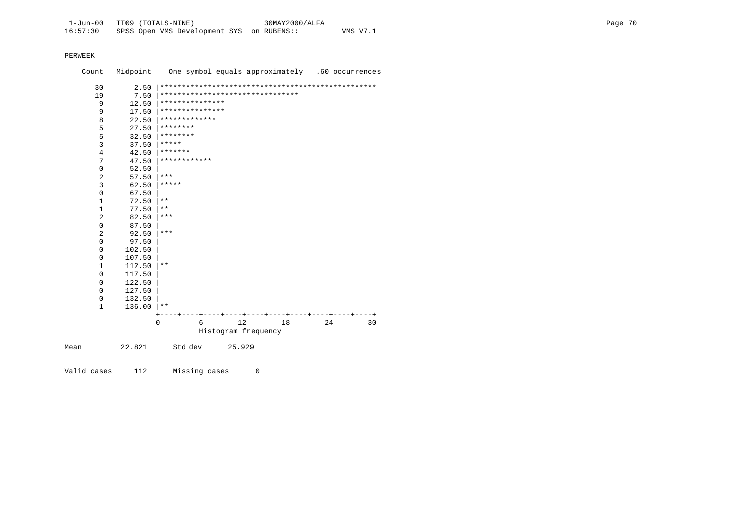Count Midpoint One symbol equals approximately .60 occurrences 30 2.50 |\*\*\*\*\*\*\*\*\*\*\*\*\*\*\*\*\*\*\*\*\*\*\*\*\*\*\*\*\*\*\*\*\*\*\*\*\*\*\*\*\*\*\*\*\*\*\*\*\*\* 19 7.50 |\*\*\*\*\*\*\*\*\*\*\*\*\*\*\*\*\*\*\*\*\*\*\*\*\*\*\*\*\*\*\*\* 9 12.50 |\*\*\*\*\*\*\*\*\*\*\*\*\*\*\* 9 17.50  $************************$ 8 22.50  $******************$ 5 27.50  $********$ <br>5 32.50  $********$ 5 32.50  $********$ <br>3 37.50  $*****$ 3  $37.50$   $****$ <br>4  $42.50$   $****$ 4  $42.50$   $******$ <br>
7  $47.50$   $*******$ 7  $47.50$   $**************$ <br>0  $52.50$  $0$  52.50<br>2 57.50 2  $57.50$  \*\*\*<br>3  $62.50$  \*\*\* 3 62.50  $*****$ <br>0 67.50  $\begin{array}{ccc} 0 & \phantom{00} & \phantom{0} & 67.50 \\ 1 & \phantom{0} & 72.50 \end{array}$  $\begin{array}{ccc} 1 & 72.50 & \ast \ast \\ 1 & 77.50 & \ast \ast \end{array}$  $\begin{array}{ccc} 1 & 77.50 & \ast \ast \\ 2 & 82.50 & \ast \ast \end{array}$  $82.50$  |\*\*\*  $\begin{array}{ccc} 0 & 87.50 \\ 2 & 92.50 \end{array}$ 2 92.50  $***$ <br>0 97.50  $0$  97.50<br>0 102.50  $0$  102.50<br>0 107.50 0 107.50 |  $\begin{array}{ccc} 1 & 112.50 \\ 0 & 117.50 \end{array}$  \*\*  $0$  117.50<br>0 122.50  $0$  122.50<br>0 127.50  $0$  127.50<br>0 132.50  $0$  132.50<br>1 136.00  $136.00$  |\*\*  $\begin{array}{cccccccc} + & - & - & + & - & - & + & - & - & + & - & - & + & - & - & + & - & - & + & - & - & + & - & - & + & - & - & + & - & - & + & - & - & + & - & - & + & - & - & + & - & - & + & - & - & + & - & - & + & - & - & + & - & - & + & - & - & + & - & - & + & - & - & + & - & - & + & - & - & + & - & - & - & + & - & - & - & + & - & - & - & + & - & - & - & + & - & - & - & + & - & - & - & + & - & - & - & + & - & - & - & + & - & - & - & - &$ 0 6 12 Histogram frequency Mean 22.821 Std dev 25.929

Valid cases 112 Missing cases 0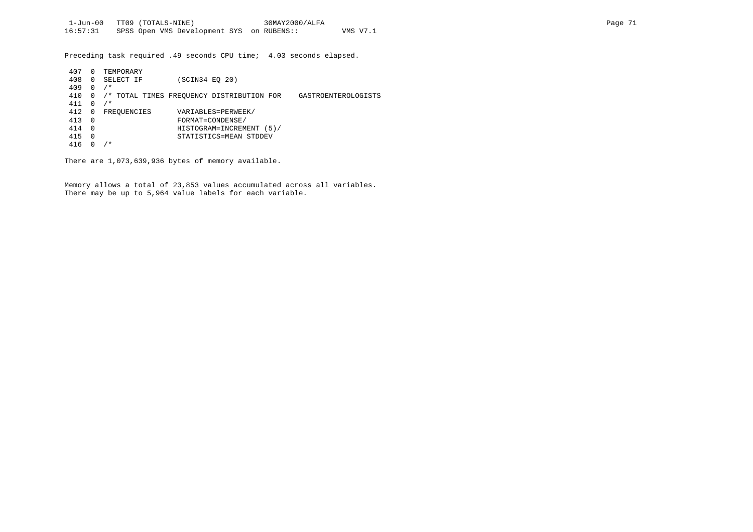Preceding task required .49 seconds CPU time; 4.03 seconds elapsed.

| 407 |          | TEMPORARY   |                                                                  |
|-----|----------|-------------|------------------------------------------------------------------|
| 408 | $\Omega$ | SELECT IF   | (SCIN34 EO 20)                                                   |
| 409 | $\Omega$ | $/$ *       |                                                                  |
| 410 |          |             | /* TOTAL TIMES FREOUENCY DISTRIBUTION FOR<br>GASTROENTEROLOGISTS |
| 411 | $\Omega$ | $/$ *       |                                                                  |
| 412 | 0        | FREOUENCIES | VARIABLES=PERWEEK/                                               |
| 413 | - 0      |             | FORMAT=CONDENSE/                                                 |
| 414 | - 0      |             | HISTOGRAM=INCREMENT (5)/                                         |
| 415 | 0        |             | STATISTICS=MEAN STDDEV                                           |
| 416 |          | ⁄*          |                                                                  |

There are 1,073,639,936 bytes of memory available.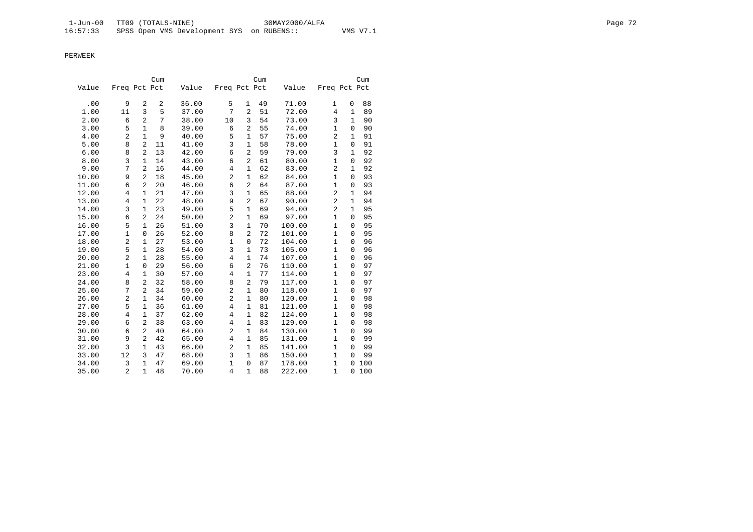|       |                |                                | Cum      |       |                         |                     | Cum |        |                                |                             | Cum |
|-------|----------------|--------------------------------|----------|-------|-------------------------|---------------------|-----|--------|--------------------------------|-----------------------------|-----|
| Value | Freq Pct Pct   |                                |          | Value | Freq Pct Pct            |                     |     | Value  | Freq Pct Pct                   |                             |     |
| .00   | 9              | 2                              | 2        | 36.00 | 5                       | $\mathbf{1}$        | 49  | 71.00  |                                |                             | 88  |
| 1.00  | 11             | 3                              | 5        | 37.00 | 7                       | $\overline{2}$      | 51  | 72.00  | $\mathbf{1}$<br>4              | 0<br>$\mathbf{1}$           | 89  |
|       |                | $\overline{2}$                 |          |       |                         |                     |     |        |                                | $\mathbf{1}$                |     |
| 2.00  | 6              | $\mathbf{1}$                   | 7<br>8   | 38.00 | 10                      | 3<br>$\overline{2}$ | 54  | 73.00  | 3<br>$\mathbf{1}$              |                             | 90  |
| 3.00  | 5              | $\mathbf{1}$                   | 9        | 39.00 | 6                       | $\mathbf{1}$        | 55  | 74.00  | $\overline{2}$                 | $\mathbf 0$<br>$\mathbf{1}$ | 90  |
| 4.00  | 2              | $\overline{2}$                 |          | 40.00 | 5                       | $\mathbf{1}$        | 57  | 75.00  | $\mathbf{1}$                   | $\mathbf 0$                 | 91  |
| 5.00  | 8              |                                | 11       | 41.00 | 3                       |                     | 58  | 78.00  | $\overline{3}$                 |                             | 91  |
| 6.00  | 8              | $\overline{2}$                 | 13       | 42.00 | $\epsilon$              | $\overline{2}$      | 59  | 79.00  |                                | 1                           | 92  |
| 8.00  | 3<br>7         | $\mathbf{1}$<br>$\overline{2}$ | 14       | 43.00 | 6                       | 2<br>$\mathbf{1}$   | 61  | 80.00  | $\mathbf{1}$<br>$\overline{2}$ | $\mathbf 0$<br>$\mathbf{1}$ | 92  |
| 9.00  |                |                                | 16       | 44.00 | $\overline{4}$          |                     | 62  | 83.00  |                                |                             | 92  |
| 10.00 | 9              | $\overline{2}$                 | 18       | 45.00 | $\overline{\mathbf{c}}$ | $\mathbf{1}$        | 62  | 84.00  | $\mathbf{1}$<br>$\mathbf{1}$   | $\Omega$<br>$\Omega$        | 93  |
| 11.00 | 6              | $\overline{c}$                 | 20<br>21 | 46.00 | 6<br>3                  | 2                   | 64  | 87.00  | $\overline{2}$                 |                             | 93  |
| 12.00 | $\overline{4}$ | $\mathbf{1}$                   |          | 47.00 | 9                       | 1<br>$\overline{2}$ | 65  | 88.00  | $\overline{a}$                 | 1                           | 94  |
| 13.00 | 4              | $\mathbf{1}$                   | 22       | 48.00 | 5                       |                     | 67  | 90.00  | $\overline{2}$                 | 1                           | 94  |
| 14.00 | 3              | $\mathbf{1}$                   | 23       | 49.00 |                         | 1                   | 69  | 94.00  |                                | 1                           | 95  |
| 15.00 | 6              | 2                              | 24       | 50.00 | $\overline{a}$          | 1                   | 69  | 97.00  | $\mathbf{1}$                   | $\Omega$                    | 95  |
| 16.00 | 5              | $\mathbf{1}$                   | 26       | 51.00 | 3                       | $\mathbf{1}$        | 70  | 100.00 | $\mathbf{1}$                   | 0                           | 95  |
| 17.00 | $\mathbf{1}$   | 0                              | 26       | 52.00 | 8                       | $\overline{2}$      | 72  | 101.00 | $\mathbf{1}$                   | 0                           | 95  |
| 18.00 | 2              | $\mathbf{1}$                   | 27       | 53.00 | 1                       | $\mathbf 0$         | 72  | 104.00 | $\mathbf{1}$                   | $\Omega$                    | 96  |
| 19.00 | 5              | $\mathbf{1}$                   | 28       | 54.00 | 3                       | 1                   | 73  | 105.00 | $\mathbf{1}$                   | 0                           | 96  |
| 20.00 | $\overline{2}$ | $\mathbf{1}$                   | 28       | 55.00 | 4                       | $\mathbf{1}$        | 74  | 107.00 | $\mathbf{1}$                   | $\Omega$                    | 96  |
| 21.00 | $\mathbf{1}$   | $\mathbf{0}$                   | 29       | 56.00 | 6                       | $\overline{2}$      | 76  | 110.00 | $\mathbf{1}$                   | $\mathbf 0$                 | 97  |
| 23.00 | $\overline{4}$ | 1                              | 30       | 57.00 | 4                       | $\mathbf{1}$        | 77  | 114.00 | $\mathbf{1}$                   | 0                           | 97  |
| 24.00 | 8              | $\overline{a}$                 | 32       | 58.00 | 8                       | $\overline{a}$      | 79  | 117.00 | $\mathbf{1}$                   | $\Omega$                    | 97  |
| 25.00 | 7              | $\overline{2}$                 | 34       | 59.00 | $\overline{c}$          | 1                   | 80  | 118.00 | $\mathbf{1}$                   | $\mathbf 0$                 | 97  |
| 26.00 | 2              | $\mathbf{1}$                   | 34       | 60.00 | $\overline{c}$          | $\mathbf{1}$        | 80  | 120.00 | $\mathbf{1}$                   | $\Omega$                    | 98  |
| 27.00 | 5              | $\mathbf{1}$                   | 36       | 61.00 | 4                       | 1                   | 81  | 121.00 | $\mathbf 1$                    | $\mathbf 0$                 | 98  |
| 28.00 | $\overline{4}$ | $\mathbf{1}$                   | 37       | 62.00 | 4                       | 1                   | 82  | 124.00 | $\mathbf{1}$                   | $\mathbf 0$                 | 98  |
| 29.00 | 6              | $\overline{2}$                 | 38       | 63.00 | 4                       | $\mathbf{1}$        | 83  | 129.00 | $\mathbf{1}$                   | $\mathbf 0$                 | 98  |
| 30.00 | 6              | $\overline{2}$                 | 40       | 64.00 | $\overline{c}$          | $\mathbf{1}$        | 84  | 130.00 | $\mathbf{1}$                   | $\Omega$                    | 99  |
| 31.00 | 9              | $\overline{2}$                 | 42       | 65.00 | $\overline{4}$          | $\mathbf{1}$        | 85  | 131.00 | $\mathbf{1}$                   | $\Omega$                    | 99  |
| 32.00 | 3              | $\mathbf{1}$                   | 43       | 66.00 | $\overline{c}$          | $\mathbf{1}$        | 85  | 141.00 | $\mathbf{1}$                   | $\mathbf 0$                 | 99  |
| 33.00 | 12             | 3                              | 47       | 68.00 | 3                       | $\mathbf{1}$        | 86  | 150.00 | $\mathbf{1}$                   | $\Omega$                    | 99  |
| 34.00 | 3              | $\mathbf{1}$                   | 47       | 69.00 | $\mathbf{1}$            | $\mathbf 0$         | 87  | 178.00 | $\mathbf{1}$                   | $\mathbf 0$                 | 100 |
| 35.00 | $\overline{2}$ | $\mathbf{1}$                   | 48       | 70.00 | $\overline{4}$          | $\mathbf{1}$        | 88  | 222.00 | $\mathbf{1}$                   | $\mathbf 0$                 | 100 |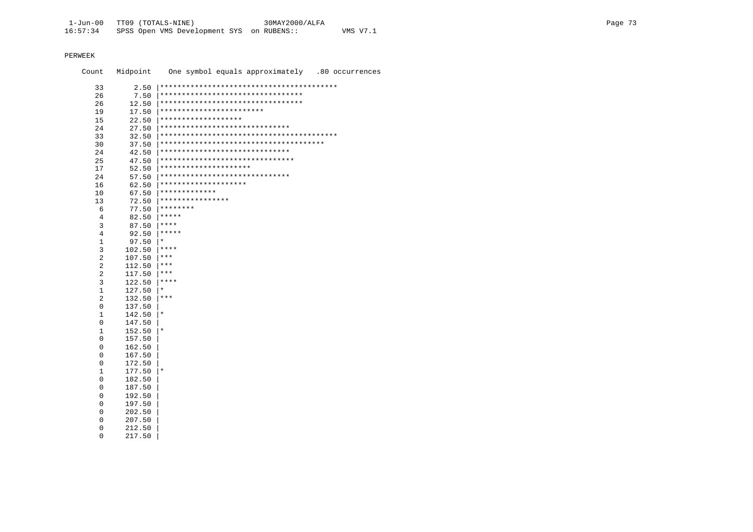Count Midpoint One symbol equals approximately .80 occurrences 33 2.50 |\*\*\*\*\*\*\*\*\*\*\*\*\*\*\*\*\*\*\*\*\*\*\*\*\*\*\*\*\*\*\*\*\*\*\*\*\*\*\*\*\* 26 7.50 |\*\*\*\*\*\*\*\*\*\*\*\*\*\*\*\*\*\*\*\*\*\*\*\*\*\*\*\*\*\*\*\*\* 26 12.50 |\*\*\*\*\*\*\*\*\*\*\*\*\*\*\*\*\*\*\*\*\*\*\*\*\*\*\*\*\*\*\*\*\* 19 17.50 |\*\*\*\*\*\*\*\*\*\*\*\*\*\*\*\*\*\*\*\*\*\*\*\* 15 22.50 |\*\*\*\*\*\*\*\*\*\*\*\*\*\*\*\*\*\*\* 24 27.50 |\*\*\*\*\*\*\*\*\*\*\*\*\*\*\*\*\*\*\*\*\*\*\*\*\*\*\*\*\*\* 33 32.50 |\*\*\*\*\*\*\*\*\*\*\*\*\*\*\*\*\*\*\*\*\*\*\*\*\*\*\*\*\*\*\*\*\*\*\*\*\*\*\*\*\* 30 37.50 |\*\*\*\*\*\*\*\*\*\*\*\*\*\*\*\*\*\*\*\*\*\*\*\*\*\*\*\*\*\*\*\*\*\*\*\*\*\* 24 42.50 |\*\*\*\*\*\*\*\*\*\*\*\*\*\*\*\*\*\*\*\*\*\*\*\*\*\*\*\*\*\*\*\*\*\*<br>25 47.50 |\*\*\*\*\*\*\*\*\*\*\*\*\*\*\*\*\*\*\*\*\*\*\*\*\*\*\*\*\*\*\* 25 47.50 |\*\*\*\*\*\*\*\*\*\*\*\*\*\*\*\*\*\*\*\*\*\*\*\*\*\*\*\*\*\*\* 17 52.50 |\*\*\*\*\*\*\*\*\*\*\*\*\*\*\*\*\*\*\*\*\* 24 57.50 |\*\*\*\*\*\*\*\*\*\*\*\*\*\*\*\*\*\*\*\*\*\*\*\*\*\*\*\*\*\* 16 62.50 |\*\*\*\*\*\*\*\*\*\*\*\*\*\*\*\*\*\*\*\* 10 67.50  $****************$ <br>13 72.50 \*\*\*\*\*\*\*\*\*\*\*\*\*\* 13 72.50 |\*\*\*\*\*\*\*\*\*\*\*\*\*\*\*\* 6 77.50  $********$ <br>4 82.50  $*****$  4 82.50 |\*\*\*\*\* 3 87.50  $****$ <br>4 92.50  $****$  $\begin{array}{ccc} 4 & 92.50 & \ast \ast \ast \ast \ 1 & 97.50 & \ast \end{array}$  $\frac{1}{3}$  97.50  $*$ <br> $\frac{102.50}{102.50}$  \*\* 3 102.50  $****$ <br>2 107.50  $****$ 2 107.50  $***$ <br>2 112.50  $***$ 2 112.50  $***$ <br>2 117.50  $***$ 2 117.50  $***$ <br>3 122.50  $***$  $\begin{array}{ccc} 3 & 122.50 & ****\\ 1 & 127.50 & *\\ \end{array}$  $\begin{array}{ccc} 1 & 127.50 & \ast \\ 2 & 132.50 & \ast \end{array}$  $132.50$  |\*\*\* 0 137.50 |  $1 \t142.50 \t \times$  $0$  147.50<br>1 152.50  $\begin{array}{ccc} 1 & 152.50 \ 0 & 157.50 \end{array}$  |\*  $0$  157.50<br>0 162.50  $0$  162.50<br>0 167.50  $0$  167.50<br>0 172.50  $\begin{array}{cc} 0 & 172.50 \\ 1 & 177.50 \end{array}$  $\begin{array}{ccc} 1 & 177.50 \ 0 & 182.50 \end{array}$  |\*  $0$  182.50<br>0 187.50 0 187.50 |  $0$  192.50<br>0 197.50  $0$  197.50<br> $0$  202.50  $0$  202.50<br>0 207.50  $0$  207.50<br>0 212.50

 0 212.50 | 0 217.50 |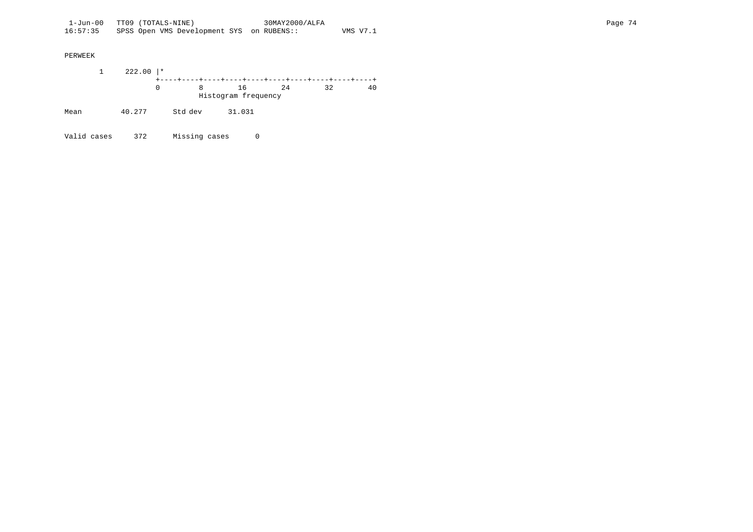1 222.00 |\* +----+----+----+----+----+----+----+----+----+----+ 0 8 16 24 32 40 Histogram frequency Mean 40.277 Std dev 31.031

Valid cases 372 Missing cases 0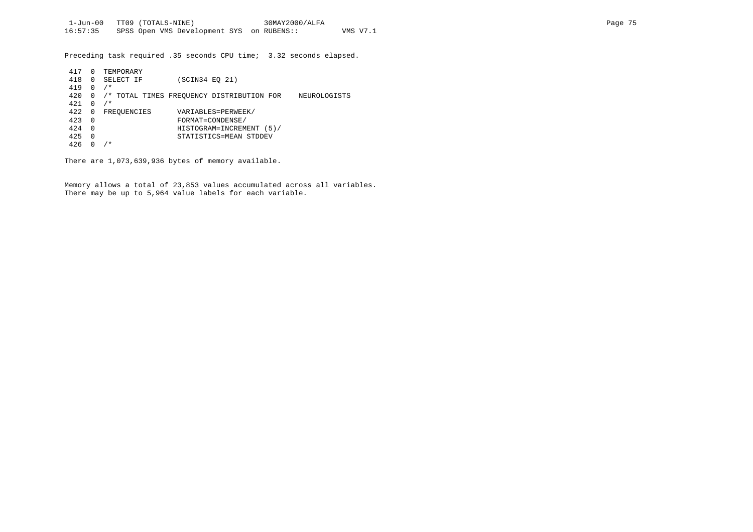Preceding task required .35 seconds CPU time; 3.32 seconds elapsed.

| 417 | $\Omega$ | TEMPORARY   |                                                           |
|-----|----------|-------------|-----------------------------------------------------------|
| 418 | 0        | SELECT IF   | (SCIN34 EO 21)                                            |
| 419 | 0        | $/$ *       |                                                           |
| 420 | 0        |             | /* TOTAL TIMES FREOUENCY DISTRIBUTION FOR<br>NEUROLOGISTS |
| 421 | 0        | $/$ *       |                                                           |
| 422 | 0        | FREQUENCIES | VARIABLES=PERWEEK/                                        |
| 423 | $\Omega$ |             | FORMAT=CONDENSE/                                          |
| 424 | $\Omega$ |             | HISTOGRAM=INCREMENT<br>(5)                                |
| 425 | 0        |             | STATISTICS=MEAN STDDEV                                    |
| 426 |          | $/$ *       |                                                           |

There are 1,073,639,936 bytes of memory available.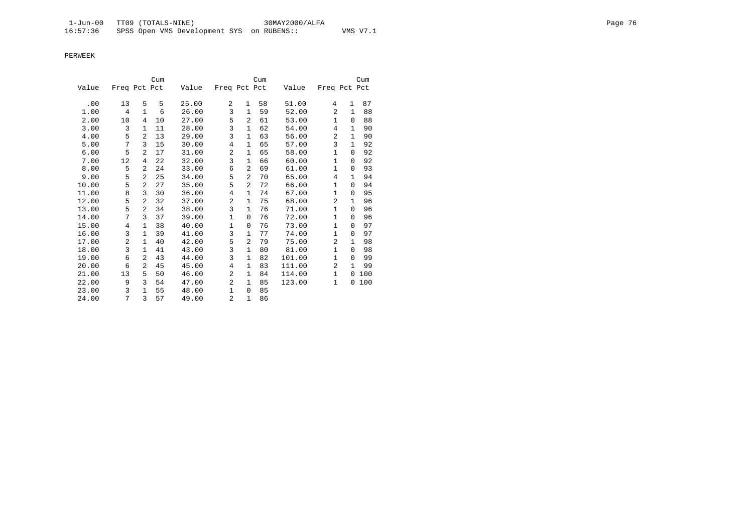|       |                |                | Cum |       |                |                | Cum |        |                |              | Cum |
|-------|----------------|----------------|-----|-------|----------------|----------------|-----|--------|----------------|--------------|-----|
| Value | Freq Pct Pct   |                |     | Value | Freq Pct Pct   |                |     | Value  | Freq Pct Pct   |              |     |
|       |                |                |     |       |                |                |     |        |                |              |     |
| .00   | 13             | 5              | 5   | 25.00 | $\overline{a}$ | $\mathbf{1}$   | 58  | 51.00  | 4              | 1            | 87  |
| 1.00  | 4              | 1              | 6   | 26.00 | 3              | $\mathbf{1}$   | 59  | 52.00  | 2              | 1            | 88  |
| 2.00  | 10             | 4              | 10  | 27.00 | 5              | $\overline{a}$ | 61  | 53.00  | $\mathbf{1}$   | $\Omega$     | 88  |
| 3.00  | 3              | $\mathbf{1}$   | 11  | 28.00 | 3              | $\mathbf{1}$   | 62  | 54.00  | 4              | 1            | 90  |
| 4.00  | 5              | $\overline{a}$ | 13  | 29.00 | 3              | $\mathbf{1}$   | 63  | 56.00  | $\overline{a}$ | $\mathbf{1}$ | 90  |
| 5.00  | 7              | 3              | 15  | 30.00 | 4              | 1              | 65  | 57.00  | 3              | 1            | 92  |
| 6.00  | 5              | $\overline{a}$ | 17  | 31.00 | $\overline{c}$ | $\mathbf{1}$   | 65  | 58.00  | $\mathbf 1$    | 0            | 92  |
| 7.00  | 12             | 4              | 22  | 32.00 | 3              | $\mathbf{1}$   | 66  | 60.00  | $\mathbf{1}$   | $\Omega$     | 92  |
| 8.00  | 5              | 2              | 24  | 33.00 | 6              | 2              | 69  | 61.00  | 1              | 0            | 93  |
| 9.00  | 5              | $\overline{2}$ | 25  | 34.00 | 5              | 2              | 70  | 65.00  | 4              | $\mathbf{1}$ | 94  |
| 10.00 | 5              | 2              | 27  | 35.00 | 5              | 2              | 72  | 66.00  | $\mathbf{1}$   | $\Omega$     | 94  |
| 11.00 | 8              | 3              | 30  | 36.00 | $\overline{4}$ | $\mathbf{1}$   | 74  | 67.00  | 1              | $\Omega$     | 95  |
| 12.00 | 5              | $\overline{a}$ | 32  | 37.00 | $\overline{c}$ | 1              | 75  | 68.00  | $\overline{a}$ | 1            | 96  |
| 13.00 | 5              | $\mathfrak{D}$ | 34  | 38.00 | 3              | $\mathbf{1}$   | 76  | 71.00  | $\mathbf{1}$   | $\Omega$     | 96  |
| 14.00 | 7              | 3              | 37  | 39.00 | $\mathbf{1}$   | $\mathbf 0$    | 76  | 72.00  | $\mathbf{1}$   | 0            | 96  |
| 15.00 | 4              | 1              | 38  | 40.00 | $\mathbf{1}$   | $\mathbf 0$    | 76  | 73.00  | $\mathbf{1}$   | $\Omega$     | 97  |
| 16.00 | 3              | $\mathbf{1}$   | 39  | 41.00 | 3              | $\mathbf{1}$   | 77  | 74.00  | $\mathbf{1}$   | $\Omega$     | 97  |
| 17.00 | $\overline{2}$ | 1              | 40  | 42.00 | 5              | $\overline{2}$ | 79  | 75.00  | $\overline{a}$ | 1            | 98  |
| 18.00 | 3              | $\mathbf{1}$   | 41  | 43.00 | 3              | 1              | 80  | 81.00  | $\mathbf{1}$   | $\Omega$     | 98  |
| 19.00 | 6              | 2              | 43  | 44.00 | 3              | $\mathbf{1}$   | 82  | 101.00 | $\mathbf{1}$   | $\Omega$     | 99  |
| 20.00 | 6              | 2              | 45  | 45.00 | $\overline{4}$ | $\mathbf{1}$   | 83  | 111.00 | $\overline{a}$ | $\mathbf{1}$ | 99  |
| 21.00 | 13             | 5              | 50  | 46.00 | $\overline{a}$ | 1              | 84  | 114.00 | 1              | 0            | 100 |
| 22.00 | 9              | 3              | 54  | 47.00 | $\overline{c}$ | $\mathbf{1}$   | 85  | 123.00 | 1              | 0            | 100 |
| 23.00 | 3              | $\mathbf{1}$   | 55  | 48.00 | $\mathbf{1}$   | $\mathbf 0$    | 85  |        |                |              |     |
| 24.00 | 7              | 3              | 57  | 49.00 | $\overline{a}$ | 1              | 86  |        |                |              |     |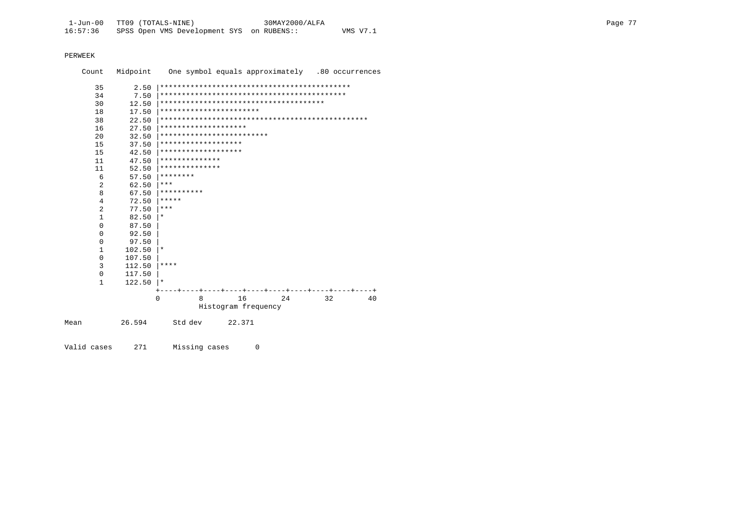| Count |                | Midpoint | One symbol equals approximately .80 occurrences |    |
|-------|----------------|----------|-------------------------------------------------|----|
|       | 35             | 2.50     |                                                 |    |
|       | 34             | 7.50     |                                                 |    |
|       | 30             | 12.50    |                                                 |    |
|       | 18             | 17.50    | ***********************                         |    |
|       | 38             | 22.50    |                                                 |    |
|       | 16             | 27.50    | ********************                            |    |
|       | 2.0            | 32.50    | *************************                       |    |
|       | 15             | 37.50    | *******************                             |    |
|       | 15             | 42.50    | *******************                             |    |
|       | 11             | 47.50    | **************                                  |    |
|       | 11             | 52.50    | **************                                  |    |
|       | 6              | 57.50    | ********                                        |    |
|       | 2              | 62.50    | ***                                             |    |
|       | 8              | 67.50    | **********                                      |    |
|       | 4              | 72.50    | *****                                           |    |
|       | $\overline{a}$ | 77.50    | ***                                             |    |
|       | $\mathbf{1}$   | 82.50    | $\star$                                         |    |
|       | $\Omega$       | 87.50    |                                                 |    |
|       | 0              | 92.50    |                                                 |    |
|       | $\mathbf 0$    | 97.50    |                                                 |    |
|       | $\mathbf{1}$   | 102.50   | $\star$                                         |    |
|       | 0              | 107.50   |                                                 |    |
|       | 3              | 112.50   | ****                                            |    |
|       | $\mathbf 0$    | 117.50   |                                                 |    |
|       | $\mathbf{1}$   | 122.50   | $\star$                                         |    |
|       |                |          |                                                 |    |
|       |                | $\Omega$ | 16<br>24<br>32<br>8                             | 40 |
|       |                |          | Histogram frequency                             |    |
| Mean  |                | 26.594   | Std dev<br>22.371                               |    |
|       |                |          |                                                 |    |

Valid cases 271 Missing cases 0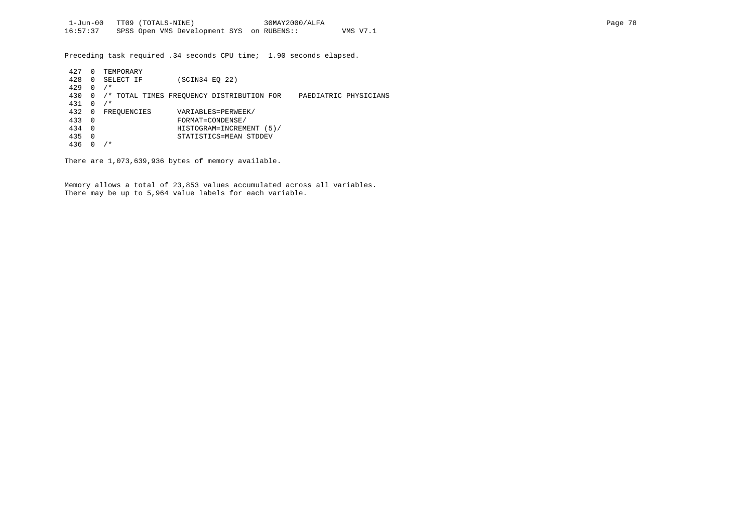Preceding task required .34 seconds CPU time; 1.90 seconds elapsed.

| 427 | 0        | TEMPORARY   |                                           |                       |
|-----|----------|-------------|-------------------------------------------|-----------------------|
| 428 | 0        | SELECT IF   | (SCIN34 EO 22)                            |                       |
| 429 | 0        | $/$ *       |                                           |                       |
| 430 | 0        |             | /* TOTAL TIMES FREOUENCY DISTRIBUTION FOR | PAEDIATRIC PHYSICIANS |
| 431 | U        | $/$ *       |                                           |                       |
| 432 | 0        | FREQUENCIES | VARIABLES=PERWEEK/                        |                       |
| 433 | - 0      |             | FORMAT=CONDENSE/                          |                       |
| 434 | $\Omega$ |             | HISTOGRAM=INCREMENT (5)/                  |                       |
| 435 | $\Omega$ |             | STATISTICS=MEAN STDDEV                    |                       |
| 436 |          | ⁄*          |                                           |                       |

There are 1,073,639,936 bytes of memory available.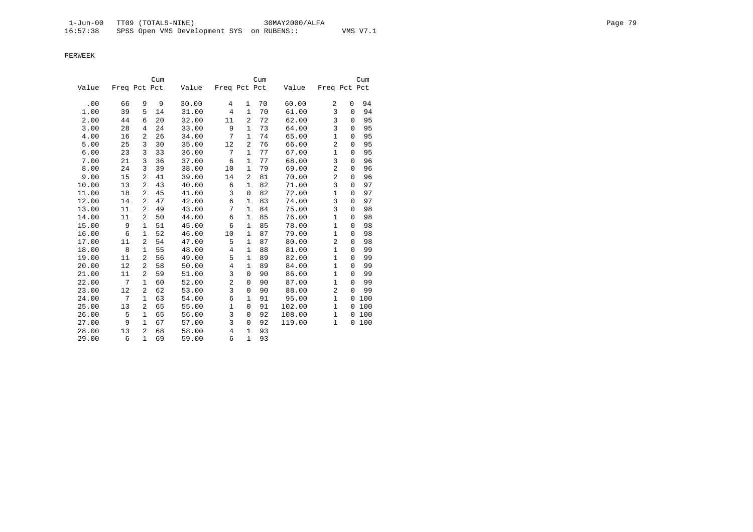|       |              |                | Cum |       |                |                | Cum |        |                |             | Cum |
|-------|--------------|----------------|-----|-------|----------------|----------------|-----|--------|----------------|-------------|-----|
| Value | Freq Pct Pct |                |     | Value | Freq Pct Pct   |                |     | Value  | Freq Pct Pct   |             |     |
| .00   | 66           | 9              | 9   | 30.00 | 4              | $\mathbf{1}$   | 70  | 60.00  | 2              | 0           | 94  |
| 1.00  | 39           | 5              | 14  | 31.00 | $\overline{4}$ | $\mathbf{1}$   | 70  | 61.00  | 3              | 0           | 94  |
| 2.00  | 44           | 6              | 20  | 32.00 | 11             | $\overline{2}$ | 72  | 62.00  | 3              | $\Omega$    | 95  |
| 3.00  | 28           | 4              | 24  | 33.00 | 9              | $\mathbf{1}$   | 73  | 64.00  | $\overline{3}$ | $\Omega$    | 95  |
| 4.00  | 16           | $\overline{a}$ | 26  | 34.00 | 7              | $\mathbf{1}$   | 74  | 65.00  | $\mathbf{1}$   | $\mathbf 0$ | 95  |
| 5.00  | 25           | 3              | 30  | 35.00 | 12             | $\overline{2}$ | 76  | 66.00  | $\overline{2}$ | $\mathbf 0$ | 95  |
| 6.00  | 23           | 3              | 33  | 36.00 | 7              | $\mathbf{1}$   | 77  | 67.00  | $\mathbf{1}$   | $\Omega$    | 95  |
| 7.00  | 21           | 3              | 36  | 37.00 | 6              | $\mathbf{1}$   | 77  | 68.00  | 3              | 0           | 96  |
| 8.00  | 24           | 3              | 39  | 38.00 | 10             | $\mathbf{1}$   | 79  | 69.00  | $\overline{2}$ | 0           | 96  |
| 9.00  | 15           | 2              | 41  | 39.00 | 14             | 2              | 81  | 70.00  | $\overline{2}$ | $\mathbf 0$ | 96  |
| 10.00 | 13           | 2              | 43  | 40.00 | 6              | $\mathbf{1}$   | 82  | 71.00  | 3              | $\mathbf 0$ | 97  |
| 11.00 | 18           | $\overline{a}$ | 45  | 41.00 | 3              | $\mathbf 0$    | 82  | 72.00  | $\mathbf{1}$   | 0           | 97  |
| 12.00 | 14           | 2              | 47  | 42.00 | 6              | 1              | 83  | 74.00  | $\overline{3}$ | $\mathbf 0$ | 97  |
| 13.00 | 11           | 2              | 49  | 43.00 | 7              | $\mathbf{1}$   | 84  | 75.00  | $\overline{3}$ | 0           | 98  |
| 14.00 | 11           | 2              | 50  | 44.00 | 6              | $\mathbf{1}$   | 85  | 76.00  | $\mathbf{1}$   | $\Omega$    | 98  |
| 15.00 | 9            | $\mathbf{1}$   | 51  | 45.00 | 6              | $\mathbf{1}$   | 85  | 78.00  | $\mathbf{1}$   | $\mathbf 0$ | 98  |
| 16.00 | 6            | 1              | 52  | 46.00 | 10             | $\mathbf{1}$   | 87  | 79.00  | $\mathbf{1}$   | 0           | 98  |
| 17.00 | 11           | 2              | 54  | 47.00 | 5              | $\mathbf{1}$   | 87  | 80.00  | $\overline{2}$ | $\Omega$    | 98  |
| 18.00 | 8            | $\mathbf{1}$   | 55  | 48.00 | $\overline{4}$ | $\mathbf{1}$   | 88  | 81.00  | $\mathbf{1}$   | $\mathbf 0$ | 99  |
| 19.00 | 11           | 2              | 56  | 49.00 | 5              | $\mathbf{1}$   | 89  | 82.00  | $\mathbf{1}$   | $\Omega$    | 99  |
| 20.00 | 12           | 2              | 58  | 50.00 | $\overline{4}$ | $\mathbf{1}$   | 89  | 84.00  | $\mathbf{1}$   | $\Omega$    | 99  |
| 21.00 | 11           | 2              | 59  | 51.00 | 3              | 0              | 90  | 86.00  | $\mathbf{1}$   | $\Omega$    | 99  |
| 22.00 | 7            | 1              | 60  | 52.00 | $\overline{c}$ | 0              | 90  | 87.00  | $\mathbf{1}$   | $\Omega$    | 99  |
| 23.00 | 12           | $\overline{a}$ | 62  | 53.00 | 3              | $\mathbf 0$    | 90  | 88.00  | $\overline{a}$ | $\Omega$    | 99  |
| 24.00 | 7            | $\mathbf{1}$   | 63  | 54.00 | 6              | 1              | 91  | 95.00  | $\mathbf{1}$   | $\Omega$    | 100 |
| 25.00 | 13           | 2              | 65  | 55.00 | $\mathbf{1}$   | 0              | 91  | 102.00 | $\mathbf{1}$   | 0           | 100 |
| 26.00 | 5            | 1              | 65  | 56.00 | 3              | $\mathbf 0$    | 92  | 108.00 | $\mathbf{1}$   | 0           | 100 |
| 27.00 | 9            | 1              | 67  | 57.00 | 3              | 0              | 92  | 119.00 | $\mathbf{1}$   | 0           | 100 |
| 28.00 | 13           | $\overline{2}$ | 68  | 58.00 | 4              | $\mathbf{1}$   | 93  |        |                |             |     |
| 29.00 | 6            | $\mathbf{1}$   | 69  | 59.00 | 6              | $\mathbf{1}$   | 93  |        |                |             |     |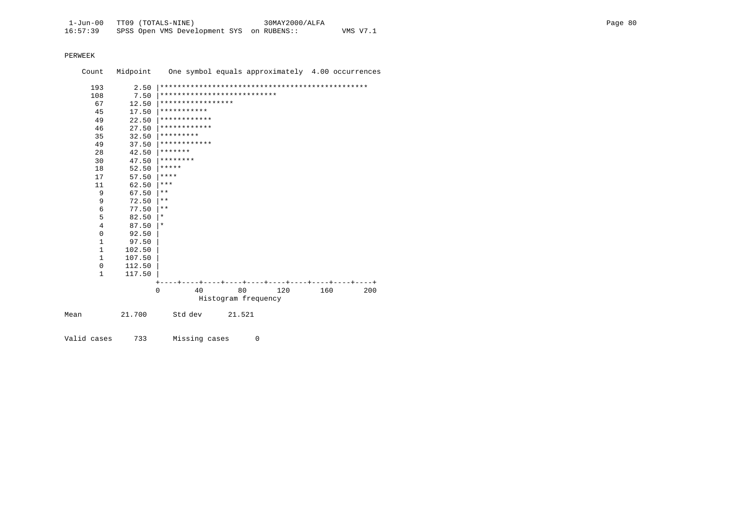|      | Count          |        | Midpoint One symbol equals approximately 4.00 occurrences |                     |     |     |     |
|------|----------------|--------|-----------------------------------------------------------|---------------------|-----|-----|-----|
|      | 193            | 2.50   |                                                           |                     |     |     |     |
|      | 108            | 7.50   | ***************************                               |                     |     |     |     |
|      | 67             | 12.50  | *****************                                         |                     |     |     |     |
|      | 45             | 17.50  | ***********                                               |                     |     |     |     |
|      | 49             | 22.50  | ************                                              |                     |     |     |     |
|      | 46             | 27.50  | ************                                              |                     |     |     |     |
|      | 35             | 32.50  | *********                                                 |                     |     |     |     |
|      | 49             | 37.50  | ************                                              |                     |     |     |     |
|      | 28             | 42.50  | *******                                                   |                     |     |     |     |
|      | 30             | 47.50  | ********                                                  |                     |     |     |     |
|      | 18             | 52.50  | *****                                                     |                     |     |     |     |
|      | 17             | 57.50  | $***$ * * *                                               |                     |     |     |     |
|      | 11             | 62.50  | $***$                                                     |                     |     |     |     |
|      | 9              | 67.50  | $***$                                                     |                     |     |     |     |
|      | 9              | 72.50  | $***$                                                     |                     |     |     |     |
|      | 6              | 77.50  | $\star\star$                                              |                     |     |     |     |
|      | 5              | 82.50  | $\star$                                                   |                     |     |     |     |
|      | $\overline{4}$ | 87.50  | $\star$                                                   |                     |     |     |     |
|      | $\mathbf 0$    | 92.50  |                                                           |                     |     |     |     |
|      | 1              | 97.50  |                                                           |                     |     |     |     |
|      | 1              | 102.50 |                                                           |                     |     |     |     |
|      | $\mathbf{1}$   | 107.50 |                                                           |                     |     |     |     |
|      | 0              | 112.50 |                                                           |                     |     |     |     |
|      | 1              | 117.50 |                                                           |                     |     |     |     |
|      |                |        |                                                           |                     |     |     |     |
|      |                |        | 40<br>$\Omega$                                            | 80                  | 120 | 160 | 200 |
|      |                |        |                                                           | Histogram frequency |     |     |     |
| Mean |                | 21.700 | Std dev                                                   | 21.521              |     |     |     |
|      |                |        |                                                           |                     |     |     |     |

Valid cases 733 Missing cases 0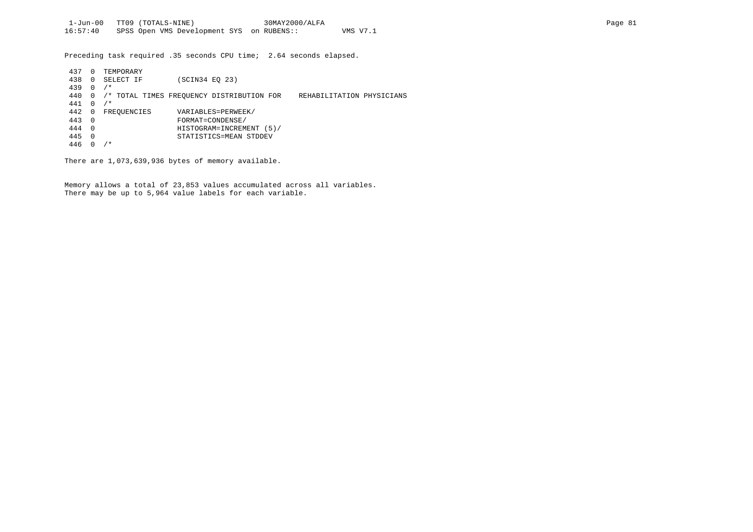Preceding task required .35 seconds CPU time; 2.64 seconds elapsed.

| 437 | $\Omega$ | TEMPORARY   |                                           |                           |  |
|-----|----------|-------------|-------------------------------------------|---------------------------|--|
| 438 | $\Omega$ | SELECT IF   | (SCIN34 EO 23)                            |                           |  |
| 439 | $\Omega$ | $/$ *       |                                           |                           |  |
| 440 | 0        |             | /* TOTAL TIMES FREOUENCY DISTRIBUTION FOR | REHABILITATION PHYSICIANS |  |
| 441 | 0        | $/$ *       |                                           |                           |  |
| 442 | 0        | FREOUENCIES | VARIABLES=PERWEEK/                        |                           |  |
| 443 | $\Omega$ |             | FORMAT=CONDENSE/                          |                           |  |
| 444 | - 0      |             | HISTOGRAM=INCREMENT (5)/                  |                           |  |
| 445 | $\Omega$ |             | STATISTICS=MEAN STDDEV                    |                           |  |
| 446 |          | , *         |                                           |                           |  |

There are 1,073,639,936 bytes of memory available.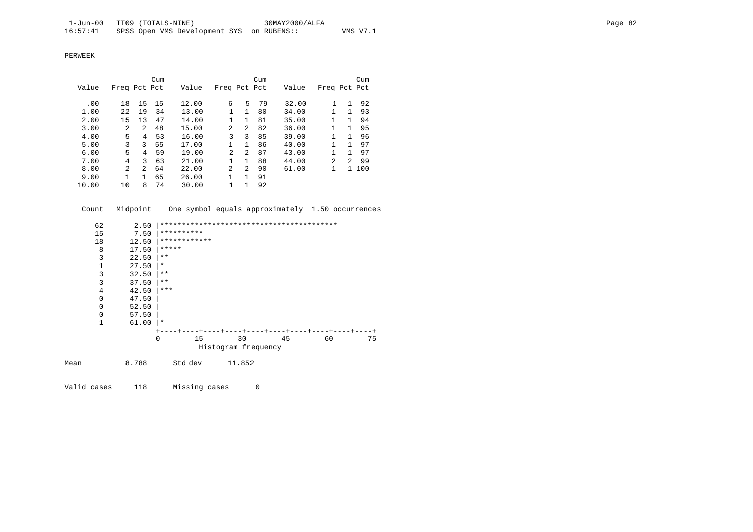|       |                |                | Cum |       |                |                | Cum |       |                |                | Cum |
|-------|----------------|----------------|-----|-------|----------------|----------------|-----|-------|----------------|----------------|-----|
| Value | Freq Pct Pct   |                |     | Value | Freq Pct Pct   |                |     | Value | Freq Pct Pct   |                |     |
|       |                |                |     |       |                |                |     |       |                |                |     |
| .00   | 18             | 15             | 15  | 12.00 | 6              | 5              | 79  | 32.00 | 1              | 1              | 92  |
| 1.00  | 22             | 19             | 34  | 13.00 | 1              | 1.             | 80  | 34.00 |                |                | 93  |
| 2.00  | 15             | 13             | 47  | 14.00 | 1              | 1              | 81  | 35.00 |                | 1.             | 94  |
| 3.00  | $\overline{a}$ | 2              | 48  | 15.00 | $\overline{a}$ | 2              | 82  | 36.00 |                | 1.             | 95  |
| 4.00  | 5              | 4              | 53  | 16.00 | 3              | 3              | 85  | 39.00 |                | 1              | 96  |
| 5.00  | 3              | 3              | 55  | 17.00 |                |                | 86  | 40.00 |                |                | 97  |
| 6.00  | 5              | 4              | 59  | 19.00 | $\mathfrak{D}$ | $\mathfrak{D}$ | 87  | 43.00 |                |                | 97  |
| 7.00  | 4              | 3              | 63  | 21.00 | 1              | 1              | 88  | 44.00 | $\mathfrak{D}$ | $\mathfrak{D}$ | 99  |
| 8.00  | $\overline{a}$ | $\overline{a}$ | 64  | 22.00 | $\overline{a}$ | 2              | 90  | 61.00 |                | 1.             | 100 |
| 9.00  |                | 1.             | 65  | 26.00 |                |                | 91  |       |                |                |     |
| 10.00 | 10             | 8              | 74  | 30.00 | 1              |                | 92  |       |                |                |     |

Count Midpoint One symbol equals approximately 1.50 occurrences

|      | 62<br>2.50  |          |              |                     |    |    |    |
|------|-------------|----------|--------------|---------------------|----|----|----|
|      | 15<br>7.50  |          | **********   |                     |    |    |    |
|      | 18<br>12.50 |          | ************ |                     |    |    |    |
|      | 8<br>17.50  | *****    |              |                     |    |    |    |
|      | 3<br>22.50  | $* *$    |              |                     |    |    |    |
|      | 1<br>27.50  | $\ast$   |              |                     |    |    |    |
|      | 3<br>32.50  | $***$    |              |                     |    |    |    |
|      | 3<br>37.50  | $***$    |              |                     |    |    |    |
|      | 4<br>42.50  | ***      |              |                     |    |    |    |
|      | 0<br>47.50  |          |              |                     |    |    |    |
|      | 0<br>52.50  |          |              |                     |    |    |    |
|      | 0<br>57.50  |          |              |                     |    |    |    |
|      | 1<br>61.00  | $\star$  |              |                     |    |    |    |
|      |             |          |              |                     |    |    |    |
|      |             | $\Omega$ | 15           | 30                  | 45 | 60 | 75 |
|      |             |          |              | Histogram frequency |    |    |    |
| Mean | 8.788       |          | Std dev      | 11.852              |    |    |    |

Valid cases 118 Missing cases 0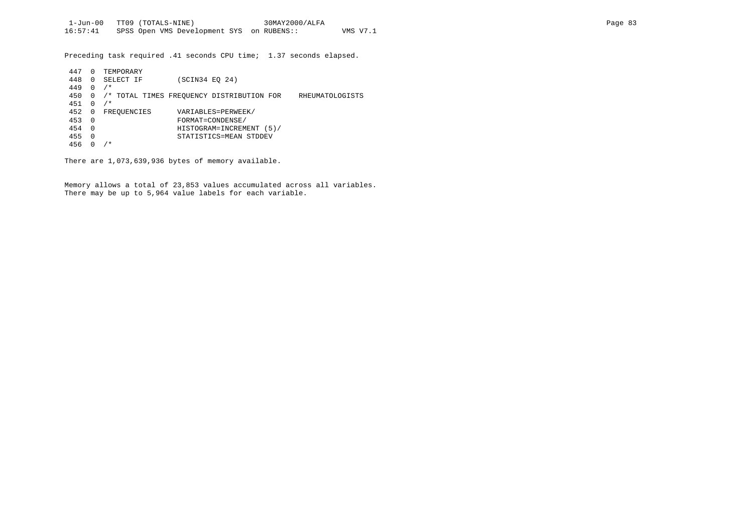Preceding task required .41 seconds CPU time; 1.37 seconds elapsed.

| 447 | 0        | TEMPORARY   |                                           |                 |
|-----|----------|-------------|-------------------------------------------|-----------------|
| 448 | 0        | SELECT IF   | (SCIN34 EO 24)                            |                 |
| 449 | 0        | $/$ *       |                                           |                 |
| 450 | 0        |             | /* TOTAL TIMES FREOUENCY DISTRIBUTION FOR | RHEUMATOLOGISTS |
| 451 | 0        | $/$ *       |                                           |                 |
| 452 | 0        | FREOUENCIES | VARIABLES=PERWEEK/                        |                 |
| 453 | $\Omega$ |             | FORMAT=CONDENSE/                          |                 |
| 454 | $\Omega$ |             | HISTOGRAM=INCREMENT (5)/                  |                 |
| 455 | $\Omega$ |             | STATISTICS=MEAN STDDEV                    |                 |
| 456 |          | * *         |                                           |                 |
|     |          |             |                                           |                 |

There are 1,073,639,936 bytes of memory available.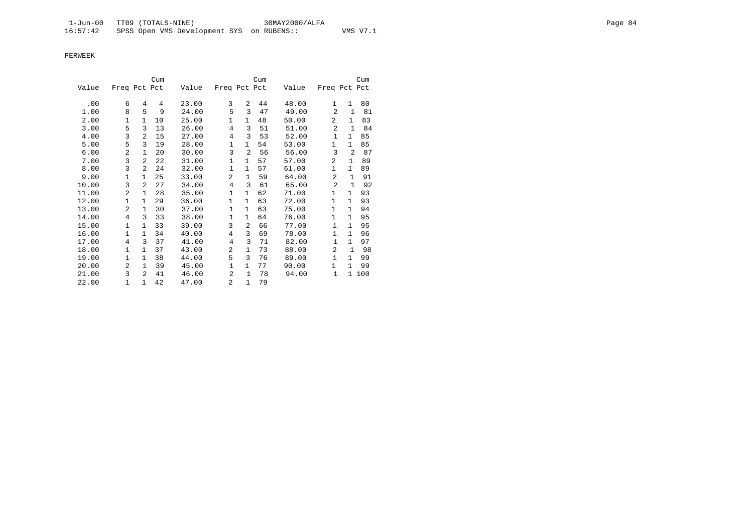|       |                |                | Cum |       |                |                | Cum |       |                |              | Cum |
|-------|----------------|----------------|-----|-------|----------------|----------------|-----|-------|----------------|--------------|-----|
| Value | Freq Pct Pct   |                |     | Value | Freq Pct Pct   |                |     | Value | Freq Pct Pct   |              |     |
|       |                |                |     |       |                |                |     |       |                |              |     |
| .00   | 6              | 4              | 4   | 23.00 | 3              | 2              | 44  | 48.00 | $\mathbf{1}$   | $\mathbf{1}$ | 80  |
| 1.00  | 8              | 5              | 9   | 24.00 | 5              | 3              | 47  | 49.00 | $\overline{a}$ | $\mathbf{1}$ | 81  |
| 2.00  | 1              | 1              | 10  | 25.00 | 1              | $\mathbf{1}$   | 48  | 50.00 | $\overline{2}$ | $\mathbf{1}$ | 83  |
| 3.00  | 5              | 3              | 13  | 26.00 | 4              | 3              | 51  | 51.00 | $\overline{a}$ | $\mathbf{1}$ | 84  |
| 4.00  | 3              | 2              | 15  | 27.00 | $\overline{4}$ | 3              | 53  | 52.00 | $\mathbf{1}$   | $\mathbf{1}$ | 85  |
| 5.00  | 5              | 3              | 19  | 28.00 | 1              | $\mathbf{1}$   | 54  | 53.00 | 1              | $\mathbf{1}$ | 85  |
| 6.00  | 2              | 1              | 20  | 30.00 | 3              | 2              | 56  | 56.00 | 3              | 2            | 87  |
| 7.00  | 3              | $\overline{a}$ | 22  | 31.00 | 1              | $\mathbf{1}$   | 57  | 57.00 | $\overline{2}$ | $\mathbf{1}$ | 89  |
| 8.00  | 3              | $\overline{a}$ | 24  | 32.00 | $\mathbf{1}$   | $\mathbf{1}$   | 57  | 61.00 | $\mathbf{1}$   | $\mathbf{1}$ | 89  |
| 9.00  | 1              | $\mathbf{1}$   | 25  | 33.00 | $\overline{a}$ | $\mathbf{1}$   | 59  | 64.00 | $\overline{a}$ | $\mathbf{1}$ | 91  |
| 10.00 | 3              | $\overline{a}$ | 27  | 34.00 | 4              | 3              | 61  | 65.00 | $\overline{2}$ | $\mathbf{1}$ | 92  |
| 11.00 | 2              | $\mathbf{1}$   | 28  | 35.00 | 1              | 1              | 62  | 71.00 | 1              | $\mathbf{1}$ | 93  |
| 12.00 | $\mathbf{1}$   | 1              | 29  | 36.00 | $\mathbf{1}$   | $\mathbf{1}$   | 63  | 72.00 | $\mathbf{1}$   | $\mathbf{1}$ | 93  |
| 13.00 | 2              | 1              | 30  | 37.00 | 1              | 1              | 63  | 75.00 | 1              | $\mathbf{1}$ | 94  |
| 14.00 | 4              | 3              | 33  | 38.00 | $\mathbf{1}$   | 1              | 64  | 76.00 | 1              | $\mathbf{1}$ | 95  |
| 15.00 | 1              | $\mathbf{1}$   | 33  | 39.00 | 3              | $\overline{a}$ | 66  | 77.00 | $\mathbf{1}$   | $\mathbf{1}$ | 95  |
| 16.00 | $\mathbf{1}$   | $\mathbf{1}$   | 34  | 40.00 | 4              | 3              | 69  | 78.00 | $\mathbf{1}$   | $\mathbf{1}$ | 96  |
| 17.00 | $\overline{4}$ | 3              | 37  | 41.00 | $\overline{4}$ | 3              | 71  | 82.00 | $\mathbf{1}$   | $\mathbf{1}$ | 97  |
| 18.00 | 1              | $\mathbf{1}$   | 37  | 43.00 | 2              | $\mathbf{1}$   | 73  | 88.00 | $\overline{a}$ | $\mathbf{1}$ | 98  |
| 19.00 | 1              | $\mathbf{1}$   | 38  | 44.00 | 5              | 3              | 76  | 89.00 | $\mathbf{1}$   | $\mathbf{1}$ | 99  |
| 20.00 | 2              | $\mathbf{1}$   | 39  | 45.00 | 1              | $\mathbf{1}$   | 77  | 90.00 | $\mathbf{1}$   | $\mathbf{1}$ | 99  |
| 21.00 | 3              | $\mathcal{L}$  | 41  | 46.00 | $\overline{a}$ | $\mathbf{1}$   | 78  | 94.00 | $\mathbf 1$    | $\mathbf{1}$ | 100 |
| 22.00 | 1              | $\mathbf{1}$   | 42  | 47.00 | $\overline{a}$ | $\mathbf{1}$   | 79  |       |                |              |     |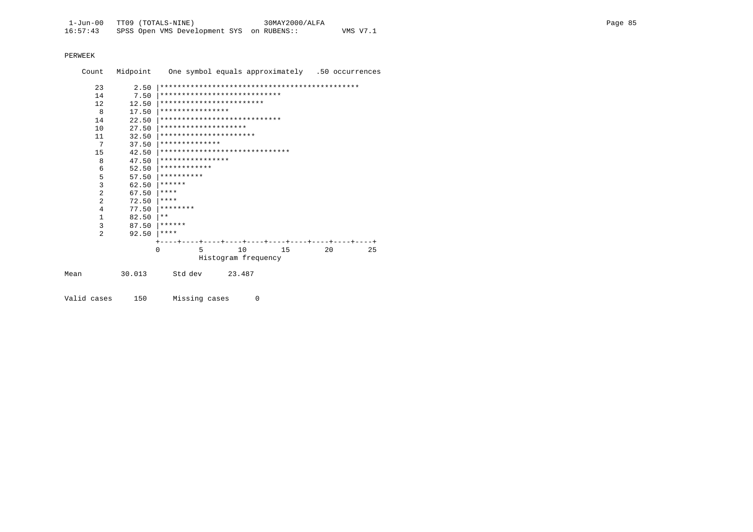| Count          |              | Midpoint One symbol equals approximately .50 occurrences |                     |     |     |    |
|----------------|--------------|----------------------------------------------------------|---------------------|-----|-----|----|
| 23<br>14       | 2.50<br>7.50 | ****************************                             |                     |     |     |    |
| 12.            | 12.50        | ************************                                 |                     |     |     |    |
| 8              | 17.50        | ****************                                         |                     |     |     |    |
| 14             | 22.50        | ****************************                             |                     |     |     |    |
| 10             | 27.50        | ********************                                     |                     |     |     |    |
| 11             | 32.50        | **********************                                   |                     |     |     |    |
| 7              | 37.50        | **************                                           |                     |     |     |    |
| 15             | 42.50        | ******************************                           |                     |     |     |    |
| 8              | 47.50        | ****************                                         |                     |     |     |    |
| 6              | 52.50        | ************                                             |                     |     |     |    |
| 5              | 57.50        | **********                                               |                     |     |     |    |
| 3              | 62.50        | ******                                                   |                     |     |     |    |
| $\overline{2}$ | 67.50        | ****                                                     |                     |     |     |    |
| $\overline{a}$ | 72.50        | ****                                                     |                     |     |     |    |
| 4              | 77.50        | ********                                                 |                     |     |     |    |
| $\mathbf{1}$   | 82.50        | $***$                                                    |                     |     |     |    |
| 3              | 87.50        | ******                                                   |                     |     |     |    |
| 2              | 92.50        | ****                                                     |                     |     |     |    |
|                |              |                                                          |                     |     |     |    |
|                |              | 5<br>$\Omega$                                            | 10                  | 1.5 | 2.0 | 25 |
|                |              |                                                          | Histogram frequency |     |     |    |
|                |              |                                                          |                     |     |     |    |
| Mean           | 30.013       | Std dev                                                  | 23.487              |     |     |    |

Valid cases 150 Missing cases 0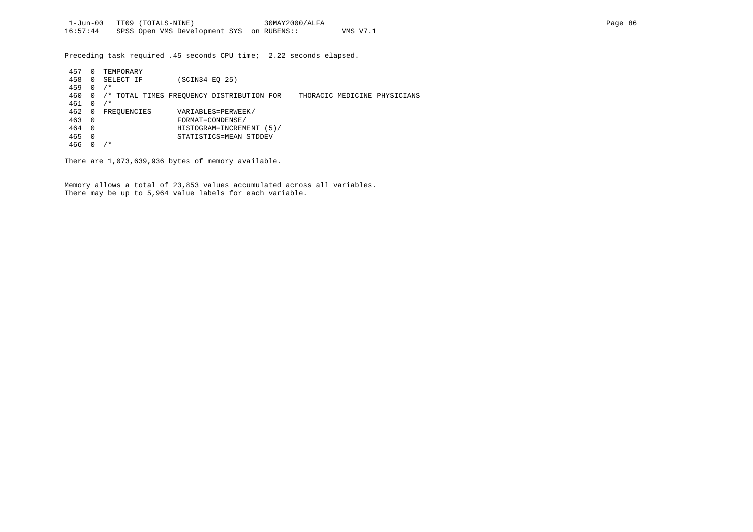Preceding task required .45 seconds CPU time; 2.22 seconds elapsed.

| 457 | 0        | TEMPORARY   |                                                                           |
|-----|----------|-------------|---------------------------------------------------------------------------|
| 458 | 0        | SELECT IF   | SCIN34 EO 25)                                                             |
| 459 | 0        | $/$ *       |                                                                           |
| 460 | 0        |             | /* TOTAL TIMES FREOUENCY DISTRIBUTION FOR<br>THORACIC MEDICINE PHYSICIANS |
| 461 | 0        | $/$ *       |                                                                           |
| 462 | 0        | FREOUENCIES | VARIABLES=PERWEEK/                                                        |
| 463 | 0        |             | FORMAT=CONDENSE/                                                          |
| 464 | $\Omega$ |             | HISTOGRAM=INCREMENT (5)/                                                  |
| 465 | 0        |             | STATISTICS=MEAN STDDEV                                                    |
| 466 |          | $7 *$       |                                                                           |

There are 1,073,639,936 bytes of memory available.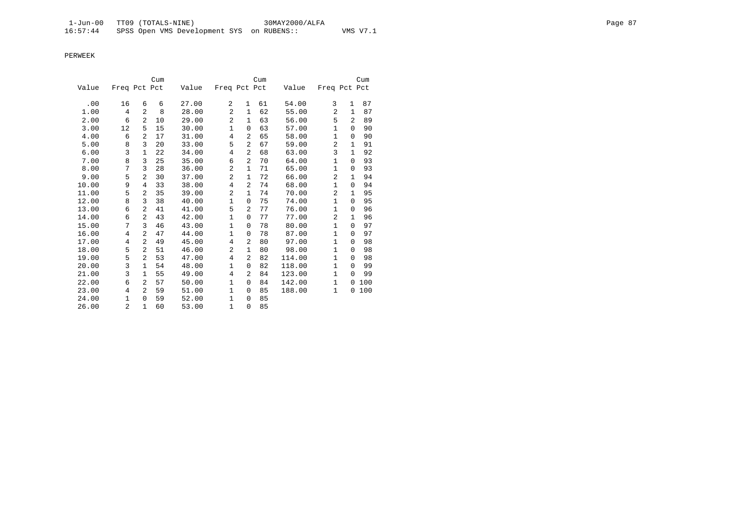|       |                |                | Cum |       |                |              | Cum |        |                |                | Cum |
|-------|----------------|----------------|-----|-------|----------------|--------------|-----|--------|----------------|----------------|-----|
| Value | Freq Pct Pct   |                |     | Value | Freq Pct Pct   |              |     | Value  | Freq Pct Pct   |                |     |
|       |                |                |     |       |                |              |     |        |                |                | 87  |
| .00   | 16             | 6              | 6   | 27.00 | 2              | $\mathbf{1}$ | 61  | 54.00  | 3              | 1              |     |
| 1.00  | 4              | 2              | 8   | 28.00 | $\overline{a}$ | $\mathbf{1}$ | 62  | 55.00  | $\mathfrak{D}$ | $\mathbf{1}$   | 87  |
| 2.00  | 6              | $\overline{a}$ | 10  | 29.00 | $\overline{c}$ | $\mathbf{1}$ | 63  | 56.00  | 5              | $\overline{2}$ | 89  |
| 3.00  | 12             | 5              | 15  | 30.00 | 1              | 0            | 63  | 57.00  | 1              | 0              | 90  |
| 4.00  | 6              | $\overline{a}$ | 17  | 31.00 | $\overline{4}$ | 2            | 65  | 58.00  | $\mathbf 1$    | 0              | 90  |
| 5.00  | 8              | 3              | 20  | 33.00 | 5              | 2            | 67  | 59.00  | $\overline{a}$ | $\mathbf{1}$   | 91  |
| 6.00  | 3              | $\mathbf{1}$   | 22  | 34.00 | $\overline{4}$ | 2            | 68  | 63.00  | 3              | $\mathbf{1}$   | 92  |
| 7.00  | 8              | 3              | 25  | 35.00 | 6              | 2            | 70  | 64.00  | $\mathbf{1}$   | $\Omega$       | 93  |
| 8.00  | 7              | 3              | 28  | 36.00 | $\overline{a}$ | $\mathbf{1}$ | 71  | 65.00  | $\mathbf{1}$   | 0              | 93  |
| 9.00  | 5              | $\overline{a}$ | 30  | 37.00 | $\overline{c}$ | $\mathbf{1}$ | 72  | 66.00  | $\overline{2}$ | 1              | 94  |
| 10.00 | 9              | 4              | 33  | 38.00 | 4              | 2            | 74  | 68.00  | $\mathbf 1$    | 0              | 94  |
| 11.00 | 5              | $\overline{a}$ | 35  | 39.00 | $\overline{2}$ | $\mathbf{1}$ | 74  | 70.00  | $\overline{2}$ | $\mathbf{1}$   | 95  |
| 12.00 | 8              | 3              | 38  | 40.00 | 1              | 0            | 75  | 74.00  | $\mathbf{1}$   | 0              | 95  |
| 13.00 | 6              | 2              | 41  | 41.00 | 5              | 2            | 77  | 76.00  | $\mathbf{1}$   | $\Omega$       | 96  |
| 14.00 | 6              | $\overline{2}$ | 43  | 42.00 | 1              | $\mathbf 0$  | 77  | 77.00  | $\overline{2}$ | $\mathbf{1}$   | 96  |
| 15.00 | 7              | 3              | 46  | 43.00 | 1              | 0            | 78  | 80.00  | $\mathbf{1}$   | $\Omega$       | 97  |
| 16.00 | $\overline{4}$ | $\overline{a}$ | 47  | 44.00 | 1              | $\Omega$     | 78  | 87.00  | $\mathbf{1}$   | 0              | 97  |
| 17.00 | 4              | 2              | 49  | 45.00 | 4              | 2            | 80  | 97.00  | $\mathbf 1$    | 0              | 98  |
| 18.00 | 5              | $\overline{a}$ | 51  | 46.00 | $\overline{c}$ | $\mathbf{1}$ | 80  | 98.00  | $\mathbf{1}$   | 0              | 98  |
| 19.00 | 5              | $\overline{2}$ | 53  | 47.00 | $\overline{4}$ | 2            | 82  | 114.00 | $\mathbf{1}$   | 0              | 98  |
| 20.00 | 3              | $\mathbf{1}$   | 54  | 48.00 | 1              | 0            | 82  | 118.00 | $\mathbf{1}$   | 0              | 99  |
| 21.00 | 3              | $\mathbf{1}$   | 55  | 49.00 | $\overline{4}$ | 2            | 84  | 123.00 | $\mathbf{1}$   | $\Omega$       | 99  |
| 22.00 | 6              | 2              | 57  | 50.00 | 1              | $\Omega$     | 84  | 142.00 | $\mathbf{1}$   | 0              | 100 |
| 23.00 | $\overline{4}$ | $\mathfrak{D}$ | 59  | 51.00 | 1              | $\Omega$     | 85  | 188.00 | $\mathbf{1}$   | 0              | 100 |
| 24.00 | $\mathbf{1}$   | 0              | 59  | 52.00 | 1              | 0            | 85  |        |                |                |     |
| 26.00 | $\overline{2}$ | $\mathbf 1$    | 60  | 53.00 | 1              | $\mathbf 0$  | 85  |        |                |                |     |
|       |                |                |     |       |                |              |     |        |                |                |     |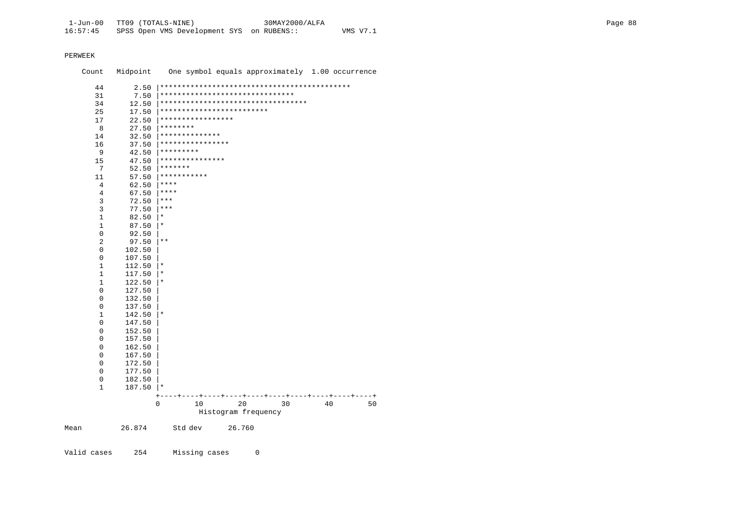Count Midpoint One symbol equals approximately 1.00 occurrence 44 2.50 |\*\*\*\*\*\*\*\*\*\*\*\*\*\*\*\*\*\*\*\*\*\*\*\*\*\*\*\*\*\*\*\*\*\*\*\*\*\*\*\*\*\*\*\* 31 7.50 |\*\*\*\*\*\*\*\*\*\*\*\*\*\*\*\*\*\*\*\*\*\*\*\*\*\*\*\*\*\*\* 34 12.50 |\*\*\*\*\*\*\*\*\*\*\*\*\*\*\*\*\*\*\*\*\*\*\*\*\*\*\*\*\*\*\*\*\*\* 25 17.50 |\*\*\*\*\*\*\*\*\*\*\*\*\*\*\*\*\*\*\*\*\*\*\*\*\*\*<br>17 22.50 |\*\*\*\*\*\*\*\*\*\*\*\*\*\*\*\*\*  $\begin{array}{ccc} 17 & 22.50 \ 8 & 27.50 \ \end{array}$  \*\*\*\*\*\*\*\*\*\*\*\*\*\*\*\*\*\*\*\* 8 27.50  $********$ <br>14 32.50  $********$  14 32.50 |\*\*\*\*\*\*\*\*\*\*\*\*\*\* 16 37.50  $************************$ 9  $42.50$   $*********$ <br>15  $47.50$   $*********$ 15  $47.50$   $************************$  $7$  52.50  $******$ <br>11 57.50  $*******$ 11 57.50  $**************$ 4 62.50  $****$ <br>4 67.50  $****$  $\begin{array}{ccc} 4 & 67.50 & **** \\ 3 & 72.50 & **** \end{array}$  $\begin{array}{ccc} 3 & 72.50 & \ast \ast \ast \\ 3 & 77.50 & \ast \ast \ast \end{array}$ 3 77.50  $***$ <br>1 82.50  $*$  $82.50$  |\*  $\begin{array}{ccc|c} 1 & 87.50 & \star \\ 0 & 92.50 & \end{array}$  $\begin{array}{ccc} 0 & 92.50 \\ 2 & 97.50 \end{array}$ 2 97.50  $*$ <br>0 102.50  $\left.^*$  $0$  102.50<br>0 107.50 0 107.50 |  $\begin{array}{ccc} 1 & 112.50 \\ 1 & 117.50 \end{array}$  |\*  $\begin{array}{ccc} 1 & 117.50 & \ast \\ 1 & 122.50 & \ast \end{array}$  $\begin{array}{ccc} 1 & 122.50 \ 0 & 127.50 \end{array}$  |\*  $0$  127.50<br>0 132.50  $0$  132.50<br>0 137.50  $\begin{array}{cc} 0 & 137.50 \\ 1 & 142.50 \end{array}$  $\begin{array}{ccc} 1 & 142.50 \ 0 & 147.50 \end{array}$  |\*  $0$  147.50<br> $0$  152.50  $0$  152.50<br>0 157.50  $0$  157.50<br>0 162.50  $0$  162.50<br>0 167.50  $0$  167.50<br>0 172.50  $0$  172.50<br>0 177.50  $0$  177.50<br>0 182.50  $0$  182.50<br>1 187.50  $187.50$  |\* +----+----+----+----+----+----+----+----+----+----+ 0 10 20 30 40 50 Histogram frequency

Mean 26.874 Std dev 26.760

Valid cases 254 Missing cases 0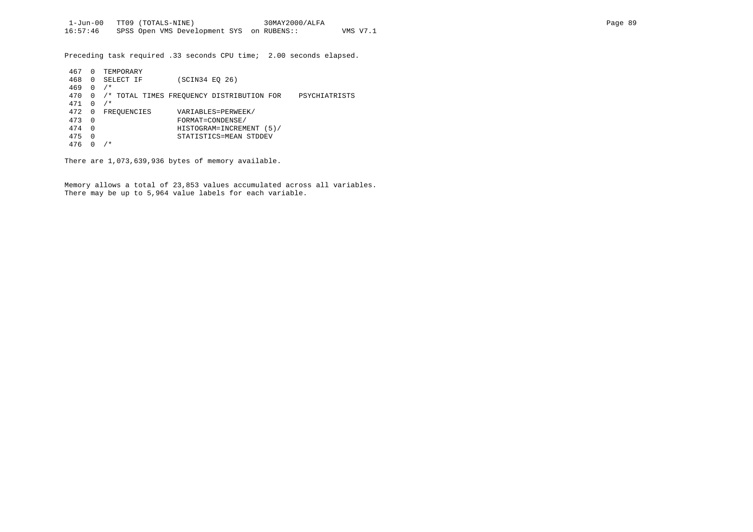Preceding task required .33 seconds CPU time; 2.00 seconds elapsed.

| 467 | 0              | TEMPORARY   |                                                            |
|-----|----------------|-------------|------------------------------------------------------------|
| 468 | 0              | SELECT IF   | (SCIN34 EO 26)                                             |
| 469 | 0              | $/$ *       |                                                            |
| 470 | $\Omega$       |             | /* TOTAL TIMES FREQUENCY DISTRIBUTION FOR<br>PSYCHIATRISTS |
| 471 | $\Omega$       | $/$ *       |                                                            |
| 472 | $\overline{0}$ | FREOUENCIES | VARIABLES=PERWEEK/                                         |
| 473 | - 0            |             | FORMAT=CONDENSE/                                           |
| 474 | $\Omega$       |             | HISTOGRAM=INCREMENT (5)/                                   |
| 475 | $\Omega$       |             | STATISTICS=MEAN STDDEV                                     |
| 476 |                | $\ast$      |                                                            |

There are 1,073,639,936 bytes of memory available.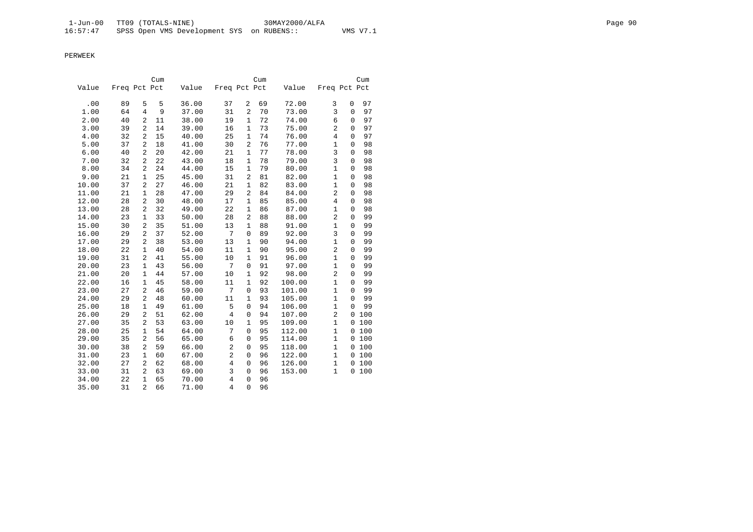|       |              |                | Cum |       |                |                | Cum |        |                |             | Cum |
|-------|--------------|----------------|-----|-------|----------------|----------------|-----|--------|----------------|-------------|-----|
| Value | Freq Pct Pct |                |     | Value | Freq Pct Pct   |                |     | Value  | Freq Pct Pct   |             |     |
| .00   | 89           | 5              | 5   | 36.00 | 37             | 2              | 69  | 72.00  | 3              | $\mathbf 0$ | 97  |
| 1.00  | 64           | 4              | 9   | 37.00 | 31             | 2              | 70  | 73.00  | 3              | $\Omega$    | 97  |
| 2.00  | 40           | $\overline{a}$ | 11  | 38.00 | 19             | $\mathbf{1}$   | 72  | 74.00  | 6              | 0           | 97  |
| 3.00  | 39           | $\overline{a}$ | 14  | 39.00 | 16             | 1              | 73  | 75.00  | $\overline{2}$ | $\Omega$    | 97  |
| 4.00  | 32           | $\overline{2}$ | 15  | 40.00 | 25             | $\mathbf{1}$   | 74  | 76.00  | $\overline{4}$ | $\mathbf 0$ | 97  |
| 5.00  | 37           | $\overline{2}$ | 18  | 41.00 | 30             | $\overline{2}$ | 76  | 77.00  | $\mathbf{1}$   | $\mathbf 0$ | 98  |
| 6.00  | 40           | $\overline{2}$ | 20  | 42.00 | 21             | $\mathbf{1}$   | 77  | 78.00  | $\overline{3}$ | $\mathbf 0$ | 98  |
| 7.00  | 32           | $\overline{c}$ | 22  | 43.00 | 18             | $\mathbf{1}$   | 78  | 79.00  | 3              | $\mathbf 0$ | 98  |
| 8.00  | 34           | 2              | 24  | 44.00 | 15             | $\mathbf{1}$   | 79  | 80.00  | $\mathbf 1$    | 0           | 98  |
| 9.00  | 21           | $\mathbf{1}$   | 25  | 45.00 | 31             | $\overline{2}$ | 81  | 82.00  | $\mathbf{1}$   | 0           | 98  |
| 10.00 | 37           | $\overline{2}$ | 27  | 46.00 | 21             | $\mathbf{1}$   | 82  | 83.00  | $\mathbf{1}$   | $\Omega$    | 98  |
| 11.00 | 21           | $\mathbf{1}$   | 28  | 47.00 | 29             | 2              | 84  | 84.00  | 2              | 0           | 98  |
| 12.00 | 28           | $\overline{a}$ | 30  | 48.00 | 17             | 1              | 85  | 85.00  | $\overline{4}$ | 0           | 98  |
| 13.00 | 28           | 2              | 32  | 49.00 | 22             | $\mathbf{1}$   | 86  | 87.00  | $\mathbf 1$    | $\Omega$    | 98  |
| 14.00 | 23           | $\mathbf{1}$   | 33  | 50.00 | 28             | 2              | 88  | 88.00  | 2              | 0           | 99  |
| 15.00 | 30           | $\overline{a}$ | 35  | 51.00 | 13             | $\mathbf{1}$   | 88  | 91.00  | $\mathbf{1}$   | 0           | 99  |
| 16.00 | 29           | $\overline{a}$ | 37  | 52.00 | 7              | $\mathbf 0$    | 89  | 92.00  | 3              | $\Omega$    | 99  |
| 17.00 | 29           | $\overline{a}$ | 38  | 53.00 | 13             | $\mathbf{1}$   | 90  | 94.00  | $\mathbf{1}$   | 0           | 99  |
| 18.00 | 22           | $\mathbf{1}$   | 40  | 54.00 | 11             | $\mathbf{1}$   | 90  | 95.00  | $\overline{2}$ | $\mathbf 0$ | 99  |
| 19.00 | 31           | $\overline{a}$ | 41  | 55.00 | 10             | $\mathbf{1}$   | 91  | 96.00  | $\mathbf{1}$   | $\Omega$    | 99  |
| 20.00 | 23           | $\mathbf{1}$   | 43  | 56.00 | 7              | $\mathsf 0$    | 91  | 97.00  | $\mathbf{1}$   | $\mathbf 0$ | 99  |
| 21.00 | 20           | $\mathbf{1}$   | 44  | 57.00 | 10             | $\mathbf{1}$   | 92  | 98.00  | $\overline{2}$ | $\mathbf 0$ | 99  |
| 22.00 | 16           | $\mathbf{1}$   | 45  | 58.00 | 11             | $\mathbf{1}$   | 92  | 100.00 | $\mathbf{1}$   | $\mathbf 0$ | 99  |
| 23.00 | 27           | $\overline{2}$ | 46  | 59.00 | 7              | $\overline{0}$ | 93  | 101.00 | $\mathbf{1}$   | $\Omega$    | 99  |
| 24.00 | 29           | $\overline{2}$ | 48  | 60.00 | 11             | $\mathbf{1}$   | 93  | 105.00 | $\mathbf{1}$   | $\Omega$    | 99  |
| 25.00 | 18           | $\mathbf{1}$   | 49  | 61.00 | 5              | 0              | 94  | 106.00 | $\mathbf{1}$   | $\mathbf 0$ | 99  |
| 26.00 | 29           | $\overline{2}$ | 51  | 62.00 | $\,4$          | $\mathsf 0$    | 94  | 107.00 | 2              | $\mathbf 0$ | 100 |
| 27.00 | 35           | 2              | 53  | 63.00 | 10             | $\mathbf{1}$   | 95  | 109.00 | $\mathbf 1$    | 0           | 100 |
| 28.00 | 25           | $\mathbf{1}$   | 54  | 64.00 | 7              | $\mathbf 0$    | 95  | 112.00 | $\mathbf{1}$   | 0           | 100 |
| 29.00 | 35           | $\overline{a}$ | 56  | 65.00 | 6              | $\mathbf 0$    | 95  | 114.00 | $\mathbf{1}$   | 0           | 100 |
| 30.00 | 38           | $\overline{2}$ | 59  | 66.00 | $\overline{c}$ | 0              | 95  | 118.00 | $\mathbf{1}$   | 0           | 100 |
| 31.00 | 23           | $\mathbf{1}$   | 60  | 67.00 | $\overline{a}$ | $\mathbf 0$    | 96  | 122.00 | $\mathbf{1}$   | 0           | 100 |
| 32.00 | 27           | $\overline{a}$ | 62  | 68.00 | $\,4$          | $\mathbf 0$    | 96  | 126.00 | $\mathbf{1}$   | 0           | 100 |
| 33.00 | 31           | $\overline{2}$ | 63  | 69.00 | 3              | 0              | 96  | 153.00 | $\mathbf{1}$   | 0           | 100 |
| 34.00 | 22           | $\mathbf{1}$   | 65  | 70.00 | $\,4$          | $\mathbf 0$    | 96  |        |                |             |     |
| 35.00 | 31           | $\overline{2}$ | 66  | 71.00 | $\overline{4}$ | $\overline{0}$ | 96  |        |                |             |     |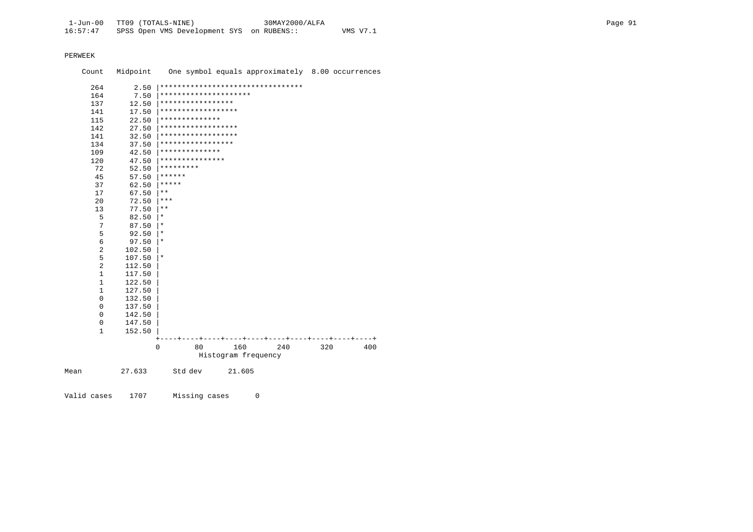Count Midpoint One symbol equals approximately 8.00 occurrences 264 2.50 |\*\*\*\*\*\*\*\*\*\*\*\*\*\*\*\*\*\*\*\*\*\*\*\*\*\*\*\*\*\*\*\*\* 164 7.50 \*\*\*\*\*\*\*\*\*\*\*\*\*\*\*\*\*\*\*\*\*\*\*\*\*<br>137 12.50 \*\*\*\*\*\*\*\*\*\*\*\*\*\*\*\*\*\* 137 12.50 |\*\*\*\*\*\*\*\*\*\*\*\*\*\*\*\*\* 141 17.50 |\*\*\*\*\*\*\*\*\*\*\*\*\*\*\*\*\*\* 115 22.50 |\*\*\*\*\*\*\*\*\*\*\*\*\*\* 142 27.50 |\*\*\*\*\*\*\*\*\*\*\*\*\*\*\*\*\*\* 141 32.50 |\*\*\*\*\*\*\*\*\*\*\*\*\*\*\*\*\*\* 134 37.50 |\*\*\*\*\*\*\*\*\*\*\*\*\*\*\*\*\* 109 42.50 |\*\*\*\*\*\*\*\*\*\*\*\*\*\* 120  $47.50$   $************************$  $72$   $52.50$   $*********$ <br>45  $57.50$   $******$ 45  $57.50$   $******$ <br>37  $62.50$   $******$ 37 62.50  $*****$ <br>17 67.50  $**$  $\begin{array}{ccc} 17 & 67.50 & \text{**} \\ 20 & 72.50 & \text{**} \end{array}$  $20$   $72.50$   $**$ <br>13  $77.50$   $**$  $\begin{array}{ccc} 13 & 77.50 & \text{**} \\ 5 & 82.50 & \text{**} \end{array}$  $\begin{array}{ccc} 5 & 82.50 & | & * \\ 7 & 87.50 & | & * \end{array}$  $\begin{array}{ccc} 7 & 87.50 & | & * \\ 5 & 92.50 & | & * \end{array}$  $\begin{array}{ccc} 5 & 92.50 \ \end{array}$   $\begin{array}{c} \star \\ \star \\ \star \end{array}$  $\begin{array}{c|c} 6 & 97.50 & \star \\ 2 & 102.50 & \end{array}$ 2 102.50<br>5 107.50  $\begin{array}{ccc} 5 & 107.50 \\ 2 & 112.50 \end{array}$  |\* 2 112.50<br>1 117.50  $\begin{array}{cc} 1 & 117.50 \\ 1 & 122.50 \end{array}$  $\begin{array}{cc} 1 & 122.50 \\ 1 & 127.50 \end{array}$  $\begin{array}{cc} 1 & 127.50 \\ 0 & 132.50 \end{array}$  $0$  132.50<br>0 137.50  $0$  137.50<br>0 142.50 0 142.50 |  $0$  147.50<br>1 152.50 1 152.50 | +----+----+----+----+----+----+----+----+----+----+ 0 80 160 240 320 400 Histogram frequency Mean 27.633 Std dev 21.605

Valid cases 1707 Missing cases 0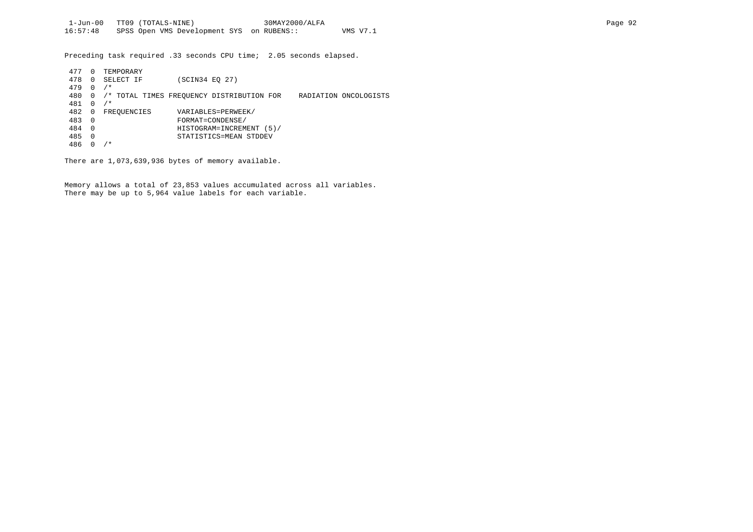Preceding task required .33 seconds CPU time; 2.05 seconds elapsed.

| 477 | 0              | TEMPORARY   |                                           |                       |
|-----|----------------|-------------|-------------------------------------------|-----------------------|
| 478 | 0              | SELECT IF   | (SCIN34 EO 27)                            |                       |
| 479 | 0              | $/$ *       |                                           |                       |
| 480 | 0              |             | /* TOTAL TIMES FREOUENCY DISTRIBUTION FOR | RADIATION ONCOLOGISTS |
| 481 | $\Omega$       | $/$ *       |                                           |                       |
| 482 | 0              | FREOUENCIES | VARIABLES=PERWEEK/                        |                       |
| 483 | $\overline{0}$ |             | FORMAT=CONDENSE/                          |                       |
| 484 | $\Omega$       |             | HISTOGRAM=INCREMENT (5)/                  |                       |
| 485 | $\Omega$       |             | STATISTICS=MEAN STDDEV                    |                       |
| 486 |                | ⁄*          |                                           |                       |

There are 1,073,639,936 bytes of memory available.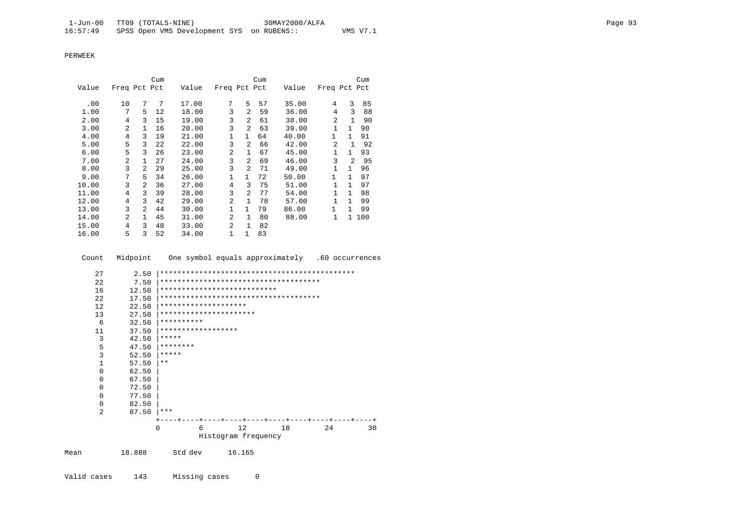|       |                |                | Cum |       |                |                | Cum |       |                |                | Cum   |
|-------|----------------|----------------|-----|-------|----------------|----------------|-----|-------|----------------|----------------|-------|
| Value | Freq Pct Pct   |                |     | Value | Freq Pct Pct   |                |     | Value | Freq Pct Pct   |                |       |
|       |                |                |     |       |                |                |     |       |                |                |       |
| .00   | 10             | 7              | 7   | 17.00 | 7              | 5              | 57  | 35.00 | 4              | 3              | 85    |
| 1.00  | 7              | 5              | 12  | 18.00 | 3              | 2              | 59  | 36.00 | 4              | 3              | 88    |
| 2.00  | 4              | 3              | 15  | 19.00 | 3              | 2              | 61  | 38.00 | $\mathfrak{D}$ | 1              | 90    |
| 3.00  | $\overline{a}$ | 1.             | 16  | 20.00 | 3              | $\overline{2}$ | 63  | 39.00 | $\mathbf{1}$   | $\mathbf{1}$   | 90    |
| 4.00  | 4              | 3              | 19  | 21.00 | 1              | $\mathbf{1}$   | 64  | 40.00 | 1              | $\mathbf{1}$   | 91    |
| 5.00  | 5              | 3              | 22  | 22.00 | 3              | 2              | 66  | 42.00 | $\mathfrak{D}$ | 1              | 92    |
| 6.00  | 5              | 3              | 26  | 23.00 | 2              | 1              | 67  | 45.00 | $\mathbf{1}$   | $\mathbf{1}$   | 93    |
| 7.00  | $\overline{a}$ | 1              | 27  | 24.00 | 3              | $\overline{a}$ | 69  | 46.00 | 3              | $\mathfrak{D}$ | 95    |
| 8.00  | 3              | 2              | 29  | 25.00 | 3              | 2              | 71  | 49.00 | 1              | $\mathbf{1}$   | 96    |
| 9.00  | 7              | 5              | 34  | 26.00 | $\mathbf{1}$   | $\mathbf{1}$   | 72  | 50.00 | $\mathbf{1}$   | $\mathbf{1}$   | 97    |
| 10.00 | 3              | 2              | 36  | 27.00 | $\overline{4}$ | 3              | 75  | 51.00 | $\mathbf{1}$   | $\mathbf{1}$   | 97    |
| 11.00 | 4              | 3              | 39  | 28.00 | 3              | 2              | 77  | 54.00 | $\mathbf{1}$   | $\mathbf{1}$   | 98    |
| 12.00 | 4              | 3              | 42  | 29.00 | $\overline{a}$ | 1              | 78  | 57.00 | $\mathbf{1}$   | $\mathbf{1}$   | 99    |
| 13.00 | 3              | $\overline{2}$ | 44  | 30.00 | $\mathbf{1}$   | $\mathbf{1}$   | 79  | 86.00 | 1              | $\mathbf{1}$   | 99    |
| 14.00 | $\overline{a}$ | 1              | 45  | 31.00 | $\overline{a}$ | $\mathbf{1}$   | 80  | 88.00 | $\mathbf{1}$   |                | 1 100 |
| 15.00 | 4              | 3              | 48  | 33.00 | 2              | $\mathbf{1}$   | 82  |       |                |                |       |
| 16.00 | 5              | 3              | 52  | 34.00 | $\mathbf{1}$   | $\mathbf{1}$   | 83  |       |                |                |       |

Count Midpoint One symbol equals approximately .60 occurrences

| 27             | 2.50  |            |                      |                             |                                        |    |    |
|----------------|-------|------------|----------------------|-----------------------------|----------------------------------------|----|----|
| 22             | 7.50  |            |                      |                             | ************************************** |    |    |
| 16             | 12.50 |            |                      | *************************** |                                        |    |    |
| 2.2.           | 17.50 |            |                      |                             | ************************************** |    |    |
| 12             | 22.50 |            | ******************** |                             |                                        |    |    |
| 13             | 27.50 |            |                      | **********************      |                                        |    |    |
| 6              | 32.50 | ********** |                      |                             |                                        |    |    |
| 11             | 37.50 |            | ******************   |                             |                                        |    |    |
| 3              | 42.50 | *****      |                      |                             |                                        |    |    |
| 5              | 47.50 | ********   |                      |                             |                                        |    |    |
| $\overline{3}$ | 52.50 | *****      |                      |                             |                                        |    |    |
| $\mathbf{1}$   | 57.50 | $* *$      |                      |                             |                                        |    |    |
| $\Omega$       | 62.50 |            |                      |                             |                                        |    |    |
| 0              | 67.50 |            |                      |                             |                                        |    |    |
| 0              | 72.50 |            |                      |                             |                                        |    |    |
| $\Omega$       | 77.50 |            |                      |                             |                                        |    |    |
| 0              | 82.50 |            |                      |                             |                                        |    |    |
| $\overline{a}$ | 87.50 | ***        |                      |                             |                                        |    |    |
|                |       |            |                      |                             | ---+----+----+----+----+----+----+---  |    |    |
|                |       | $\Omega$   | 6                    | 12                          | 18                                     | 24 | 30 |
|                |       |            |                      | Histogram frequency         |                                        |    |    |
|                |       |            |                      |                             |                                        |    |    |

Mean 18.888 Std dev 16.165

Valid cases 143 Missing cases 0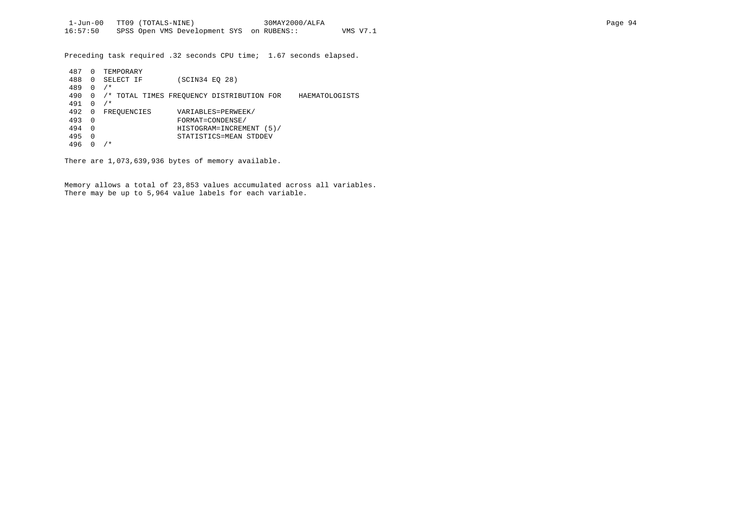Preceding task required .32 seconds CPU time; 1.67 seconds elapsed.

| 487 | 0        | TEMPORARY   |                |                                           |                |
|-----|----------|-------------|----------------|-------------------------------------------|----------------|
| 488 | $\Omega$ | SELECT IF   | (SCIN34 EO 28) |                                           |                |
| 489 | $\Omega$ | $/$ *       |                |                                           |                |
| 490 | 0        |             |                | /* TOTAL TIMES FREOUENCY DISTRIBUTION FOR | HAEMATOLOGISTS |
| 491 |          | $/$ *       |                |                                           |                |
| 492 | 0        | FREOUENCIES |                | VARIABLES=PERWEEK/                        |                |
| 493 | $\Omega$ |             |                | FORMAT=CONDENSE/                          |                |
| 494 | $\Omega$ |             |                | HISTOGRAM=INCREMENT (5)/                  |                |
| 495 | $\Omega$ |             |                | STATISTICS=MEAN STDDEV                    |                |
| 496 |          | ′*          |                |                                           |                |

There are 1,073,639,936 bytes of memory available.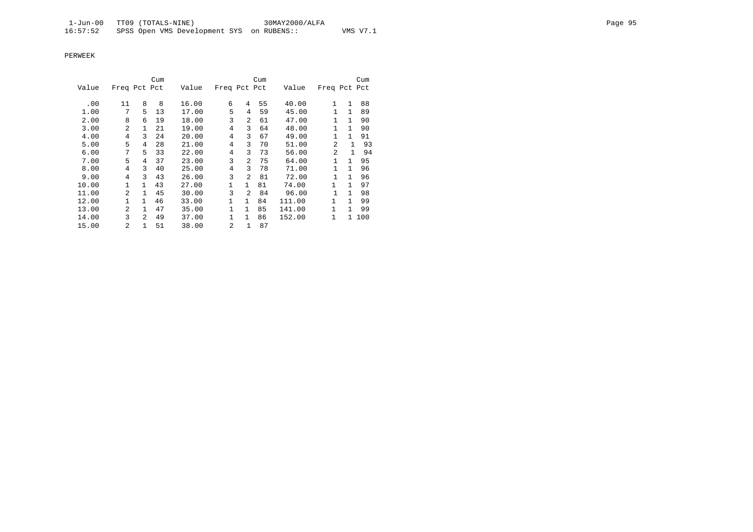|       |                |                | Cum |       |                |                | Cum |        |                |              | Cum   |
|-------|----------------|----------------|-----|-------|----------------|----------------|-----|--------|----------------|--------------|-------|
| Value | Freq Pct Pct   |                |     | Value | Freq Pct Pct   |                |     | Value  | Freq Pct Pct   |              |       |
|       |                |                |     |       |                |                |     |        |                |              |       |
| .00   | 11             | 8              | 8   | 16.00 | 6              | 4              | 55  | 40.00  | $\mathbf{1}$   | $\mathbf{1}$ | 88    |
| 1.00  | 7              | 5              | 13  | 17.00 | 5              | 4              | 59  | 45.00  | $\mathbf{1}$   | $\mathbf{1}$ | 89    |
| 2.00  | 8              | 6              | 19  | 18.00 | 3              | 2              | 61  | 47.00  | 1              | $\mathbf{1}$ | 90    |
| 3.00  | 2              |                | 21  | 19.00 | 4              | 3              | 64  | 48.00  |                | $\mathbf{1}$ | 90    |
| 4.00  | 4              | 3              | 24  | 20.00 | $\overline{4}$ | 3              | 67  | 49.00  |                | $\mathbf{1}$ | 91    |
| 5.00  | 5              | 4              | 28  | 21.00 | $\overline{4}$ | 3              | 70  | 51.00  | $\overline{2}$ | 1            | 93    |
| 6.00  | 7              | 5              | 33  | 22.00 | $\overline{4}$ | 3              | 73  | 56.00  | 2              | 1            | 94    |
| 7.00  | 5              | 4              | 37  | 23.00 | 3              | $\overline{a}$ | 75  | 64.00  | $\mathbf{1}$   | $\mathbf{1}$ | 95    |
| 8.00  | 4              | 3              | 40  | 25.00 | 4              | 3              | 78  | 71.00  |                | $\mathbf{1}$ | 96    |
| 9.00  | 4              | 3              | 43  | 26.00 | 3              | $\overline{a}$ | 81  | 72.00  | 1              | $\mathbf{1}$ | 96    |
| 10.00 | $\mathbf{1}$   | 1              | 43  | 27.00 | 1              | $\mathbf{1}$   | 81  | 74.00  | 1              | $\mathbf{1}$ | 97    |
| 11.00 | $\mathfrak{D}$ | 1              | 45  | 30.00 | 3              | 2              | 84  | 96.00  |                | $\mathbf{1}$ | 98    |
| 12.00 | $\mathbf{1}$   | $\mathbf{1}$   | 46  | 33.00 | $\mathbf{1}$   | $\mathbf{1}$   | 84  | 111.00 | 1              | $\mathbf{1}$ | 99    |
| 13.00 | $\mathfrak{D}$ | 1              | 47  | 35.00 | 1              | $\mathbf{1}$   | 85  | 141.00 | 1              | $\mathbf{1}$ | 99    |
| 14.00 | 3              | $\mathfrak{D}$ | 49  | 37.00 | $\mathbf{1}$   | 1              | 86  | 152.00 | 1              |              | 1 100 |
| 15.00 | 2              |                | 51  | 38.00 | 2              | 1              | 87  |        |                |              |       |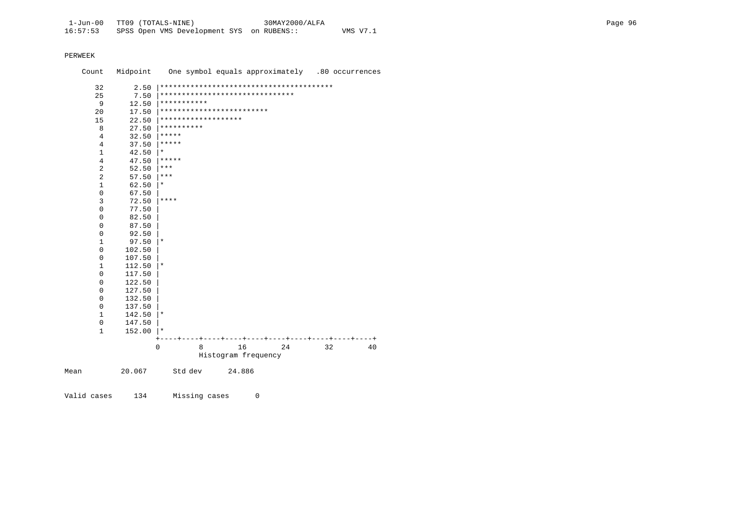| Count        | Midpoint                |                                 |        | One symbol equals approximately .80 occurrences |    |    |
|--------------|-------------------------|---------------------------------|--------|-------------------------------------------------|----|----|
| 32           | 2.50                    |                                 |        |                                                 |    |    |
| 25           | 7.50                    | ******************************* |        |                                                 |    |    |
| 9            | 12.50                   | ***********                     |        |                                                 |    |    |
| 20           | 17.50                   | *************************       |        |                                                 |    |    |
| 15           | 22.50                   | *******************             |        |                                                 |    |    |
| 8            | 27.50                   | **********                      |        |                                                 |    |    |
|              | $\overline{4}$<br>32.50 | *****                           |        |                                                 |    |    |
|              | $\overline{4}$<br>37.50 | *****                           |        |                                                 |    |    |
| 1            | 42.50                   | $^\star$                        |        |                                                 |    |    |
|              | $\overline{4}$<br>47.50 | $* * * * * *$                   |        |                                                 |    |    |
| 2            | 52.50                   | $***$                           |        |                                                 |    |    |
| 2            | 57.50                   | $***$                           |        |                                                 |    |    |
| 1            | 62.50                   | $^\star$                        |        |                                                 |    |    |
| 0            | 67.50                   |                                 |        |                                                 |    |    |
| 3            | 72.50                   | ****                            |        |                                                 |    |    |
| $\mathbf 0$  | 77.50                   |                                 |        |                                                 |    |    |
| 0            | 82.50                   |                                 |        |                                                 |    |    |
| 0            | 87.50                   |                                 |        |                                                 |    |    |
| 0            | 92.50                   |                                 |        |                                                 |    |    |
| $\mathbf 1$  | 97.50                   | $^\star$                        |        |                                                 |    |    |
| 0            | 102.50                  |                                 |        |                                                 |    |    |
| 0            | 107.50                  |                                 |        |                                                 |    |    |
| $\mathbf{1}$ | 112.50                  | $^\star$                        |        |                                                 |    |    |
| 0            | 117.50                  |                                 |        |                                                 |    |    |
| 0            | 122.50                  |                                 |        |                                                 |    |    |
| 0            | 127.50                  |                                 |        |                                                 |    |    |
| 0            | 132.50                  |                                 |        |                                                 |    |    |
| 0            | 137.50                  |                                 |        |                                                 |    |    |
| 1            | 142.50                  | $\star$                         |        |                                                 |    |    |
| 0            | 147.50                  |                                 |        |                                                 |    |    |
|              | 152.00<br>1             | $\star$                         |        |                                                 |    |    |
|              |                         | 0<br>8                          | 16     | 24                                              | 32 | 40 |
|              |                         |                                 |        | Histogram frequency                             |    |    |
| Mean         | 20.067                  | Std dev                         | 24.886 |                                                 |    |    |

Valid cases 134 Missing cases 0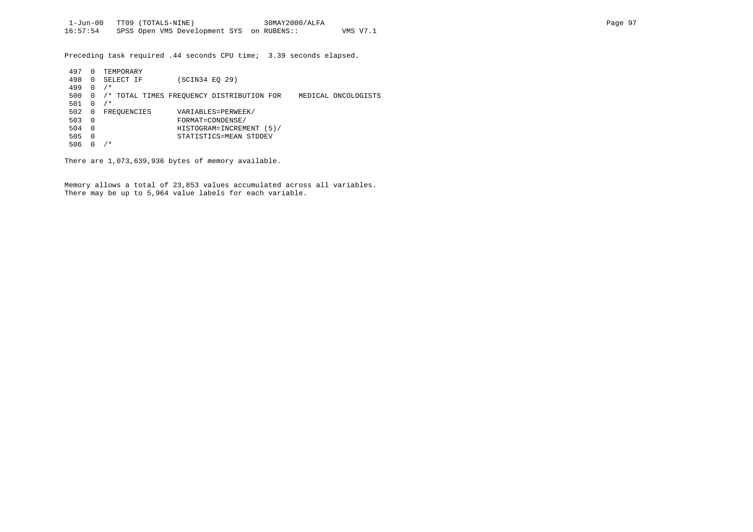Preceding task required .44 seconds CPU time; 3.39 seconds elapsed.

| 497 | 0        | TEMPORARY   |                                                                  |
|-----|----------|-------------|------------------------------------------------------------------|
| 498 | $\Omega$ | SELECT IF   | (SCIN34 EO 29)                                                   |
| 499 | 0        | $/$ *       |                                                                  |
| 500 |          |             | /* TOTAL TIMES FREOUENCY DISTRIBUTION FOR<br>MEDICAL ONCOLOGISTS |
| 501 | $\Omega$ | $/$ *       |                                                                  |
| 502 | 0        | FREQUENCIES | VARIABLES=PERWEEK/                                               |
| 503 | - 0      |             | FORMAT=CONDENSE/                                                 |
| 504 | - 0      |             | HISTOGRAM=INCREMENT (5)/                                         |
| 505 | $\Omega$ |             | STATISTICS=MEAN STDDEV                                           |
| 506 |          | ' *         |                                                                  |

There are 1,073,639,936 bytes of memory available.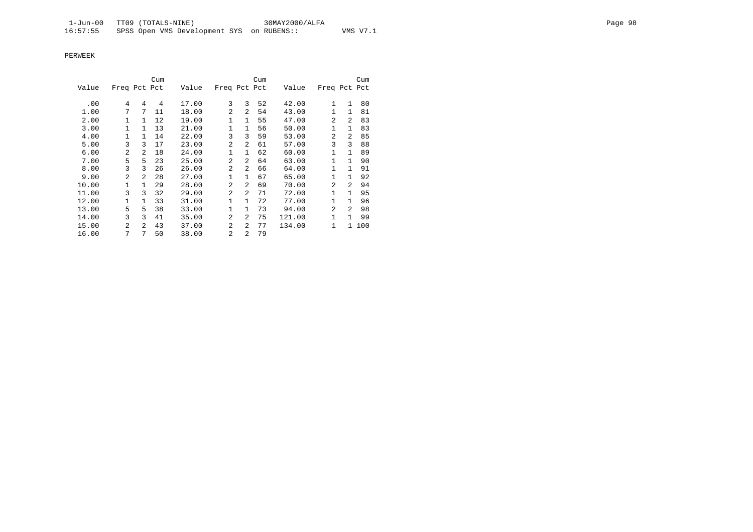|       |                |                | Cum |       |                |                | Cum |        |                |              | Cum |
|-------|----------------|----------------|-----|-------|----------------|----------------|-----|--------|----------------|--------------|-----|
| Value | Freq Pct Pct   |                |     | Value | Freq Pct Pct   |                |     | Value  | Freq Pct Pct   |              |     |
| .00   | 4              | 4              | 4   | 17.00 | 3              | 3              | 52  | 42.00  | $\mathbf{1}$   | $\mathbf{1}$ | 80  |
| 1.00  | 7              | 7              | 11  | 18.00 | 2              | 2              | 54  | 43.00  | $\mathbf{1}$   | $\mathbf{1}$ | 81  |
| 2.00  | $\mathbf{1}$   | $\mathbf{1}$   | 12  | 19.00 | $\mathbf{1}$   | $\mathbf{1}$   | 55  | 47.00  | $\overline{a}$ | 2            | 83  |
| 3.00  | $\mathbf{1}$   | $\mathbf{1}$   | 13  | 21.00 | 1              | $\mathbf{1}$   | 56  | 50.00  | $\mathbf{1}$   | $\mathbf{1}$ | 83  |
| 4.00  | $\mathbf{1}$   | $\mathbf{1}$   | 14  | 22.00 | 3              | 3              | 59  | 53.00  | $\overline{a}$ | 2            | 85  |
| 5.00  | 3              | ζ              | 17  | 23.00 | 2              | 2              | 61  | 57.00  | 3              | 3            | 88  |
| 6.00  | $\overline{a}$ | $\overline{a}$ | 18  | 24.00 | $\mathbf{1}$   | $\mathbf{1}$   | 62  | 60.00  | 1              | $\mathbf{1}$ | 89  |
| 7.00  | 5              | 5              | 23  | 25.00 | $\overline{2}$ | 2              | 64  | 63.00  | $\mathbf{1}$   | $\mathbf{1}$ | 90  |
| 8.00  | 3              | 3              | 26  | 26.00 | 2              | 2              | 66  | 64.00  | $\mathbf{1}$   | $\mathbf{1}$ | 91  |
| 9.00  | $\overline{a}$ | $\mathfrak{D}$ | 28  | 27.00 | $\mathbf{1}$   | $\mathbf{1}$   | 67  | 65.00  | $\mathbf{1}$   | $\mathbf{1}$ | 92  |
| 10.00 | 1              | $\mathbf{1}$   | 29  | 28.00 | 2              | 2              | 69  | 70.00  | $\overline{a}$ | 2            | 94  |
| 11.00 | 3              | 3              | 32  | 29.00 | $\overline{2}$ | 2              | 71  | 72.00  | 1              | $\mathbf{1}$ | 95  |
| 12.00 | 1              | $\mathbf{1}$   | 33  | 31.00 | 1              | $\mathbf{1}$   | 72  | 77.00  | $\mathbf{1}$   | $\mathbf{1}$ | 96  |
| 13.00 | 5              | 5              | 38  | 33.00 | $\mathbf{1}$   | $\mathbf{1}$   | 73  | 94.00  | $\overline{a}$ | 2            | 98  |
| 14.00 | 3              | 3              | 41  | 35.00 | $\mathfrak{D}$ | 2              | 75  | 121.00 | 1              | 1            | 99  |
| 15.00 | $\mathfrak{D}$ | $\mathfrak{D}$ | 43  | 37.00 | 2              | 2              | 77  | 134.00 | 1              | $\mathbf{1}$ | 100 |
| 16.00 | 7              | 7              | 50  | 38.00 | $\overline{a}$ | $\mathfrak{D}$ | 79  |        |                |              |     |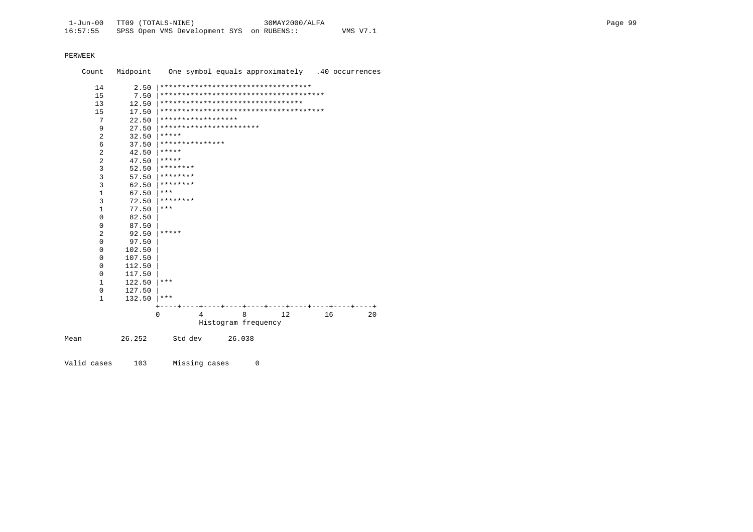| Count          | Midpoint | One symbol equals approximately .40 occurrences |
|----------------|----------|-------------------------------------------------|
| 14             | 2.50     | ***********************************             |
| 15             | 7.50     |                                                 |
| 13             | 12.50    | *********************************               |
| 15             | 17.50    |                                                 |
| 7              | 22.50    | ******************                              |
| 9              | 27.50    | ***********************                         |
| $\overline{2}$ | 32.50    | $* * * * * *$                                   |
| 6              | 37.50    | ***************                                 |
| 2              | 42.50    | *****                                           |
| 2              | 47.50    | *****                                           |
| $\overline{3}$ | 52.50    | ********                                        |
| 3              | 57.50    | ********                                        |
| 3              | 62.50    | ********                                        |
| $\mathbf{1}$   | 67.50    | ***                                             |
| 3              | 72.50    | ********                                        |
| 1              | 77.50    | ***                                             |
| $\mathbf 0$    | 82.50    |                                                 |
| 0              | 87.50    |                                                 |
| $\overline{2}$ | 92.50    | *****                                           |
| $\mathbf 0$    | 97.50    |                                                 |
| 0              | 102.50   |                                                 |
| 0              | 107.50   |                                                 |
| 0              | 112.50   |                                                 |
| 0              | 117.50   |                                                 |
| 1              | 122.50   | ***                                             |
| 0              | 127.50   |                                                 |
| $\mathbf{1}$   | 132.50   | ***                                             |
|                |          |                                                 |
|                |          | 12<br>$\Omega$<br>8<br>16<br>20<br>4            |
|                |          | Histogram frequency                             |
| Mean           | 26.252   | Std dev<br>26.038                               |

Valid cases 103 Missing cases 0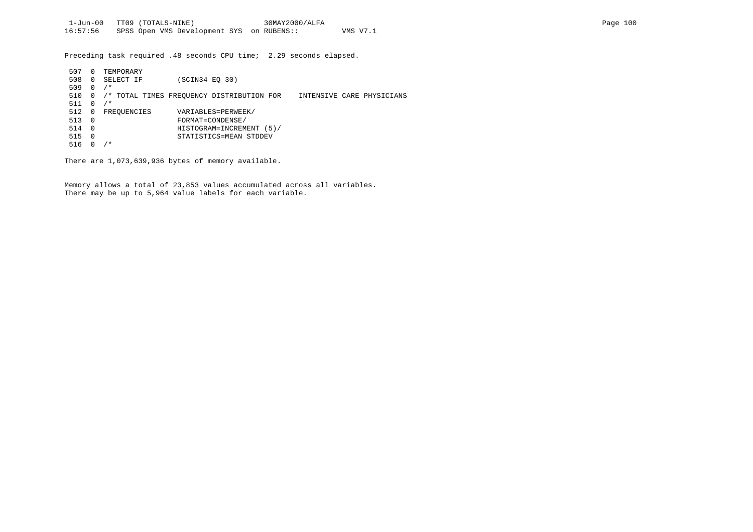Preceding task required .48 seconds CPU time; 2.29 seconds elapsed.

| 507 | 0        | TEMPORARY   |                                           |                           |
|-----|----------|-------------|-------------------------------------------|---------------------------|
| 508 | 0        | SELECT IF   | (SCIN34 EO 30)                            |                           |
| 509 | 0        | $/$ *       |                                           |                           |
| 510 | 0        |             | /* TOTAL TIMES FREQUENCY DISTRIBUTION FOR | INTENSIVE CARE PHYSICIANS |
| 511 | $\Omega$ | ′*          |                                           |                           |
| 512 | 0        | FREOUENCIES | VARIABLES=PERWEEK/                        |                           |
| 513 | - 0      |             | FORMAT=CONDENSE/                          |                           |
| 514 | - 0      |             | HISTOGRAM=INCREMENT (5)/                  |                           |
| 515 | $\Omega$ |             | STATISTICS=MEAN STDDEV                    |                           |
| 516 |          | ′ *         |                                           |                           |

There are 1,073,639,936 bytes of memory available.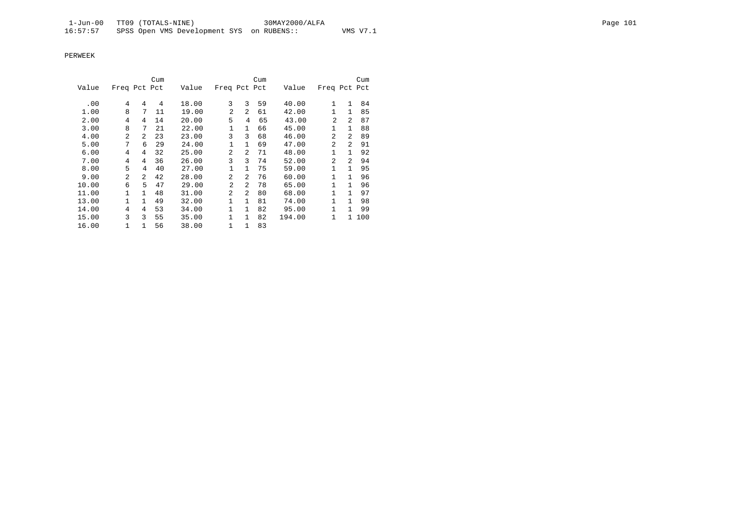|       |                |                | Cum |       |                |                | Cum |        |                |              | Cum   |
|-------|----------------|----------------|-----|-------|----------------|----------------|-----|--------|----------------|--------------|-------|
| Value | Freq Pct Pct   |                |     | Value | Freq Pct Pct   |                |     | Value  | Freq Pct Pct   |              |       |
| .00   | 4              | 4              | 4   | 18.00 | 3              | 3              | 59  | 40.00  | $\mathbf{1}$   | $\mathbf{1}$ | 84    |
| 1.00  | 8              | 7              | 11  | 19.00 | $\mathfrak{D}$ | $\overline{a}$ | 61  | 42.00  | 1              | $\mathbf{1}$ | 85    |
| 2.00  | 4              | 4              | 14  | 20.00 | 5              | 4              | 65  | 43.00  | $\mathfrak{D}$ | 2            | 87    |
|       | 8              | 7              |     |       |                | $\mathbf{1}$   |     |        | 1              | $\mathbf{1}$ |       |
| 3.00  |                |                | 21  | 22.00 | 1              |                | 66  | 45.00  |                |              | 88    |
| 4.00  | $\mathfrak{D}$ | $\overline{a}$ | 23  | 23.00 | 3              | 3              | 68  | 46.00  | $\mathfrak{D}$ | 2            | 89    |
| 5.00  | 7              | 6              | 29  | 24.00 | 1              | $\mathbf{1}$   | 69  | 47.00  | $\mathfrak{D}$ | 2            | 91    |
| 6.00  | 4              | 4              | 32  | 25.00 | $\mathfrak{D}$ | $\mathfrak{D}$ | 71  | 48.00  | 1              | $\mathbf{1}$ | 92    |
| 7.00  | 4              | 4              | 36  | 26.00 | 3              | 3              | 74  | 52.00  | $\mathfrak{D}$ | 2            | 94    |
| 8.00  | 5              | 4              | 40  | 27.00 | 1              | $\mathbf{1}$   | 75  | 59.00  | 1              | $\mathbf{1}$ | 95    |
| 9.00  | $\overline{2}$ | $\overline{a}$ | 42  | 28.00 | $\mathfrak{D}$ | $\mathfrak{D}$ | 76  | 60.00  | 1              | $\mathbf{1}$ | 96    |
| 10.00 | 6              | 5              | 47  | 29.00 | $\overline{a}$ | $\mathfrak{D}$ | 78  | 65.00  | 1              | $\mathbf{1}$ | 96    |
| 11.00 | 1              | 1              | 48  | 31.00 | $\mathfrak{D}$ | $\mathfrak{D}$ | 80  | 68.00  | 1              | $\mathbf{1}$ | 97    |
| 13.00 | $\mathbf{1}$   | 1              | 49  | 32.00 | 1              | $\mathbf{1}$   | 81  | 74.00  | 1              | $\mathbf{1}$ | 98    |
| 14.00 | 4              | 4              | 53  | 34.00 | 1              | 1              | 82  | 95.00  | 1              | $\mathbf{1}$ | 99    |
| 15.00 | 3              | 3              | 55  | 35.00 | 1              | $\mathbf{1}$   | 82  | 194.00 | 1              |              | 1 100 |
| 16.00 | 1              | $\mathbf{1}$   | 56  | 38.00 | 1              | 1              | 83  |        |                |              |       |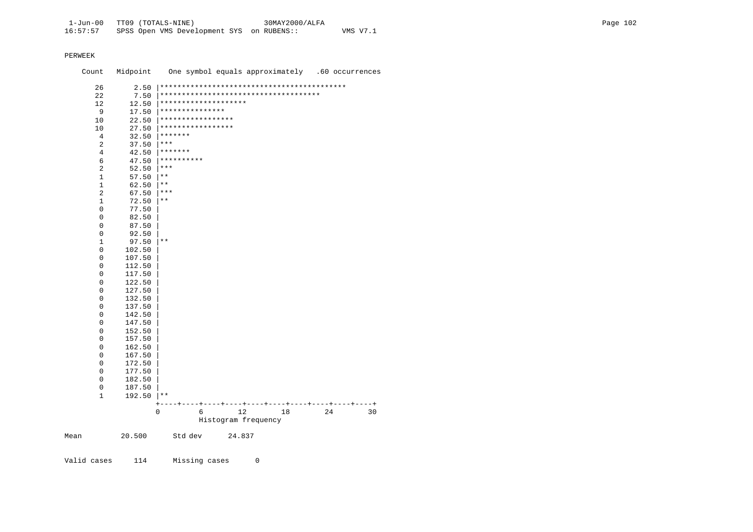Count Midpoint One symbol equals approximately .60 occurrences 26 2.50 |\*\*\*\*\*\*\*\*\*\*\*\*\*\*\*\*\*\*\*\*\*\*\*\*\*\*\*\*\*\*\*\*\*\*\*\*\*\*\*\*\*\*\* 22 7.50 |\*\*\*\*\*\*\*\*\*\*\*\*\*\*\*\*\*\*\*\*\*\*\*\*\*\*\*\*\*\*\*\*\*\*\*\*\* 12 12.50 |\*\*\*\*\*\*\*\*\*\*\*\*\*\*\*\*\*\*\*\* 9 17.50  $**********************$ <br>10 22.50 \*\*\*\*\*\*\*\*\*\*\*\*\*\*\*\* 10 22.50 |\*\*\*\*\*\*\*\*\*\*\*\*\*\*\*\*\* 10 27.50 |\*\*\*\*\*\*\*\*\*\*\*\*\*\*\*\*\* 4  $32.50$   $******$ <br>2  $37.50$   $***$ 2  $37.50$  \*\*\*<br>4  $42.50$  \*\*\* 4  $42.50$   $*******$ <br>6  $47.50$   $*******$ 6  $47.50$   $***********$ <br>2  $52.50$   $***$ 2  $52.50$  \*\*\*  $\begin{array}{ccc} 1 & 57.50 & \ast \ast \\ 1 & 62.50 & \ast \ast \end{array}$  $\begin{array}{ccc} 1 & 62.50 & \text{**} \\ 2 & 67.50 & \text{**} \end{array}$ 2 67.50  $***$ <br>1 72.50  $**$  $\begin{array}{ccc} 1 & 72.50 & \ast \ast \\ 0 & 77.50 & \end{array}$  $\begin{matrix}0 & 77.50 \\ 0 & 82.50\end{matrix}$  0 82.50 | 0 87.50 |  $\begin{array}{ccc} 0 & 92.50 \\ 1 & 97.50 \end{array}$  $\begin{array}{ccc} 1 & 97.50 & \ast \ast \\ 0 & 102.50 & \end{array}$  $0$  102.50<br>0 107.50 0 107.50 |  $0$  112.50<br>0 117.50  $0$  117.50<br>0 122.50  $0$  122.50<br>0 127.50  $0$  127.50<br>0 132.50  $0$  132.50<br>0 137.50  $0$  137.50<br>0 142.50 0 142.50 |  $0$  147.50<br> $0$  152.50  $0$  152.50<br>0 157.50  $0$  157.50<br>0 162.50  $0$  162.50<br>0 167.50  $0$  167.50<br>0 172.50  $0$  172.50<br>0 177.50  $0$  177.50<br>0 182.50 0 182.50<br>0 187.50 0 187.50 | 1 192.50 |\*\* +----+----+----+----+----+----+----+----+----+----+ 0 6 12 18 24 30 Histogram frequency Mean 20.500 Std dev 24.837

Valid cases 114 Missing cases 0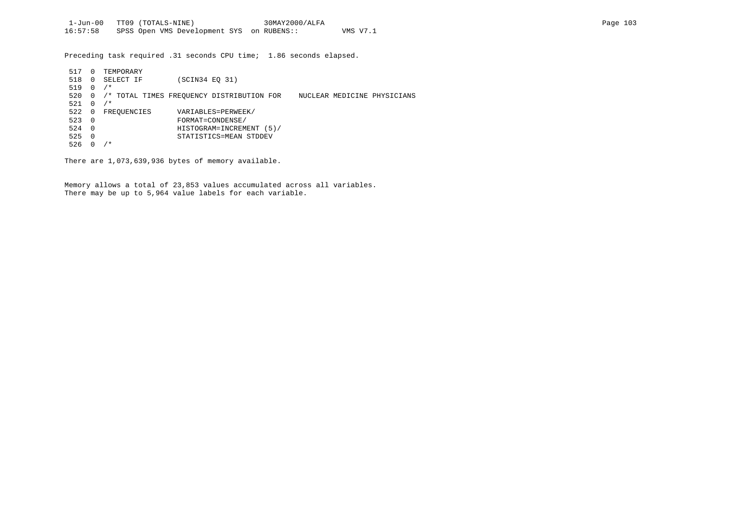Preceding task required .31 seconds CPU time; 1.86 seconds elapsed.

| 517 | $\Omega$ | TEMPORARY   |                                                                          |
|-----|----------|-------------|--------------------------------------------------------------------------|
| 518 | $\Omega$ | SELECT IF   | (SCIN34 EO 31)                                                           |
| 519 | $\Omega$ | $/$ *       |                                                                          |
| 520 | 0        |             | /* TOTAL TIMES FREOUENCY DISTRIBUTION FOR<br>NUCLEAR MEDICINE PHYSICIANS |
| 521 | $\Omega$ | * '         |                                                                          |
| 522 | 0        | FREOUENCIES | VARIABLES=PERWEEK/                                                       |
| 523 | - 0      |             | FORMAT=CONDENSE/                                                         |
| 524 | - 0      |             | HISTOGRAM=INCREMENT (5)/                                                 |
| 525 | - 0      |             | STATISTICS=MEAN STDDEV                                                   |
| 526 |          | ' *         |                                                                          |

There are 1,073,639,936 bytes of memory available.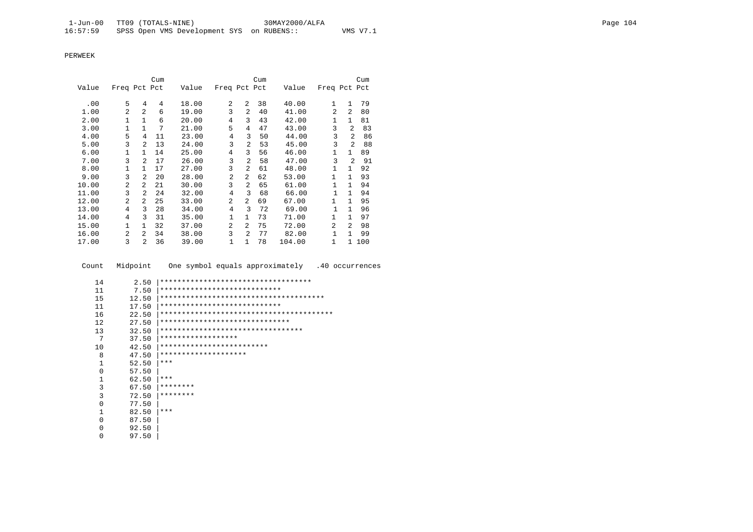|       |                |                | Cum |       |                |                | Cum |        |                |                | Cum |
|-------|----------------|----------------|-----|-------|----------------|----------------|-----|--------|----------------|----------------|-----|
| Value | Freq Pct Pct   |                |     | Value | Freq Pct Pct   |                |     | Value  | Freq Pct Pct   |                |     |
|       |                |                |     |       |                |                |     |        |                |                |     |
| .00   | 5              | 4              | 4   | 18.00 | 2              | 2              | 38  | 40.00  | 1              | $\mathbf{1}$   | 79  |
| 1.00  | $\overline{a}$ | $\overline{a}$ | 6   | 19.00 | 3              | 2              | 40  | 41.00  | $\mathfrak{D}$ | 2              | 80  |
| 2.00  | $\mathbf{1}$   | $\mathbf{1}$   | 6   | 20.00 | $\overline{4}$ | 3              | 43  | 42.00  | $\mathbf{1}$   | $\mathbf{1}$   | 81  |
| 3.00  | $\mathbf{1}$   | $\mathbf{1}$   | 7   | 21.00 | 5              | 4              | 47  | 43.00  | 3              | $\mathfrak{D}$ | 83  |
| 4.00  | 5              | 4              | 11  | 23.00 | 4              | 3              | 50  | 44.00  | 3              | $\mathfrak{D}$ | 86  |
| 5.00  | 3              | 2              | 13  | 24.00 | 3              | 2              | 53  | 45.00  | 3              | $\mathfrak{D}$ | 88  |
| 6.00  | 1              | $\mathbf{1}$   | 14  | 25.00 | 4              | 3              | 56  | 46.00  | 1              | $\mathbf{1}$   | 89  |
| 7.00  | 3              | $\mathfrak{D}$ | 17  | 26.00 | 3              | $\overline{2}$ | 58  | 47.00  | 3              | $\overline{2}$ | 91  |
| 8.00  | 1              | $\mathbf{1}$   | 17  | 27.00 | 3              | 2              | 61  | 48.00  | $\mathbf{1}$   | 1              | 92  |
| 9.00  | 3              | 2              | 20  | 28.00 | $\overline{a}$ | 2              | 62  | 53.00  | $\mathbf{1}$   | $\mathbf{1}$   | 93  |
| 10.00 | $\overline{a}$ | 2              | 21  | 30.00 | 3              | $\overline{a}$ | 65  | 61.00  | 1              | $\mathbf{1}$   | 94  |
| 11.00 | 3              | 2              | 24  | 32.00 | 4              | 3              | 68  | 66.00  | $\mathbf{1}$   | $\mathbf{1}$   | 94  |
| 12.00 | $\overline{a}$ | 2              | 25  | 33.00 | $\overline{a}$ | 2              | 69  | 67.00  | $\mathbf{1}$   | $\mathbf{1}$   | 95  |
| 13.00 | 4              | 3              | 28  | 34.00 | 4              | 3              | 72  | 69.00  | $\mathbf{1}$   | $\mathbf{1}$   | 96  |
| 14.00 | 4              | 3              | 31  | 35.00 | $\mathbf{1}$   | $\mathbf{1}$   | 73  | 71.00  | 1              | $\mathbf{1}$   | 97  |
| 15.00 | $\mathbf{1}$   | 1              | 32  | 37.00 | $\overline{a}$ | 2              | 75  | 72.00  | $\overline{a}$ | $\overline{2}$ | 98  |
| 16.00 | 2              | $\overline{2}$ | 34  | 38.00 | 3              | 2              | 77  | 82.00  | $\mathbf{1}$   | $\mathbf{1}$   | 99  |
| 17.00 | 3              | $\overline{a}$ | 36  | 39.00 | 1              | $\mathbf{1}$   | 78  | 104.00 | 1              | $\mathbf{1}$   | 100 |

Count Midpoint One symbol equals approximately .40 occurrences

- 14 2.50 |\*\*\*\*\*\*\*\*\*\*\*\*\*\*\*\*\*\*\*\*\*\*\*\*\*\*\*\*\*\*\*\*\*\*\* 11 7.50 |\*\*\*\*\*\*\*\*\*\*\*\*\*\*\*\*\*\*\*\*\*\*\*\*\*\*\*\* 15 12.50 |\*\*\*\*\*\*\*\*\*\*\*\*\*\*\*\*\*\*\*\*\*\*\*\*\*\*\*\*\*\*\*\*\*\*\*\*\*\* 11 17.50 |\*\*\*\*\*\*\*\*\*\*\*\*\*\*\*\*\*\*\*\*\*\*\*\*\*\*\*\* 16 22.50 |\*\*\*\*\*\*\*\*\*\*\*\*\*\*\*\*\*\*\*\*\*\*\*\*\*\*\*\*\*\*\*\*\*\*\*\*\*\*\*\* 12 27.50 |\*\*\*\*\*\*\*\*\*\*\*\*\*\*\*\*\*\*\*\*\*\*\*\*\*\*\*\*\*\* 13 32.50 |\*\*\*\*\*\*\*\*\*\*\*\*\*\*\*\*\*\*\*\*\*\*\*\*\*\*\*\*\*\*\*\*\* 7 37.50 |\*\*\*\*\*\*\*\*\*\*\*\*\*\*\*\*\*\* 10 42.50 |\*\*\*\*\*\*\*\*\*\*\*\*\*\*\*\*\*\*\*\*\*\*\*\*\* 8 47.50 |\*\*\*\*\*\*\*\*\*\*\*\*\*\*\*\*\*\*\*\*  $\begin{array}{ccc} 1 & 52.50 & \ast \ast \ast \\ 0 & 57.50 & \end{array}$  $\begin{array}{cc} 0 & 57.50 \\ 1 & 62.50 \end{array}$  $\begin{array}{ccc} 1 & 62.50 & \ast \ast \ast \\ 3 & 67.50 & \ast \ast \ast \ast \end{array}$ 3 67.50  $********$ <br>3 72.50  $********$ 3 72.50  $********$ <br>0 77.50  $\left|$  $\begin{array}{ccc} 0 & 77.50 \\ 1 & 82.50 \end{array}$  $\begin{array}{ccc} 1 & 82.50 & \ast \ast \ast \\ 0 & 87.50 & \end{array}$  $\begin{array}{ccc} 0 & & 87.50 \\ 0 & & 92.50 \end{array}$ 0 92.50 |
- 0 97.50 |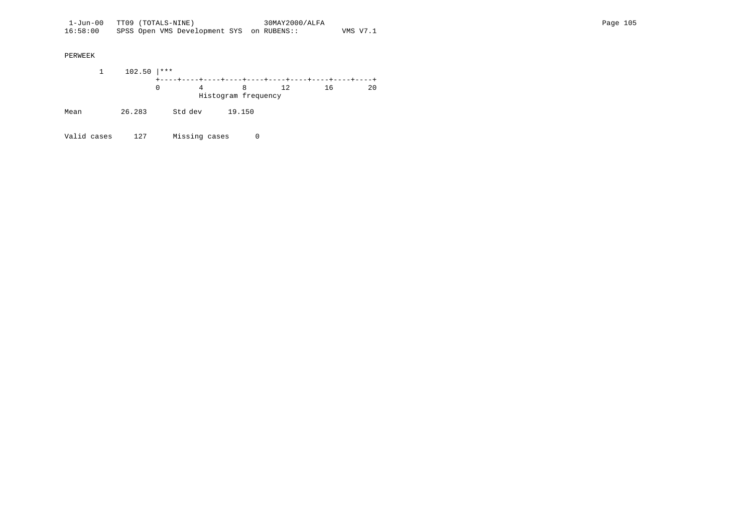1 102.50 |\*\*\* +----+----+----+----+----+----+----+----+----+----+ 0 4 8 12 16 20 Histogram frequency Mean 26.283 Std dev 19.150

Valid cases 127 Missing cases 0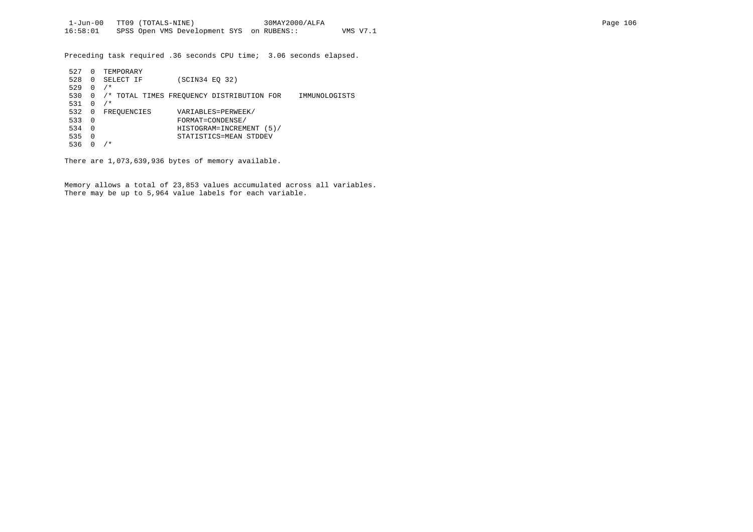Preceding task required .36 seconds CPU time; 3.06 seconds elapsed.

| 527 | $^{(1)}$     | TEMPORARY   |                                                            |  |  |  |  |  |  |  |
|-----|--------------|-------------|------------------------------------------------------------|--|--|--|--|--|--|--|
| 528 | $\Omega$     | SELECT IF   | (SCIN34 EO 32)                                             |  |  |  |  |  |  |  |
| 529 | 0            | $/$ *       |                                                            |  |  |  |  |  |  |  |
| 530 | 0            |             | /* TOTAL TIMES FREOUENCY DISTRIBUTION FOR<br>IMMUNOLOGISTS |  |  |  |  |  |  |  |
| 531 | <sup>0</sup> | $/$ *       |                                                            |  |  |  |  |  |  |  |
| 532 | 0            | FREQUENCIES | VARIABLES=PERWEEK/                                         |  |  |  |  |  |  |  |
| 533 | - 0          |             | FORMAT=CONDENSE/                                           |  |  |  |  |  |  |  |
| 534 | $\Omega$     |             | HISTOGRAM=INCREMENT (5)/                                   |  |  |  |  |  |  |  |
| 535 | $\Omega$     |             | STATISTICS=MEAN STDDEV                                     |  |  |  |  |  |  |  |
| 536 |              | $/$ *       |                                                            |  |  |  |  |  |  |  |

There are 1,073,639,936 bytes of memory available.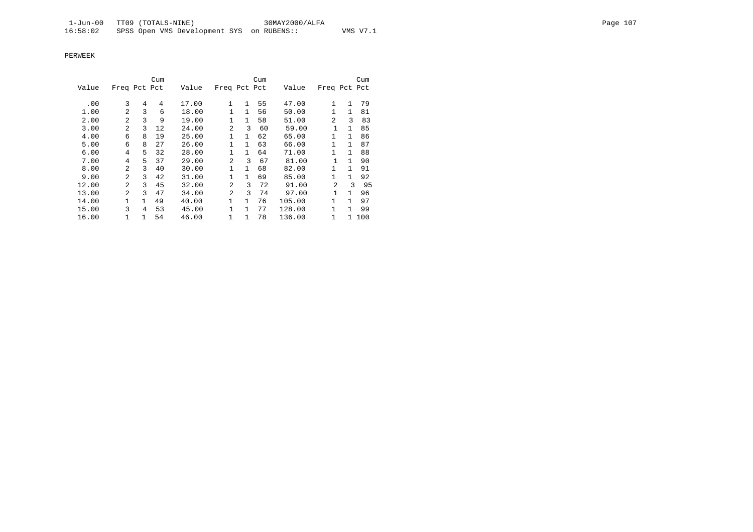|       |                |              | Cum |       |                |              | Cum |        |                |              | Cum   |
|-------|----------------|--------------|-----|-------|----------------|--------------|-----|--------|----------------|--------------|-------|
| Value | Freq Pct Pct   |              |     | Value | Freq Pct Pct   |              |     | Value  | Freq Pct Pct   |              |       |
| .00   | 3              | 4            | 4   | 17.00 | 1              | 1            | 55  | 47.00  | 1              | $\mathbf{1}$ | 79    |
| 1.00  | 2              | 3            | 6   | 18.00 | $\mathbf{1}$   | $\mathbf{1}$ | 56  | 50.00  | 1              | $\mathbf{1}$ | 81    |
| 2.00  | $\mathfrak{D}$ | 3            | 9   | 19.00 | 1              | $\mathbf{1}$ | 58  | 51.00  | $\mathfrak{D}$ | 3            | 83    |
| 3.00  | $\mathfrak{D}$ | 3            | 12  | 24.00 | $\overline{a}$ | 3            | 60  | 59.00  |                | $\mathbf{1}$ | 85    |
| 4.00  | 6              | 8            | 19  | 25.00 | $\mathbf{1}$   | $\mathbf{1}$ | 62  | 65.00  | 1              | $\mathbf{1}$ | 86    |
| 5.00  | 6              | 8            | 27  | 26.00 | $\mathbf{1}$   | $\mathbf{1}$ | 63  | 66.00  | 1              | $\mathbf{1}$ | 87    |
| 6.00  | 4              | 5            | 32  | 28.00 | $\mathbf{1}$   | $\mathbf{1}$ | 64  | 71.00  | 1              | $\mathbf{1}$ | 88    |
| 7.00  | 4              | 5            | 37  | 29.00 | $\overline{a}$ | 3            | 67  | 81.00  |                | $\mathbf{1}$ | 90    |
| 8.00  | 2              | 3            | 40  | 30.00 | 1              | $\mathbf{1}$ | 68  | 82.00  | 1              | $\mathbf{1}$ | 91    |
| 9.00  | $\mathfrak{D}$ | 3            | 42  | 31.00 | $\mathbf{1}$   | $\mathbf{1}$ | 69  | 85.00  | 1              | $\mathbf{1}$ | 92    |
| 12.00 | $\overline{a}$ | 3            | 45  | 32.00 | $\overline{a}$ | 3            | 72  | 91.00  | 2              | ζ            | 95    |
| 13.00 | $\mathfrak{D}$ | 3            | 47  | 34.00 | 2              | 3            | 74  | 97.00  | 1              | $\mathbf{1}$ | 96    |
| 14.00 | $\mathbf{1}$   | $\mathbf{1}$ | 49  | 40.00 | $\mathbf{1}$   | $\mathbf{1}$ | 76  | 105.00 | 1              | $\mathbf{1}$ | 97    |
| 15.00 | 3              | 4            | 53  | 45.00 | 1              | 1            | 77  | 128.00 | 1              | $\mathbf{1}$ | 99    |
| 16.00 |                | $\mathbf{1}$ | 54  | 46.00 | 1              | 1            | 78  | 136.00 | 1              |              | 1 100 |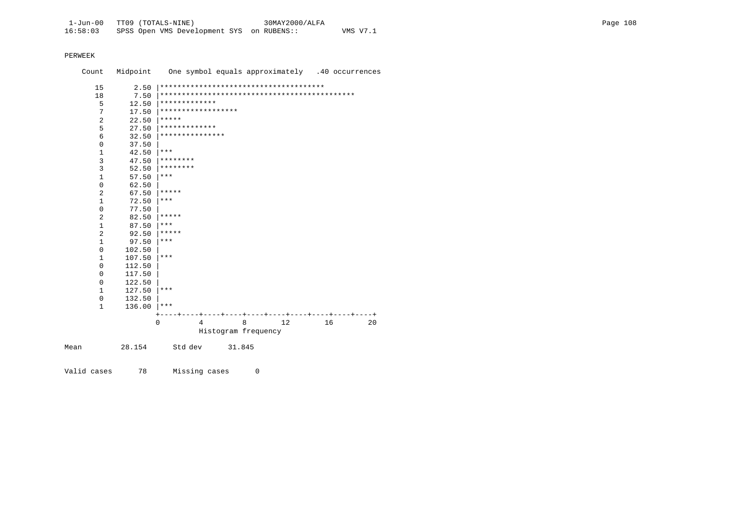| Count          | Midpoint | One symbol equals approximately .40 occurrences |
|----------------|----------|-------------------------------------------------|
| 15             | 2.50     |                                                 |
| 18             | 7.50     |                                                 |
| 5              | 12.50    | *************                                   |
| 7              | 17.50    | ******************                              |
| $\overline{2}$ | 22.50    | *****                                           |
| 5              | 27.50    | *************                                   |
| 6              | 32.50    | ***************                                 |
| 0              | 37.50    |                                                 |
| 1              | 42.50    | $***$                                           |
| 3              | 47.50    | ********                                        |
| 3              | 52.50    | ********                                        |
| $\mathbf{1}$   | 57.50    | ***                                             |
| 0              | 62.50    |                                                 |
| 2              | 67.50    | *****                                           |
| $\mathbf{1}$   | 72.50    | $***$                                           |
| 0              | 77.50    |                                                 |
| 2              | 82.50    | *****                                           |
| 1              | 87.50    | $***$                                           |
| $\overline{a}$ | 92.50    | *****                                           |
| $\mathbf{1}$   | 97.50    | $***$                                           |
| 0              | 102.50   |                                                 |
| $\mathbf{1}$   | 107.50   | $***$                                           |
| $\mathbf 0$    | 112.50   |                                                 |
| 0              | 117.50   |                                                 |
| 0              | 122.50   |                                                 |
| $\mathbf{1}$   | 127.50   | $***$                                           |
| 0              | 132.50   |                                                 |
| $\mathbf{1}$   | 136.00   | $***$                                           |
|                |          |                                                 |
|                |          | 8<br>12<br>$\Omega$<br>16<br>20<br>4            |
|                |          | Histogram frequency                             |
| Mean           | 28.154   | Std dev<br>31.845                               |

Valid cases 78 Missing cases 0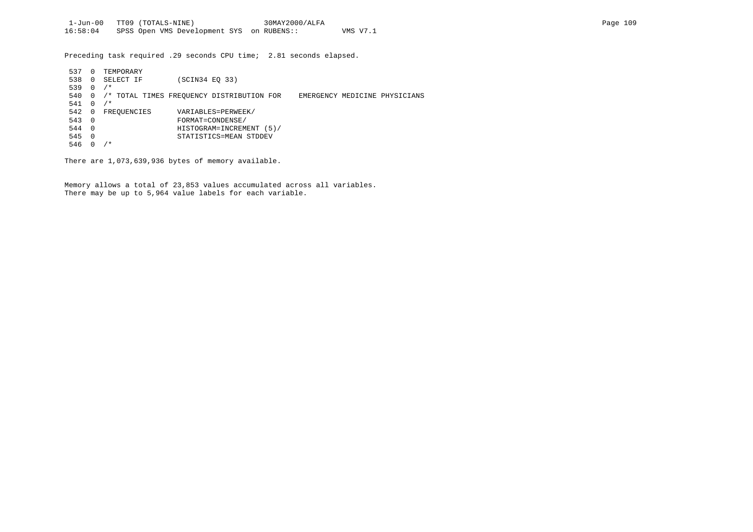Preceding task required .29 seconds CPU time; 2.81 seconds elapsed.

| 537 | 0        | TEMPORARY   |                                           |                               |
|-----|----------|-------------|-------------------------------------------|-------------------------------|
| 538 | 0        | SELECT IF   | (SCIN34 EO 33)                            |                               |
| 539 | 0        | $/$ *       |                                           |                               |
| 540 | 0        |             | /* TOTAL TIMES FREOUENCY DISTRIBUTION FOR | EMERGENCY MEDICINE PHYSICIANS |
| 541 | 0        | $/$ *       |                                           |                               |
| 542 | 0        | FREOUENCIES | VARIABLES=PERWEEK/                        |                               |
| 543 | $\Omega$ |             | FORMAT=CONDENSE/                          |                               |
| 544 | $\Omega$ |             | HISTOGRAM=INCREMENT (5)/                  |                               |
| 545 | $\Omega$ |             | STATISTICS=MEAN STDDEV                    |                               |
| 546 |          | $/$ *       |                                           |                               |

There are 1,073,639,936 bytes of memory available.

Memory allows a total of 23,853 values accumulated across all variables. There may be up to 5,964 value labels for each variable.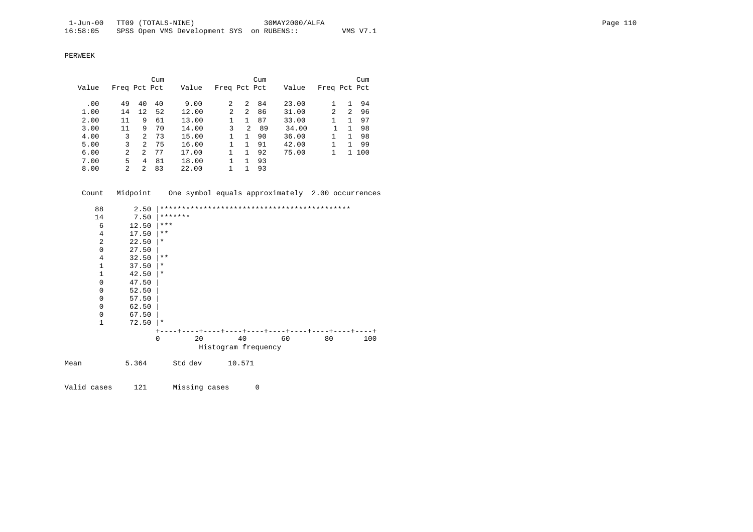|       |                |               | Cum |       |                |    | Cum |       |              |              | Cum |
|-------|----------------|---------------|-----|-------|----------------|----|-----|-------|--------------|--------------|-----|
| Value | Freq Pct Pct   |               |     | Value | Freq Pct Pct   |    |     | Value | Freq Pct Pct |              |     |
|       |                |               |     |       |                |    |     |       |              |              |     |
| .00   | 49             | 40            | 40  | 9.00  | 2              | 2  | 84  | 23.00 |              |              | 94  |
| 1.00  | 14             | 12            | 52  | 12.00 | $\mathfrak{D}$ | 2  | 86  | 31.00 | 2            | 2            | 96  |
| 2.00  | 11             | 9             | 61  | 13.00 |                | 1. | 87  | 33.00 |              |              | 97  |
| 3.00  | 11             | 9             | 70  | 14.00 | 3              | 2  | 89  | 34.00 |              |              | 98  |
| 4.00  | 3              | $\mathcal{L}$ | 73  | 15.00 |                | 1. | 90  | 36.00 |              | 1.           | 98  |
| 5.00  | 3              | 2             | 75  | 16.00 |                | 1. | 91  | 42.00 |              | 1.           | 99  |
| 6.00  | $\overline{a}$ | $\mathcal{L}$ | 77  | 17.00 |                |    | 92  | 75.00 |              | $\mathbf{1}$ | 100 |
| 7.00  | 5              | 4             | 81  | 18.00 |                | 1. | 93  |       |              |              |     |
| 8.00  | 2              | 2             | 83  | 22.00 |                |    | 93  |       |              |              |     |

Count Midpoint One symbol equals approximately 2.00 occurrences

| 88             | 2.50  | ************ |    |                     |    |    | ************************** |     |
|----------------|-------|--------------|----|---------------------|----|----|----------------------------|-----|
| 14             | 7.50  | *******      |    |                     |    |    |                            |     |
| 6              | 12.50 | $***$        |    |                     |    |    |                            |     |
| $\overline{4}$ | 17.50 | $***$        |    |                     |    |    |                            |     |
| 2              | 22.50 | $\ast$       |    |                     |    |    |                            |     |
| $\mathbf 0$    | 27.50 |              |    |                     |    |    |                            |     |
| $\overline{4}$ | 32.50 | $* *$        |    |                     |    |    |                            |     |
| $\mathbf{1}$   | 37.50 | $^\star$     |    |                     |    |    |                            |     |
| 1              | 42.50 | $\star$      |    |                     |    |    |                            |     |
| $\mathbf 0$    | 47.50 |              |    |                     |    |    |                            |     |
| $\mathbf 0$    | 52.50 |              |    |                     |    |    |                            |     |
| $\mathbf 0$    | 57.50 |              |    |                     |    |    |                            |     |
| 0              | 62.50 |              |    |                     |    |    |                            |     |
| 0              | 67.50 |              |    |                     |    |    |                            |     |
| $\mathbf{1}$   | 72.50 | $\star$      |    |                     |    |    |                            |     |
|                |       |              |    |                     |    |    |                            |     |
|                |       | 0            | 20 |                     | 40 | 60 | 80                         | 100 |
|                |       |              |    | Histogram frequency |    |    |                            |     |

Mean 5.364 Std dev 10.571

Valid cases 121 Missing cases 0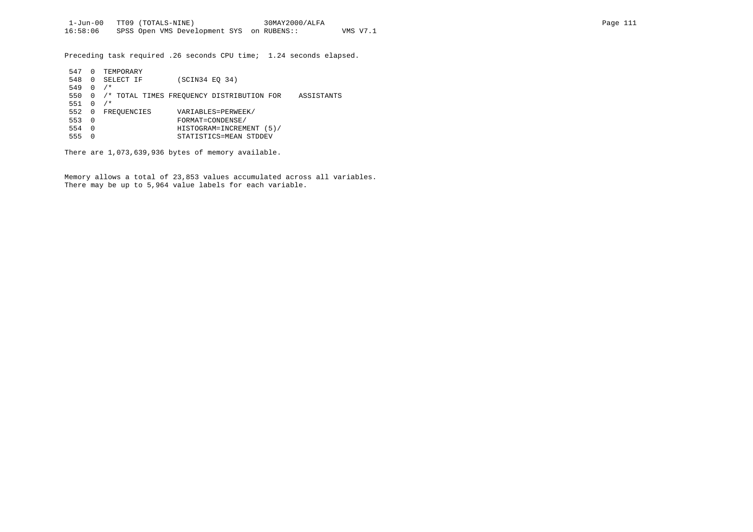Preceding task required .26 seconds CPU time; 1.24 seconds elapsed.

| 547 |   | TEMPORARY                                               |  |  |  |  |  |  |  |  |
|-----|---|---------------------------------------------------------|--|--|--|--|--|--|--|--|
| 548 | 0 | (SCIN34 E0 34)<br>SELECT IF                             |  |  |  |  |  |  |  |  |
| 549 |   | $/$ *                                                   |  |  |  |  |  |  |  |  |
| 550 |   | /* TOTAL TIMES FREOUENCY DISTRIBUTION FOR<br>ASSISTANTS |  |  |  |  |  |  |  |  |
| 551 |   | $/$ *                                                   |  |  |  |  |  |  |  |  |
| 552 | 0 | VARIABLES=PERWEEK/<br>FREQUENCIES                       |  |  |  |  |  |  |  |  |
| 553 | 0 | FORMAT=CONDENSE/                                        |  |  |  |  |  |  |  |  |
| 554 | 0 | HISTOGRAM=INCREMENT<br>(5)                              |  |  |  |  |  |  |  |  |
| 555 |   | STATISTICS=MEAN STDDEV                                  |  |  |  |  |  |  |  |  |

There are 1,073,639,936 bytes of memory available.

Memory allows a total of 23,853 values accumulated across all variables. There may be up to 5,964 value labels for each variable.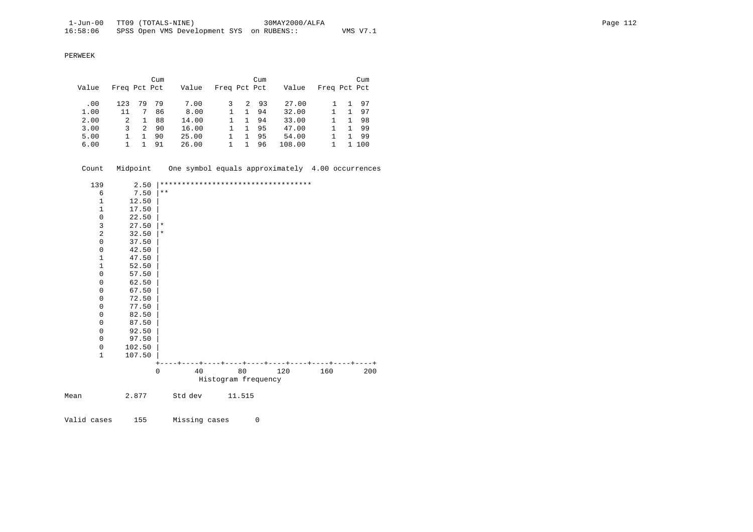PERWEEK

|       |              |    | Cum |       |              |   | Cum |        |              |    | Cum |
|-------|--------------|----|-----|-------|--------------|---|-----|--------|--------------|----|-----|
| Value | Freq Pct Pct |    |     | Value | Freq Pct Pct |   |     | Value  | Freq Pct Pct |    |     |
|       |              |    |     |       |              |   |     |        |              |    |     |
| .00   | 123          | 79 | -79 | 7.00  |              | 2 | -93 | 27.00  |              | 1. | 97  |
| 1.00  | 11           | 7  | 86  | 8.00  |              |   | 94  | 32.00  |              |    | 97  |
| 2.00  | 2            |    | 88  | 14.00 |              |   | 94  | 33.00  |              |    | 98  |
| 3.00  | 3            | 2  | 90  | 16.00 |              |   | 95  | 47.00  |              |    | -99 |
| 5.00  |              |    | 90  | 25.00 |              |   | 95  | 54.00  |              |    | -99 |
| 6.00  |              |    | 91  | 26.00 |              |   | 96  | 108.00 |              |    | 100 |

Count Midpoint One symbol equals approximately 4.00 occurrences

|      | 139                 | 2.50   |             |    |                     | *********************************** |     |       |
|------|---------------------|--------|-------------|----|---------------------|-------------------------------------|-----|-------|
|      | 6                   | 7.50   | $***$       |    |                     |                                     |     |       |
|      | $\mathbf{1}$        | 12.50  |             |    |                     |                                     |     |       |
|      | $\mathbf{1}$        | 17.50  |             |    |                     |                                     |     |       |
|      | $\mathsf{O}\xspace$ | 22.50  |             |    |                     |                                     |     |       |
|      | $\overline{3}$      | 27.50  | $\star$     |    |                     |                                     |     |       |
|      | $\sqrt{2}$          | 32.50  | $\star$     |    |                     |                                     |     |       |
|      | $\mathbf 0$         | 37.50  |             |    |                     |                                     |     |       |
|      | 0                   | 42.50  |             |    |                     |                                     |     |       |
|      | $1\,$               | 47.50  |             |    |                     |                                     |     |       |
|      | $1\,$               | 52.50  |             |    |                     |                                     |     |       |
|      | $\mathbf 0$         | 57.50  |             |    |                     |                                     |     |       |
|      | $\mathbf 0$         | 62.50  |             |    |                     |                                     |     |       |
|      | $\mathbf 0$         | 67.50  |             |    |                     |                                     |     |       |
|      | 0                   | 72.50  |             |    |                     |                                     |     |       |
|      | $\mathbf 0$         | 77.50  |             |    |                     |                                     |     |       |
|      | $\mathbf 0$         | 82.50  |             |    |                     |                                     |     |       |
|      | 0                   | 87.50  |             |    |                     |                                     |     |       |
|      | $\mathbf 0$         | 92.50  |             |    |                     |                                     |     |       |
|      | $\mathbf 0$         | 97.50  |             |    |                     |                                     |     |       |
|      | 0                   | 102.50 |             |    |                     |                                     |     |       |
|      | $\mathbf{1}$        | 107.50 |             |    |                     |                                     |     |       |
|      |                     |        |             |    |                     | ----+----+----+----+----+           |     | - – + |
|      |                     |        | $\mathbf 0$ | 40 | 80                  | 120                                 | 160 | 200   |
|      |                     |        |             |    | Histogram frequency |                                     |     |       |
| Mean |                     | 2.877  | Std dev     |    | 11.515              |                                     |     |       |
|      |                     |        |             |    |                     |                                     |     |       |

Valid cases 155 Missing cases 0